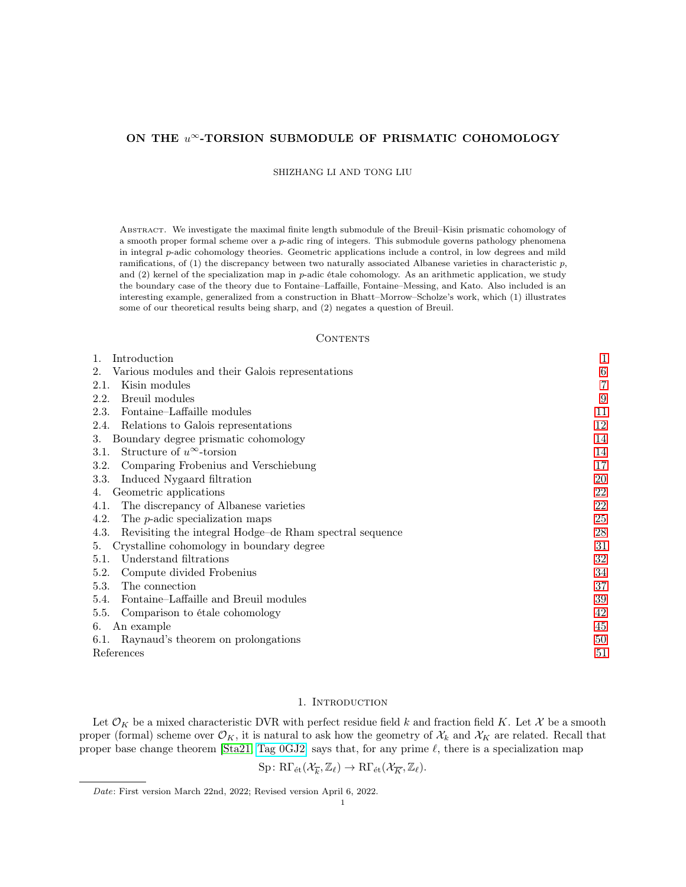## ON THE  $u^{\infty}$ -TORSION SUBMODULE OF PRISMATIC COHOMOLOGY

SHIZHANG LI AND TONG LIU

Abstract. We investigate the maximal finite length submodule of the Breuil–Kisin prismatic cohomology of a smooth proper formal scheme over a p-adic ring of integers. This submodule governs pathology phenomena in integral p-adic cohomology theories. Geometric applications include a control, in low degrees and mild ramifications, of (1) the discrepancy between two naturally associated Albanese varieties in characteristic  $p$ , and  $(2)$  kernel of the specialization map in p-adic étale cohomology. As an arithmetic application, we study the boundary case of the theory due to Fontaine–Laffaille, Fontaine–Messing, and Kato. Also included is an interesting example, generalized from a construction in Bhatt–Morrow–Scholze's work, which (1) illustrates some of our theoretical results being sharp, and (2) negates a question of Breuil.

## **CONTENTS**

| Introduction<br>1.                                              | 1  |
|-----------------------------------------------------------------|----|
| Various modules and their Galois representations<br>2.          | 6  |
| Kisin modules<br>2.1.                                           | 7  |
| Breuil modules<br>2.2.                                          | 9  |
| Fontaine-Laffaille modules<br>2.3.                              | 11 |
| Relations to Galois representations<br>2.4.                     | 12 |
| Boundary degree prismatic cohomology<br>3.                      | 14 |
| Structure of $u^{\infty}$ -torsion<br>3.1.                      | 14 |
| Comparing Frobenius and Verschiebung<br>3.2.                    | 17 |
| Induced Nygaard filtration<br>3.3.                              | 20 |
| Geometric applications<br>4.                                    | 22 |
| The discrepancy of Albanese varieties<br>4.1.                   | 22 |
| The <i>p</i> -adic specialization maps<br>4.2.                  | 25 |
| Revisiting the integral Hodge–de Rham spectral sequence<br>4.3. | 28 |
| Crystalline cohomology in boundary degree<br>5.                 | 31 |
| Understand filtrations<br>5.1.                                  | 32 |
| Compute divided Frobenius<br>5.2.                               | 34 |
| 5.3.<br>The connection                                          | 37 |
| Fontaine–Laffaille and Breuil modules<br>5.4.                   | 39 |
| 5.5.<br>Comparison to étale cohomology                          | 42 |
| An example<br>6.                                                | 45 |
| 6.1. Raynaud's theorem on prolongations                         | 50 |
| References                                                      |    |

# 1. INTRODUCTION

<span id="page-0-0"></span>Let  $\mathcal{O}_K$  be a mixed characteristic DVR with perfect residue field k and fraction field K. Let X be a smooth proper (formal) scheme over  $\mathcal{O}_K$ , it is natural to ask how the geometry of  $\mathcal{X}_k$  and  $\mathcal{X}_K$  are related. Recall that proper base change theorem [\[Sta21,](#page-51-0) [Tag 0GJ2\]](https://stacks.math.columbia.edu/tag/0GJ2) says that, for any prime  $\ell$ , there is a specialization map

$$
\mathrm{Sp} \colon \mathrm{R}\Gamma_{\operatorname{\acute{e}t} }({\mathcal{X}}_{\overline{k}}, {\mathbb{Z}}_{\ell})\to \mathrm{R}\Gamma_{\operatorname{\acute{e}t} }({\mathcal{X}}_{\overline{K}}, {\mathbb{Z}}_{\ell}).
$$

Date: First version March 22nd, 2022; Revised version April 6, 2022.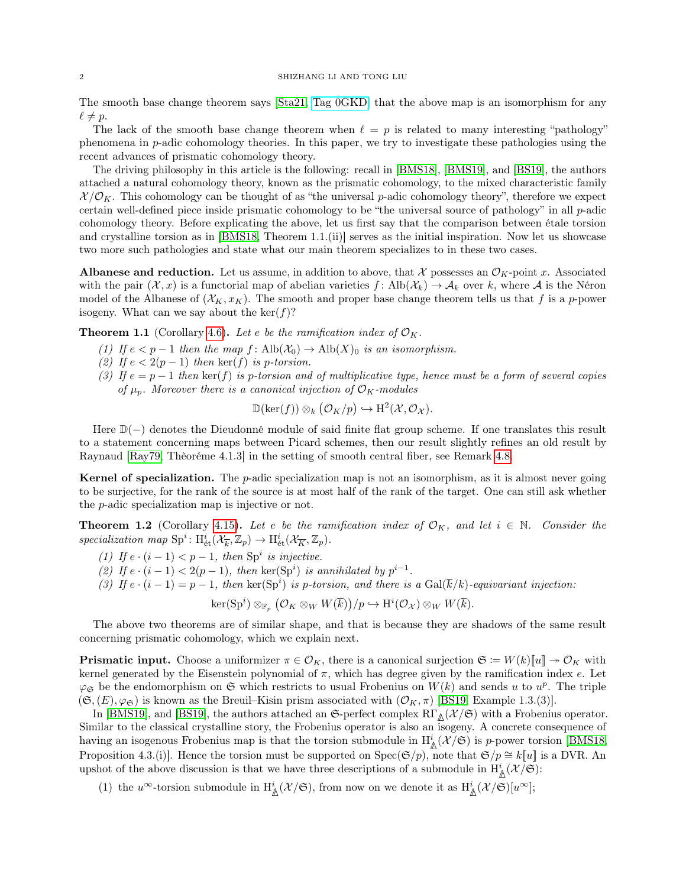The smooth base change theorem says [\[Sta21,](#page-51-0) [Tag 0GKD\]](https://stacks.math.columbia.edu/tag/0GKD) that the above map is an isomorphism for any  $\ell \neq p$ .

The lack of the smooth base change theorem when  $\ell = p$  is related to many interesting "pathology" phenomena in p-adic cohomology theories. In this paper, we try to investigate these pathologies using the recent advances of prismatic cohomology theory.

The driving philosophy in this article is the following: recall in [\[BMS18\]](#page-50-1), [\[BMS19\]](#page-50-2), and [\[BS19\]](#page-50-3), the authors attached a natural cohomology theory, known as the prismatic cohomology, to the mixed characteristic family  $\mathcal{X}/\mathcal{O}_K$ . This cohomology can be thought of as "the universal p-adic cohomology theory", therefore we expect certain well-defined piece inside prismatic cohomology to be "the universal source of pathology" in all p-adic cohomology theory. Before explicating the above, let us first say that the comparison between étale torsion and crystalline torsion as in [\[BMS18,](#page-50-1) Theorem 1.1.(ii)] serves as the initial inspiration. Now let us showcase two more such pathologies and state what our main theorem specializes to in these two cases.

**Albanese and reduction.** Let us assume, in addition to above, that X possesses an  $\mathcal{O}_K$ -point x. Associated with the pair  $(\mathcal{X}, x)$  is a functorial map of abelian varieties  $f: \text{Alb}(\mathcal{X}_k) \to \mathcal{A}_k$  over k, where A is the Néron model of the Albanese of  $(\mathcal{X}_K, x_K)$ . The smooth and proper base change theorem tells us that f is a p-power isogeny. What can we say about the  $\ker(f)$ ?

<span id="page-1-0"></span>**Theorem 1.1** (Corollary [4.6\)](#page-23-0). Let e be the ramification index of  $\mathcal{O}_K$ .

- (1) If  $e < p-1$  then the map  $f : \text{Alb}(\mathcal{X}_0) \to \text{Alb}(X)_0$  is an isomorphism.
- (2) If  $e < 2(p-1)$  then  $\ker(f)$  is p-torsion.
- (3) If  $e = p 1$  then ker(f) is p-torsion and of multiplicative type, hence must be a form of several copies of  $\mu_p$ . Moreover there is a canonical injection of  $\mathcal{O}_K$ -modules

$$
\mathbb{D}(\ker(f)) \otimes_k (\mathcal{O}_K/p) \hookrightarrow \mathrm{H}^2(\mathcal{X}, \mathcal{O}_\mathcal{X}).
$$

Here D(−) denotes the Dieudonné module of said finite flat group scheme. If one translates this result to a statement concerning maps between Picard schemes, then our result slightly refines an old result by Raynaud [\[Ray79,](#page-51-1) Thèoréme 4.1.3] in the setting of smooth central fiber, see Remark [4.8.](#page-24-1)

**Kernel of specialization.** The *p*-adic specialization map is not an isomorphism, as it is almost never going to be surjective, for the rank of the source is at most half of the rank of the target. One can still ask whether the p-adic specialization map is injective or not.

**Theorem 1.2** (Corollary [4.15\)](#page-26-0). Let e be the ramification index of  $\mathcal{O}_K$ , and let  $i \in \mathbb{N}$ . Consider the specialization map  $\text{Sp}^i$ :  $\text{H}^i_{\text{\'et}}(\mathcal{X}_{\overline{k}}, \mathbb{Z}_p) \to \text{H}^i_{\text{\'et}}(\mathcal{X}_{\overline{K}}, \mathbb{Z}_p)$ .

- (1) If  $e \cdot (i-1) < p-1$ , then  $\text{Sp}^i$  is injective.
- (2) If  $e \cdot (i-1) < 2(p-1)$ , then  $\ker(Sp^i)$  is annihilated by  $p^{i-1}$ .
- (3) If  $e \cdot (i-1) = p-1$ , then  $\ker(Sp^i)$  is p-torsion, and there is a  $Gal(\overline{k}/k)$ -equivariant injection:

 $\ker(\mathrm{Sp}^i)\otimes_{\mathbb{F}_p}(\mathcal{O}_K\otimes_W W(\overline{k}))/p\hookrightarrow \mathrm{H}^i(\mathcal{O}_\mathcal{X})\otimes_W W(\overline{k}).$ 

The above two theorems are of similar shape, and that is because they are shadows of the same result concerning prismatic cohomology, which we explain next.

**Prismatic input.** Choose a uniformizer  $\pi \in \mathcal{O}_K$ , there is a canonical surjection  $\mathfrak{S} := W(k)[[u]] \to \mathcal{O}_K$  with kernel generated by the Eisenstein polynomial of  $\pi$ , which has degree given by the ramification index  $e$ . Let  $\varphi_{\mathfrak{S}}$  be the endomorphism on  $\mathfrak{S}$  which restricts to usual Frobenius on  $W(k)$  and sends u to  $u^p$ . The triple  $(\mathfrak{S},(E), \varphi_{\mathfrak{S}})$  is known as the Breuil–Kisin prism associated with  $(\mathcal{O}_K, \pi)$  [\[BS19,](#page-50-3) Example 1.3.(3)].

In [\[BMS19\]](#page-50-2), and [\[BS19\]](#page-50-3), the authors attached an S-perfect complex RΓ**∆** (X /S) with a Frobenius operator. Similar to the classical crystalline story, the Frobenius operator is also an isogeny. A concrete consequence of having an isogenous Frobenius map is that the torsion submodule in  $H^i_{\mathbb{A}}(\mathcal{X}/\mathfrak{S})$  is p-power torsion [\[BMS18,](#page-50-1) Proposition 4.3.(i)]. Hence the torsion must be supported on  $Spec(\mathfrak{S}/p)$ , note that  $\mathfrak{S}/p \cong k[[u]]$  is a DVR. An upshot of the above discussion is that we have three descriptions of a submodule in  $H^i_{\mathbb{A}}(\mathcal{X}/\mathfrak{S})$ :

(1) the  $u^{\infty}$ -torsion submodule in  $H^i_{\mathbb{A}}(\mathcal{X}/\mathfrak{S})$ , from now on we denote it as  $H^i_{\mathbb{A}}(\mathcal{X}/\mathfrak{S})[u^{\infty}]$ ;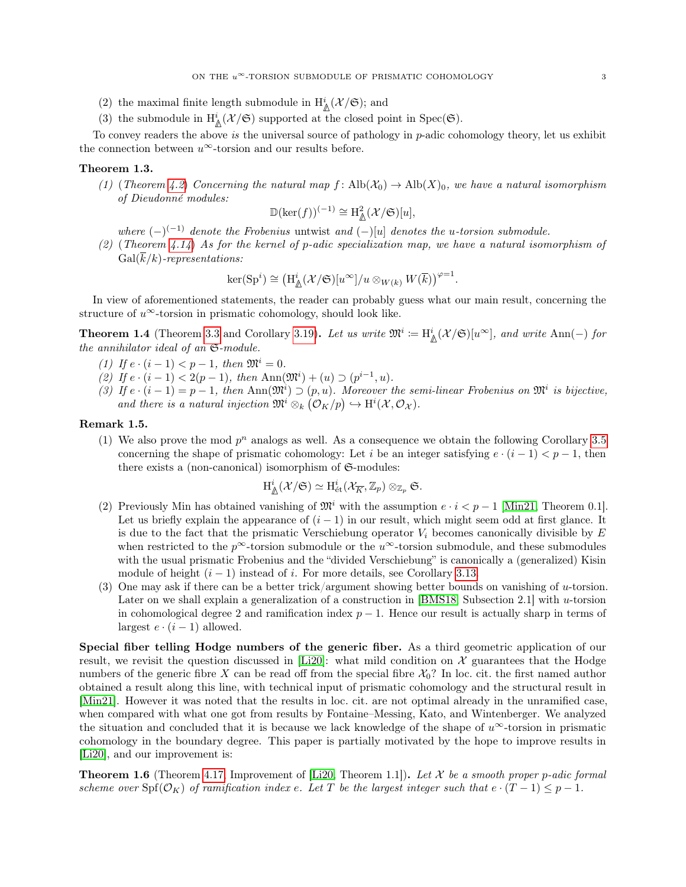- (2) the maximal finite length submodule in  $\mathrm{H}^i_\mathbb{A}(\mathcal{X}/\mathfrak{S});$  and
- (3) the submodule in  $H^i_{\mathbb{A}}(\mathcal{X}/\mathfrak{S})$  supported at the closed point in  $Spec(\mathfrak{S})$ .

To convey readers the above is the universal source of pathology in  $p$ -adic cohomology theory, let us exhibit the connection between  $u^{\infty}$ -torsion and our results before.

## Theorem 1.3.

(1) (Theorem [4.2](#page-22-0)) Concerning the natural map  $f: \text{Alb}(\mathcal{X}_0) \to \text{Alb}(X)_0$ , we have a natural isomorphism of Dieudonné modules:

$$
\mathbb{D}(\ker(f))^{(-1)} \cong \mathrm{H}^2_{\underline{\mathbb{A}}}(\mathcal{X}/\mathfrak{S})[u],
$$

where  $(-)^{(-1)}$  denote the Frobenius untwist and  $(-)[u]$  denotes the u-torsion submodule.

(2) (Theorem [4.14](#page-26-1)) As for the kernel of p-adic specialization map, we have a natural isomorphism of  $Gal(\overline{k}/k)$ -representations:

$$
\ker(\mathrm{Sp}^i) \cong \left(\mathrm{H}^i_\mathbb{A}(\mathcal{X}/\mathfrak{S})[u^\infty]/u \otimes_{W(k)} W(\overline{k})\right)^{\varphi=1}.
$$

In view of aforementioned statements, the reader can probably guess what our main result, concerning the structure of  $u^{\infty}$ -torsion in prismatic cohomology, should look like.

<span id="page-2-0"></span>**Theorem 1.4** (Theorem [3.3](#page-14-0) and Corollary [3.19\)](#page-21-2). Let us write  $\mathfrak{M}^i := \mathrm{H}^i_{\mathbb{A}}(\mathcal{X}/\mathfrak{S})[u^{\infty}]$ , and write Ann(-) for the annihilator ideal of an S-module.

- (1) If  $e \cdot (i-1) < p-1$ , then  $\mathfrak{M}^i = 0$ .
- (2) If  $e \cdot (i-1) < 2(p-1)$ , then  $\text{Ann}(\mathfrak{M}^i) + (u) \supset (p^{i-1}, u)$ .
- (3) If  $e \cdot (i-1) = p-1$ , then Ann $(\mathfrak{M}^i) \supset (p, u)$ . Moreover the semi-linear Frobenius on  $\mathfrak{M}^i$  is bijective, and there is a natural injection  $\mathfrak{M}^i \otimes_k (\mathcal{O}_K/p) \hookrightarrow \mathrm{H}^i(\mathcal{X}, \mathcal{O}_\mathcal{X})$ .

## <span id="page-2-1"></span>Remark 1.5.

(1) We also prove the mod  $p^n$  analogs as well. As a consequence we obtain the following Corollary [3.5](#page-15-0) concerning the shape of prismatic cohomology: Let i be an integer satisfying  $e \cdot (i-1) < p-1$ , then there exists a (non-canonical) isomorphism of  $\mathfrak{S}\text{-modules:}$ 

$$
\mathrm{H}^{i}_{\underline{\Lambda}}(\mathcal{X}/\mathfrak{S})\simeq \mathrm{H}_{\mathrm{\acute{e}t}}^{i}(\mathcal{X}_{\overline{K}},\mathbb{Z}_{p})\otimes_{\mathbb{Z}_{p}}\mathfrak{S}.
$$

- (2) Previously Min has obtained vanishing of  $\mathfrak{M}^i$  with the assumption  $e \cdot i < p-1$  [\[Min21,](#page-51-2) Theorem 0.1]. Let us briefly explain the appearance of  $(i - 1)$  in our result, which might seem odd at first glance. It is due to the fact that the prismatic Verschiebung operator  $V_i$  becomes canonically divisible by  $E$ when restricted to the  $p^{\infty}$ -torsion submodule or the  $u^{\infty}$ -torsion submodule, and these submodules with the usual prismatic Frobenius and the "divided Verschiebung" is canonically a (generalized) Kisin module of height  $(i - 1)$  instead of i. For more details, see Corollary [3.13.](#page-18-0)
- (3) One may ask if there can be a better trick/argument showing better bounds on vanishing of u-torsion. Later on we shall explain a generalization of a construction in [\[BMS18,](#page-50-1) Subsection 2.1] with u-torsion in cohomological degree 2 and ramification index  $p-1$ . Hence our result is actually sharp in terms of largest  $e \cdot (i-1)$  allowed.

Special fiber telling Hodge numbers of the generic fiber. As a third geometric application of our result, we revisit the question discussed in [\[Li20\]](#page-51-3): what mild condition on  $\mathcal X$  guarantees that the Hodge numbers of the generic fibre X can be read off from the special fibre  $\mathcal{X}_0$ ? In loc. cit. the first named author obtained a result along this line, with technical input of prismatic cohomology and the structural result in [\[Min21\]](#page-51-2). However it was noted that the results in loc. cit. are not optimal already in the unramified case, when compared with what one got from results by Fontaine–Messing, Kato, and Wintenberger. We analyzed the situation and concluded that it is because we lack knowledge of the shape of  $u^{\infty}$ -torsion in prismatic cohomology in the boundary degree. This paper is partially motivated by the hope to improve results in [\[Li20\]](#page-51-3), and our improvement is:

**Theorem 1.6** (Theorem [4.17,](#page-27-1) Improvement of [\[Li20,](#page-51-3) Theorem 1.1]). Let  $\mathcal{X}$  be a smooth proper p-adic formal scheme over  $\text{Spf}(\mathcal{O}_K)$  of ramification index e. Let T be the largest integer such that  $e \cdot (T-1) \leq p-1$ .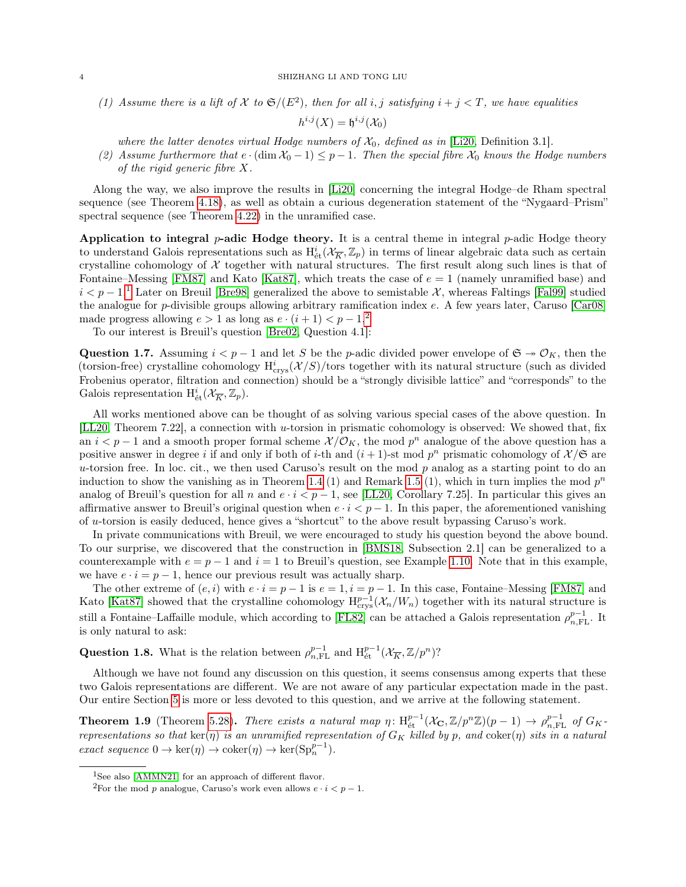(1) Assume there is a lift of X to  $\mathfrak{S}/(E^2)$ , then for all i, j satisfying  $i + j < T$ , we have equalities

 $h^{i,j}(X) = \mathfrak{h}^{i,j}(\mathcal{X}_0)$ 

where the latter denotes virtual Hodge numbers of  $\mathcal{X}_0$ , defined as in [\[Li20,](#page-51-3) Definition 3.1].

(2) Assume furthermore that  $e \cdot (\dim \mathcal{X}_0 - 1) \leq p - 1$ . Then the special fibre  $\mathcal{X}_0$  knows the Hodge numbers of the rigid generic fibre X.

Along the way, we also improve the results in [\[Li20\]](#page-51-3) concerning the integral Hodge–de Rham spectral sequence (see Theorem [4.18\)](#page-28-0), as well as obtain a curious degeneration statement of the "Nygaard–Prism" spectral sequence (see Theorem [4.22\)](#page-30-1) in the unramified case.

Application to integral  $p$ -adic Hodge theory. It is a central theme in integral  $p$ -adic Hodge theory to understand Galois representations such as  $H^i_{\text{\'et}}(\mathcal{X}_{\overline{K}}, \mathbb{Z}_p)$  in terms of linear algebraic data such as certain crystalline cohomology of  $X$  together with natural structures. The first result along such lines is that of Fontaine–Messing [\[FM87\]](#page-51-4) and Kato [\[Kat87\]](#page-51-5), which treats the case of  $e = 1$  (namely unramified base) and  $i < p-1$  $i < p-1$ .<sup>1</sup> Later on Breuil [\[Bre98\]](#page-50-4) generalized the above to semistable X, whereas Faltings [\[Fal99\]](#page-51-6) studied the analogue for p-divisible groups allowing arbitrary ramification index e. A few years later, Caruso [\[Car08\]](#page-50-5) made progress allowing  $e > 1$  as long as  $e \cdot (i + 1) < p - 1$ ,<sup>[2](#page-3-1)</sup>

To our interest is Breuil's question [\[Bre02,](#page-50-6) Question 4.1]:

<span id="page-3-2"></span>Question 1.7. Assuming  $i < p - 1$  and let S be the p-adic divided power envelope of  $\mathfrak{S} \to \mathcal{O}_K$ , then the (torsion-free) crystalline cohomology  $H_{crys}^i(\mathcal{X}/S)$ /tors together with its natural structure (such as divided Frobenius operator, filtration and connection) should be a "strongly divisible lattice" and "corresponds" to the Galois representation  $H^i_{\text{\'et}}(\mathcal{X}_{\overline{K}}, \mathbb{Z}_p)$ .

All works mentioned above can be thought of as solving various special cases of the above question. In [\[LL20,](#page-51-7) Theorem 7.22], a connection with u-torsion in prismatic cohomology is observed: We showed that, fix an  $i < p-1$  and a smooth proper formal scheme  $\mathcal{X}/\mathcal{O}_K$ , the mod  $p^n$  analogue of the above question has a positive answer in degree i if and only if both of i-th and  $(i + 1)$ -st mod  $p<sup>n</sup>$  prismatic cohomology of  $\mathcal{X}/\mathfrak{S}$  are u-torsion free. In loc. cit., we then used Caruso's result on the mod  $p$  analog as a starting point to do an induction to show the vanishing as in Theorem [1.4](#page-2-0) (1) and Remark [1.5](#page-2-1) (1), which in turn implies the mod  $p^n$ analog of Breuil's question for all n and  $e \cdot i < p - 1$ , see [\[LL20,](#page-51-7) Corollary 7.25]. In particular this gives an affirmative answer to Breuil's original question when  $e \cdot i < p-1$ . In this paper, the aforementioned vanishing of u-torsion is easily deduced, hence gives a "shortcut" to the above result bypassing Caruso's work.

In private communications with Breuil, we were encouraged to study his question beyond the above bound. To our surprise, we discovered that the construction in [\[BMS18,](#page-50-1) Subsection 2.1] can be generalized to a counterexample with  $e = p - 1$  and  $i = 1$  to Breuil's question, see Example [1.10.](#page-4-0) Note that in this example, we have  $e \cdot i = p - 1$ , hence our previous result was actually sharp.

The other extreme of  $(e, i)$  with  $e \cdot i = p - 1$  is  $e = 1, i = p - 1$ . In this case, Fontaine–Messing [\[FM87\]](#page-51-4) and Kato [\[Kat87\]](#page-51-5) showed that the crystalline cohomology  $H_{\text{crys}}^{p-1}(\mathcal{X}_n/W_n)$  together with its natural structure is still a Fontaine–Laffaille module, which according to [\[FL82\]](#page-51-8) can be attached a Galois representation  $\rho_{n,\text{FL}}^{p-1}$ . It is only natural to ask:

Question 1.8. What is the relation between  $\rho_{n,\text{FL}}^{p-1}$  and  $H_{\text{\'et}}^{p-1}(\mathcal{X}_{\overline{K}}, \mathbb{Z}/p^n)$ ?

Although we have not found any discussion on this question, it seems consensus among experts that these two Galois representations are different. We are not aware of any particular expectation made in the past. Our entire Section [5](#page-30-0) is more or less devoted to this question, and we arrive at the following statement.

<span id="page-3-3"></span>**Theorem 1.9** (Theorem [5.28\)](#page-41-1). There exists a natural map  $\eta: H^{p-1}_{\text{\rm \'et}}(\mathcal{X}_{\mathbf{C}}, \mathbb{Z}/p^n\mathbb{Z})(p-1) \to \rho^{p-1}_{n,\text{FL}}$  of  $G_K$ representations so that  $\ker(\eta)$  is an unramified representation of  $G_K$  killed by p, and  $\operatorname{coker}(\eta)$  sits in a natural exact sequence  $0 \to \ker(\eta) \to \operatorname{coker}(\eta) \to \ker(\mathrm{Sp}_n^{p-1})$ .

<span id="page-3-0"></span><sup>&</sup>lt;sup>1</sup>See also [\[AMMN21\]](#page-50-7) for an approach of different flavor.

<span id="page-3-1"></span><sup>&</sup>lt;sup>2</sup>For the mod p analogue, Caruso's work even allows  $e \cdot i < p - 1$ .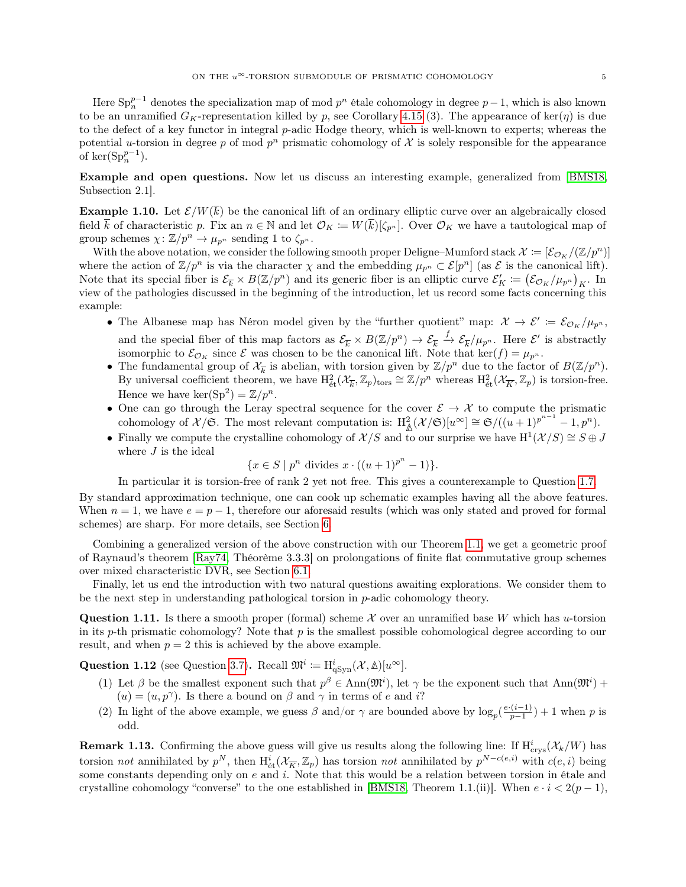Here  $\text{Sp}_n^{p-1}$  denotes the specialization map of mod  $p^n$  étale cohomology in degree  $p-1$ , which is also known to be an unramified  $G_K$ -representation killed by p, see Corollary [4.15](#page-26-0) (3). The appearance of ker( $\eta$ ) is due to the defect of a key functor in integral p-adic Hodge theory, which is well-known to experts; whereas the potential u-torsion in degree p of mod  $p^n$  prismatic cohomology of X is solely responsible for the appearance of  $\ker(\mathrm{Sp}_n^{p-1})$ .

Example and open questions. Now let us discuss an interesting example, generalized from [\[BMS18,](#page-50-1) Subsection 2.1].

<span id="page-4-0"></span>**Example 1.10.** Let  $\mathcal{E}/W(\overline{k})$  be the canonical lift of an ordinary elliptic curve over an algebraically closed field k of characteristic p. Fix an  $n \in \mathbb{N}$  and let  $\mathcal{O}_K := W(\overline{k})[\zeta_{p^n}]$ . Over  $\mathcal{O}_K$  we have a tautological map of group schemes  $\chi: \mathbb{Z}/p^n \to \mu_{p^n}$  sending 1 to  $\zeta_{p^n}$ .

With the above notation, we consider the following smooth proper Deligne–Mumford stack  $\mathcal{X} := [\mathcal{E}_{\mathcal{O}_K}/(\mathbb{Z}/p^n)]$ where the action of  $\mathbb{Z}/p^n$  is via the character  $\chi$  and the embedding  $\mu_{p^n} \subset \mathcal{E}[p^n]$  (as  $\mathcal{E}$  is the canonical lift). Note that its special fiber is  $\mathcal{E}_{\overline{k}} \times B(\mathbb{Z}/p^n)$  and its generic fiber is an elliptic curve  $\mathcal{E}'_K := (\mathcal{E}_{\mathcal{O}_K}/\mu_{p^n})_K$ . In view of the pathologies discussed in the beginning of the introduction, let us record some facts concerning this example:

- The Albanese map has Néron model given by the "further quotient" map:  $\mathcal{X} \to \mathcal{E}' \coloneqq \mathcal{E}_{\mathcal{O}_K}/\mu_{p^n}$ , and the special fiber of this map factors as  $\mathcal{E}_{\overline{k}} \times B(\mathbb{Z}/p^n) \to \mathcal{E}_{\overline{k}} \xrightarrow{f} \mathcal{E}_{\overline{k}}/\mu_{p^n}$ . Here  $\mathcal{E}'$  is abstractly isomorphic to  $\mathcal{E}_{\mathcal{O}_K}$  since  $\mathcal E$  was chosen to be the canonical lift. Note that ker(f) =  $\mu_{p^n}$ .
- The fundamental group of  $\mathcal{X}_{\overline{k}}$  is abelian, with torsion given by  $\mathbb{Z}/p^n$  due to the factor of  $B(\mathbb{Z}/p^n)$ . By universal coefficient theorem, we have  $H^2_{\text{\'et}}(\mathcal{X}_{\overline{k}}, \mathbb{Z}_p)_{\text{tors}} \cong \mathbb{Z}/p^n$  whereas  $H^2_{\text{\'et}}(\mathcal{X}_{\overline{k}}, \mathbb{Z}_p)$  is torsion-free. Hence we have  $\ker(\text{Sp}^2) = \mathbb{Z}/p^n$ .
- One can go through the Leray spectral sequence for the cover  $\mathcal{E} \to \mathcal{X}$  to compute the prismatic cohomology of  $\mathcal{X}/\mathfrak{S}$ . The most relevant computation is:  $H^2_{\mathbb{A}}(\mathcal{X}/\mathfrak{S})[u^{\infty}] \cong \mathfrak{S}/((u+1)^{p^{n-1}}-1,p^n)$ .
- Finally we compute the crystalline cohomology of  $\mathcal{X}/S$  and to our surprise we have  $H^1(\mathcal{X}/S) \cong S \oplus J$ where  $J$  is the ideal

$$
\{x \in S \mid p^n \text{ divides } x \cdot ((u+1)^{p^n} - 1)\}.
$$

In particular it is torsion-free of rank 2 yet not free. This gives a counterexample to Question [1.7.](#page-3-2)

By standard approximation technique, one can cook up schematic examples having all the above features. When  $n = 1$ , we have  $e = p - 1$ , therefore our aforesaid results (which was only stated and proved for formal schemes) are sharp. For more details, see Section [6.](#page-44-0)

Combining a generalized version of the above construction with our Theorem [1.1,](#page-1-0) we get a geometric proof of Raynaud's theorem [\[Ray74,](#page-51-9) Théorème 3.3.3] on prolongations of finite flat commutative group schemes over mixed characteristic DVR, see Section [6.1.](#page-49-0)

Finally, let us end the introduction with two natural questions awaiting explorations. We consider them to be the next step in understanding pathological torsion in  $p$ -adic cohomology theory.

**Question 1.11.** Is there a smooth proper (formal) scheme X over an unramified base W which has u-torsion in its p-th prismatic cohomology? Note that  $p$  is the smallest possible cohomological degree according to our result, and when  $p = 2$  this is achieved by the above example.

Question 1.12 (see Question [3.7\)](#page-16-1). Recall  $\mathfrak{M}^i := \mathrm{H}^i_{\mathrm{qSyn}}(\mathcal{X}, \mathbb{\Delta})[u^\infty].$ 

- (1) Let  $\beta$  be the smallest exponent such that  $p^{\beta} \in Ann(\mathfrak{M}^i)$ , let  $\gamma$  be the exponent such that  $Ann(\mathfrak{M}^i)$  +  $(u) = (u, p^{\gamma})$ . Is there a bound on  $\beta$  and  $\gamma$  in terms of e and i?
- (2) In light of the above example, we guess  $\beta$  and/or  $\gamma$  are bounded above by  $\log_p(\frac{e \cdot (i-1)}{p-1})$  $\frac{(i-1)}{p-1}$  + 1 when p is odd.

**Remark 1.13.** Confirming the above guess will give us results along the following line: If  $H_{\text{crys}}^i(\mathcal{X}_k/W)$  has torsion not annihilated by  $p^N$ , then  $H^i_{\text{\'et}}(\mathcal{X}_{\overline{K}}, \mathbb{Z}_p)$  has torsion not annihilated by  $p^{N-c(e,i)}$  with  $c(e,i)$  being some constants depending only on  $e$  and  $i$ . Note that this would be a relation between torsion in étale and crystalline cohomology "converse" to the one established in [\[BMS18,](#page-50-1) Theorem 1.1.(ii)]. When  $e \cdot i < 2(p-1)$ ,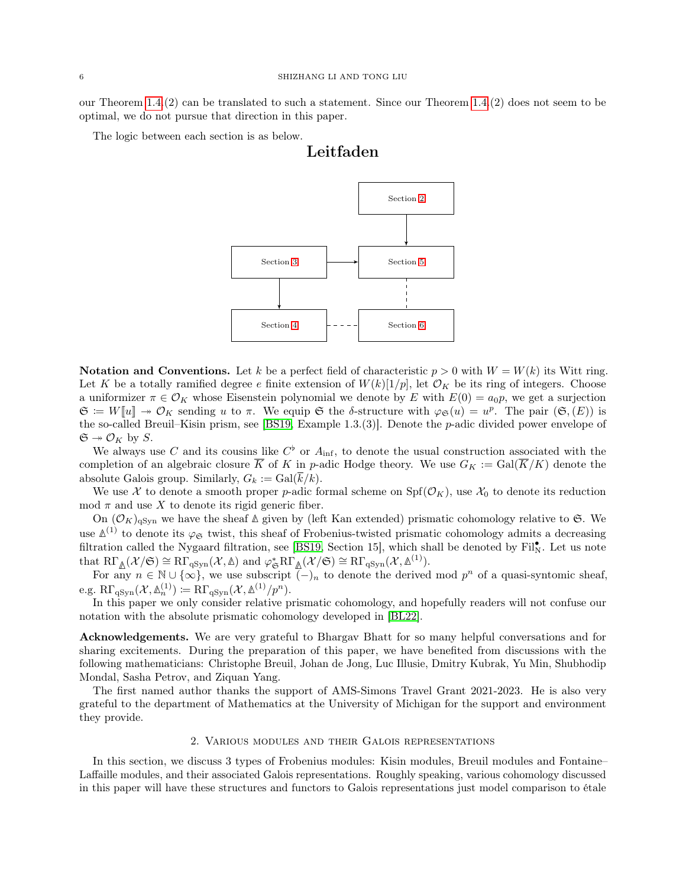our Theorem [1.4.](#page-2-0)(2) can be translated to such a statement. Since our Theorem [1.4.](#page-2-0)(2) does not seem to be optimal, we do not pursue that direction in this paper.

The logic between each section is as below.

# Leitfaden



**Notation and Conventions.** Let k be a perfect field of characteristic  $p > 0$  with  $W = W(k)$  its Witt ring. Let K be a totally ramified degree e finite extension of  $W(k)[1/p]$ , let  $\mathcal{O}_K$  be its ring of integers. Choose a uniformizer  $\pi \in \mathcal{O}_K$  whose Eisenstein polynomial we denote by E with  $E(0) = a_0 p$ , we get a surjection  $\mathfrak{S} \coloneqq W[\![u]\!] \twoheadrightarrow \mathcal{O}_K$  sending u to  $\pi$ . We equip  $\mathfrak{S}$  the  $\delta$ -structure with  $\varphi_{\mathfrak{S}}(u) = u^p$ . The pair  $(\mathfrak{S},(E))$  is the so-called Breuil–Kisin prism, see [\[BS19,](#page-50-3) Example 1.3.(3)]. Denote the p-adic divided power envelope of  $\mathfrak{S} \twoheadrightarrow \mathcal{O}_K$  by S.

We always use C and its cousins like  $C^{\flat}$  or  $A_{\text{inf}}$ , to denote the usual construction associated with the completion of an algebraic closure  $\overline{K}$  of K in p-adic Hodge theory. We use  $G_K := \text{Gal}(\overline{K}/K)$  denote the absolute Galois group. Similarly,  $G_k := \text{Gal}(\overline{k}/k)$ .

We use X to denote a smooth proper p-adic formal scheme on  $Spf(\mathcal{O}_K)$ , use  $\mathcal{X}_0$  to denote its reduction mod  $\pi$  and use X to denote its rigid generic fiber.

On  $(\mathcal{O}_K)_{\text{qSyn}}$  we have the sheaf  $\Delta$  given by (left Kan extended) prismatic cohomology relative to G. We use  $\mathbb{A}^{(1)}$  to denote its  $\varphi_{\mathfrak{S}}$  twist, this sheaf of Frobenius-twisted prismatic cohomology admits a decreasing filtration called the Nygaard filtration, see [\[BS19,](#page-50-3) Section 15], which shall be denoted by Fil<sub>N</sub>. Let us note that  $R\Gamma_{\Delta}(\mathcal{X}/\mathfrak{S}) \cong R\Gamma_{qSym}(\mathcal{X}, \mathbb{\Delta})$  and  $\varphi_{\mathfrak{S}}^*R\Gamma_{\mathbb{\Delta}}(\mathcal{X}/\mathfrak{S}) \cong R\Gamma_{qSym}(\mathcal{X}, \mathbb{\Delta}^{(1)})$ .

For any  $n \in \mathbb{N} \cup \{\infty\}$ , we use subscript  $\overline{(-)}_n$  to denote the derived mod  $p^n$  of a quasi-syntomic sheaf,  $e.g. R\Gamma_{\text{qSyn}}(\mathcal{X}, \mathbb{A}_n^{(1)}) \coloneqq R\Gamma_{\text{qSyn}}(\mathcal{X}, \mathbb{A}^{(1)}/p^n).$ 

In this paper we only consider relative prismatic cohomology, and hopefully readers will not confuse our notation with the absolute prismatic cohomology developed in [\[BL22\]](#page-50-8).

Acknowledgements. We are very grateful to Bhargav Bhatt for so many helpful conversations and for sharing excitements. During the preparation of this paper, we have benefited from discussions with the following mathematicians: Christophe Breuil, Johan de Jong, Luc Illusie, Dmitry Kubrak, Yu Min, Shubhodip Mondal, Sasha Petrov, and Ziquan Yang.

The first named author thanks the support of AMS-Simons Travel Grant 2021-2023. He is also very grateful to the department of Mathematics at the University of Michigan for the support and environment they provide.

#### 2. Various modules and their Galois representations

<span id="page-5-0"></span>In this section, we discuss 3 types of Frobenius modules: Kisin modules, Breuil modules and Fontaine– Laffaille modules, and their associated Galois representations. Roughly speaking, various cohomology discussed in this paper will have these structures and functors to Galois representations just model comparison to étale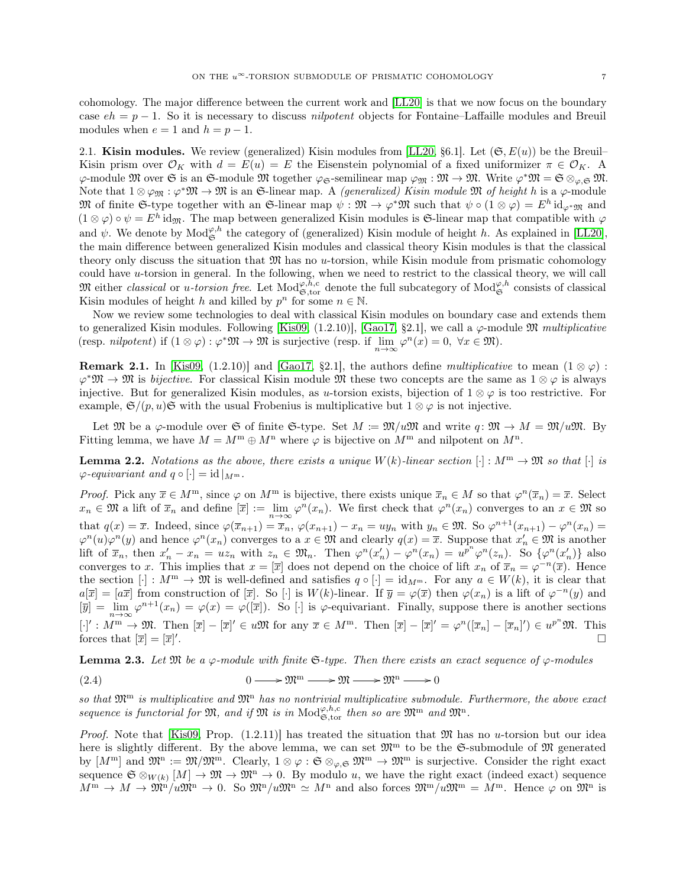cohomology. The major difference between the current work and [\[LL20\]](#page-51-7) is that we now focus on the boundary case  $eh = p - 1$ . So it is necessary to discuss *nilpotent* objects for Fontaine–Laffaille modules and Breuil modules when  $e = 1$  and  $h = p - 1$ .

<span id="page-6-0"></span>2.1. Kisin modules. We review (generalized) Kisin modules from [\[LL20,](#page-51-7) §6.1]. Let  $(\mathfrak{S}, E(u))$  be the Breuil– Kisin prism over  $\mathcal{O}_K$  with  $d = E(u) = E$  the Eisenstein polynomial of a fixed uniformizer  $\pi \in \mathcal{O}_K$ . A  $\varphi$ -module M over G is an G-module M together  $\varphi_{\mathfrak{S}}$ -semilinear map  $\varphi_{\mathfrak{M}} : \mathfrak{M} \to \mathfrak{M}$ . Write  $\varphi^* \mathfrak{M} = \mathfrak{S} \otimes_{\varphi, \mathfrak{S}} \mathfrak{M}$ . Note that  $1 \otimes \varphi_{\mathfrak{M}} : \varphi^* \mathfrak{M} \to \mathfrak{M}$  is an G-linear map. A *(generalized) Kisin module*  $\mathfrak{M}$  of height h is a  $\varphi$ -module M of finite G-type together with an G-linear map  $\psi : \mathfrak{M} \to \varphi^* \mathfrak{M}$  such that  $\psi \circ (1 \otimes \varphi) = E^h \mathrm{id}_{\varphi^* \mathfrak{M}}$  and  $(1 \otimes \varphi) \circ \psi = E^h$  id<sub>M</sub>. The map between generalized Kisin modules is G-linear map that compatible with  $\varphi$ and  $\psi$ . We denote by  $\text{Mod}_{\mathfrak{S}}^{\varphi,h}$  the category of (generalized) Kisin module of height h. As explained in [\[LL20\]](#page-51-7), the main difference between generalized Kisin modules and classical theory Kisin modules is that the classical theory only discuss the situation that  $\mathfrak{M}$  has no u-torsion, while Kisin module from prismatic cohomology could have u-torsion in general. In the following, when we need to restrict to the classical theory, we will call M either *classical* or *u-torsion free*. Let  $\text{Mod}_{\mathfrak{S}, \text{tor}}^{\varphi, h, c}$  denote the full subcategory of  $\text{Mod}_{\mathfrak{S}}^{\varphi, h}$  consists of classical Kisin modules of height h and killed by  $p^n$  for some  $n \in \mathbb{N}$ .

Now we review some technologies to deal with classical Kisin modules on boundary case and extends them to generalized Kisin modules. Following [\[Kis09,](#page-51-10) (1.2.10)], [\[Gao17,](#page-51-11) §2.1], we call a  $\varphi$ -module  $\mathfrak M$  multiplicative (resp. *nilpotent*) if  $(1 \otimes \varphi) : \varphi^* \mathfrak{M} \to \mathfrak{M}$  is surjective (resp. if  $\lim_{n \to \infty} \varphi^n(x) = 0, \ \forall x \in \mathfrak{M}$ ).

**Remark 2.1.** In [\[Kis09,](#page-51-10) (1.2.10)] and [\[Gao17,](#page-51-11) §2.1], the authors define multiplicative to mean  $(1 \otimes \varphi)$ :  $\varphi^* \mathfrak{M} \to \mathfrak{M}$  is bijective. For classical Kisin module  $\mathfrak{M}$  these two concepts are the same as  $1 \otimes \varphi$  is always injective. But for generalized Kisin modules, as u-torsion exists, bijection of  $1 \otimes \varphi$  is too restrictive. For example,  $\mathfrak{S}/(p, u)\mathfrak{S}$  with the usual Frobenius is multiplicative but  $1 \otimes \varphi$  is not injective.

Let M be a  $\varphi$ -module over G of finite G-type. Set  $M := \mathfrak{M}/u\mathfrak{M}$  and write  $q: \mathfrak{M} \to M = \mathfrak{M}/u\mathfrak{M}$ . By Fitting lemma, we have  $M = M^m \oplus M^n$  where  $\varphi$  is bijective on  $M^m$  and nilpotent on  $M^n$ .

<span id="page-6-2"></span>**Lemma 2.2.** Notations as the above, there exists a unique  $W(k)$ -linear section  $[\cdot] : M^m \to \mathfrak{M}$  so that  $[\cdot]$  is  $\varphi$ -equivariant and  $q \circ [\cdot] = id |_{M^m}$ .

*Proof.* Pick any  $\overline{x} \in M^m$ , since  $\varphi$  on  $M^m$  is bijective, there exists unique  $\overline{x}_n \in M$  so that  $\varphi^n(\overline{x}_n) = \overline{x}$ . Select  $x_n \in \mathfrak{M}$  a lift of  $\overline{x}_n$  and define  $[\overline{x}] := \lim_{n \to \infty} \varphi^n(x_n)$ . We first check that  $\varphi^n(x_n)$  converges to an  $x \in \mathfrak{M}$  so that  $q(x) = \overline{x}$ . Indeed, since  $\varphi(\overline{x}_{n+1}) = \overline{x}_n$ ,  $\varphi(x_{n+1}) - x_n = uy_n$  with  $y_n \in \mathfrak{M}$ . So  $\varphi^{n+1}(x_{n+1}) - \varphi^n(x_n) =$  $\varphi^n(u)\varphi^n(y)$  and hence  $\varphi^n(x_n)$  converges to a  $x \in \mathfrak{M}$  and clearly  $q(x) = \overline{x}$ . Suppose that  $x'_n \in \mathfrak{M}$  is another lift of  $\overline{x}_n$ , then  $x'_n - x_n = u z_n$  with  $z_n \in \mathfrak{M}_n$ . Then  $\varphi^n(x'_n) - \varphi^n(x_n) = u^{p^n} \varphi^n(z_n)$ . So  $\{\varphi^n(x'_n)\}$  also converges to x. This implies that  $x = [\overline{x}]$  does not depend on the choice of lift  $x_n$  of  $\overline{x}_n = \varphi^{-n}(\overline{x})$ . Hence the section  $[\cdot]: M^m \to \mathfrak{M}$  is well-defined and satisfies  $q \circ [\cdot] = id_{M^m}$ . For any  $a \in W(k)$ , it is clear that  $a[\overline{x}] = [a\overline{x}]$  from construction of  $[\overline{x}]$ . So  $[\cdot]$  is  $W(k)$ -linear. If  $\overline{y} = \varphi(\overline{x})$  then  $\varphi(x_n)$  is a lift of  $\varphi^{-n}(y)$  and  $[\overline{y}] = \lim_{n \to \infty} \varphi^{n+1}(x_n) = \varphi(x) = \varphi([\overline{x}]).$  So  $[\cdot]$  is  $\varphi$ -equivariant. Finally, suppose there is another sections  $[\cdot]' : M^m \to \mathfrak{M}$ . Then  $[\overline{x}] - [\overline{x}]' \in u\mathfrak{M}$  for any  $\overline{x} \in M^m$ . Then  $[\overline{x}] - [\overline{x}]' = \varphi^n([\overline{x}_n] - [\overline{x}_n]') \in u^{p^n}\mathfrak{M}$ . This forces that  $[\overline{x}] = [\overline{x}]'$ .

<span id="page-6-3"></span>**Lemma 2.3.** Let  $\mathfrak{M}$  be a  $\varphi$ -module with finite  $\mathfrak{S}$ -type. Then there exists an exact sequence of  $\varphi$ -modules

<span id="page-6-1"></span>(2.4) 
$$
0 \longrightarrow \mathfrak{M}^m \longrightarrow \mathfrak{M} \longrightarrow \mathfrak{M}^n \longrightarrow 0
$$

so that  $\mathfrak{M}^m$  is multiplicative and  $\mathfrak{M}^n$  has no nontrivial multiplicative submodule. Furthermore, the above exact sequence is functorial for  $\mathfrak{M}$ , and if  $\mathfrak{M}$  is in  $\text{Mod}_{\mathfrak{S}, \text{tor}}^{\varphi, h, c}$  then so are  $\mathfrak{M}^m$  and  $\mathfrak{M}^n$ .

*Proof.* Note that [\[Kis09,](#page-51-10) Prop.  $(1.2.11)$ ] has treated the situation that M has no u-torsion but our idea here is slightly different. By the above lemma, we can set  $\mathfrak{M}^m$  to be the G-submodule of  $\mathfrak{M}$  generated by  $[M^m]$  and  $\mathfrak{M}^n := \mathfrak{M}/\mathfrak{M}^m$ . Clearly,  $1 \otimes \varphi : \mathfrak{S} \otimes_{\varphi, \mathfrak{S}} \mathfrak{M}^m \to \mathfrak{M}^m$  is surjective. Consider the right exact sequence  $\mathfrak{S} \otimes_{W(k)} [M] \to \mathfrak{M} \to \mathfrak{M}^n \to 0$ . By modulo u, we have the right exact (indeed exact) sequence  $M^m \to M \to \mathfrak{M}^n/u\mathfrak{M}^n \to 0$ . So  $\mathfrak{M}^n/u\mathfrak{M}^n \simeq M^n$  and also forces  $\mathfrak{M}^m/u\mathfrak{M}^m = M^m$ . Hence  $\varphi$  on  $\mathfrak{M}^n$  is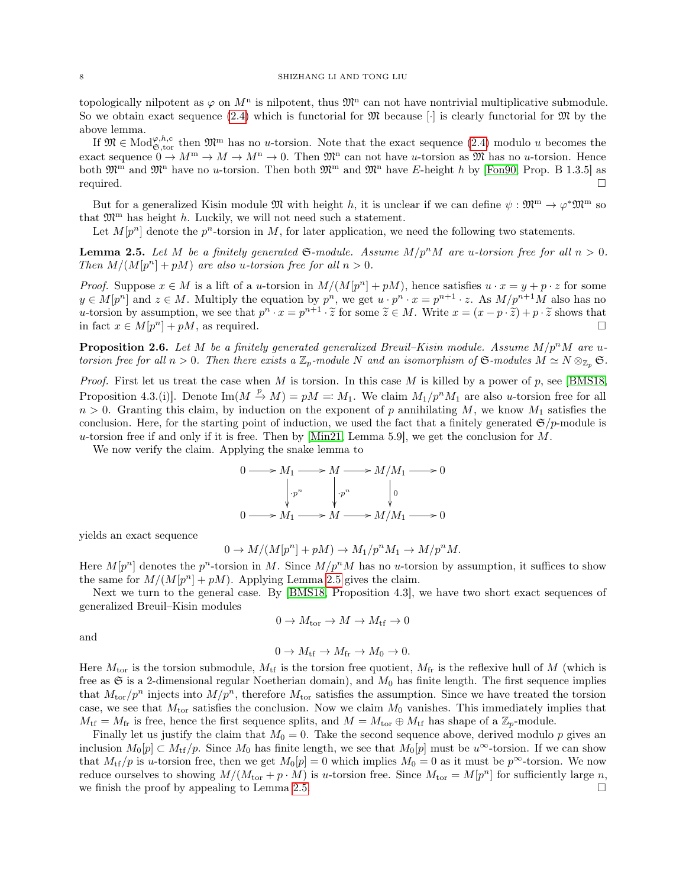topologically nilpotent as  $\varphi$  on  $M<sup>n</sup>$  is nilpotent, thus  $\mathfrak{M}<sup>n</sup>$  can not have nontrivial multiplicative submodule. So we obtain exact sequence  $(2.4)$  which is functorial for  $\mathfrak{M}$  because [ $\cdot$ ] is clearly functorial for  $\mathfrak{M}$  by the above lemma.

If  $\mathfrak{M} \in \text{Mod}_{\mathfrak{S}, \text{tor}}^{\varphi, h, c}$  then  $\mathfrak{M}^m$  has no u-torsion. Note that the exact sequence  $(2.4)$  modulo u becomes the exact sequence  $0 \to M^m \to M \to M^n \to 0$ . Then  $\mathfrak{M}^n$  can not have u-torsion as  $\mathfrak{M}$  has no u-torsion. Hence both  $\mathfrak{M}^m$  and  $\mathfrak{M}^n$  have no u-torsion. Then both  $\mathfrak{M}^m$  and  $\mathfrak{M}^n$  have E-height h by [\[Fon90,](#page-51-12) Prop. B 1.3.5] as  $required.$ 

But for a generalized Kisin module  $\mathfrak{M}$  with height h, it is unclear if we can define  $\psi : \mathfrak{M}^m \to \varphi^* \mathfrak{M}^m$  so that  $\mathfrak{M}^{\text{m}}$  has height h. Luckily, we will not need such a statement.

Let  $M[p^n]$  denote the  $p^n$ -torsion in M, for later application, we need the following two statements.

<span id="page-7-0"></span>**Lemma 2.5.** Let M be a finitely generated  $\mathfrak{S}\text{-module}$ . Assume  $M/p^nM$  are u-torsion free for all  $n > 0$ . Then  $M/(M[p^n] + pM)$  are also u-torsion free for all  $n > 0$ .

*Proof.* Suppose  $x \in M$  is a lift of a u-torsion in  $M/(M[p^n]+pM)$ , hence satisfies  $u \cdot x = y + p \cdot z$  for some  $y \in M[p^n]$  and  $z \in M$ . Multiply the equation by  $p^n$ , we get  $u \cdot p^n \cdot x = p^{n+1} \cdot z$ . As  $M/p^{n+1}M$  also has no u-torsion by assumption, we see that  $p^n \cdot x = p^{n+1} \cdot \tilde{z}$  for some  $\tilde{z} \in M$ . Write  $x = (x - p \cdot \tilde{z}) + p \cdot \tilde{z}$  shows that in fact  $x \in M[x] \cap M$  as required in fact  $x \in M[p^n] + pM$ , as required.

<span id="page-7-1"></span>**Proposition 2.6.** Let M be a finitely generated generalized Breuil–Kisin module. Assume  $M/p^nM$  are utorsion free for all  $n > 0$ . Then there exists a  $\mathbb{Z}_p$ -module N and an isomorphism of G-modules  $M \simeq N \otimes_{\mathbb{Z}_p} \mathfrak{S}$ .

Proof. First let us treat the case when  $M$  is torsion. In this case  $M$  is killed by a power of  $p$ , see [\[BMS18,](#page-50-1) Proposition 4.3.(i)]. Denote  $\text{Im}(M \stackrel{p}{\to} M) = pM =: M_1$ . We claim  $M_1/p^nM_1$  are also u-torsion free for all  $n > 0$ . Granting this claim, by induction on the exponent of p annihilating M, we know  $M_1$  satisfies the conclusion. Here, for the starting point of induction, we used the fact that a finitely generated  $\mathfrak{S}/p$ -module is u-torsion free if and only if it is free. Then by  $[\text{Min21}, \text{Lemma } 5.9]$ , we get the conclusion for M.

We now verify the claim. Applying the snake lemma to

$$
0 \longrightarrow M_1 \longrightarrow M \longrightarrow M/M_1 \longrightarrow 0
$$
  
\n
$$
\downarrow p^n \qquad \qquad \downarrow p^n \qquad \qquad \downarrow 0
$$
  
\n
$$
0 \longrightarrow M_1 \longrightarrow M \longrightarrow M/M_1 \longrightarrow 0
$$

yields an exact sequence

$$
0 \to M/(M[p^n] + pM) \to M_1/p^n M_1 \to M/p^n M.
$$

Here  $M[p^n]$  denotes the  $p^n$ -torsion in M. Since  $M/p^nM$  has no u-torsion by assumption, it suffices to show the same for  $M/(M[p^n]+pM)$ . Applying Lemma [2.5](#page-7-0) gives the claim.

Next we turn to the general case. By [\[BMS18,](#page-50-1) Proposition 4.3], we have two short exact sequences of generalized Breuil–Kisin modules

$$
0 \to M_{\mathrm{tor}} \to M \to M_{\mathrm{tf}} \to 0
$$

and

$$
0 \to M_{\text{tf}} \to M_{\text{fr}} \to M_0 \to 0.
$$

Here  $M_{\text{tor}}$  is the torsion submodule,  $M_{\text{tf}}$  is the torsion free quotient,  $M_{\text{fr}}$  is the reflexive hull of M (which is free as  $\mathfrak S$  is a 2-dimensional regular Noetherian domain), and  $M_0$  has finite length. The first sequence implies that  $M_{\text{tor}}/p^n$  injects into  $M/p^n$ , therefore  $M_{\text{tor}}$  satisfies the assumption. Since we have treated the torsion case, we see that  $M_{\text{tor}}$  satisfies the conclusion. Now we claim  $M_0$  vanishes. This immediately implies that  $M_{\text{tf}} = M_{\text{fr}}$  is free, hence the first sequence splits, and  $M = M_{\text{tor}} \oplus M_{\text{tf}}$  has shape of a  $\mathbb{Z}_p$ -module.

Finally let us justify the claim that  $M_0 = 0$ . Take the second sequence above, derived modulo p gives an inclusion  $M_0[p] \subset M_{\text{tf}}/p$ . Since  $M_0$  has finite length, we see that  $M_0[p]$  must be  $u^{\infty}$ -torsion. If we can show that  $M_{\text{tf}}/p$  is u-torsion free, then we get  $M_0[p] = 0$  which implies  $M_0 = 0$  as it must be  $p^{\infty}$ -torsion. We now reduce ourselves to showing  $M/(M_{\text{tor}} + p \cdot M)$  is u-torsion free. Since  $M_{\text{tor}} = M[p^n]$  for sufficiently large n, we finish the proof by appealing to Lemma [2.5.](#page-7-0)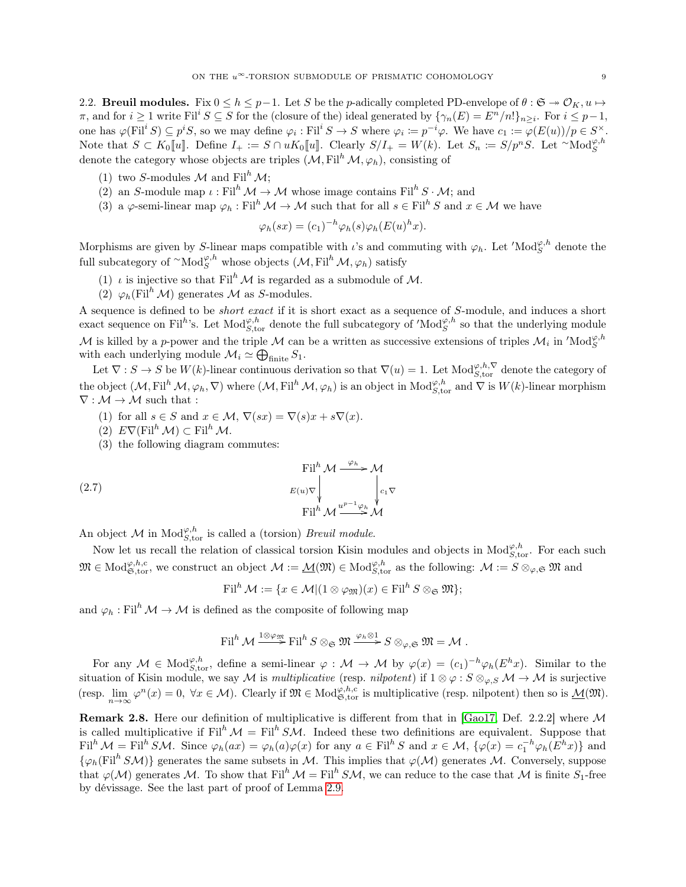<span id="page-8-0"></span>2.2. Breuil modules. Fix  $0 \le h \le p-1$ . Let S be the p-adically completed PD-envelope of  $\theta : \mathfrak{S} \to \mathcal{O}_K$ ,  $u \mapsto$  $\pi$ , and for  $i \geq 1$  write Fil<sup>i</sup>  $S \subseteq S$  for the (closure of the) ideal generated by  $\{\gamma_n(E) = E^n/n!\}_{n \geq i}$ . For  $i \leq p-1$ , one has  $\varphi(\text{Fil}^i S) \subseteq p^i S$ , so we may define  $\varphi_i : \text{Fil}^i S \to S$  where  $\varphi_i := p^{-i}\varphi$ . We have  $c_1 := \varphi(E(u))/p \in S^\times$ . Note that  $S \subset K_0[[u]]$ . Define  $I_+ := S \cap uK_0[[u]]$ . Clearly  $S/I_+ = W(k)$ . Let  $S_n := S/p^nS$ . Let  $\sim \text{Mod}_S^{\varphi, h}$ denote the category whose objects are triples  $(M, Fil<sup>h</sup>M, \varphi_h)$ , consisting of

- (1) two S-modules M and  $\text{Fil}^{h} \mathcal{M}$ ;
- (2) an S-module map  $\iota : \mathrm{Fil}^h \mathcal{M} \to \mathcal{M}$  whose image contains  $\mathrm{Fil}^h S \cdot \mathcal{M}$ ; and
- (3) a  $\varphi$ -semi-linear map  $\varphi_h : \text{Fil}^h \mathcal{M} \to \mathcal{M}$  such that for all  $s \in \text{Fil}^h S$  and  $x \in \mathcal{M}$  we have

$$
\varphi_h(sx) = (c_1)^{-h} \varphi_h(s) \varphi_h(E(u)^h x).
$$

Morphisms are given by S-linear maps compatible with  $\iota$ 's and commuting with  $\varphi_h$ . Let  $'\text{Mod}_S^{\varphi,h}$  denote the full subcategory of  $\lq \mathrm{Mod}_S^{\varphi, h}$  whose objects  $(\mathcal{M}, \mathrm{Fil}^h \mathcal{M}, \varphi_h)$  satisfy

- (1)  $\iota$  is injective so that Fil<sup>h</sup> M is regarded as a submodule of M.
- (2)  $\varphi_h(\mathrm{Fil}^h \mathcal{M})$  generates M as S-modules.

A sequence is defined to be short exact if it is short exact as a sequence of S-module, and induces a short exact sequence on Fil<sup>h</sup>'s. Let Mod<sub>S,tor</sub> denote the full subcategory of 'Mod<sub>S</sub><sup>th</sup>' so that the underlying module M is killed by a p-power and the triple M can be a written as successive extensions of triples  $\mathcal{M}_i$  in 'Mod $_S^{\varphi, h}$ with each underlying module  $\mathcal{M}_i \simeq \bigoplus_{\text{finite}} S_1$ .

Let  $\nabla: S \to S$  be  $W(k)$ -linear continuous derivation so that  $\nabla(u) = 1$ . Let  $\text{Mod}_{S,\text{tor}}^{\varphi,h,\nabla}$  denote the category of the object  $(M, \mathrm{Fil}^h \mathcal{M}, \varphi_h, \nabla)$  where  $(\mathcal{M}, \mathrm{Fil}^h \mathcal{M}, \varphi_h)$  is an object in  $\mathrm{Mod}_{S, \mathrm{tor}}^{\varphi, h}$  and  $\nabla$  is  $W(k)$ -linear morphism  $\nabla: \mathcal{M} \rightarrow \mathcal{M}$  such that :

- (1) for all  $s \in S$  and  $x \in \mathcal{M}$ ,  $\nabla(sx) = \nabla(s)x + s\nabla(x)$ .
- (2)  $E\nabla(\mathrm{Fil}^h \mathcal{M}) \subset \mathrm{Fil}^h \mathcal{M}.$
- (3) the following diagram commutes:

(2.7) 
$$
\begin{aligned}\n\text{Fil}^{h} \mathcal{M} &\xrightarrow{\varphi_{h}} \mathcal{M} \\
E(u)\nabla \Big|_{\mathbf{F}il}^{h} \mathcal{M} &\xrightarrow{u^{p-1}\varphi_{h}} \mathcal{M}\n\end{aligned}
$$

An object M in  $\text{Mod}_{S,\text{tor}}^{\varphi,h}$  is called a (torsion) *Breuil module*.

Now let us recall the relation of classical torsion Kisin modules and objects in  $Mod_{S,\text{tor}}^{\varphi,h}$ . For each such  $\mathfrak{M} \in \text{Mod}_{\mathfrak{S},\text{tor}}^{\varphi,h,c}$ , we construct an object  $\mathcal{M} := \underline{\mathcal{M}}(\mathfrak{M}) \in \text{Mod}_{S,\text{tor}}^{\varphi,h}$  as the following:  $\mathcal{M} := S \otimes_{\varphi,\mathfrak{S}} \mathfrak{M}$  and

 $\text{Fil}^h \mathcal{M} := \{x \in \mathcal{M} | (1 \otimes \varphi_m)(x) \in \text{Fil}^h S \otimes_{\mathfrak{S}} \mathfrak{M} \};$ 

and  $\varphi_h : \text{Fil}^h \mathcal{M} \to \mathcal{M}$  is defined as the composite of following map

$$
\operatorname{Fil}^h \mathcal{M} \xrightarrow{1 \otimes \varphi_{\mathfrak{M}}} \operatorname{Fil}^h S \otimes_{\mathfrak{S}} \mathfrak{M} \xrightarrow{\varphi_h \otimes 1} S \otimes_{\varphi, \mathfrak{S}} \mathfrak{M} = \mathcal{M} .
$$

For any  $\mathcal{M} \in \text{Mod}_{S,\text{tor}}^{\varphi,h}$ , define a semi-linear  $\varphi : \mathcal{M} \to \mathcal{M}$  by  $\varphi(x) = (c_1)^{-h} \varphi_h(E^h x)$ . Similar to the situation of Kisin module, we say M is multiplicative (resp. nilpotent) if  $1 \otimes \varphi : S \otimes_{\varphi,S} M \to M$  is surjective (resp.  $\lim_{n\to\infty} \varphi^n(x) = 0$ ,  $\forall x \in \mathcal{M}$ ). Clearly if  $\mathfrak{M} \in Mod_{\mathfrak{S},\text{tor}}^{\varphi,h,c}$  is multiplicative (resp. nilpotent) then so is  $\underline{\mathcal{M}}(\mathfrak{M})$ .

<span id="page-8-1"></span>Remark 2.8. Here our definition of multiplicative is different from that in [\[Gao17,](#page-51-11) Def. 2.2.2] where M is called multiplicative if Fil<sup>h</sup>  $\mathcal{M} =$  Fil<sup>h</sup> SM. Indeed these two definitions are equivalent. Suppose that  $\text{Fil}^h \mathcal{M} = \text{Fil}^h \mathcal{SM}.$  Since  $\varphi_h(ax) = \varphi_h(a)\varphi(x)$  for any  $a \in \text{Fil}^h \mathcal{S}$  and  $x \in \mathcal{M}, \{\varphi(x) = c_1^{-h}\varphi_h(E^hx)\}\$ and  ${\varphi_h}(\text{Fil}^h S\mathcal{M})$  generates the same subsets in M. This implies that  $\varphi(\mathcal{M})$  generates M. Conversely, suppose that  $\varphi(\mathcal{M})$  generates M. To show that Fil<sup>h</sup>  $\mathcal{M} =$  Fil<sup>h</sup> SM, we can reduce to the case that M is finite S<sub>1</sub>-free by dévissage. See the last part of proof of Lemma [2.9.](#page-8-1)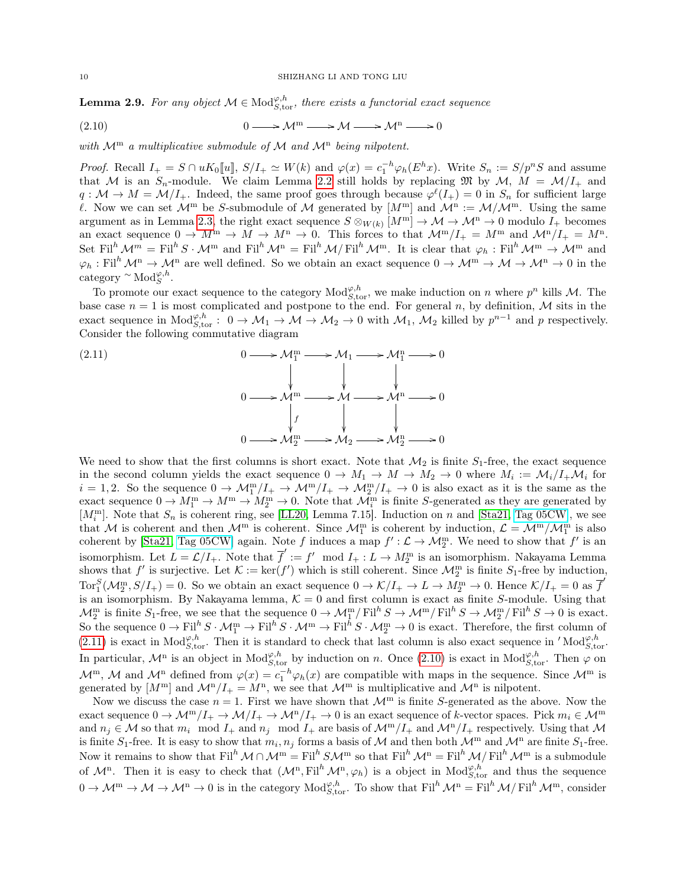**Lemma 2.9.** For any object  $M \in Mod_{S,\text{tor}}^{\varphi,h}$ , there exists a functorial exact sequence

<span id="page-9-1"></span>(2.10) 
$$
0 \longrightarrow \mathcal{M}^m \longrightarrow \mathcal{M} \longrightarrow \mathcal{M}^n \longrightarrow 0
$$

with  $\mathcal{M}^m$  a multiplicative submodule of  $\mathcal{M}$  and  $\mathcal{M}^n$  being nilpotent.

*Proof.* Recall  $I_+ = S \cap uK_0[[u], S/I_+ \simeq W(k)$  and  $\varphi(x) = c_1^{-h}\varphi_h(E^hx)$ . Write  $S_n := S/p^nS$  and assume that M is an  $S_n$ -module. We claim Lemma [2.2](#page-6-2) still holds by replacing M by M,  $M = M/I_+$  and  $q: \mathcal{M} \to M = \mathcal{M}/I_+$ . Indeed, the same proof goes through because  $\varphi^{\ell}(I_+) = 0$  in  $S_n$  for sufficient large l. Now we can set  $\mathcal{M}^m$  be S-submodule of M generated by  $[M^m]$  and  $\mathcal{M}^n := \mathcal{M}/\mathcal{M}^m$ . Using the same argument as in Lemma [2.3,](#page-6-3) the right exact sequence  $S \otimes_{W(k)} [M^m] \to \mathcal{M} \to \mathcal{M}^n \to 0$  modulo  $I_+$  becomes an exact sequence  $0 \to M^m \to M \to M^n \to 0$ . This forces to that  $\mathcal{M}^m/I_+ = M^m$  and  $\mathcal{M}^n/I_+ = M^n$ . Set Fil<sup>h</sup>  $\mathcal{M}^m =$  Fil<sup>h</sup>  $S \cdot \mathcal{M}^m$  and Fil<sup>h</sup>  $\mathcal{M}^n =$  Fil<sup>h</sup>  $\mathcal{M}/$  Fil<sup>h</sup>  $\mathcal{M}^m$ . It is clear that  $\varphi_h$ : Fil<sup>h</sup>  $\mathcal{M}^m \to \mathcal{M}^m$  and  $\varphi_h : \mathrm{Fil}^h \mathcal{M}^n \to \mathcal{M}^n$  are well defined. So we obtain an exact sequence  $0 \to \mathcal{M}^m \to \mathcal{M} \to \mathcal{M}^n \to 0$  in the category  $\sim \text{Mod}_{S}^{\varphi,h}.$ 

To promote our exact sequence to the category  $Mod_{S,\text{tor}}^{\varphi,h}$ , we make induction on n where  $p^n$  kills M. The base case  $n = 1$  is most complicated and postpone to the end. For general n, by definition, M sits in the exact sequence in  $Mod_{S,\text{tor}}^{\varphi,h}: 0 \to \mathcal{M}_1 \to \mathcal{M} \to \mathcal{M}_2 \to 0$  with  $\mathcal{M}_1$ ,  $\mathcal{M}_2$  killed by  $p^{n-1}$  and p respectively. Consider the following commutative diagram

<span id="page-9-0"></span>(2.11) 
$$
0 \longrightarrow \mathcal{M}_{1}^{m} \longrightarrow \mathcal{M}_{1} \longrightarrow \mathcal{M}_{1}^{n} \longrightarrow 0
$$

$$
0 \longrightarrow \mathcal{M}^{m} \longrightarrow \mathcal{M} \longrightarrow \mathcal{M}^{n} \longrightarrow 0
$$

$$
\downarrow \qquad \qquad \downarrow
$$

$$
0 \longrightarrow \mathcal{M}_{2}^{m} \longrightarrow \mathcal{M}_{2} \longrightarrow \mathcal{M}_{2}^{n} \longrightarrow 0
$$

We need to show that the first columns is short exact. Note that  $\mathcal{M}_2$  is finite  $S_1$ -free, the exact sequence in the second column yields the exact sequence  $0 \to M_1 \to M \to M_2 \to 0$  where  $M_i := \mathcal{M}_i/I_+\mathcal{M}_i$  for  $i = 1, 2$ . So the sequence  $0 \to \mathcal{M}_1^m/I_+ \to \mathcal{M}_2^m/I_+ \to \mathcal{M}_2^m/I_+ \to 0$  is also exact as it is the same as the exact sequence  $0 \to M_1^m \to M^m \to M_2^m \to 0$ . Note that  $\mathcal{M}_i^m$  is finite S-generated as they are generated by  $[M_i^m]$ . Note that  $S_n$  is coherent ring, see [\[LL20,](#page-51-7) Lemma 7.15]. Induction on n and [\[Sta21,](#page-51-0) [Tag 05CW\]](https://stacks.math.columbia.edu/tag/05CW), we see that M is coherent and then  $\mathcal{M}^m$  is coherent. Since  $\mathcal{M}^m_1$  is coherent by induction,  $\mathcal{L} = \mathcal{M}^m/\mathcal{M}^m_1$  is also coherent by [\[Sta21,](#page-51-0) [Tag 05CW\]](https://stacks.math.columbia.edu/tag/05CW) again. Note f induces a map  $f': \mathcal{L} \to \mathcal{M}_2^m$ . We need to show that f' is an isomorphism. Let  $L = \mathcal{L}/I_+$ . Note that  $\overline{f}' := f' \mod I_+ : L \to M_2^m$  is an isomorphism. Nakayama Lemma shows that  $f'$  is surjective. Let  $\mathcal{K} := \ker(f')$  which is still coherent. Since  $\mathcal{M}_2^m$  is finite  $S_1$ -free by induction,  $\text{Tor}_1^S(\mathcal{M}_2^m,S/I_+) = 0$ . So we obtain an exact sequence  $0 \to \mathcal{K}/I_+ \to L \to \tilde{M}_2^m \to 0$ . Hence  $\mathcal{K}/I_+ = 0$  as  $\overline{f}'$ is an isomorphism. By Nakayama lemma,  $K = 0$  and first column is exact as finite S-module. Using that  $\mathcal{M}_2^{\text{m}}$  is finite  $S_1$ -free, we see that the sequence  $0 \to \mathcal{M}_1^{\text{m}}/ \text{Fil}^h S \to \mathcal{M}^{\text{m}}/ \text{Fil}^h S \to \mathcal{M}_2^{\text{m}}/ \text{Fil}^h S \to 0$  is exact. So the sequence  $0 \to \text{Fil}^h S \cdot \mathcal{M}_1^m \to \text{Fil}^h S \cdot \mathcal{M}_1^m \to \text{Fil}^h S \cdot \mathcal{M}_2^m \to 0$  is exact. Therefore, the first column of [\(2.11\)](#page-9-0) is exact in  $\text{Mod}_{S,\text{tor}}^{\varphi,h}$ . Then it is standard to check that last column is also exact sequence in ' $\text{Mod}_{S,\text{tor}}^{\varphi,h}$ . In particular,  $\mathcal{M}^n$  is an object in  $\text{Mod}_{S,\text{tor}}^{\varphi,h}$  by induction on n. Once  $(2.10)$  is exact in  $\text{Mod}_{S,\text{tor}}^{\varphi,h}$ . Then  $\varphi$  on  $\mathcal{M}^m$ ,  $\mathcal{M}$  and  $\mathcal{M}^n$  defined from  $\varphi(x) = c_1^{-h}\varphi_h(x)$  are compatible with maps in the sequence. Since  $\mathcal{M}^m$  is generated by  $[M^m]$  and  $\mathcal{M}^n/I_+ = M^n$ , we see that  $\mathcal{M}^m$  is multiplicative and  $\mathcal{M}^n$  is nilpotent.

Now we discuss the case  $n = 1$ . First we have shown that  $\mathcal{M}^{\text{m}}$  is finite S-generated as the above. Now the exact sequence  $0 \to \mathcal{M}^m/I_+ \to \mathcal{M}/I_+ \to \mathcal{M}^n/I_+ \to 0$  is an exact sequence of k-vector spaces. Pick  $m_i \in \mathcal{M}^m$ and  $n_i \in \mathcal{M}$  so that  $m_i \mod I_+$  and  $n_j \mod I_+$  are basis of  $\mathcal{M}^m/I_+$  and  $\mathcal{M}^n/I_+$  respectively. Using that  $\mathcal{M}$ is finite  $S_1$ -free. It is easy to show that  $m_i, n_j$  forms a basis of M and then both  $\mathcal{M}^m$  and  $\mathcal{M}^n$  are finite  $S_1$ -free. Now it remains to show that  $\text{Fil}^h \mathcal{M} \cap \mathcal{M}^m = \text{Fil}^h \mathcal{SM}^m$  so that  $\text{Fil}^h \mathcal{M}^n = \text{Fil}^h \mathcal{M}/\text{Fil}^h \mathcal{M}^m$  is a submodule of  $\mathcal{M}^n$ . Then it is easy to check that  $(\mathcal{M}^n, \mathrm{Fil}^h \mathcal{M}^n, \varphi_h)$  is a object in  $\mathrm{Mod}_{S,\mathrm{tor}}^{\varphi,h}$  and thus the sequence  $0 \to \mathcal{M}^m \to \mathcal{M} \to \mathcal{M}^n \to 0$  is in the category  $\text{Mod}_{S,\text{tor}}^{\varphi,h}$ . To show that  $\text{Fil}^h \mathcal{M}^n = \text{Fil}^h \mathcal{M}/\text{Fil}^h \mathcal{M}^m$ , consider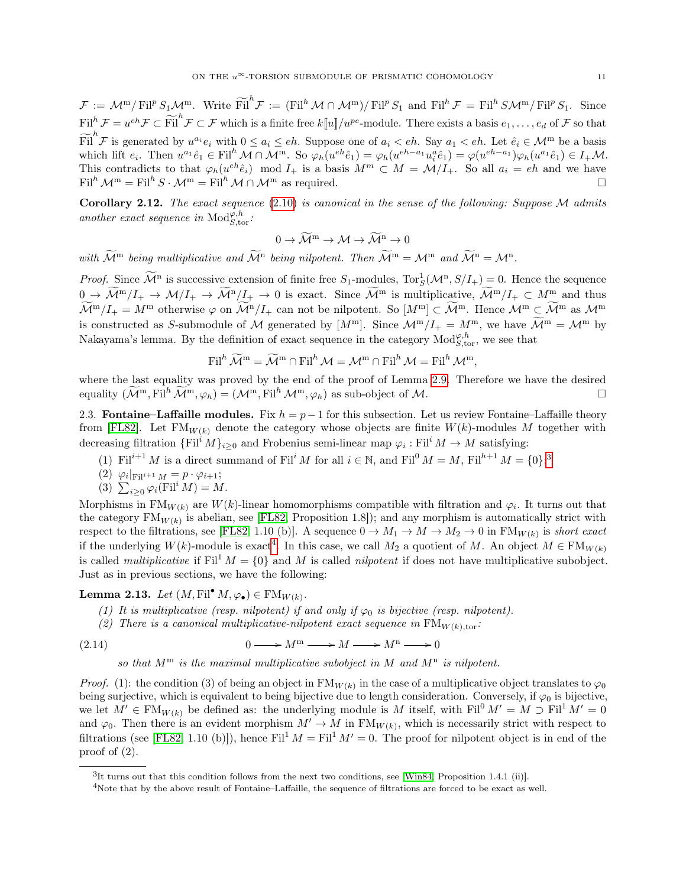$\mathcal{F} := \mathcal{M}^m / \mathrm{Fil}^p S_1 \mathcal{M}^m$ . Write  $\widetilde{\mathrm{Fil}}^h \mathcal{F} := (\mathrm{Fil}^h \mathcal{M} \cap \mathcal{M}^m) / \mathrm{Fil}^p S_1$  and  $\mathrm{Fil}^h \mathcal{F} = \mathrm{Fil}^h \mathcal{S} \mathcal{M}^m / \mathrm{Fil}^p S_1$ . Since  $\text{Fil}^h \mathcal{F} = u^{eh} \mathcal{F} \subset \widetilde{\text{Fil}}^h \mathcal{F} \subset \mathcal{F}$  which is a finite free  $k[[u]]/u^{pe}$ -module. There exists a basis  $e_1, \ldots, e_d$  of  $\mathcal F$  so that  $\widetilde{\text{Fil}}^h$  F is generated by  $u^{a_i}e_i$  with  $0 \leq a_i \leq eh$ . Suppose one of  $a_i < eh$ . Say  $a_1 < eh$ . Let  $\hat{e}_i \in \mathcal{M}^m$  be a basis which lift  $e_i$ . Then  $u^{a_1} \hat{e}_1 \in \text{Fil}^h \mathcal{M} \cap \mathcal{M}^m$ . So  $\varphi_h(u^{eh} \hat{e}_1) = \varphi_h(u^{eh-a_1} u_i^a \hat{e}_1) = \varphi(u^{eh-a_1}) \varphi_h(u^{a_1} \hat{e}_1) \in I_+ \mathcal{M}$ . This contradicts to that  $\varphi_h(u^{eh} \hat{e}_i) \mod I_+$  is a basis  $M^m \subset M = \mathcal{M}/I_+$ . So all  $a_i = eh$  and we have  $\text{Fil}^h \mathcal{M}^m = \text{Fil}^h S \cdot \mathcal{M}^m = \text{Fil}^h \mathcal{M} \cap \mathcal{M}^m$  as required.

<span id="page-10-4"></span>Corollary 2.12. The exact sequence  $(2.10)$  is canonical in the sense of the following: Suppose M admits another exact sequence in  $\text{Mod}_{S,\text{tor}}^{\varphi,h}$ :

$$
0 \to \widetilde{\mathcal{M}}^m \to \mathcal{M} \to \widetilde{\mathcal{M}}^n \to 0
$$

with  $\widetilde{\mathcal{M}}^m$  being multiplicative and  $\widetilde{\mathcal{M}}^n$  being nilpotent. Then  $\widetilde{\mathcal{M}}^m = \mathcal{M}^m$  and  $\widetilde{\mathcal{M}}^n = \mathcal{M}^n$ .

*Proof.* Since  $\widetilde{\mathcal{M}}^n$  is successive extension of finite free  $S_1$ -modules,  $\text{Tor}_S^1(\mathcal{M}^n, S/I_+) = 0$ . Hence the sequence  $0 \to \widetilde{\mathcal{M}}^m/I_+ \to \mathcal{M}/I_+ \to \widetilde{\mathcal{M}}^n/I_+ \to 0$  is exact. Since  $\widetilde{\mathcal{M}}^m$  is multiplicative,  $\widetilde{\mathcal{M}}^m/I_+ \subset \mathcal{M}^m$  and thus  $\widetilde{\mathcal{M}}^m/I_+ = M^m$  otherwise  $\varphi$  on  $\widetilde{\mathcal{M}}^n/I_+$  can not be nilpotent. So  $[M^m] \subset \widetilde{\mathcal{M}}^m$ . Hence  $\mathcal{M}^m \subset \widetilde{\mathcal{M}}^m$  as  $\mathcal{M}^m$ is constructed as S-submodule of M generated by  $[M^m]$ . Since  $\mathcal{M}^m/I_+ = M^m$ , we have  $\widetilde{\mathcal{M}}^m = \mathcal{M}^m$  by Nakayama's lemma. By the definition of exact sequence in the category  $\text{Mod}_{S,\text{tor}}^{\varphi,h}$ , we see that

$$
\operatorname{Fil}^{h}\widetilde{\mathcal{M}}^{\mathrm{m}} = \widetilde{\mathcal{M}}^{\mathrm{m}} \cap \operatorname{Fil}^{h} \mathcal{M} = \mathcal{M}^{\mathrm{m}} \cap \operatorname{Fil}^{h} \mathcal{M} = \operatorname{Fil}^{h} \mathcal{M}^{\mathrm{m}},
$$

where the last equality was proved by the end of the proof of Lemma [2.9.](#page-8-1) Therefore we have the desired equality  $(\mathcal{M}^m, \mathrm{Fil}^h \mathcal{M}^m, \varphi_h) = (\mathcal{M}^m, \mathrm{Fil}^h \mathcal{M}^m, \varphi_h)$  as sub-object of M.

<span id="page-10-0"></span>2.3. Fontaine–Laffaille modules. Fix  $h = p-1$  for this subsection. Let us review Fontaine–Laffaille theory from [\[FL82\]](#page-51-8). Let  $FM_{W(k)}$  denote the category whose objects are finite  $W(k)$ -modules M together with decreasing filtration  $\{Fil^iM\}_{i\geq 0}$  and Frobenius semi-linear map  $\varphi_i: Fil^iM\to M$  satisfying:

- (1) Fil<sup>i+1</sup> M is a direct summand of Fil<sup>i</sup> M for all  $i \in \mathbb{N}$ , and Fil<sup>0</sup>  $M = M$ , Fil<sup>h+1</sup>  $M = \{0\}$ ;<sup>[3](#page-10-1)</sup>
- (2)  $\varphi_i|_{\text{Fil}^{i+1} M} = p \cdot \varphi_{i+1};$

(3) 
$$
\sum_{i\geq 0} \varphi_i(\mathrm{Fil}^i M) = M.
$$

Morphisms in FM<sub>W(k)</sub> are W(k)-linear homomorphisms compatible with filtration and  $\varphi_i$ . It turns out that the category  $FM_{W(k)}$  is abelian, see [\[FL82,](#page-51-8) Proposition 1.8]); and any morphism is automatically strict with respect to the filtrations, see [\[FL82,](#page-51-8) 1.10 (b)]. A sequence  $0 \to M_1 \to M \to M_2 \to 0$  in  $\text{FM}_{W(k)}$  is short exact if the underlying  $W(k)$ -module is exact<sup>[4](#page-10-2)</sup>. In this case, we call  $M_2$  a quotient of M. An object  $M \in \text{FM}_{W(k)}$ is called *multiplicative* if Fil<sup>1</sup>  $M = \{0\}$  and M is called *nilpotent* if does not have multiplicative subobject. Just as in previous sections, we have the following:

# **Lemma 2.13.** Let  $(M, \mathrm{Fil}^{\bullet} M, \varphi_{\bullet}) \in \mathrm{FM}_{W(k)}$ .

- (1) It is multiplicative (resp. nilpotent) if and only if  $\varphi_0$  is bijective (resp. nilpotent).
- (2) There is a canonical multiplicative-nilpotent exact sequence in  $FM_{W(k),\text{tor}}$ :

(2.14) 
$$
0 \longrightarrow M^m \longrightarrow M \longrightarrow M^n \longrightarrow 0
$$

<span id="page-10-3"></span>so that  $M^m$  is the maximal multiplicative subobject in M and  $M^n$  is nilpotent.

*Proof.* (1): the condition (3) of being an object in  $FM_{W(k)}$  in the case of a multiplicative object translates to  $\varphi_0$ being surjective, which is equivalent to being bijective due to length consideration. Conversely, if  $\varphi_0$  is bijective, we let  $M' \in \text{FM}_{W(k)}$  be defined as: the underlying module is M itself, with Fil<sup>0</sup>  $M' = M \supseteq \text{Fil}^1 M' = 0$ and  $\varphi_0$ . Then there is an evident morphism  $M' \to M$  in  $\text{FM}_{W(k)}$ , which is necessarily strict with respect to filtrations (see [\[FL82,](#page-51-8) 1.10 (b)]), hence Fil<sup>1</sup>  $M =$  Fil<sup>1</sup>  $M' = 0$ . The proof for nilpotent object is in end of the proof of (2).

<span id="page-10-1"></span><sup>3</sup> It turns out that this condition follows from the next two conditions, see [\[Win84,](#page-51-13) Proposition 1.4.1 (ii)].

<span id="page-10-2"></span><sup>4</sup>Note that by the above result of Fontaine–Laffaille, the sequence of filtrations are forced to be exact as well.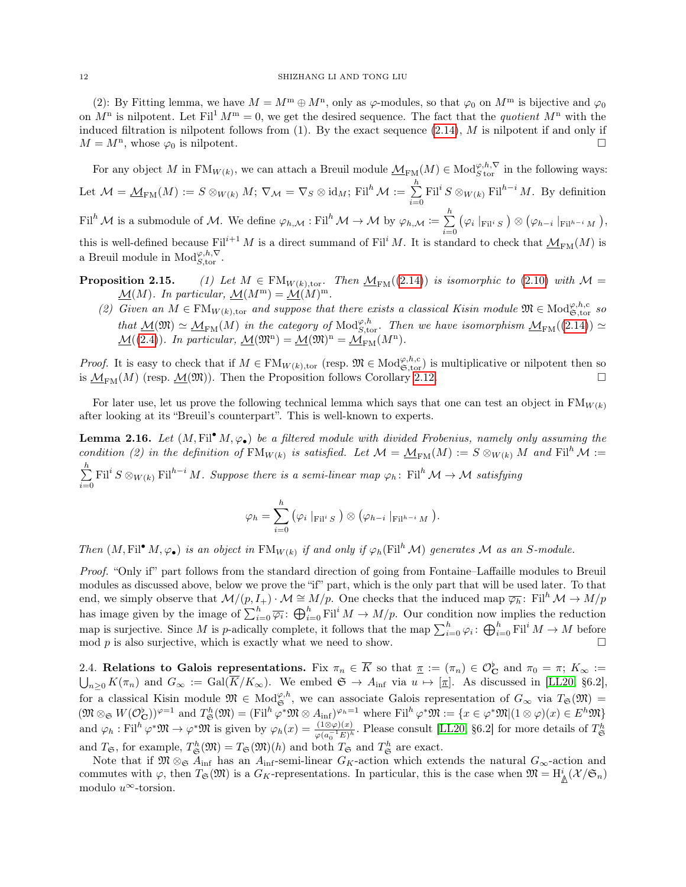(2): By Fitting lemma, we have  $M = M^m \oplus M^n$ , only as  $\varphi$ -modules, so that  $\varphi_0$  on  $M^m$  is bijective and  $\varphi_0$ on  $M^n$  is nilpotent. Let Fil<sup>1</sup>  $M^m = 0$ , we get the desired sequence. The fact that the *quotient*  $M^n$  with the induced filtration is nilpotent follows from  $(1)$ . By the exact sequence  $(2.14)$ , M is nilpotent if and only if  $M = M<sup>n</sup>$ , whose  $\varphi_0$  is nilpotent.

For any object M in  $\text{FM}_{W(k)}$ , we can attach a Breuil module  $\mathcal{M}_{\text{FM}}(M) \in \text{Mod}_{S \text{ tor}}^{\varphi, h, \nabla}$  in the following ways: Let  $\mathcal{M}=\underline{\mathcal{M}}_{\mathrm{FM}}(M):=S\otimes_{W(k)}M;\, \nabla_{\mathcal{M}}=\nabla_{S}\otimes \mathrm{id}_{M};\, \mathrm{Fil}^{h}\,\mathcal{M}:=\sum^{h}$  $\sum_{i=0}^{\infty} \mathrm{Fil}^i S \otimes_{W(k)} \mathrm{Fil}^{h-i} M$ . By definition Fil<sup>h</sup> M is a submodule of M. We define  $\varphi_{h,\mathcal{M}} : \mathrm{Fil}^h \mathcal{M} \to \mathcal{M}$  by  $\varphi_{h,\mathcal{M}} \coloneqq \sum^h$  $(\varphi_i \mid_{\text{Fil}^i S}) \otimes (\varphi_{h-i} \mid_{\text{Fil}^{h-i} M}),$ 

 $i=0$ this is well-defined because Fil<sup>i+1</sup> M is a direct summand of Fil<sup>i</sup> M. It is standard to check that  $M_{\text{FM}}(M)$  is a Breuil module in  $\text{Mod}_{S,\text{tor}}^{\varphi,h,\nabla}$ .

- <span id="page-11-1"></span>**Proposition 2.15.** (1) Let  $M \in \text{FM}_{W(k),\text{tor}}$ . Then  $M_{\text{FM}}((2.14))$  $M_{\text{FM}}((2.14))$  $M_{\text{FM}}((2.14))$  is isomorphic to [\(2.10\)](#page-9-1) with  $M =$  $\underline{\mathcal{M}}(M)$ . In particular,  $\underline{\mathcal{M}}(M^m) = \underline{\mathcal{M}}(M)^m$ .
	- (2) Given an  $M \in \mathrm{FM}_{W(k),\text{tor}}$  and suppose that there exists a classical Kisin module  $\mathfrak{M} \in \mathrm{Mod}^{\varphi,h,c}_{\mathfrak{S},\text{tor}}$  so that  $\underline{\mathcal{M}}(\mathfrak{M}) \simeq \underline{\mathcal{M}}_{\mathrm{FM}}(M)$  in the category of  $\mathrm{Mod}^{\varphi, h}_{S,\mathrm{tor}}$ . Then we have isomorphism  $\underline{\mathcal{M}}_{\mathrm{FM}}((2.14)) \simeq$  $\underline{\mathcal{M}}_{\mathrm{FM}}((2.14)) \simeq$  $\underline{\mathcal{M}}_{\mathrm{FM}}((2.14)) \simeq$  $\underline{\mathcal{M}}((2.4))$  $\underline{\mathcal{M}}((2.4))$  $\underline{\mathcal{M}}((2.4))$ . In particular,  $\underline{\mathcal{M}}(\mathfrak{M}^n) = \underline{\mathcal{M}}(\mathfrak{M})^n = \underline{\mathcal{M}}_{FM}(M^n)$ .

*Proof.* It is easy to check that if  $M \in \mathrm{FM}_{W(k),\text{tor}}$  (resp.  $\mathfrak{M} \in \mathrm{Mod}_{\mathfrak{S},\text{tor}}^{\varphi,h,c}$ ) is multiplicative or nilpotent then so is  $M_{\text{FM}}(M)$  (resp.  $M(\mathfrak{M}))$ . Then the Proposition follows Corollary [2.12.](#page-10-4)

For later use, let us prove the following technical lemma which says that one can test an object in  $FM_{W(k)}$ after looking at its "Breuil's counterpart". This is well-known to experts.

<span id="page-11-2"></span>**Lemma 2.16.** Let  $(M, \text{Fil}^{\bullet} M, \varphi_{\bullet})$  be a filtered module with divided Frobenius, namely only assuming the condition (2) in the definition of  $FM_{W(k)}$  is satisfied. Let  $\mathcal{M} = \underline{\mathcal{M}}_{FM}(M) := S \otimes_{W(k)} M$  and  $Fil^{h}\mathcal{M} :=$  $\sum_{i=1}^{h}$ 

 $\sum_{i=0}^{\infty} \text{Fil}^i S \otimes_{W(k)} \text{Fil}^{h-i} M$ . Suppose there is a semi-linear map  $\varphi_h$ : Fil<sup>h</sup>  $\mathcal{M} \to \mathcal{M}$  satisfying

$$
\varphi_h = \sum_{i=0}^h \left( \varphi_i \mid_{\operatorname{Fil}^i S} \right) \otimes \left( \varphi_{h-i} \mid_{\operatorname{Fil}^{h-i} M} \right).
$$

Then  $(M, \mathrm{Fil}^{\bullet} M, \varphi_{\bullet})$  is an object in  $\mathrm{FM}_{W(k)}$  if and only if  $\varphi_h(\mathrm{Fil}^h M)$  generates M as an S-module.

Proof. "Only if" part follows from the standard direction of going from Fontaine–Laffaille modules to Breuil modules as discussed above, below we prove the "if" part, which is the only part that will be used later. To that end, we simply observe that  $\mathcal{M}/(p, I_+) \cdot \mathcal{M} \cong M/p$ . One checks that the induced map  $\overline{\varphi_h}$ : Fil<sup>h</sup>  $\mathcal{M} \to M/p$ has image given by the image of  $\sum_{i=0}^{h} \overline{\varphi_i}$ :  $\bigoplus_{i=0}^{h} \text{Fil}^i M \to M/p$ . Our condition now implies the reduction map is surjective. Since M is p-adically complete, it follows that the map  $\sum_{i=0}^{h} \varphi_i$ :  $\bigoplus_{i=0}^{h} \mathrm{Fil}^i M \to M$  before mod p is also surjective, which is exactly what we need to show.

<span id="page-11-0"></span>2.4. Relations to Galois representations. Fix  $\pi_n \in \overline{K}$  so that  $\underline{\pi} := (\pi_n) \in \mathcal{O}_{\mathbf{C}}^{\flat}$  and  $\pi_0 = \pi$ ;  $K_{\infty} :=$  $\bigcup_{n\geq 0} K(\pi_n)$  and  $G_{\infty} := \text{Gal}(\overline{K}/K_{\infty})$ . We embed  $\mathfrak{S} \to A_{\text{inf}}$  via  $u \mapsto [\underline{\pi}]$ . As discussed in [\[LL20,](#page-51-7) §6.2], for a classical Kisin module  $\mathfrak{M} \in Mod_{\mathfrak{S}}^{\varphi,h}$ , we can associate Galois representation of  $G_{\infty}$  via  $T_{\mathfrak{S}}(\mathfrak{M}) =$  $(\mathfrak{M} \otimes_{\mathfrak{S}} W(\mathcal{O}_{\mathbf{C}}^{\flat}))^{\varphi=1}$  and  $T_{\mathfrak{S}}^h(\mathfrak{M}) = (\mathrm{Fil}^h \varphi^* \mathfrak{M} \otimes A_{\mathrm{inf}})^{\varphi_h=1}$  where  $\mathrm{Fil}^h \varphi^* \mathfrak{M} := \{x \in \varphi^* \mathfrak{M} | (1 \otimes \varphi)(x) \in E^h \mathfrak{M} \}$ and  $\varphi_h : \text{Fil}^h \varphi^* \mathfrak{M} \to \varphi^* \mathfrak{M}$  is given by  $\varphi_h(x) = \frac{(1 \otimes \varphi)(x)}{\varphi(a_0^{-1} E)^h}$ . Please consult [\[LL20,](#page-51-7) §6.2] for more details of  $T^h_{\mathfrak{S}}$ and  $T_{\mathfrak{S}}$ , for example,  $T_{\mathfrak{S}}^h(\mathfrak{M}) = T_{\mathfrak{S}}(\mathfrak{M})(h)$  and both  $T_{\mathfrak{S}}$  and  $T_{\mathfrak{S}}^h$  are exact.

Note that if  $\mathfrak{M} \otimes_{\mathfrak{S}} A_{\text{inf}}$  has an  $A_{\text{inf}}$ -semi-linear  $G_K$ -action which extends the natural  $G_{\infty}$ -action and commutes with  $\varphi$ , then  $T_{\mathfrak{S}}(\mathfrak{M})$  is a  $G_K$ -representations. In particular, this is the case when  $\mathfrak{M} = \mathrm{H}^i_{\mathbb{A}}(\mathcal{X}/\mathfrak{S}_n)$ modulo  $u^{\infty}$ -torsion.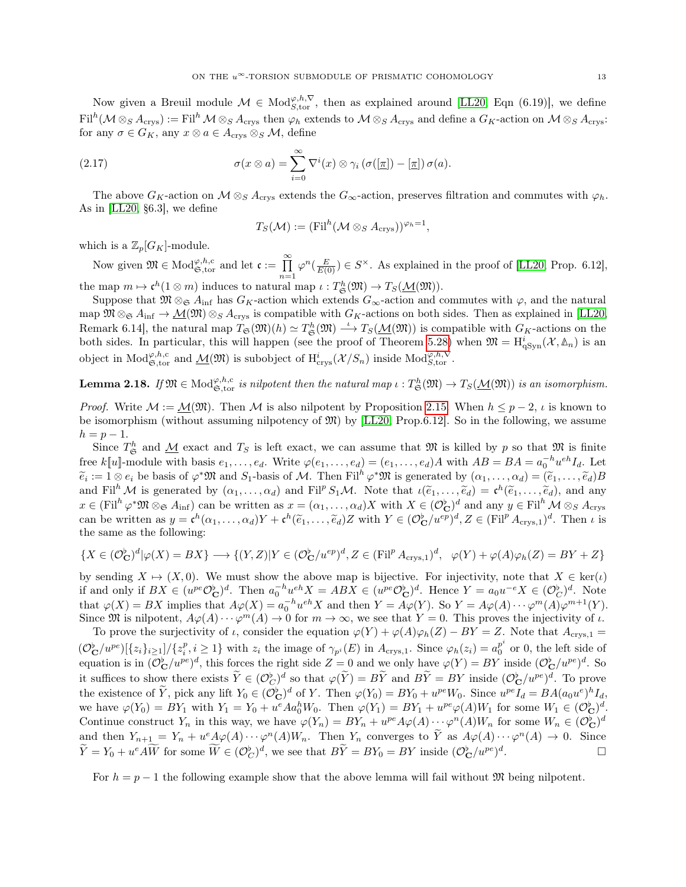Now given a Breuil module  $\mathcal{M} \in Mod_{S,\text{tor}}^{\varphi,h,\nabla}$ , then as explained around [\[LL20,](#page-51-7) Eqn (6.19)], we define  $\mathrm{Fil}^h(\mathcal{M}\otimes_S A_{\mathrm{crys}}) := \mathrm{Fil}^h\mathcal{M}\otimes_S A_{\mathrm{crys}}$  then  $\varphi_h$  extends to  $\mathcal{M}\otimes_S A_{\mathrm{crys}}$  and define a  $G_K$ -action on  $\mathcal{M}\otimes_S A_{\mathrm{crys}}$ : for any  $\sigma \in G_K$ , any  $x \otimes a \in A_{\text{crys}} \otimes_S \mathcal{M}$ , define

(2.17) 
$$
\sigma(x \otimes a) = \sum_{i=0}^{\infty} \nabla^{i}(x) \otimes \gamma_{i} (\sigma([\underline{\pi}]) - [\underline{\pi}]) \sigma(a).
$$

The above  $G_K$ -action on  $\mathcal{M} \otimes_S A_{\text{crys}}$  extends the  $G_\infty$ -action, preserves filtration and commutes with  $\varphi_h$ . As in [\[LL20,](#page-51-7) §6.3], we define

<span id="page-12-1"></span>
$$
T_S(\mathcal{M}) := (\mathrm{Fil}^h(\mathcal{M} \otimes_S A_{\mathrm{crys}}))^{\varphi_h=1},
$$

which is a  $\mathbb{Z}_p[G_K]$ -module.

Now given  $\mathfrak{M} \in \text{Mod}_{\mathfrak{S}, \text{tor}}^{\varphi, h, c}$  and let  $\mathfrak{c} := \prod_{n=1}^{\infty} \varphi^n(\frac{E}{E(0)}) \in S^{\times}$ . As explained in the proof of [\[LL20,](#page-51-7) Prop. 6.12], the map  $m \mapsto \mathfrak{c}^h(1 \otimes m)$  induces to natural map  $\iota : T^h_{\mathfrak{S}}(\mathfrak{M}) \to T_S(\mathcal{M}(\mathfrak{M})).$ 

Suppose that  $\mathfrak{M} \otimes_{\mathfrak{S}} A_{\text{inf}}$  has  $G_K$ -action which extends  $G_{\infty}$ -action and commutes with  $\varphi$ , and the natural map  $\mathfrak{M} \otimes_{\mathfrak{S}} A_{\text{inf}} \to \underline{\mathcal{M}}(\mathfrak{M}) \otimes_{\mathfrak{S}} A_{\text{crys}}$  is compatible with  $G_K$ -actions on both sides. Then as explained in [\[LL20,](#page-51-7) Remark 6.14, the natural map  $T_{\mathfrak{S}}(\mathfrak{M})(h) \simeq T_{\mathfrak{S}}^h(\mathfrak{M}) \stackrel{\iota}{\longrightarrow} T_S(\underline{\mathcal{M}}(\mathfrak{M}))$  is compatible with  $G_K$ -actions on the both sides. In particular, this will happen (see the proof of Theorem [5.28\)](#page-41-1) when  $\mathfrak{M} = \mathrm{H}^i_{q\mathrm{Syn}}(\mathcal{X}, \mathbb{A}_n)$  is an object in  $\text{Mod}_{\mathfrak{S},\text{tor}}^{\varphi,h,c}$  and  $\underline{\mathcal{M}}(\mathfrak{M})$  is subobject of  $H^{i}_{\text{crys}}(\mathcal{X}/S_n)$  inside  $\text{Mod}_{\mathfrak{S},\text{tor}}^{\varphi,h,\nabla}$ .

<span id="page-12-0"></span>**Lemma 2.18.** If  $\mathfrak{M} \in \text{Mod}_{\mathfrak{S}, \text{tor}}^{\varphi, h, c}$  is nilpotent then the natural map  $\iota : T^h_{\mathfrak{S}}(\mathfrak{M}) \to T_S(\underline{\mathcal{M}}(\mathfrak{M}))$  is an isomorphism.

*Proof.* Write  $\mathcal{M} := \mathcal{M}(\mathfrak{M})$ . Then  $\mathcal{M}$  is also nilpotent by Proposition [2.15.](#page-11-1) When  $h \leq p-2$ ,  $\iota$  is known to be isomorphism (without assuming nilpotency of  $\mathfrak{M}$ ) by [\[LL20,](#page-51-7) Prop.6.12]. So in the following, we assume  $h = p - 1.$ 

Since  $T^h_{\mathfrak{S}}$  and  $\underline{\mathcal{M}}$  exact and  $T_S$  is left exact, we can assume that  $\mathfrak{M}$  is killed by p so that  $\mathfrak{M}$  is finite free k[u]-module with basis  $e_1, \ldots, e_d$ . Write  $\varphi(e_1, \ldots, e_d) = (e_1, \ldots, e_d)A$  with  $AB = BA = a_0^{-h}u^{eh}I_d$ . Let  $\widetilde{e}_i := 1 \otimes e_i$  be basis of  $\varphi^* \mathfrak{M}$  and  $S_1$ -basis of M. Then Fil<sup>h</sup>  $\varphi^* \mathfrak{M}$  is generated by  $(\alpha_1, \dots, \alpha_d) = (\widetilde{e}_1, \dots, \widetilde{e}_d)B$ and Fil<sup>h</sup> M is generated by  $(\alpha_1, \ldots, \alpha_d)$  and Fil<sup>p</sup> S<sub>1</sub>M. Note that  $\iota(\tilde{e}_1, \ldots, \tilde{e}_d) = \mathfrak{e}^h(\tilde{e}_1, \ldots, \tilde{e}_d)$ , and any  $x \in (\text{Fil}^h \varphi^* \mathfrak{M} \otimes_{\mathfrak{S}} A_{\text{inf}})$  can be written as  $x = (\alpha_1, \dots, \alpha_d)X$  with  $X \in (\mathcal{O}_{\mathbf{C}}^{\flat})^d$  and any  $y \in \text{Fil}^h \mathcal{M} \otimes_S A_{\text{crys}}$ can be written as  $y = \mathfrak{c}^h(\alpha_1, \dots, \alpha_d)Y + \mathfrak{c}^h(\tilde{e}_1, \dots, \tilde{e}_d)Z$  with  $Y \in (\mathcal{O}_{\mathbf{C}}^{\flat}/u^{ep})^d, Z \in (\mathrm{Fil}^p A_{\mathrm{crys},1})^d$ . Then  $\iota$  is the same as the following: the same as the following:

$$
\{X \in (\mathcal{O}_{\mathbf{C}}^{\flat})^d | \varphi(X) = BX\} \longrightarrow \{(Y, Z)|Y \in (\mathcal{O}_{\mathbf{C}}^{\flat}/u^{ep})^d, Z \in (\mathrm{Fil}^p A_{\mathrm{crys}, 1})^d, \ \varphi(Y) + \varphi(A)\varphi_h(Z) = BY + Z\}
$$

by sending  $X \mapsto (X, 0)$ . We must show the above map is bijective. For injectivity, note that  $X \in \text{ker}(\iota)$ if and only if  $BX \in (u^{pe}\mathcal{O}_{\mathbf{C}}^{\flat})^d$ . Then  $a_0^{-h}u^{eh}X = ABX \in (u^{pe}\mathcal{O}_{\mathbf{C}}^{\flat})^d$ . Hence  $Y = a_0u^{-e}X \in (\mathcal{O}_{\mathbf{C}}^{\flat})^d$ . Note that  $\varphi(X) = BX$  implies that  $A\varphi(X) = a_0^{-h}u^{eh}X$  and then  $Y = A\varphi(Y)$ . So  $Y = A\varphi(A) \cdots \varphi^m(A)\varphi^{m+1}(Y)$ . Since  $\mathfrak{M}$  is nilpotent,  $A\varphi(A)\cdots\varphi^{m}(A)\to 0$  for  $m\to\infty$ , we see that  $Y=0$ . This proves the injectivity of  $\iota$ .

To prove the surjectivity of *ι*, consider the equation  $\varphi(Y) + \varphi(A)\varphi_h(Z) - BY = Z$ . Note that  $A_{\text{crys},1} =$  $(\mathcal{O}_{\mathbf{C}}^{\flat}/u^{pe})[\{z_i\}_{i\geq1}]/\{z_i^p, i\geq1\}$  with  $z_i$  the image of  $\gamma_{p^i}(E)$  in  $A_{\text{crys},1}$ . Since  $\varphi_h(z_i)=a_0^{p^i}$  $_0^p$  or 0, the left side of equation is in  $(\mathcal{O}_{\mathbf{C}}^{\flat}/u^{pe})^d$ , this forces the right side  $Z = 0$  and we only have  $\varphi(Y) = BY$  inside  $(\mathcal{O}_{\mathbf{C}}^{\flat}/u^{pe})^d$ . So it suffices to show there exists  $\widetilde{Y} \in (\mathcal{O}_{C}^{\flat})^d$  so that  $\varphi(\widetilde{Y}) = B\widetilde{Y}$  and  $B\widetilde{Y} = BY$  inside  $(\mathcal{O}_{\mathbf{C}}^{\flat}/u^{pe})^d$ . To prove the existence of  $\widetilde{Y}$ , pick any lift  $Y_0 \in (\mathcal{O}_{\mathbf{C}}^{\flat})^d$  of Y. Then  $\varphi(Y_0) = BY_0 + u^{pe}W_0$ . Since  $u^{pe}I_d = BA(a_0u^e)^hI_d$ we have  $\varphi(Y_0) = BY_1$  with  $Y_1 = Y_0 + u^e A a_0^h W_0$ . Then  $\varphi(Y_1) = BY_1 + u^{pe} \varphi(A) W_1$  for some  $W_1 \in (\mathcal{O}_{\mathbf{C}}^{\flat})^d$ . Continue construct  $Y_n$  in this way, we have  $\varphi(Y_n) = BY_n + u^{pe}A\varphi(A) \cdots \varphi^n(A)W_n$  for some  $W_n \in (\mathcal{O}_{\mathbf{C}}^{\flat})^d$ and then  $Y_{n+1} = Y_n + u^e \mathcal{A} \varphi(A) \cdots \varphi^n(A) W_n$ . Then  $Y_n$  converges to  $\widetilde{Y}$  as  $A \varphi(A) \cdots \varphi^n(A) \to 0$ . Since  $\widetilde{Y} = Y_0 + u^e A \widetilde{W}$  for some  $\widetilde{W} \in (\mathcal{O}_{C}^{\flat})^d$ , we see that  $B\widetilde{Y} = BY_0 = BY$  inside  $(\mathcal{O}_{C}^{\flat}/u^{pe})^d$ .

For  $h = p - 1$  the following example show that the above lemma will fail without M being nilpotent.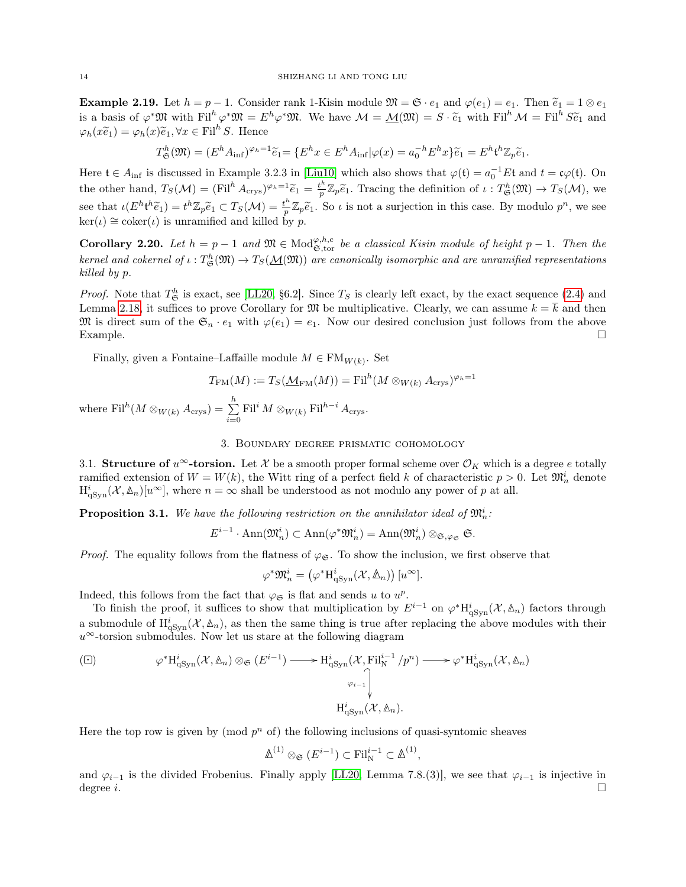**Example 2.19.** Let  $h = p - 1$ . Consider rank 1-Kisin module  $\mathfrak{M} = \mathfrak{S} \cdot e_1$  and  $\varphi(e_1) = e_1$ . Then  $\tilde{e}_1 = 1 \otimes e_1$ is a basis of  $\varphi^* \mathfrak{M}$  with Fil<sup>h</sup>  $\varphi^* \mathfrak{M} = E^h \varphi^* \mathfrak{M}$ . We have  $\mathcal{M} = \underline{\mathcal{M}}(\mathfrak{M}) = S \cdot \tilde{e}_1$  with Fil<sup>h</sup>  $\mathcal{M} = \text{Fil}^h S \tilde{e}_1$  and  $\varphi_h(x\widetilde{e}_1) = \varphi_h(x)\widetilde{e}_1, \forall x \in \text{Fil}^h S.$  Hence

$$
T^h_{\mathfrak{S}}(\mathfrak{M}) = (E^h A_{\inf})^{\varphi_h = 1} \widetilde{e}_1 = \{ E^h x \in E^h A_{\inf} | \varphi(x) = a_0^{-h} E^h x \} \widetilde{e}_1 = E^h \mathfrak{t}^h \mathbb{Z}_p \widetilde{e}_1.
$$

Here  $\mathfrak{t} \in A_{\text{inf}}$  is discussed in Example 3.2.3 in [\[Liu10\]](#page-51-14) which also shows that  $\varphi(\mathfrak{t}) = a_0^{-1} E \mathfrak{t}$  and  $t = \mathfrak{c} \varphi(\mathfrak{t})$ . On the other hand,  $T_S(\mathcal{M}) = (\text{Fil}^h A_{\text{crys}})^{\varphi_h=1} \widetilde{e}_1 = \frac{t^h}{p}$  $\frac{n}{p}\mathbb{Z}_p\widetilde{e}_1$ . Tracing the definition of  $\iota: T^h_{\mathfrak{S}}(\mathfrak{M}) \to T_S(\mathcal{M})$ , we see that  $\iota(E^h \mathfrak{t}^h \widetilde{e}_1) = t^h \mathbb{Z}_p \widetilde{e}_1 \subset T_S(\mathcal{M}) = \frac{t^h}{p}$  $\sum_{p=0}^{n} \mathbb{Z}_p \widetilde{e}_1$ . So  $\iota$  is not a surjection in this case. By modulo  $p^n$ , we see  $\ker(\iota) \cong \operatorname{coker}(\iota)$  is unramified and killed by p.

<span id="page-13-5"></span>**Corollary 2.20.** Let  $h = p - 1$  and  $\mathfrak{M} \in \text{Mod}_{\mathfrak{S}, \text{tor}}^{\varphi, h, c}$  be a classical Kisin module of height  $p - 1$ . Then the kernel and cokernel of  $\iota: T^h_\mathfrak{S}(\mathfrak{M})\to T_S(\underline{\mathcal{M}}(\mathfrak{M}))$  are canonically isomorphic and are unramified representations killed by p.

*Proof.* Note that  $T^h_{\mathfrak{S}}$  is exact, see [\[LL20,](#page-51-7) §6.2]. Since  $T_S$  is clearly left exact, by the exact sequence [\(2.4\)](#page-6-1) and Lemma [2.18,](#page-12-0) it suffices to prove Corollary for  $\mathfrak{M}$  be multiplicative. Clearly, we can assume  $k = \overline{k}$  and then M is direct sum of the  $\mathfrak{S}_n \cdot e_1$  with  $\varphi(e_1) = e_1$ . Now our desired conclusion just follows from the above Example.  $\square$ 

Finally, given a Fontaine–Laffaille module  $M \in \mathrm{FM}_{W(k)}$ . Set

$$
T_{\text{FM}}(M) := T_S(\underline{\mathcal{M}}_{\text{FM}}(M)) = \text{Fil}^h(M \otimes_{W(k)} A_{\text{crys}})^{\varphi_h = 1}
$$

where  $\text{Fil}^h(M\otimes_{W(k)} A_{\text{crys}})=\sum_{k=1}^k\sum_{k=1}^k\sum_{k=1}^k\sum_{k=1}^k\left(\sum_{k=1}^k\right)^k$  $\sum_{i=0}^{\infty}$  Fil<sup>i</sup>  $M \otimes_{W(k)}$  Fil<sup>h-i</sup>  $A_{\text{crys}}$ .

3. Boundary degree prismatic cohomology

<span id="page-13-1"></span><span id="page-13-0"></span>3.1. Structure of  $u^{\infty}$ -torsion. Let X be a smooth proper formal scheme over  $\mathcal{O}_K$  which is a degree e totally ramified extension of  $W = W(k)$ , the Witt ring of a perfect field k of characteristic  $p > 0$ . Let  $\mathfrak{M}_n^i$  denote  $\mathrm{H}^{i}_{\mathrm{qSyn}}(\mathcal{X}, \mathbb{A}_n)[u^{\infty}]$ , where  $n = \infty$  shall be understood as not modulo any power of p at all.

<span id="page-13-2"></span>**Proposition 3.1.** We have the following restriction on the annihilator ideal of  $\mathfrak{M}_n^i$ :

$$
E^{i-1}\cdot \text{Ann}(\mathfrak{M}_n^i) \subset \text{Ann}(\varphi^*\mathfrak{M}_n^i) = \text{Ann}(\mathfrak{M}_n^i) \otimes_{\mathfrak{S},\varphi_{\mathfrak{S}}} \mathfrak{S}.
$$

*Proof.* The equality follows from the flatness of  $\varphi_{\mathfrak{S}}$ . To show the inclusion, we first observe that

$$
\varphi^* \mathfrak{M}_n^i = \left( \varphi^* \mathrm{H}^i_{\mathrm{qSyn}}(\mathcal{X}, \mathbb{A}_n) \right) [u^\infty].
$$

Indeed, this follows from the fact that  $\varphi_{\mathfrak{S}}$  is flat and sends u to  $u^p$ .

To finish the proof, it suffices to show that multiplication by  $E^{i-1}$  on  $\varphi^* H_{\text{qSyn}}^i(\mathcal{X}, \mathbb{A}_n)$  factors through a submodule of  $H^i_{qSym}(\mathcal{X}, \mathbb{A}_n)$ , as then the same thing is true after replacing the above modules with their  $u^{\infty}$ -torsion submodules. Now let us stare at the following diagram

<span id="page-13-4"></span>
$$
\varphi^* H^i_{\mathrm{qSyn}}(\mathcal{X}, \mathbb{A}_n) \otimes_{\mathfrak{S}} (E^{i-1}) \longrightarrow H^i_{\mathrm{qSyn}}(\mathcal{X}, \mathrm{Fil}^{i-1}_{\mathrm{N}}/p^n) \longrightarrow \varphi^* H^i_{\mathrm{qSyn}}(\mathcal{X}, \mathbb{A}_n)
$$
\n
$$
\downarrow \qquad \qquad \downarrow
$$
\n
$$
H^i_{\mathrm{qSyn}}(\mathcal{X}, \mathbb{A}_n).
$$

Here the top row is given by  $p^n$  of) the following inclusions of quasi-syntomic sheaves

$$
\mathbb{A}^{(1)} \otimes_{\mathfrak{S}} (E^{i-1}) \subset \mathrm{Fil}_{\mathrm{N}}^{i-1} \subset \mathbb{A}^{(1)},
$$

<span id="page-13-3"></span>and  $\varphi_{i-1}$  is the divided Frobenius. Finally apply [\[LL20,](#page-51-7) Lemma 7.8.(3)], we see that  $\varphi_{i-1}$  is injective in degree i.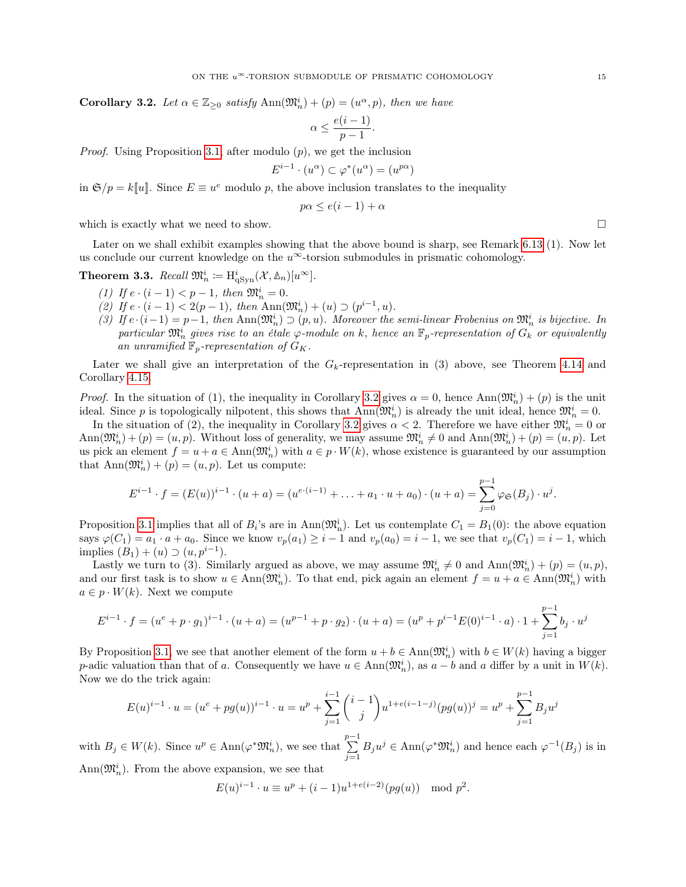**Corollary 3.2.** Let  $\alpha \in \mathbb{Z}_{\geq 0}$  satisfy  $\text{Ann}(\mathfrak{M}_n^i) + (p) = (u^{\alpha}, p)$ , then we have

$$
\alpha \le \frac{e(i-1)}{p-1}.
$$

*Proof.* Using Proposition [3.1,](#page-13-2) after modulo  $(p)$ , we get the inclusion

$$
E^{i-1} \cdot (u^{\alpha}) \subset \varphi^*(u^{\alpha}) = (u^{p\alpha})
$$

in  $\mathfrak{S}/p = k[[u]]$ . Since  $E \equiv u^e$  modulo p, the above inclusion translates to the inequality

$$
p\alpha \le e(i-1) + \alpha
$$

which is exactly what we need to show.  $\Box$ 

Later on we shall exhibit examples showing that the above bound is sharp, see Remark [6.13](#page-48-0) (1). Now let us conclude our current knowledge on the  $u^{\infty}$ -torsion submodules in prismatic cohomology.

<span id="page-14-0"></span>**Theorem 3.3.** Recall  $\mathfrak{M}_n^i := \mathrm{H}^i_{\mathrm{qSyn}}(\mathcal{X}, \mathbb{A}_n)[u^\infty].$ 

- (1) If  $e \cdot (i-1) < p-1$ , then  $\mathfrak{M}_n^i = 0$ .
- (2) If  $e \cdot (i-1) < 2(p-1)$ , then  $\text{Ann}(\mathfrak{M}_n^i) + (u) \supset (p^{i-1}, u)$ .
- (3) If  $e \cdot (i-1) = p-1$ , then  $\text{Ann}(\mathfrak{M}_n^i) \supset (p, u)$ . Moreover the semi-linear Frobenius on  $\mathfrak{M}_n^i$  is bijective. In particular  $\mathfrak{M}_n^i$  gives rise to an étale  $\varphi$ -module on k, hence an  $\mathbb{F}_p$ -representation of  $G_k$  or equivalently an unramified  $\mathbb{F}_p$ -representation of  $G_K$ .

Later we shall give an interpretation of the  $G_k$ -representation in (3) above, see Theorem [4.14](#page-26-1) and Corollary [4.15.](#page-26-0)

*Proof.* In the situation of (1), the inequality in Corollary [3.2](#page-13-3) gives  $\alpha = 0$ , hence  $\text{Ann}(\mathfrak{M}_n^i) + (p)$  is the unit ideal. Since p is topologically nilpotent, this shows that  $\text{Ann}(\mathfrak{M}_n^i)$  is already the unit ideal, hence  $\mathfrak{M}_n^i = 0$ .

In the situation of (2), the inequality in Corollary [3.2](#page-13-3) gives  $\alpha < 2$ . Therefore we have either  $\mathfrak{M}_n^i = 0$  or  $\text{Ann}(\mathfrak{M}_n^i) + (p) = (u, p)$ . Without loss of generality, we may assume  $\mathfrak{M}_n^i \neq 0$  and  $\text{Ann}(\mathfrak{M}_n^i) + (p) = (u, p)$ . Let us pick an element  $f = u + a \in Ann(\mathfrak{M}_n^i)$  with  $a \in p \cdot W(k)$ , whose existence is guaranteed by our assumption that  $\text{Ann}(\mathfrak{M}_n^i) + (p) = (u, p)$ . Let us compute:

$$
E^{i-1} \cdot f = (E(u))^{i-1} \cdot (u+a) = (u^{e \cdot (i-1)} + \ldots + a_1 \cdot u + a_0) \cdot (u+a) = \sum_{j=0}^{p-1} \varphi_{\mathfrak{S}}(B_j) \cdot u^j.
$$

Proposition [3.1](#page-13-2) implies that all of  $B_i$ 's are in Ann $(\mathfrak{M}_n^i)$ . Let us contemplate  $C_1 = B_1(0)$ : the above equation says  $\varphi(C_1) = a_1 \cdot a + a_0$ . Since we know  $v_p(a_1) \geq i - 1$  and  $v_p(a_0) = i - 1$ , we see that  $v_p(C_1) = i - 1$ , which implies  $(B_1) + (u) \supset (u, p^{i-1}).$ 

Lastly we turn to (3). Similarly argued as above, we may assume  $\mathfrak{M}_n^i \neq 0$  and  $\text{Ann}(\mathfrak{M}_n^i) + (p) = (u, p)$ , and our first task is to show  $u \in Ann(\mathfrak{M}_n^i)$ . To that end, pick again an element  $f = u + a \in Ann(\mathfrak{M}_n^i)$  with  $a \in p \cdot W(k)$ . Next we compute

$$
E^{i-1} \cdot f = (u^e + p \cdot g_1)^{i-1} \cdot (u+a) = (u^{p-1} + p \cdot g_2) \cdot (u+a) = (u^p + p^{i-1}E(0)^{i-1} \cdot a) \cdot 1 + \sum_{j=1}^{p-1} b_j \cdot u^j
$$

By Proposition [3.1,](#page-13-2) we see that another element of the form  $u + b \in Ann(\mathfrak{M}_n^i)$  with  $b \in W(k)$  having a bigger p-adic valuation than that of a. Consequently we have  $u \in Ann(\mathfrak{M}_n^i)$ , as  $a - b$  and a differ by a unit in  $W(k)$ . Now we do the trick again:

$$
E(u)^{i-1} \cdot u = (u^e + pg(u))^{i-1} \cdot u = u^p + \sum_{j=1}^{i-1} {i-1 \choose j} u^{1+e(i-1-j)} (pg(u))^j = u^p + \sum_{j=1}^{p-1} B_j u^j
$$

with  $B_j \in W(k)$ . Since  $u^p \in \text{Ann}(\varphi^* \mathfrak{M}_n^i)$ , we see that  $\sum_{n=1}^{p-1}$  $\sum_{j=1} B_j u^j \in \text{Ann}(\varphi^* \mathfrak{M}_n^i)$  and hence each  $\varphi^{-1}(B_j)$  is in Ann $(\mathfrak{M}_n^i)$ . From the above expansion, we see that

$$
E(u)^{i-1} \cdot u \equiv u^p + (i-1)u^{1+e(i-2)}(pg(u)) \mod p^2.
$$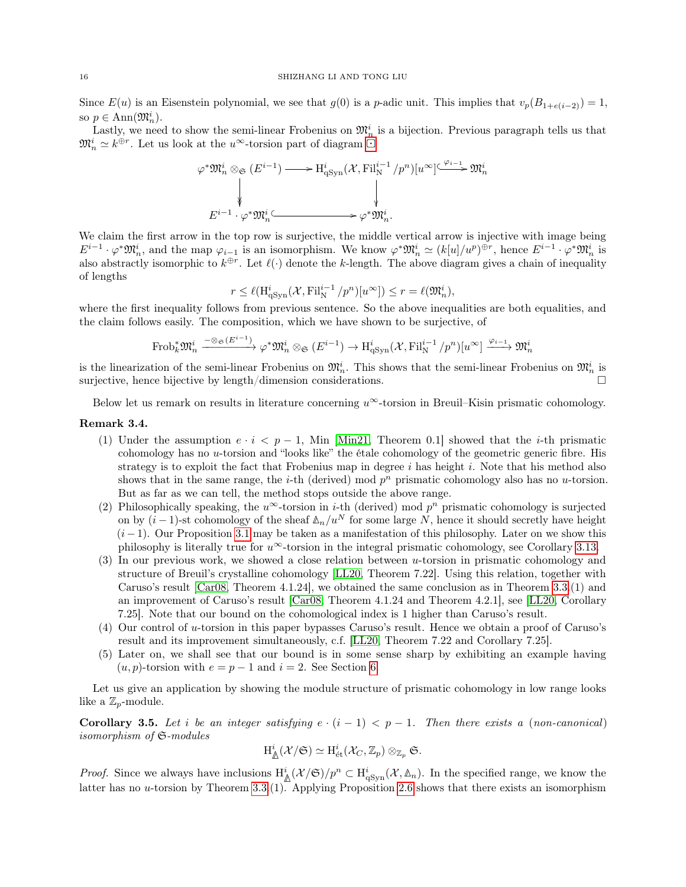Since  $E(u)$  is an Eisenstein polynomial, we see that  $g(0)$  is a p-adic unit. This implies that  $v_p(B_{1+e(i-2)}) = 1$ , so  $p \in \text{Ann}(\mathfrak{M}_n^i)$ .

Lastly, we [n](#page-13-4)eed to show the semi-linear Frobenius on  $\mathfrak{M}_n^i$  is a bijection. Previous paragraph tells us that  $\mathfrak{M}_n^i \simeq k^{\oplus r}$ . Let us look at the  $u^{\infty}$ -torsion part of diagram

$$
\varphi^* \mathfrak{M}_n^i \otimes_{\mathfrak{S}} (E^{i-1}) \longrightarrow H^i_{\mathrm{qSym}}(\mathcal{X}, \mathrm{Fil}_N^{i-1}/p^n)[u^\infty] \xrightarrow{\varphi_{i-1}} \mathfrak{M}_n^i
$$
  

$$
\downarrow \qquad \qquad \downarrow
$$
  

$$
E^{i-1} \cdot \varphi^* \mathfrak{M}_n^i \xrightarrow{\qquad \qquad } \varphi^* \mathfrak{M}_n^i.
$$

We claim the first arrow in the top row is surjective, the middle vertical arrow is injective with image being  $E^{i-1} \cdot \varphi^* \mathfrak{M}_n^i$ , and the map  $\varphi_{i-1}$  is an isomorphism. We know  $\varphi^* \mathfrak{M}_n^i \simeq (k[u]/u^p)^{\oplus r}$ , hence  $E^{i-1} \cdot \varphi^* \mathfrak{M}_n^i$  is also abstractly isomorphic to  $k^{\oplus r}$ . Let  $\ell(\cdot)$  denote the k-length. The above diagram gives a chain of inequality of lengths

$$
r \leq \ell(\mathrm{H}^i_{\mathrm{qSyn}}(\mathcal{X}, \mathrm{Fil}^{i-1}_{\mathrm{N}}/p^n)[u^{\infty}]) \leq r = \ell(\mathfrak{M}^i_n),
$$

where the first inequality follows from previous sentence. So the above inequalities are both equalities, and the claim follows easily. The composition, which we have shown to be surjective, of

$$
\text{Frob}_k^* \mathfrak{M}_n^i \xrightarrow{-\otimes_{\mathfrak{S}} (E^{i-1})} \varphi^* \mathfrak{M}_n^i \otimes_{\mathfrak{S}} (E^{i-1}) \to \text{H}^i_{\text{qSyn}}(\mathcal{X}, \text{Fil}_N^{i-1}/p^n)[u^\infty] \xrightarrow{\varphi_{i-1}} \mathfrak{M}_n^i
$$

is the linearization of the semi-linear Frobenius on  $\mathfrak{M}_n^i$ . This shows that the semi-linear Frobenius on  $\mathfrak{M}_n^i$  is surjective, hence bijective by length/dimension considerations.

Below let us remark on results in literature concerning  $u^{\infty}$ -torsion in Breuil–Kisin prismatic cohomology.

## Remark 3.4.

- (1) Under the assumption  $e \cdot i \leq p-1$ , Min [\[Min21,](#page-51-2) Theorem 0.1] showed that the *i*-th prismatic cohomology has no u-torsion and "looks like" the étale cohomology of the geometric generic fibre. His strategy is to exploit the fact that Frobenius map in degree i has height i. Note that his method also shows that in the same range, the *i*-th (derived) mod  $p^n$  prismatic cohomology also has no *u*-torsion. But as far as we can tell, the method stops outside the above range.
- (2) Philosophically speaking, the  $u^{\infty}$ -torsion in *i*-th (derived) mod  $p^{n}$  prismatic cohomology is surjected on by  $(i-1)$ -st cohomology of the sheaf  $\Delta_n/u^N$  for some large N, hence it should secretly have height  $(i-1)$ . Our Proposition [3.1](#page-13-2) may be taken as a manifestation of this philosophy. Later on we show this philosophy is literally true for  $u^{\infty}$ -torsion in the integral prismatic cohomology, see Corollary [3.13.](#page-18-0)
- (3) In our previous work, we showed a close relation between u-torsion in prismatic cohomology and structure of Breuil's crystalline cohomology [\[LL20,](#page-51-7) Theorem 7.22]. Using this relation, together with Caruso's result [\[Car08,](#page-50-5) Theorem 4.1.24], we obtained the same conclusion as in Theorem [3.3.](#page-14-0)(1) and an improvement of Caruso's result [\[Car08,](#page-50-5) Theorem 4.1.24 and Theorem 4.2.1], see [\[LL20,](#page-51-7) Corollary 7.25]. Note that our bound on the cohomological index is 1 higher than Caruso's result.
- (4) Our control of u-torsion in this paper bypasses Caruso's result. Hence we obtain a proof of Caruso's result and its improvement simultaneously, c.f. [\[LL20,](#page-51-7) Theorem 7.22 and Corollary 7.25].
- (5) Later on, we shall see that our bound is in some sense sharp by exhibiting an example having  $(u, p)$ -torsion with  $e = p - 1$  and  $i = 2$ . See Section [6.](#page-44-0)

Let us give an application by showing the module structure of prismatic cohomology in low range looks like a  $\mathbb{Z}_p$ -module.

<span id="page-15-0"></span>Corollary 3.5. Let i be an integer satisfying  $e \cdot (i-1) < p-1$ . Then there exists a (non-canonical) isomorphism of S-modules

$$
\mathrm{H}^{i}_{\underline{\Lambda}}(\mathcal{X}/\mathfrak{S})\simeq \mathrm{H}^{i}_{\mathrm{\acute{e}t}}(\mathcal{X}_{C},\mathbb{Z}_{p})\otimes_{\mathbb{Z}_{p}}\mathfrak{S}.
$$

*Proof.* Since we always have inclusions  $H^i_{\mathcal{A}}(\mathcal{X}/\mathfrak{S})/p^n \subset H^i_{qSym}(\mathcal{X}, \mathbb{A}_n)$ . In the specified range, we know the latter has no u-torsion by Theorem [3.3.](#page-14-0)(1). Applying Proposition [2.6](#page-7-1) shows that there exists an isomorphism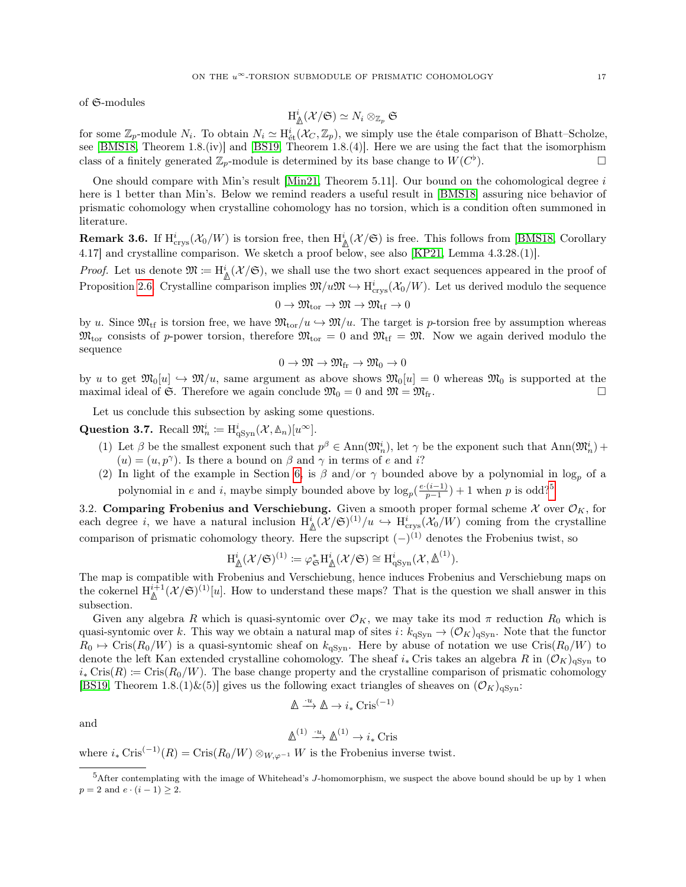of S-modules

$$
\mathrm{H}^{i}_{\underline{\Lambda}}(\mathcal{X}/\mathfrak{S})\simeq N_{i}\otimes_{\mathbb{Z}_p}\mathfrak{S}
$$

for some  $\mathbb{Z}_p$ -module  $N_i$ . To obtain  $N_i \simeq H^i_{\text{\'et}}(\mathcal{X}_C, \mathbb{Z}_p)$ , we simply use the étale comparison of Bhatt–Scholze, see [\[BMS18,](#page-50-1) Theorem 1.8.(iv)] and [\[BS19,](#page-50-3) Theorem 1.8.(4)]. Here we are using the fact that the isomorphism class of a finitely generated  $\mathbb{Z}_p$ -module is determined by its base change to  $W(C^{\flat})$  $\Box$ 

One should compare with Min's result [\[Min21,](#page-51-2) Theorem 5.11]. Our bound on the cohomological degree  $i$ here is 1 better than Min's. Below we remind readers a useful result in [\[BMS18\]](#page-50-1) assuring nice behavior of prismatic cohomology when crystalline cohomology has no torsion, which is a condition often summoned in literature.

<span id="page-16-3"></span>**Remark 3.6.** If  $H_{\text{crys}}^i(\mathcal{X}_0/W)$  is torsion free, then  $H^i_{\mathbb{A}}(\mathcal{X}/\mathfrak{S})$  is free. This follows from [\[BMS18,](#page-50-1) Corollary 4.17] and crystalline comparison. We sketch a proof below, see also [\[KP21,](#page-51-15) Lemma 4.3.28.(1)].

*Proof.* Let us denote  $\mathfrak{M} := \mathrm{H}^i_{\mathbb{A}}(\mathcal{X}/\mathfrak{S})$ , we shall use the two short exact sequences appeared in the proof of Proposition [2.6.](#page-7-1) Crystalline comparison implies  $\mathfrak{M}/u\mathfrak{M} \hookrightarrow H_{\text{crys}}^i(\mathcal{X}_0/W)$ . Let us derived modulo the sequence

$$
0\to \mathfrak{M}_{\mathrm{tor}}\to \mathfrak{M}\to \mathfrak{M}_{\mathrm{tf}}\to 0
$$

by u. Since  $\mathfrak{M}_{\text{tf}}$  is torsion free, we have  $\mathfrak{M}_{\text{tor}}/u \hookrightarrow \mathfrak{M}/u$ . The target is p-torsion free by assumption whereas  $\mathfrak{M}_{\text{tor}}$  consists of p-power torsion, therefore  $\mathfrak{M}_{\text{tor}} = 0$  and  $\mathfrak{M}_{\text{tf}} = \mathfrak{M}$ . Now we again derived modulo the sequence

$$
0 \to \mathfrak{M} \to \mathfrak{M}_{\mathrm{fr}} \to \mathfrak{M}_0 \to 0
$$

by u to get  $\mathfrak{M}_0[u] \hookrightarrow \mathfrak{M}/u$ , same argument as above shows  $\mathfrak{M}_0[u] = 0$  whereas  $\mathfrak{M}_0$  is supported at the maximal ideal of G. Therefore we again conclude  $\mathfrak{M}_0 = 0$  and  $\mathfrak{M} = \mathfrak{M}_{\text{fr}}$ .

Let us conclude this subsection by asking some questions.

<span id="page-16-1"></span>Question 3.7. Recall  $\mathfrak{M}_n^i := \mathrm{H}^i_{\mathrm{qSyn}}(\mathcal{X}, \mathbb{A}_n)[u^\infty].$ 

- (1) Let  $\beta$  be the smallest exponent such that  $p^{\beta} \in Ann(\mathfrak{M}_n^i)$ , let  $\gamma$  be the exponent such that  $Ann(\mathfrak{M}_n^i)$  +  $(u) = (u, p^{\gamma})$ . Is there a bound on  $\beta$  and  $\gamma$  in terms of e and i?
- (2) In light of the example in Section [6,](#page-44-0) is  $\beta$  and/or  $\gamma$  bounded above by a polynomial in log<sub>p</sub> of a polynomial in e and i, maybe simply bounded above by  $\log_p(\frac{e \cdot (i-1)}{p-1})$  $\frac{(i-1)}{p-1}$  + 1 when p is odd?<sup>[5](#page-16-2)</sup>

<span id="page-16-0"></span>3.2. Comparing Frobenius and Verschiebung. Given a smooth proper formal scheme  $\mathcal X$  over  $\mathcal O_K$ , for each degree *i*, we have a natural inclusion  $H^i_{\mathbb{A}}(\mathcal{X}/\mathfrak{S})^{(1)}/u \hookrightarrow H^i_{\text{crys}}(\mathcal{X}_0/W)$  coming from the crystalline comparison of prismatic cohomology theory. Here the supscript  $(-)^{(1)}$  denotes the Frobenius twist, so

$$
H^i_{\underline{\mathbb{A}}}(\mathcal{X}/\mathfrak{S})^{(1)} \coloneqq \varphi_{\mathfrak{S}}^* H^i_{\underline{\mathbb{A}}}(\mathcal{X}/\mathfrak{S}) \cong H^i_{qSym}(\mathcal{X}, \underline{\mathbb{A}}^{(1)}).
$$

The map is compatible with Frobenius and Verschiebung, hence induces Frobenius and Verschiebung maps on the cokernel  $H^{i+1}(\mathcal{X}/\mathfrak{S})^{(1)}[u]$ . How to understand these maps? That is the question we shall answer in this subsection.

Given any algebra R which is quasi-syntomic over  $\mathcal{O}_K$ , we may take its mod  $\pi$  reduction  $R_0$  which is quasi-syntomic over k. This way we obtain a natural map of sites  $i: k_{qSyn} \to (\mathcal{O}_K)_{qSyn}$ . Note that the functor  $R_0 \mapsto \text{Cris}(R_0/W)$  is a quasi-syntomic sheaf on  $k_{q\text{Syn}}$ . Here by abuse of notation we use  $\text{Cris}(R_0/W)$  to denote the left Kan extended crystalline cohomology. The sheaf  $i_*$  Cris takes an algebra R in  $(\mathcal{O}_K)_{qSyn}$  to  $i_{*}$  Cris $(R) \coloneqq \text{Cris}(R_0/W)$ . The base change property and the crystalline comparison of prismatic cohomology [\[BS19,](#page-50-3) Theorem 1.8.(1)&(5)] gives us the following exact triangles of sheaves on  $(\mathcal{O}_K)_{q\text{Syn}}$ :

$$
\mathbb{A} \xrightarrow{\cdot u} \mathbb{A} \to i_* \operatorname{Cris}^{(-1)}
$$

and

$$
\mathbb{A}^{(1)} \xrightarrow{\cdot u} \mathbb{A}^{(1)} \to i_* \operatorname{Cris}
$$

where  $i_* \text{Cris}^{(-1)}(R) = \text{Cris}(R_0/W) \otimes_{W,\varphi^{-1}} W$  is the Frobenius inverse twist.

<span id="page-16-4"></span><span id="page-16-2"></span> $5$ After contemplating with the image of Whitehead's J-homomorphism, we suspect the above bound should be up by 1 when  $p = 2$  and  $e \cdot (i - 1) \geq 2$ .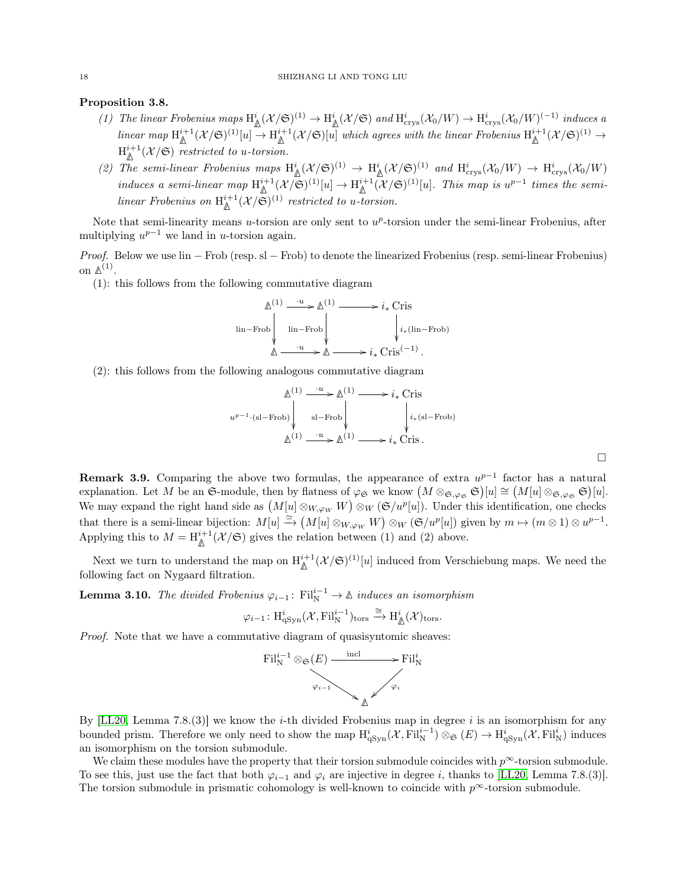## Proposition 3.8.

- (1) The linear Frobenius maps  $\mathrm{H}^i_{\mathbb{A}}(\mathcal{X}/\mathfrak{S})^{(1)} \to \mathrm{H}^i_{\mathbb{A}}(\mathcal{X}/\mathfrak{S})$  and  $\mathrm{H}^i_{\text{crys}}(\mathcal{X}_0/W) \to \mathrm{H}^i_{\text{crys}}(\mathcal{X}_0/W)^{(-1)}$  induces a  $\lim_{\Delta} \lim_{\Delta} \mathcal{H}^{i+1}(\mathcal{X}/\mathfrak{S})^{(1)}[u] \rightarrow \text{H}^{i+1}(\mathcal{X}/\mathfrak{S})[u]$  which agrees with the linear Frobenius  $\text{H}^{i+1}(\mathcal{X}/\mathfrak{S})^{(1)} \rightarrow$  $\mathrm{H}^{i+1}_{\mathbb{A}}(\mathcal{X}/\mathfrak{S})$  restricted to u-torsion.
- (2) The semi-linear Frobenius maps  $\text{H}^i_{\mathbb{A}}(\mathcal{X}/\mathfrak{S})^{(1)} \to \text{H}^i_{\mathbb{A}}(\mathcal{X}/\mathfrak{S})^{(1)}$  and  $\text{H}^i_{\text{crys}}(\mathcal{X}_0/W) \to \text{H}^i_{\text{crys}}(\mathcal{X}_0/W)$ induces a semi-linear map  $\mathrm{H}^{i+1}_{\mathbb{A}}(\mathcal{X}/\mathfrak{S})^{(1)}[u] \to \mathrm{H}^{i+1}_{\mathbb{A}}(\mathcal{X}/\mathfrak{S})^{(1)}[u]$ . This map is  $u^{p-1}$  times the semilinear Frobenius on  $H^{i+1}_{\mathbb{A}}(\mathcal{X}/\mathfrak{S})^{(1)}$  restricted to u-torsion.

Note that semi-linearity means  $u$ -torsion are only sent to  $u^p$ -torsion under the semi-linear Frobenius, after multiplying  $u^{p-1}$  we land in u-torsion again.

Proof. Below we use lin – Frob (resp. sl – Frob) to denote the linearized Frobenius (resp. semi-linear Frobenius) on **∆** (1) .

(1): this follows from the following commutative diagram

$$
\Delta^{(1)} \xrightarrow{\cdot u} \Delta^{(1)} \longrightarrow i_* \text{ Cris}
$$
\n
$$
\lim-\text{Frob}\downarrow \qquad \qquad i_* (\text{lin}-\text{Frob})
$$
\n
$$
\Delta \xrightarrow{\cdot u} \Delta \longrightarrow i_* \text{Cris}^{(-1)}.
$$

(2): this follows from the following analogous commutative diagram

$$
\mathbb{A}^{(1)} \xrightarrow{u} \mathbb{A}^{(1)} \longrightarrow i_* \text{ Cris}
$$
\n
$$
u^{p-1} \cdot (\text{sl-Frob}) \downarrow \text{sl-Frob} \downarrow \qquad \qquad i_* (\text{sl-Frob})
$$
\n
$$
\mathbb{A}^{(1)} \xrightarrow{u} \mathbb{A}^{(1)} \longrightarrow i_* \text{Cris}.
$$

 $\Box$ 

**Remark 3.9.** Comparing the above two formulas, the appearance of extra  $u^{p-1}$  factor has a natural explanation. Let M be an  $\mathfrak{S}\text{-module}$ , then by flatness of  $\varphi_{\mathfrak{S}}$  we know  $(M \otimes_{\mathfrak{S}, \varphi_{\mathfrak{S}}} \mathfrak{S})[u] \cong (M[u] \otimes_{\mathfrak{S}, \varphi_{\mathfrak{S}}} \mathfrak{S})[u]$ . We may expand the right hand side as  $(M[u] \otimes_{W,\varphi_W} W) \otimes_W (\mathfrak{S}/u^p[u])$ . Under this identification, one checks that there is a semi-linear bijection:  $M[u] \stackrel{\simeq}{\to} (M[u] \otimes_{W,\varphi_W} W) \otimes_W (\mathfrak{S}/u^p[u])$  given by  $m \mapsto (m \otimes 1) \otimes u^{p-1}$ . Applying this to  $M = H_{\mathbb{A}}^{i+1}(\mathcal{X}/\mathfrak{S})$  gives the relation between (1) and (2) above.

Next we turn to understand the map on  $\text{H}^{i+1}_{\mathbb{A}}(\mathcal{X}/\mathfrak{S})^{(1)}[u]$  induced from Verschiebung maps. We need the following fact on Nygaard filtration.

<span id="page-17-0"></span>Lemma 3.10. The divided Frobenius  $\varphi_{i-1}$ : Fil<sup>i-1</sup> → ∆ induces an isomorphism

$$
\varphi_{i-1}\colon \mathrm{H}^i_{\mathrm{qSyn}}(\mathcal{X}, \mathrm{Fil}_\mathrm{N}^{i-1})_{\mathrm{tors}}\xrightarrow{\cong} \mathrm{H}^i_\mathbb{A}(\mathcal{X})_{\mathrm{tors}}.
$$

Proof. Note that we have a commutative diagram of quasisyntomic sheaves:



By  $[LL20, Lemma 7.8.3]$  $[LL20, Lemma 7.8.3]$  we know the *i*-th divided Frobenius map in degree *i* is an isomorphism for any bounded prism. Therefore we only need to show the map  $H_{\text{qSyn}}^i(\mathcal{X}, \text{Fil}_N^{i-1}) \otimes_{\mathfrak{S}} (E) \to H_{\text{qSyn}}^i(\mathcal{X}, \text{Fil}_N^i)$  induces an isomorphism on the torsion submodule.

We claim these modules have the property that their torsion submodule coincides with  $p^{\infty}$ -torsion submodule. To see this, just use the fact that both  $\varphi_{i-1}$  and  $\varphi_i$  are injective in degree i, thanks to [\[LL20,](#page-51-7) Lemma 7.8.(3)]. The torsion submodule in prismatic cohomology is well-known to coincide with  $p^{\infty}$ -torsion submodule.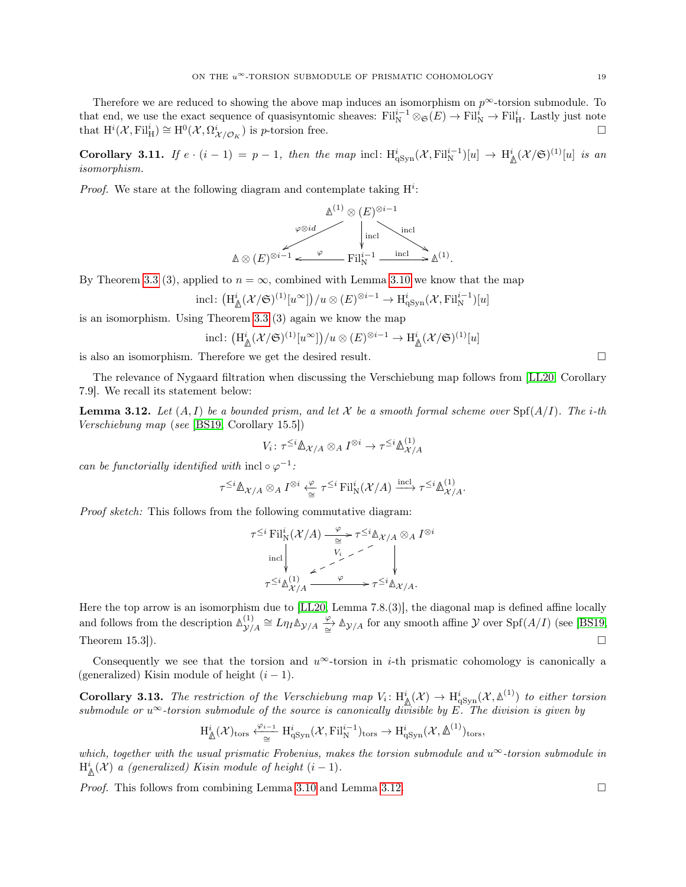Therefore we are reduced to showing the above map induces an isomorphism on  $p^{\infty}$ -torsion submodule. To that end, we use the exact sequence of quasisyntomic sheaves:  $\mathrm{Fil}_{\mathrm{N}}^{i-1} \otimes_{\mathfrak{S}} (E) \to \mathrm{Fil}_{\mathrm{N}}^{i} \to \mathrm{Fil}_{\mathrm{H}}^{i}$ . Lastly just note that  $\mathrm{H}^i(\mathcal{X}, \mathrm{Fil}_{\mathrm{H}}^i) \cong \mathrm{H}^0(\mathcal{X}, \Omega_{\mathcal{X}/\mathcal{O}_K}^i)$  is *p*-torsion free.

<span id="page-18-2"></span>Corollary 3.11. If  $e \cdot (i-1) = p-1$ , then the map incl:  $H^i_{qSym}(X, Fil_N^{i-1})[u] \to H^i_{\mathbb{A}}(\mathcal{X}/\mathfrak{S})^{(1)}[u]$  is an isomorphism.

*Proof.* We stare at the following diagram and contemplate taking  $H^i$ :

$$
\mathbb{A}^{(1)} \otimes (E)^{\otimes i-1}
$$
\n
$$
\downarrow \text{incl}
$$
\n
$$
\mathbb{A} \otimes (E)^{\otimes i-1} \longleftarrow \text{Fil}_{\mathcal{N}}^{i-1} \xrightarrow{\text{incl}} \mathbb{A}^{(1)}.
$$

By Theorem [3.3](#page-14-0) (3), applied to  $n = \infty$ , combined with Lemma [3.10](#page-17-0) we know that the map

$$
\text{incl}\colon \big(\text{H}^i_{\mathbb{A}}(\mathcal{X}/\mathfrak{S})^{(1)}[u^{\infty}]\big)/u \otimes (E)^{\otimes i-1} \to \text{H}^i_{\text{qSyn}}(\mathcal{X}, \text{Fil}^{i-1}_{\text{N}})[u]
$$

is an isomorphism. Using Theorem [3.3](#page-14-0) (3) again we know the map

incl: 
$$
(\mathrm{H}^i_{\mathbb{A}}(\mathcal{X}/\mathfrak{S})^{(1)}[u^{\infty}])/u \otimes (E)^{\otimes i-1} \to \mathrm{H}^i_{\mathbb{A}}(\mathcal{X}/\mathfrak{S})^{(1)}[u]
$$

is also an isomorphism. Therefore we get the desired result.

The relevance of Nygaard filtration when discussing the Verschiebung map follows from [\[LL20,](#page-51-7) Corollary 7.9]. We recall its statement below:

<span id="page-18-1"></span>**Lemma 3.12.** Let  $(A, I)$  be a bounded prism, and let X be a smooth formal scheme over  $\text{Spf}(A/I)$ . The i-th Verschiebung map (see [\[BS19,](#page-50-3) Corollary 15.5])

$$
V_i: \tau^{\leq i} \mathbb{A}_{\mathcal{X}/A} \otimes_A I^{\otimes i} \to \tau^{\leq i} \mathbb{A}_{\mathcal{X}/A}^{(1)}
$$

can be functorially identified with incl  $\circ \varphi^{-1}$ :

$$
\tau^{\leq i}\mathbb{A}_{\mathcal{X}/A} \otimes_A I^{\otimes i} \xleftarrow{\varphi} \tau^{\leq i} \textnormal{Fil}^i_N(\mathcal{X}/A) \xrightarrow{\textnormal{incl}} \tau^{\leq i}\mathbb{A}_{\mathcal{X}/A}^{(1)}.
$$

Proof sketch: This follows from the following commutative diagram:

$$
\tau^{\leq i} \operatorname{Fil}^i_N(\mathcal{X}/A) \xrightarrow[\cong]{\varphi} \tau^{\leq i} \mathbb{A}_{\mathcal{X}/A} \otimes_A I^{\otimes i}
$$
  
and  

$$
\downarrow \qquad V_i
$$
  

$$
\tau^{\leq i} \mathbb{A}_{\mathcal{X}/A}^{(1)} \xrightarrow{\varphi} \tau^{\leq i} \mathbb{A}_{\mathcal{X}/A}.
$$

Here the top arrow is an isomorphism due to [\[LL20,](#page-51-7) Lemma 7.8.(3)], the diagonal map is defined affine locally and follows from the description  $\mathbb{A}^{(1)}_{\mathcal{N}}$  $\sum_{\mathcal{Y}/A}^{(1)} \cong L \eta_I \Delta_{\mathcal{Y}/A} \xrightarrow{\varphi} \Delta_{\mathcal{Y}/A}$  for any smooth affine  $\mathcal Y$  over Spf(A/I) (see [\[BS19,](#page-50-3) Theorem 15.3]).

Consequently we see that the torsion and  $u^{\infty}$ -torsion in *i*-th prismatic cohomology is canonically a (generalized) Kisin module of height  $(i - 1)$ .

<span id="page-18-0"></span>**Corollary 3.13.** The restriction of the Verschiebung map  $V_i: H^i_{\mathbb{A}}(\mathcal{X}) \to H^i_{\text{dSym}}(\mathcal{X}, \mathbb{A}^{(1)})$  to either torsion submodule or  $u^{\infty}$ -torsion submodule of the source is canonically divisible by E. The division is given by

$$
\mathrm{H}^{i}_{\underline{\mathbb{A}}}(\mathcal{X})_{\mathrm{tors}} \xleftarrow[\cong]{\varphi_{i-1}} \mathrm{H}^{i}_{\mathrm{qSyn}}(\mathcal{X}, \mathrm{Fil}^{i-1}_{\mathrm{N}})_{\mathrm{tors}} \to \mathrm{H}^{i}_{\mathrm{qSyn}}(\mathcal{X}, \underline{\mathbb{A}}^{(1)})_{\mathrm{tors}},
$$

which, together with the usual prismatic Frobenius, makes the torsion submodule and  $u^{\infty}$ -torsion submodule in  $\mathrm{H}^{i}_{\mathbb{A}}(\mathcal{X})$  a (generalized) Kisin module of height  $(i-1)$ .

*Proof.* This follows from combining Lemma [3.10](#page-17-0) and Lemma [3.12.](#page-18-1)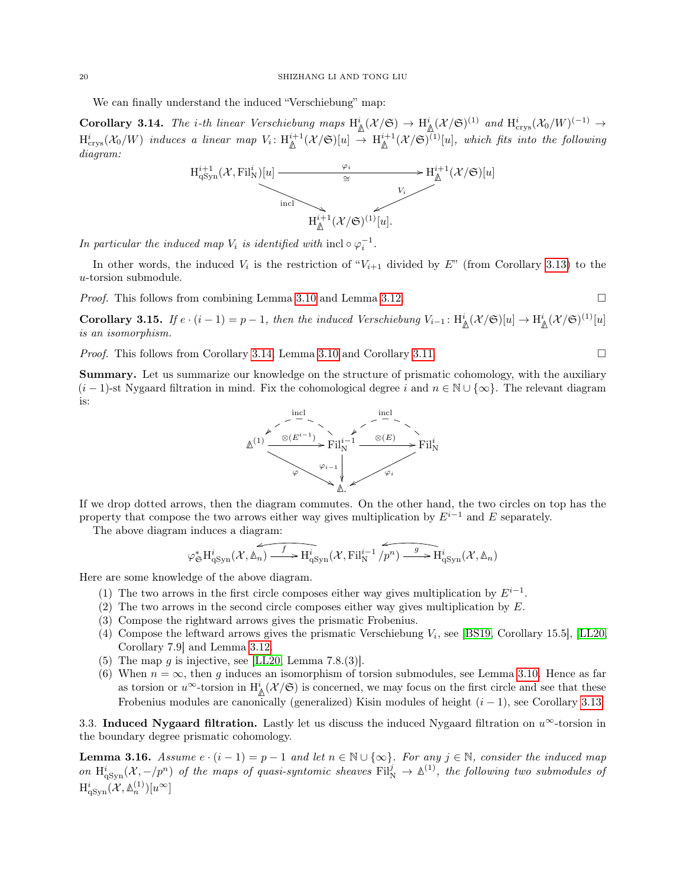We can finally understand the induced "Verschiebung" map:

<span id="page-19-1"></span>Corollary 3.14. The *i*-th linear Verschiebung maps  $H^i_{\mathbb{A}}(\mathcal{X}/\mathfrak{S}) \to H^i_{\mathbb{A}}(\mathcal{X}/\mathfrak{S})^{(1)}$  and  $H^i_{\text{crys}}(\mathcal{X}_0/W)^{(-1)} \to$  $\mathrm{H}^i_\mathrm{crys}(\mathcal{X}_0/W)$  induces a linear map  $V_i: \mathrm{H}^{i+1}_\mathbb{A}(\mathcal{X}/\mathfrak{S})[u] \to \mathrm{H}^{i+1}_\mathbb{A}(\mathcal{X}/\mathfrak{S})^{(1)}[u]$ , which fits into the following diagram:



In particular the induced map  $V_i$  is identified with  $\text{incl}\circ \varphi_i^{-1}$ .

In other words, the induced  $V_i$  is the restriction of " $V_{i+1}$  divided by E" (from Corollary [3.13\)](#page-18-0) to the u-torsion submodule.

*Proof.* This follows from combining Lemma [3.10](#page-17-0) and Lemma [3.12.](#page-18-1)

<span id="page-19-2"></span>**Corollary 3.15.** If  $e \cdot (i-1) = p-1$ , then the induced Verschiebung  $V_{i-1} : H^i_{\mathbb{A}}(\mathcal{X}/\mathfrak{S})[u] \to H^i_{\mathbb{A}}(\mathcal{X}/\mathfrak{S})^{(1)}[u]$ is an isomorphism.

*Proof.* This follows from Corollary [3.14,](#page-19-1) Lemma [3.10](#page-17-0) and Corollary [3.11.](#page-18-2)

Summary. Let us summarize our knowledge on the structure of prismatic cohomology, with the auxiliary  $(i-1)$ -st Nygaard filtration in mind. Fix the cohomological degree i and  $n \in \mathbb{N} \cup \{\infty\}$ . The relevant diagram is:



If we drop dotted arrows, then the diagram commutes. On the other hand, the two circles on top has the property that compose the two arrows either way gives multiplication by  $E^{i-1}$  and E separately.

The above diagram induces a diagram:

$$
\varphi_{\mathfrak{S}}^*\mathrm{H}^i_{\mathrm{qSyn}}(\mathcal{X},\mathbb{A}_n) \xrightarrow{f} \mathrm{H}^i_{\mathrm{qSyn}}(\mathcal{X},\mathrm{Fil}^{i-1}_\mathrm{N}/p^n) \xrightarrow{g} \mathrm{H}^i_{\mathrm{qSyn}}(\mathcal{X},\mathbb{A}_n)
$$

Here are some knowledge of the above diagram.

- (1) The two arrows in the first circle composes either way gives multiplication by  $E^{i-1}$ .
- (2) The two arrows in the second circle composes either way gives multiplication by  $E$ .
- (3) Compose the rightward arrows gives the prismatic Frobenius.
- (4) Compose the leftward arrows gives the prismatic Verschiebung  $V_i$ , see [\[BS19,](#page-50-3) Corollary 15.5], [\[LL20,](#page-51-7) Corollary 7.9] and Lemma [3.12.](#page-18-1)
- (5) The map g is injective, see [\[LL20,](#page-51-7) Lemma 7.8.(3)].
- (6) When  $n = \infty$ , then g induces an isomorphism of torsion submodules, see Lemma [3.10.](#page-17-0) Hence as far as torsion or  $u^{\infty}$ -torsion in  $H^i_{\mathbb{A}}(\mathcal{X}/\mathfrak{S})$  is concerned, we may focus on the first circle and see that these Frobenius modules are canonically (generalized) Kisin modules of height  $(i - 1)$ , see Corollary [3.13.](#page-18-0)

<span id="page-19-0"></span>3.3. Induced Nygaard filtration. Lastly let us discuss the induced Nygaard filtration on  $u^{\infty}$ -torsion in the boundary degree prismatic cohomology.

**Lemma 3.16.** Assume  $e \cdot (i-1) = p-1$  and let  $n \in \mathbb{N} \cup \{\infty\}$ . For any  $j \in \mathbb{N}$ , consider the induced map on  $H^i_{q\text{Syn}}(\mathcal{X}, -p^n)$  of the maps of quasi-syntomic sheaves  $\text{Fil}^j_N \to \mathbb{A}^{(1)}$ , the following two submodules of  $\mathrm{H}^{i}_{\mathrm{qSyn}}(\mathcal{X},\mathbb{A}^{(1)}_{n})[u^{\infty}]$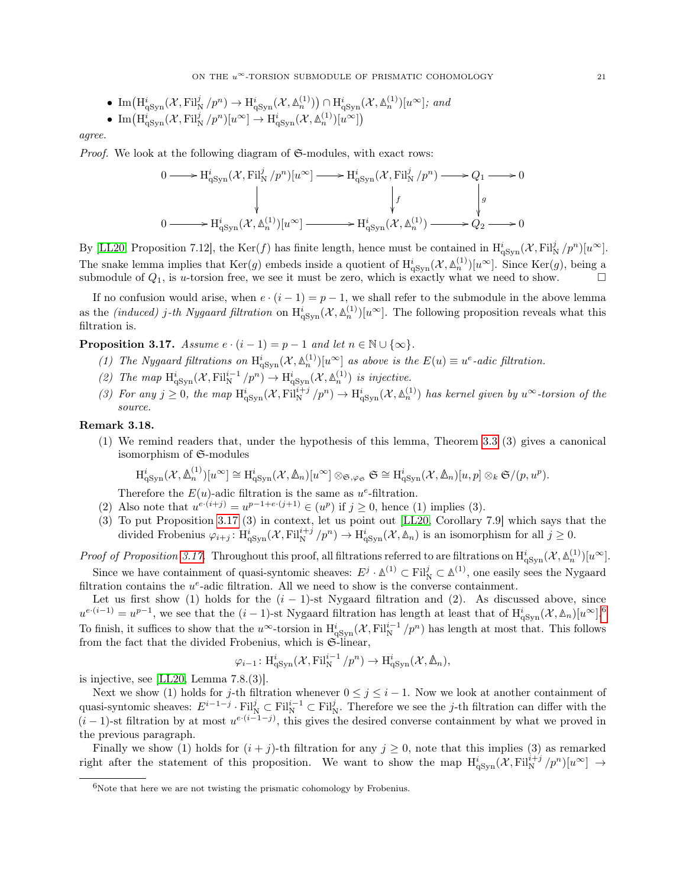• Im(
$$
H_{qSyn}^i(\mathcal{X}, Fil_N^j/p^n)
$$
  $\rightarrow$   $H_{qSyn}^i(\mathcal{X}, \mathbb{A}_n^{(1)})$ )  $\cap$   $H_{qSyn}^i(\mathcal{X}, \mathbb{A}_n^{(1)})[u^{\infty}]$ ; and

• 
$$
\text{Im}\left(\text{H}^i_{\text{qSyn}}(\mathcal{X}, \text{Fil}^j_N/p^n)[u^\infty] \to \text{H}^i_{\text{qSyn}}(\mathcal{X}, \mathbb{A}^{(1)}_n)[u^\infty]\right)
$$

agree.

*Proof.* We look at the following diagram of  $\mathfrak{S}\text{-modules}$ , with exact rows:

$$
\begin{array}{ccc}\n0 & \longrightarrow \mathrm{H}^{i}_{\mathrm{qSyn}}(\mathcal{X}, \mathrm{Fil}^{j}_{\mathrm{N}}/p^{n})[u^{\infty}] & \longrightarrow \mathrm{H}^{i}_{\mathrm{qSyn}}(\mathcal{X}, \mathrm{Fil}^{j}_{\mathrm{N}}/p^{n}) \longrightarrow Q_{1} \longrightarrow 0 \\
& & \Big\downarrow f & & \Big\downarrow g \\
0 & \longrightarrow \mathrm{H}^{i}_{\mathrm{qSyn}}(\mathcal{X}, \mathbb{A}^{(1)}_{n})[u^{\infty}] & \longrightarrow \mathrm{H}^{i}_{\mathrm{qSyn}}(\mathcal{X}, \mathbb{A}^{(1)}_{n}) \longrightarrow Q_{2} \longrightarrow 0\n\end{array}
$$

By [\[LL20,](#page-51-7) Proposition 7.12], the Ker(f) has finite length, hence must be contained in  $H^i_{qSym}(\mathcal{X}, Fil^j_N/p^n)[u^{\infty}]$ . The snake lemma implies that  $\text{Ker}(g)$  embeds inside a quotient of  $H^i_{q\text{Syn}}(\mathcal{X}, \mathbb{A}^{(1)}_n)[u^\infty]$ . Since  $\text{Ker}(g)$ , being a submodule of  $Q_1$ , is u-torsion free, we see it must be zero, which is exactly what we need to show.

If no confusion would arise, when  $e \cdot (i-1) = p-1$ , we shall refer to the submodule in the above lemma as the *(induced)* j-th Nygaard filtration on  $H^i_{qSym}(\mathcal{X}, \mathbb{A}_n^{(1)})[u^\infty]$ . The following proposition reveals what this filtration is.

<span id="page-20-0"></span>**Proposition 3.17.** Assume  $e \cdot (i-1) = p-1$  and let  $n \in \mathbb{N} \cup \{\infty\}.$ 

- (1) The Nygaard filtrations on  $H^i_{qSym}(\mathcal{X}, \mathbb{A}_n^{(1)})[u^\infty]$  as above is the  $E(u) \equiv u^e$ -adic filtration.
- (2) The map  $\mathrm{H}^{i}_{\mathrm{qSyn}}(\mathcal{X}, \mathrm{Fil}^{i-1}_{\mathrm{N}}/p^n) \to \mathrm{H}^{i}_{\mathrm{qSyn}}(\mathcal{X}, \mathbb{A}^{(1)}_n)$  is injective.
- (3) For any  $j \geq 0$ , the map  $\mathrm{H}^{i}_{\mathrm{qSyn}}(\mathcal{X}, \mathrm{Fil}^{i+j}_{\mathrm{N}}/p^n) \to \mathrm{H}^{i}_{\mathrm{qSyn}}(\mathcal{X}, \mathbb{A}^{(1)}_n)$  has kernel given by  $u^{\infty}$ -torsion of the source.

## Remark 3.18.

(1) We remind readers that, under the hypothesis of this lemma, Theorem [3.3](#page-14-0) (3) gives a canonical isomorphism of S-modules

$$
\mathrm{H}^i_{\mathrm{qSyn}}(\mathcal{X},\mathbb{A}_n^{(1)})[u^{\infty}] \cong \mathrm{H}^i_{\mathrm{qSyn}}(\mathcal{X},\mathbb{A}_n)[u^{\infty}] \otimes_{\mathfrak{S},\varphi_{\mathfrak{S}}} \mathfrak{S} \cong \mathrm{H}^i_{\mathrm{qSyn}}(\mathcal{X},\mathbb{A}_n)[u,p] \otimes_k \mathfrak{S}/(p,u^p).
$$

Therefore the  $E(u)$ -adic filtration is the same as  $u^e$ -filtration.

- (2) Also note that  $u^{e \cdot (i+j)} = u^{p-1+e \cdot (j+1)} \in (u^p)$  if  $j \ge 0$ , hence (1) implies (3).
- (3) To put Proposition [3.17](#page-20-0) (3) in context, let us point out [\[LL20,](#page-51-7) Corollary 7.9] which says that the divided Frobenius  $\varphi_{i+j} : H^i_{qSym}(\mathcal{X}, \mathrm{Fil}^{i+j}_{N}/p^n) \to H^i_{qSym}(\mathcal{X}, \mathbb{A}_n)$  is an isomorphism for all  $j \geq 0$ .

Proof of Proposition [3.17.](#page-20-0) Throughout this proof, all filtrations referred to are filtrations on  $H^i_{qSym}(X, \mathbb{A}^{(1)}_n)[u^\infty]$ . Since we have containment of quasi-syntomic sheaves:  $E^j \cdot \mathbb{A}^{(1)} \subset \text{Fil}^j_{\mathbb{N}} \subset \mathbb{A}^{(1)}$ , one easily sees the Nygaard filtration contains the  $u^e$ -adic filtration. All we need to show is the converse containment.

Let us first show (1) holds for the  $(i - 1)$ -st Nygaard filtration and (2). As discussed above, since  $u^{e \cdot (i-1)} = u^{p-1}$ , we see that the  $(i-1)$ -st Nygaard filtration has length at least that of  $\mathrm{H}^{i}_{q}$ <sub>Syn</sub> $(\mathcal{X}, \mathbb{A}_n)[u^{\infty}]$ .<sup>[6](#page-20-1)</sup> To finish, it suffices to show that the u<sup>∞</sup>-torsion in  $H^i_{qSym}(\mathcal{X}, Fil_N^{i-1}/p^n)$  has length at most that. This follows from the fact that the divided Frobenius, which is  $\mathfrak{S}\text{-linear}$ .

$$
\varphi_{i-1} : \mathrm{H}^i_{\mathrm{qSyn}}(\mathcal{X}, \mathrm{Fil}^{i-1}_{\mathrm{N}}/p^n) \to \mathrm{H}^i_{\mathrm{qSyn}}(\mathcal{X}, \mathbb{A}_n),
$$

is injective, see [\[LL20,](#page-51-7) Lemma 7.8.(3)].

Next we show (1) holds for j-th filtration whenever  $0 \leq j \leq i - 1$ . Now we look at another containment of quasi-syntomic sheaves:  $E^{i-1-j} \cdot \mathrm{Fil}^j_{\mathrm{N}} \subset \mathrm{Fil}^{i-1}_{\mathrm{N}} \subset \mathrm{Fil}^j_{\mathrm{N}}$ . Therefore we see the j-th filtration can differ with the  $(i-1)$ -st filtration by at most  $u^{e(i-1-j)}$ , this gives the desired converse containment by what we proved in the previous paragraph.

Finally we show (1) holds for  $(i + j)$ -th filtration for any  $j \ge 0$ , note that this implies (3) as remarked right after the statement of this proposition. We want to show the map  $H^i_{qSym}(\mathcal{X}, Fil_N^{i+j}/p^n)[u^\infty] \to$ 

<span id="page-20-1"></span> $^6\!$  Note that here we are not twisting the prismatic cohomology by Frobenius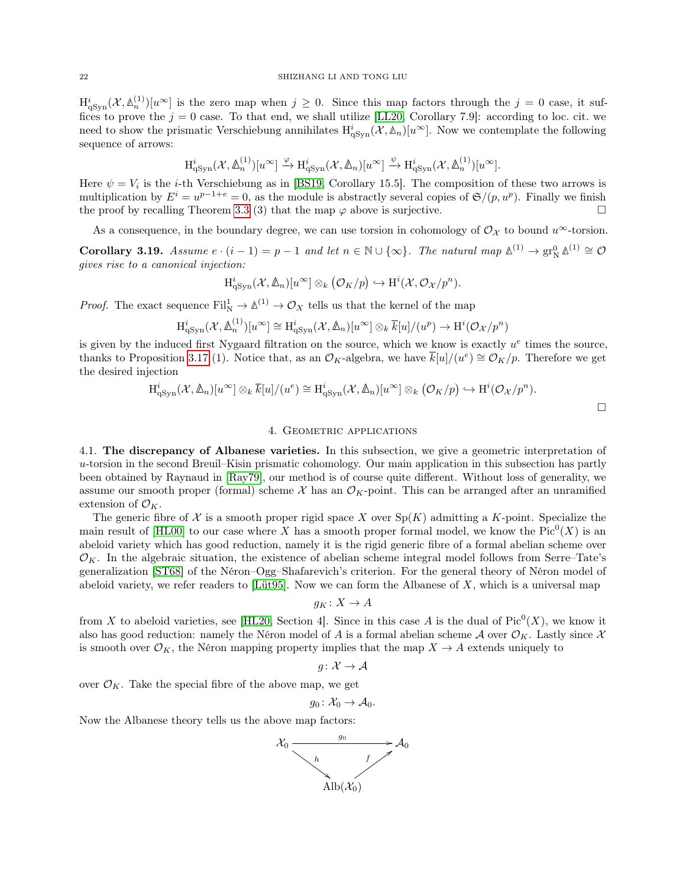$\mathrm{H}^{i}_{\mathrm{qSyn}}(\mathcal{X},\mathbb{A}_n^{(1)})[u^{\infty}]$  is the zero map when  $j\geq 0$ . Since this map factors through the  $j=0$  case, it suffices to prove the  $j = 0$  case. To that end, we shall utilize [\[LL20,](#page-51-7) Corollary 7.9]: according to loc. cit. we need to show the prismatic Verschiebung annihilates  $H^i_{qSyn}(\mathcal{X}, \mathbb{A}_n)[u^\infty]$ . Now we contemplate the following sequence of arrows:

$$
H^i_{qSyn}(\mathcal{X}, \Delta_n^{(1)})[u^{\infty}] \xrightarrow{\varphi} H^i_{qSyn}(\mathcal{X}, \Delta_n)[u^{\infty}] \xrightarrow{\psi} H^i_{qSyn}(\mathcal{X}, \Delta_n^{(1)})[u^{\infty}].
$$

Here  $\psi = V_i$  is the *i*-th Verschiebung as in [\[BS19,](#page-50-3) Corollary 15.5]. The composition of these two arrows is multiplication by  $E^i = u^{p-1+e} = 0$ , as the module is abstractly several copies of  $\mathfrak{S}/(p, u^p)$ . Finally we finish the proof by recalling Theorem [3.3](#page-14-0) (3) that the map  $\varphi$  above is surjective.

As a consequence, in the boundary degree, we can use torsion in cohomology of  $\mathcal{O}_{\mathcal{X}}$  to bound  $u^{\infty}$ -torsion.

<span id="page-21-2"></span>Corollary 3.19. Assume  $e \cdot (i-1) = p-1$  and let  $n \in \mathbb{N} \cup \{\infty\}$ . The natural map  $\mathbb{A}^{(1)} \to \text{gr}_{\mathbb{N}}^0 \mathbb{A}^{(1)} \cong \mathcal{O}$ gives rise to a canonical injection:

$$
H^i_{\mathrm{qSyn}}(\mathcal{X}, \mathbb{A}_n)[u^{\infty}] \otimes_k (\mathcal{O}_K/p) \hookrightarrow H^i(\mathcal{X}, \mathcal{O}_{\mathcal{X}}/p^n).
$$

*Proof.* The exact sequence  $\text{Fil}_{N}^{1} \to \mathbb{A}^{(1)} \to \mathcal{O}_{X}$  tells us that the kernel of the map

$$
H_{\mathrm{qSyn}}^i(\mathcal{X}, \mathbb{A}_n^{(1)})[u^{\infty}] \cong H_{\mathrm{qSyn}}^i(\mathcal{X}, \mathbb{A}_n)[u^{\infty}] \otimes_k \overline{k}[u]/(u^p) \to H^i(\mathcal{O}_{\mathcal{X}}/p^n)
$$

is given by the induced first Nygaard filtration on the source, which we know is exactly  $u^e$  times the source, thanks to Proposition [3.17](#page-20-0) (1). Notice that, as an  $\mathcal{O}_K$ -algebra, we have  $\overline{k}[u]/(u^e) \cong \mathcal{O}_K/p$ . Therefore we get the desired injection

$$
H_{\mathrm{qSyn}}^i(\mathcal{X}, \mathbb{A}_n)[u^{\infty}] \otimes_k \overline{k}[u]/(u^e) \cong H_{\mathrm{qSyn}}^i(\mathcal{X}, \mathbb{A}_n)[u^{\infty}] \otimes_k (\mathcal{O}_K/p) \hookrightarrow H^i(\mathcal{O}_{\mathcal{X}}/p^n).
$$

#### 4. GEOMETRIC APPLICATIONS

<span id="page-21-1"></span><span id="page-21-0"></span>4.1. The discrepancy of Albanese varieties. In this subsection, we give a geometric interpretation of u-torsion in the second Breuil–Kisin prismatic cohomology. Our main application in this subsection has partly been obtained by Raynaud in [\[Ray79\]](#page-51-1), our method is of course quite different. Without loss of generality, we assume our smooth proper (formal) scheme  $\mathcal X$  has an  $\mathcal O_K$ -point. This can be arranged after an unramified extension of  $\mathcal{O}_K$ .

The generic fibre of  $\mathcal X$  is a smooth proper rigid space X over  $\text{Sp}(K)$  admitting a K-point. Specialize the main result of  $[HL00]$  to our case where X has a smooth proper formal model, we know the  $Pic^0(X)$  is an abeloid variety which has good reduction, namely it is the rigid generic fibre of a formal abelian scheme over  $\mathcal{O}_K$ . In the algebraic situation, the existence of abelian scheme integral model follows from Serre–Tate's generalization [\[ST68\]](#page-51-17) of the Néron–Ogg–Shafarevich's criterion. For the general theory of Néron model of abeloid variety, we refer readers to [\[Lüt95\]](#page-51-18). Now we can form the Albanese of  $X$ , which is a universal map

$$
g_K\colon X\to A
$$

from X to abeloid varieties, see [\[HL20,](#page-51-19) Section 4]. Since in this case A is the dual of  $Pic^0(X)$ , we know it also has good reduction: namely the Néron model of A is a formal abelian scheme A over  $\mathcal{O}_K$ . Lastly since X is smooth over  $\mathcal{O}_K$ , the Néron mapping property implies that the map  $X \to A$  extends uniquely to

 $g: \mathcal{X} \to \mathcal{A}$ 

over  $\mathcal{O}_K$ . Take the special fibre of the above map, we get

$$
g_0\colon \mathcal{X}_0\to \mathcal{A}_0.
$$

Now the Albanese theory tells us the above map factors:

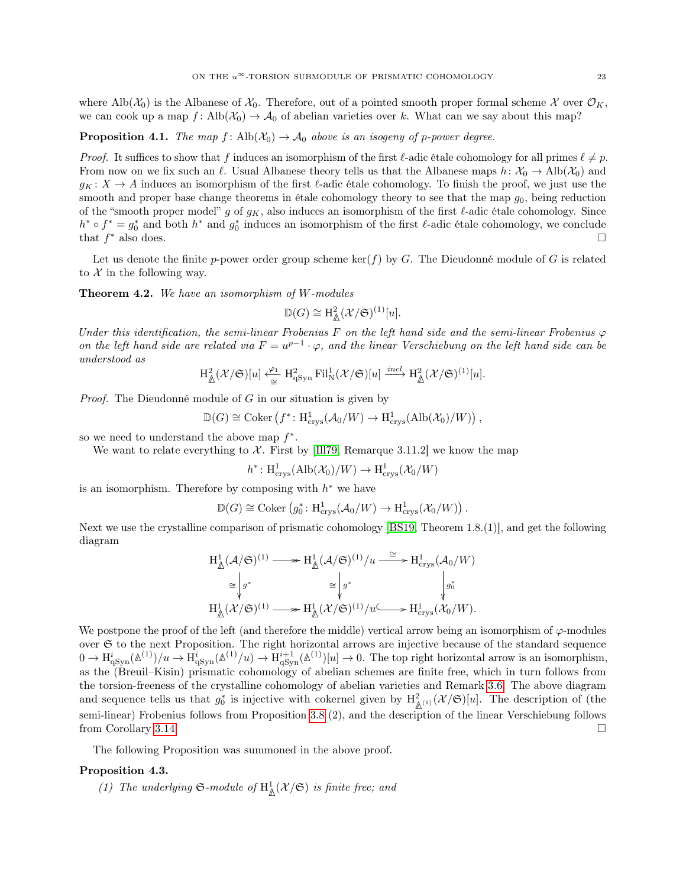where Alb $(\mathcal{X}_0)$  is the Albanese of  $\mathcal{X}_0$ . Therefore, out of a pointed smooth proper formal scheme X over  $\mathcal{O}_K$ , we can cook up a map f: Alb $(\mathcal{X}_0) \to \mathcal{A}_0$  of abelian varieties over k. What can we say about this map?

**Proposition 4.1.** The map  $f: \text{Alb}(\mathcal{X}_0) \to \mathcal{A}_0$  above is an isogeny of p-power degree.

*Proof.* It suffices to show that f induces an isomorphism of the first  $\ell$ -adic étale cohomology for all primes  $\ell \neq p$ . From now on we fix such an  $\ell$ . Usual Albanese theory tells us that the Albanese maps  $h: \mathcal{X}_0 \to \text{Alb}(\mathcal{X}_0)$  and  $g_K: X \to A$  induces an isomorphism of the first  $\ell$ -adic étale cohomology. To finish the proof, we just use the smooth and proper base change theorems in étale cohomology theory to see that the map  $g_0$ , being reduction of the "smooth proper model" g of  $g_K$ , also induces an isomorphism of the first  $\ell$ -adic étale cohomology. Since  $h^* \circ f^* = g_0^*$  and both  $h^*$  and  $g_0^*$  induces an isomorphism of the first  $\ell$ -adic étale cohomology, we conclude that  $f^*$  also does. <sup>∗</sup> also does.

Let us denote the finite p-power order group scheme ker(f) by G. The Dieudonné module of G is related to  $\mathcal X$  in the following way.

<span id="page-22-0"></span>Theorem 4.2. We have an isomorphism of W-modules

$$
\mathbb{D}(G) \cong \mathrm{H}^2_{\mathbb{A}}(\mathcal{X}/\mathfrak{S})^{(1)}[u].
$$

Under this identification, the semi-linear Frobenius F on the left hand side and the semi-linear Frobenius  $\varphi$ on the left hand side are related via  $F = u^{p-1} \cdot \varphi$ , and the linear Verschiebung on the left hand side can be understood as

$$
H^2_{\mathbb{A}}(\mathcal{X}/\mathfrak{S})[u] \xleftarrow{\varphi_1} H^2_{\mathrm{qSyn}} \mathrm{Fil}^1_{\mathrm{N}}(\mathcal{X}/\mathfrak{S})[u] \xrightarrow{incl} H^2_{\mathbb{A}}(\mathcal{X}/\mathfrak{S})^{(1)}[u].
$$

*Proof.* The Dieudonné module of  $G$  in our situation is given by

$$
\mathbb{D}(G) \cong \mathrm{Coker} \left( f^* \colon \mathrm{H}^1_{\mathrm{crys}}( \mathcal{A}_0/W) \to \mathrm{H}^1_{\mathrm{crys}}(\mathrm{Alb}(\mathcal{X}_0)/W) \right),
$$

so we need to understand the above map  $f^*$ .

We want to relate everything to  $\mathcal X$ . First by [\[Ill79,](#page-51-20) Remarque 3.11.2] we know the map

$$
h^*: \mathrm{H}^1_{\mathrm{crys}}(\mathrm{Alb}(\mathcal{X}_0)/W) \to \mathrm{H}^1_{\mathrm{crys}}(\mathcal{X}_0/W)
$$

is an isomorphism. Therefore by composing with  $h^*$  we have

 $\mathbb{D}(G) \cong \text{Coker} (g_0^* \colon \text{H}^1_{\text{crys}}(\mathcal{A}_0/W) \to \text{H}^1_{\text{crys}}(\mathcal{X}_0/W)).$ 

Next we use the crystalline comparison of prismatic cohomology [\[BS19,](#page-50-3) Theorem 1.8.(1)], and get the following diagram

$$
\begin{aligned} \mathrm{H}^1_{\underline{\mathbb{A}}}(\mathcal{A}/\mathfrak{S})^{(1)} &\longrightarrow \mathrm{H}^1_{\underline{\mathbb{A}}}(\mathcal{A}/\mathfrak{S})^{(1)}/u \stackrel{\cong}{\longrightarrow} \mathrm{H}^1_{\mathrm{crys}}(\mathcal{A}_0/W) \\ &\cong \begin{vmatrix} {} & {} & {} \\ {} & {} & {} \\ {} & {} & {} \end{vmatrix} g^* & \downarrow g^* & \downarrow g^* \\ \mathrm{H}^1_{\underline{\mathbb{A}}}(\mathcal{X}/\mathfrak{S})^{(1)} &\longrightarrow \mathrm{H}^1_{\underline{\mathbb{A}}}(\mathcal{X}/\mathfrak{S})^{(1)}/u \stackrel{\subset}{\longrightarrow} \mathrm{H}^1_{\mathrm{crys}}(\mathcal{X}_0/W). \end{aligned}
$$

We postpone the proof of the left (and therefore the middle) vertical arrow being an isomorphism of  $\varphi$ -modules over  $\mathfrak S$  to the next Proposition. The right horizontal arrows are injective because of the standard sequence  $0 \to \mathrm{H}^i_{\mathrm{qSyn}}(\mathbb{A}^{(1)})/u \to \mathrm{H}^i_{\mathrm{qSyn}}(\mathbb{A}^{(1)}/u) \to \mathrm{H}^{i+1}_{\mathrm{qSyn}}(\mathbb{A}^{(1)})[u] \to 0$ . The top right horizontal arrow is an isomorphism, as the (Breuil–Kisin) prismatic cohomology of abelian schemes are finite free, which in turn follows from the torsion-freeness of the crystalline cohomology of abelian varieties and Remark [3.6.](#page-16-3) The above diagram and sequence tells us that  $g_0^*$  is injective with cokernel given by  $H^2_{\mathbb{A}^{(1)}}(\mathcal{X}/\mathfrak{S})[u]$ . The description of (the semi-linear) Frobenius follows from Proposition [3.8](#page-16-4) (2), and the description of the linear Verschiebung follows from Corollary [3.14.](#page-19-1)

The following Proposition was summoned in the above proof.

#### Proposition 4.3.

(1) The underlying  $\mathfrak{S}\text{-module of } H^1_{\mathbb{A}}(\mathcal{X}/\mathfrak{S})$  is finite free; and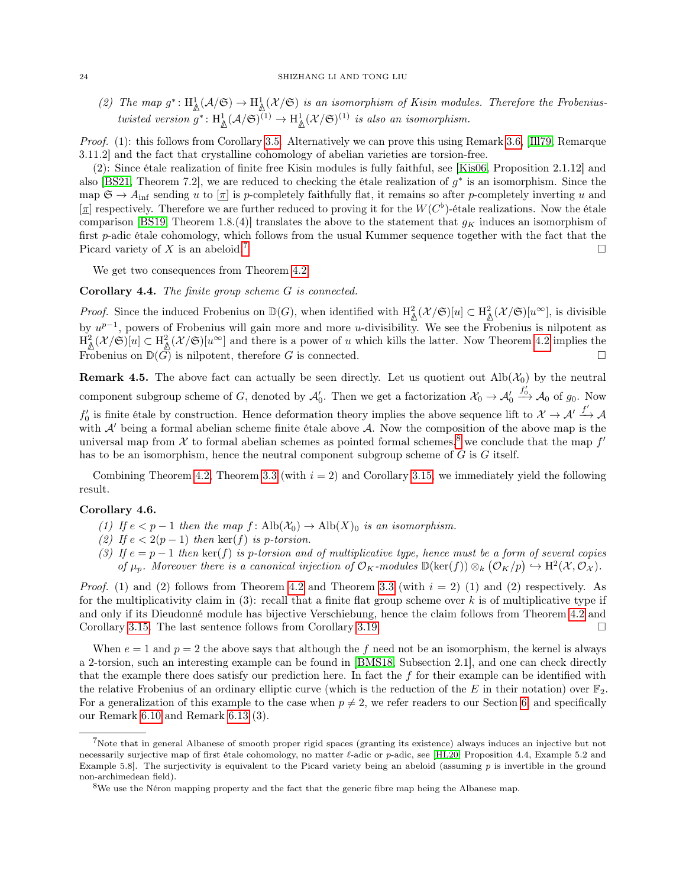(2) The map  $g^*: \mathrm{H}^1_{\mathbb{A}}(\mathcal{A}/\mathfrak{S}) \to \mathrm{H}^1_{\mathbb{A}}(\mathcal{X}/\mathfrak{S})$  is an isomorphism of Kisin modules. Therefore the Frobeniustwisted version  $g^*: \mathrm{H}^1_{\mathbb{A}}(\mathcal{A}/\mathfrak{S})^{(1)} \to \mathrm{H}^1_{\mathbb{A}}(\mathcal{X}/\mathfrak{S})^{(1)}$  is also an isomorphism.

Proof. (1): this follows from Corollary [3.5.](#page-15-0) Alternatively we can prove this using Remark [3.6,](#page-16-3) [\[Ill79,](#page-51-20) Remarque 3.11.2] and the fact that crystalline cohomology of abelian varieties are torsion-free.

(2): Since étale realization of finite free Kisin modules is fully faithful, see [\[Kis06,](#page-51-21) Proposition 2.1.12] and also [\[BS21,](#page-50-9) Theorem 7.2], we are reduced to checking the étale realization of  $g^*$  is an isomorphism. Since the map  $\mathfrak{S} \to A_{\text{inf}}$  sending u to  $[\underline{\pi}]$  is p-completely faithfully flat, it remains so after p-completely inverting u and  $[\pi]$  respectively. Therefore we are further reduced to proving it for the  $W(C^{\flat})$ -étale realizations. Now the étale comparison [\[BS19,](#page-50-3) Theorem 1.8.(4)] translates the above to the statement that  $g_K$  induces an isomorphism of first p-adic étale cohomology, which follows from the usual Kummer sequence together with the fact that the Picard variety of X is an abeloid.<sup>[7](#page-23-1)</sup>

We get two consequences from Theorem [4.2.](#page-22-0)

#### Corollary 4.4. The finite group scheme G is connected.

*Proof.* Since the induced Frobenius on  $\mathbb{D}(G)$ , when identified with  $H^2_{\mathbb{A}}(\mathcal{X}/\mathfrak{S})[u] \subset H^2_{\mathbb{A}}(\mathcal{X}/\mathfrak{S})[u^{\infty}]$ , is divisible by  $u^{p-1}$ , powers of Frobenius will gain more and more u-divisibility. We see the Frobenius is nilpotent as  $\mathrm{H}^2_{\mathbb{A}}(\mathcal{X}/\mathfrak{S})[u] \subset \mathrm{H}^2_{\mathbb{A}}(\mathcal{X}/\mathfrak{S})[u^{\infty}]$  and there is a power of u which kills the latter. Now Theorem [4.2](#page-22-0) implies the Frobenius on  $\mathbb{D}(\overline{G})$  is nilpotent, therefore G is connected.

**Remark 4.5.** The above fact can actually be seen directly. Let us quotient out  $\text{Alb}(\mathcal{X}_0)$  by the neutral component subgroup scheme of G, denoted by  $\mathcal{A}'_0$ . Then we get a factorization  $\mathcal{X}_0 \to \mathcal{A}'_0$  $\stackrel{f_0'}{\longrightarrow} A_0$  of  $g_0$ . Now  $f'_0$  is finite étale by construction. Hence deformation theory implies the above sequence lift to  $\mathcal{X} \to \mathcal{A}' \xrightarrow{f'} \mathcal{A}$ with  $\mathcal{A}'$  being a formal abelian scheme finite étale above  $\mathcal{A}$ . Now the composition of the above map is the universal map from  $\mathcal X$  to formal abelian schemes as pointed formal schemes,<sup>[8](#page-23-2)</sup> we conclude that the map  $f'$ has to be an isomorphism, hence the neutral component subgroup scheme of  $G$  is  $G$  itself.

Combining Theorem [4.2,](#page-22-0) Theorem [3.3](#page-14-0) (with  $i = 2$ ) and Corollary [3.15,](#page-19-2) we immediately yield the following result.

## <span id="page-23-0"></span>Corollary 4.6.

- (1) If  $e < p-1$  then the map  $f : \text{Alb}(\mathcal{X}_0) \to \text{Alb}(X)_0$  is an isomorphism.
- (2) If  $e < 2(p-1)$  then  $\ker(f)$  is p-torsion.
- (3) If  $e = p 1$  then ker(f) is p-torsion and of multiplicative type, hence must be a form of several copies of  $\mu_p$ . Moreover there is a canonical injection of  $\mathcal{O}_K$ -modules  $\mathbb{D}(\ker(f)) \otimes_k (\mathcal{O}_K/p) \hookrightarrow \mathrm{H}^2(\mathcal{X}, \mathcal{O}_\mathcal{X})$ .

*Proof.* (1) and (2) follows from Theorem [4.2](#page-22-0) and Theorem [3.3](#page-14-0) (with  $i = 2$ ) (1) and (2) respectively. As for the multiplicativity claim in  $(3)$ : recall that a finite flat group scheme over k is of multiplicative type if and only if its Dieudonné module has bijective Verschiebung, hence the claim follows from Theorem [4.2](#page-22-0) and Corollary [3.15.](#page-19-2) The last sentence follows from Corollary [3.19.](#page-21-2)

When  $e = 1$  and  $p = 2$  the above says that although the f need not be an isomorphism, the kernel is always a 2-torsion, such an interesting example can be found in [\[BMS18,](#page-50-1) Subsection 2.1], and one can check directly that the example there does satisfy our prediction here. In fact the  $f$  for their example can be identified with the relative Frobenius of an ordinary elliptic curve (which is the reduction of the E in their notation) over  $\mathbb{F}_2$ . For a generalization of this example to the case when  $p \neq 2$ , we refer readers to our Section [6,](#page-44-0) and specifically our Remark [6.10](#page-47-0) and Remark [6.13](#page-48-0) (3).

<span id="page-23-1"></span><sup>7</sup>Note that in general Albanese of smooth proper rigid spaces (granting its existence) always induces an injective but not necessarily surjective map of first étale cohomology, no matter  $\ell$ -adic or p-adic, see [\[HL20,](#page-51-19) Proposition 4.4, Example 5.2 and Example 5.8. The surjectivity is equivalent to the Picard variety being an abeloid (assuming  $p$  is invertible in the ground non-archimedean field).

<span id="page-23-2"></span> $8$ We use the Néron mapping property and the fact that the generic fibre map being the Albanese map.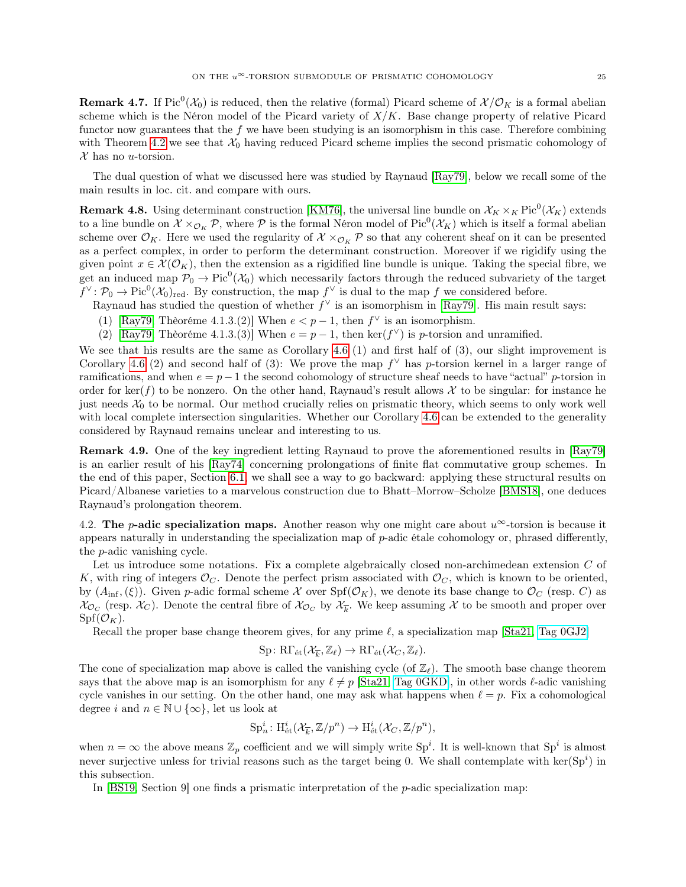**Remark 4.7.** If  $Pic^0(\mathcal{X}_0)$  is reduced, then the relative (formal) Picard scheme of  $\mathcal{X}/\mathcal{O}_K$  is a formal abelian scheme which is the Néron model of the Picard variety of  $X/K$ . Base change property of relative Picard functor now guarantees that the  $f$  we have been studying is an isomorphism in this case. Therefore combining with Theorem [4.2](#page-22-0) we see that  $\mathcal{X}_0$  having reduced Picard scheme implies the second prismatic cohomology of  $\mathcal X$  has no *u*-torsion.

The dual question of what we discussed here was studied by Raynaud [\[Ray79\]](#page-51-1), below we recall some of the main results in loc. cit. and compare with ours.

<span id="page-24-1"></span>**Remark 4.8.** Using determinant construction [\[KM76\]](#page-51-22), the universal line bundle on  $\mathcal{X}_K \times_K \text{Pic}^0(\mathcal{X}_K)$  extends to a line bundle on  $\mathcal{X} \times_{\mathcal{O}_K} \mathcal{P}$ , where  $\mathcal{P}$  is the formal Néron model of Pic<sup>0</sup>( $\mathcal{X}_K$ ) which is itself a formal abelian scheme over  $\mathcal{O}_K$ . Here we used the regularity of  $\mathcal{X} \times_{\mathcal{O}_K} \mathcal{P}$  so that any coherent sheaf on it can be presented as a perfect complex, in order to perform the determinant construction. Moreover if we rigidify using the given point  $x \in \mathcal{X}(\mathcal{O}_K)$ , then the extension as a rigidified line bundle is unique. Taking the special fibre, we get an induced map  $P_0 \to Pic^0(\mathcal{X}_0)$  which necessarily factors through the reduced subvariety of the target  $f^{\vee} \colon \mathcal{P}_0 \to \text{Pic}^0(\mathcal{X}_0)_{\text{red}}$ . By construction, the map  $f^{\vee}$  is dual to the map f we considered before.

- Raynaud has studied the question of whether  $f^{\vee}$  is an isomorphism in [\[Ray79\]](#page-51-1). His main result says:
- (1) [\[Ray79,](#page-51-1) Thèoréme 4.1.3.(2)] When  $e < p-1$ , then  $f^{\vee}$  is an isomorphism.
- (2) [\[Ray79,](#page-51-1) Thèoréme 4.1.3.(3)] When  $e = p 1$ , then ker( $f^{\vee}$ ) is p-torsion and unramified.

We see that his results are the same as Corollary [4.6](#page-23-0) (1) and first half of (3), our slight improvement is Corollary [4.6](#page-23-0) (2) and second half of (3): We prove the map  $f^{\vee}$  has p-torsion kernel in a larger range of ramifications, and when  $e = p - 1$  the second cohomology of structure sheaf needs to have "actual" p-torsion in order for ker(f) to be nonzero. On the other hand, Raynaud's result allows  $\mathcal X$  to be singular: for instance he just needs  $\mathcal{X}_0$  to be normal. Our method crucially relies on prismatic theory, which seems to only work well with local complete intersection singularities. Whether our Corollary [4.6](#page-23-0) can be extended to the generality considered by Raynaud remains unclear and interesting to us.

Remark 4.9. One of the key ingredient letting Raynaud to prove the aforementioned results in [\[Ray79\]](#page-51-1) is an earlier result of his [\[Ray74\]](#page-51-9) concerning prolongations of finite flat commutative group schemes. In the end of this paper, Section [6.1,](#page-49-0) we shall see a way to go backward: applying these structural results on Picard/Albanese varieties to a marvelous construction due to Bhatt–Morrow–Scholze [\[BMS18\]](#page-50-1), one deduces Raynaud's prolongation theorem.

<span id="page-24-0"></span>4.2. The p-adic specialization maps. Another reason why one might care about  $u^{\infty}$ -torsion is because it appears naturally in understanding the specialization map of  $p$ -adic étale cohomology or, phrased differently, the p-adic vanishing cycle.

Let us introduce some notations. Fix a complete algebraically closed non-archimedean extension C of K, with ring of integers  $\mathcal{O}_C$ . Denote the perfect prism associated with  $\mathcal{O}_C$ , which is known to be oriented, by  $(A_{\text{inf}},(\xi))$ . Given p-adic formal scheme X over  $\text{Spf}(\mathcal{O}_K)$ , we denote its base change to  $\mathcal{O}_C$  (resp. C) as  $\chi_{\mathcal{O}_C}$  (resp.  $\mathcal{X}_C$ ). Denote the central fibre of  $\mathcal{X}_{\mathcal{O}_C}$  by  $\mathcal{X}_{\overline{k}}$ . We keep assuming X to be smooth and proper over  $Spf(\mathcal{O}_K)$ .

Recall the proper base change theorem gives, for any prime  $\ell$ , a specialization map [\[Sta21,](#page-51-0) [Tag 0GJ2\]](https://stacks.math.columbia.edu/tag/0GJ2)

$$
\mathrm{Sp} \colon \mathrm{R}\Gamma_{\mathrm{\acute{e}t}}(\mathcal{X}_{\overline{k}},\mathbb{Z}_{\ell}) \to \mathrm{R}\Gamma_{\mathrm{\acute{e}t}}(\mathcal{X}_C,\mathbb{Z}_{\ell}).
$$

The cone of specialization map above is called the vanishing cycle (of  $\mathbb{Z}_\ell$ ). The smooth base change theorem says that the above map is an isomorphism for any  $\ell \neq p$  [\[Sta21,](#page-51-0) [Tag 0GKD\]](https://stacks.math.columbia.edu/tag/0GKD), in other words  $\ell$ -adic vanishing cycle vanishes in our setting. On the other hand, one may ask what happens when  $\ell = p$ . Fix a cohomological degree i and  $n \in \mathbb{N} \cup \{\infty\}$ , let us look at

$$
\mathrm{Sp}_n^i\colon \mathrm{H}^i_{\mathrm{\acute{e}t}}(\mathcal{X}_{\overline{k}},\mathbb{Z}/p^n)\rightarrow \mathrm{H}^i_{\mathrm{\acute{e}t}}(\mathcal{X}_C,\mathbb{Z}/p^n),
$$

when  $n = \infty$  the above means  $\mathbb{Z}_p$  coefficient and we will simply write  $\text{Sp}^i$ . It is well-known that  $\text{Sp}^i$  is almost never surjective unless for trivial reasons such as the target being 0. We shall contemplate with  $\ker(Sp^i)$  in this subsection.

<span id="page-24-2"></span>In  $|BS19, Section 9|$  one finds a prismatic interpretation of the *p*-adic specialization map: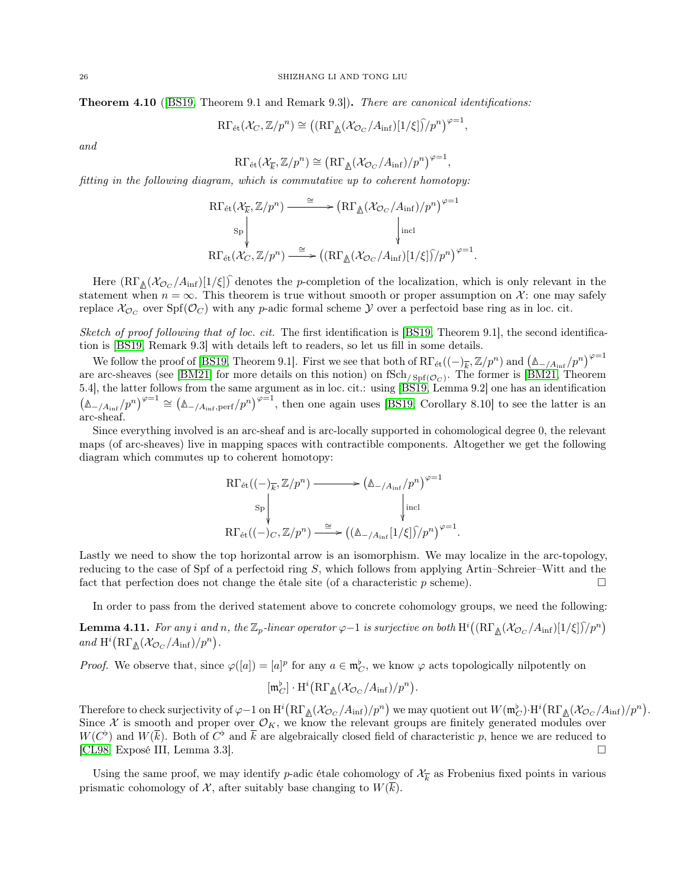Theorem 4.10 ([\[BS19,](#page-50-3) Theorem 9.1 and Remark 9.3]). There are canonical identifications:

$$
\mathrm{R}\Gamma_{\text{\'et}}(\mathcal{X}_{C},\mathbb{Z}/p^n)\cong \big((\mathrm{R}\Gamma_{\underline{\mathbb{A}}}(\mathcal{X}_{\mathcal{O}_C}/A_{\inf})[1/\xi]\widehat{)}/p^n\big)^{\varphi=1},
$$

and

 $\mathrm{R}\Gamma_{\text{\'et}}(\mathcal{X}_{\overline{k}}, \mathbb{Z}/p^n) \cong (\mathrm{R}\Gamma_{\mathbb{A}}(\mathcal{X}_{\mathcal{O}_C}/A_{\text{inf}})/p^n)^{\varphi=1},$ 

fitting in the following diagram, which is commutative up to coherent homotopy:

$$
\operatorname{R}\!\Gamma_{\operatorname{\acute{e}t}}(\mathcal{X}_{\overline{k}},\mathbb{Z}/p^n) \xrightarrow{\cong} (\operatorname{R}\!\Gamma_{\Delta}(\mathcal{X}_{\mathcal{O}_C}/A_{\operatorname{inf}})/p^n)^{\varphi=1}
$$
  
\n
$$
\operatorname{R}\!\Gamma_{\operatorname{\acute{e}t}}(\mathcal{X}_C,\mathbb{Z}/p^n) \xrightarrow{\cong} ((\operatorname{R}\!\Gamma_{\Delta}(\mathcal{X}_{\mathcal{O}_C}/A_{\operatorname{inf}})[1/\xi])/p^n)^{\varphi=1}.
$$

Here  $(R\Gamma_{\mathbb{A}}(\mathcal{X}_{\mathcal{O}_C}/A_{\text{inf}})[1/\xi])$  denotes the p-completion of the localization, which is only relevant in the statement when  $n = \infty$ . This theorem is true without smooth or proper assumption on X: one may safely replace  $\chi_{\mathcal{O}_C}$  over  $\text{Spf}(\mathcal{O}_C)$  with any p-adic formal scheme  $\mathcal Y$  over a perfectoid base ring as in loc. cit.

Sketch of proof following that of loc. cit. The first identification is  $[BS19, Theorem 9.1]$  $[BS19, Theorem 9.1]$ , the second identification is [\[BS19,](#page-50-3) Remark 9.3] with details left to readers, so let us fill in some details.

We follow the proof of [\[BS19,](#page-50-3) Theorem 9.1]. First we see that both of  $R\Gamma_{\text{\'et}}((-)_{\overline{k}}, \mathbb{Z}/p^n)$  and  $(\mathbb{A}_{-/A_{\text{inf}}} /p^n)^{\varphi=1}$ are arc-sheaves (see [\[BM21\]](#page-50-10) for more details on this notion) on  $fSch/_{Spf(\mathcal{O}_C)}$ . The former is [\[BM21,](#page-50-10) Theorem 5.4], the latter follows from the same argument as in loc. cit.: using [\[BS19,](#page-50-3) Lemma 9.2] one has an identification  $\left(\mathbb{\Delta}_{-}/A_{\text{inf}}/p^n\right)^{\varphi=1} \cong \left(\mathbb{\Delta}_{-}/A_{\text{inf}},\text{perf}}/p^n\right)^{\varphi=1}$ , then one again uses [\[BS19,](#page-50-3) Corollary 8.10] to see the latter is an arc-sheaf.

Since everything involved is an arc-sheaf and is arc-locally supported in cohomological degree 0, the relevant maps (of arc-sheaves) live in mapping spaces with contractible components. Altogether we get the following diagram which commutes up to coherent homotopy:

$$
\begin{aligned}\n&\mathrm{R}\Gamma_{\text{\'et}}((-)_{\overline{k}},\mathbb{Z}/p^n) \longrightarrow (\mathbb{A}_{-/A_{\inf}}/p^n)^{\varphi=1} \\
&\mathrm{Sp}\downarrow_{\text{incl}} \\
&\mathrm{R}\Gamma_{\text{\'et}}((-)_{C},\mathbb{Z}/p^n) \longrightarrow ((\mathbb{A}_{-/A_{\inf}}[1/\xi])_{p^n})^{\varphi=1}.\n\end{aligned}
$$

Lastly we need to show the top horizontal arrow is an isomorphism. We may localize in the arc-topology, reducing to the case of Spf of a perfectoid ring  $S$ , which follows from applying Artin–Schreier–Witt and the fact that perfection does not change the étale site (of a characteristic p scheme).

In order to pass from the derived statement above to concrete cohomology groups, we need the following:

<span id="page-25-0"></span>**Lemma 4.11.** For any i and n, the  $\mathbb{Z}_p$ -linear operator  $\varphi-1$  is surjective on both  $\mathrm{H}^i((\mathrm{R}\Gamma_\mathbb{A}(\mathcal{X}_\mathcal{O_C}/A_{\mathrm{inf}})[1/\xi])\hat{}/p^n)$ and  $\mathrm{H}^i\big(\mathrm{R}\Gamma_{\underline{\mathbb{A}}}(\mathcal{X}_{\mathcal{O}_C}/A_{\mathrm{inf}})/p^n\big).$ 

*Proof.* We observe that, since  $\varphi([a]) = [a]^p$  for any  $a \in \mathfrak{m}_C^{\flat}$ , we know  $\varphi$  acts topologically nilpotently on

$$
[\mathfrak{m}_C^{\flat}] \cdot \mathrm{H}^i \big( R\Gamma_{\Delta}(\mathcal{X}_{\mathcal{O}_C}/A_{\inf})/p^n \big).
$$

Therefore to check surjectivity of  $\varphi-1$  on  $\mathrm{H}^i\left(\mathrm{R}\Gamma_{\mathbb{A}}(\mathcal{X}_{\mathcal{O}_C}/A_{\mathrm{inf}})/p^n\right)$  we may quotient out  $W(\mathfrak{m}_C^{\flat})\cdot \mathrm{H}^i\left(\mathrm{R}\Gamma_{\mathbb{A}}(\mathcal{X}_{\mathcal{O}_C}/A_{\mathrm{inf}})/p^n\right)$ . Since X is smooth and proper over  $\mathcal{O}_K$ , we know the relevant groups are finitely generated modules over  $W(C^{\flat})$  and  $W(\overline{k})$ . Both of  $C^{\flat}$  and  $\overline{k}$  are algebraically closed field of characteristic p, hence we are reduced to [\[CL98,](#page-50-11) Exposé III, Lemma 3.3].

<span id="page-25-1"></span>Using the same proof, we may identify p-adic étale cohomology of  $\mathcal{X}_{\overline{k}}$  as Frobenius fixed points in various prismatic cohomology of X, after suitably base changing to  $W(\overline{k})$ .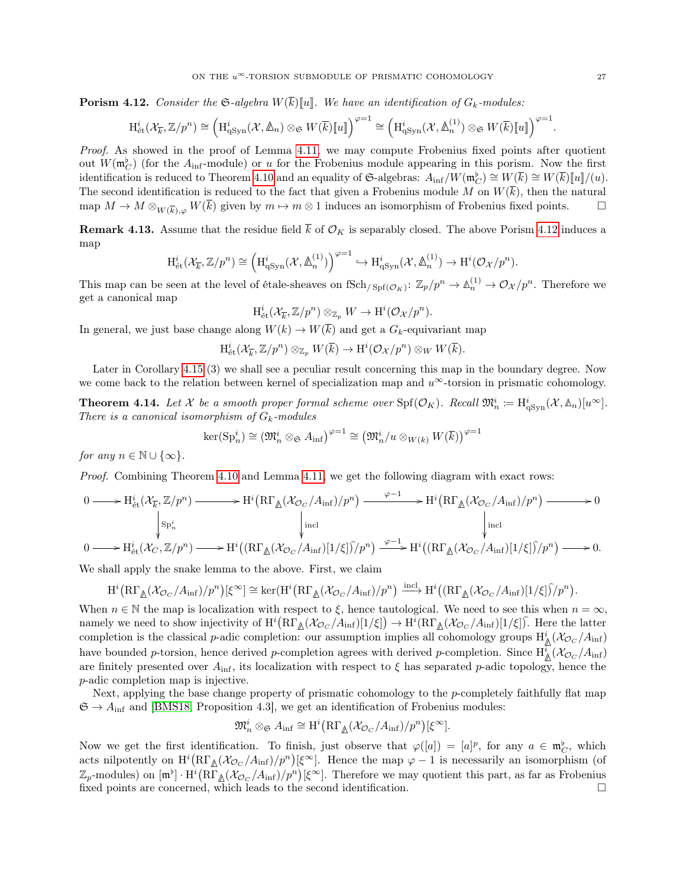**Porism 4.12.** Consider the  $\mathfrak{S}\text{-}algebra W(\overline{k})[u]$ . We have an identification of  $G_k$ -modules:

$$
\mathrm{H}_{\mathrm{\acute{e}t}}^i(\mathcal{X}_{\overline{k}},\mathbb{Z}/p^n) \cong \left(\mathrm{H}_{\mathrm{qSyn}}^i(\mathcal{X},\mathbb{A}_n) \otimes_{\mathfrak{S}} W(\overline{k})\llbracket u \rrbracket\right)^{\varphi=1} \cong \left(\mathrm{H}_{\mathrm{qSyn}}^i(\mathcal{X},\mathbb{A}_n^{(1)}) \otimes_{\mathfrak{S}} W(\overline{k})\llbracket u \rrbracket\right)^{\varphi=1}
$$

Proof. As showed in the proof of Lemma [4.11,](#page-25-0) we may compute Frobenius fixed points after quotient out  $W(\mathfrak{m}_{C}^{\flat})$  (for the  $A_{\text{inf}}$ -module) or u for the Frobenius module appearing in this porism. Now the first identification is reduced to Theorem [4.10](#page-24-2) and an equality of G-algebras:  $A_{\text{inf}}/W(\mathfrak{m}_{\mathbb{C}}^{\flat}) \cong W(\overline{k}) \cong W(\overline{k})[[u]]/(u)$ . The second identification is reduced to the fact that given a Frobenius module M on  $W(\overline{k})$ , then the natural map  $M \to M \otimes_{W(\overline{k}),\omega} W(\overline{k})$  given by  $m \to m \otimes 1$  induces an isomorphism of Frobenius fixed points.  $\square$ 

<span id="page-26-2"></span>**Remark 4.13.** Assume that the residue field  $\overline{k}$  of  $\mathcal{O}_K$  is separably closed. The above Porism [4.12](#page-25-1) induces a map

$$
\mathrm{H}_{\mathrm{\acute{e}t}}^{i}(\mathcal{X}_{\overline{k}}, \mathbb{Z}/p^n) \cong \left(\mathrm{H}_{\mathrm{qSyn}}^{i}(\mathcal{X}, \mathbb{\Delta}_{n}^{(1)})\right)^{\varphi=1} \hookrightarrow \mathrm{H}_{\mathrm{qSyn}}^{i}(\mathcal{X}, \mathbb{\Delta}_{n}^{(1)}) \to \mathrm{H}^{i}(\mathcal{O}_{\mathcal{X}}/p^n).
$$

This map can be seen at the level of étale-sheaves on  $fSch_{/Spf(\mathcal{O}_K)}: \mathbb{Z}_p/p^n \to \mathbb{A}_n^{(1)} \to \mathcal{O}_\mathcal{X}/p^n$ . Therefore we get a canonical map

$$
\mathrm{H}_{\mathrm{\acute{e}t}}^i(\mathcal{X}_{\overline{k}},\mathbb{Z}/p^n)\otimes_{\mathbb{Z}_p}W\to \mathrm{H}^i(\mathcal{O}_{\mathcal{X}}/p^n).
$$

In general, we just base change along  $W(k) \to W(\overline{k})$  and get a  $G_k$ -equivariant map

 $\text{H}^i_{\text{\'et}}(\mathcal{X}_{\overline{k}}, \mathbb{Z}/p^n) \otimes_{\mathbb{Z}_p} W(\overline{k}) \to \text{H}^i(\mathcal{O}_{\mathcal{X}}/p^n) \otimes_W W(\overline{k}).$ 

Later in Corollary [4.15](#page-26-0) (3) we shall see a peculiar result concerning this map in the boundary degree. Now we come back to the relation between kernel of specialization map and  $u^{\infty}$ -torsion in prismatic cohomology.

<span id="page-26-1"></span>**Theorem 4.14.** Let X be a smooth proper formal scheme over  $\text{Spf}(\mathcal{O}_K)$ . Recall  $\mathfrak{M}_n^i := \text{H}^i_{\text{qSym}}(\mathcal{X}, \mathbb{A}_n)[u^\infty]$ . There is a canonical isomorphism of  $G_k$ -modules

$$
\ker(\mathrm{Sp}_n^i) \cong (\mathfrak{M}_n^i \otimes_{\mathfrak{S}} A_{\inf})^{\varphi=1} \cong (\mathfrak{M}_n^i/u \otimes_{W(k)} W(\overline{k}))^{\varphi=1}
$$

for any  $n \in \mathbb{N} \cup \{\infty\}.$ 

Proof. Combining Theorem [4.10](#page-24-2) and Lemma [4.11,](#page-25-0) we get the following diagram with exact rows:

$$
0 \longrightarrow H_{\text{\'et}}^i(\mathcal{X}_{\overline{k}}, \mathbb{Z}/p^n) \longrightarrow H^i\left(\mathrm{R}\Gamma_{\underline{\Lambda}}(\mathcal{X}_{\mathcal{O}_C}/A_{\text{inf}})/p^n\right) \xrightarrow{\varphi-1} H^i\left(\mathrm{R}\Gamma_{\underline{\Lambda}}(\mathcal{X}_{\mathcal{O}_C}/A_{\text{inf}})/p^n\right) \longrightarrow 0
$$
\n
$$
\downarrow_{\text{Sp}_n^i} \qquad \qquad \downarrow_{\text{incl}}
$$
\n
$$
0 \longrightarrow H_{\text{\'et}}^i(\mathcal{X}_C, \mathbb{Z}/p^n) \longrightarrow H^i\left(\left(\mathrm{R}\Gamma_{\underline{\Lambda}}(\mathcal{X}_{\mathcal{O}_C}/A_{\text{inf}})[1/\xi]\right)/p^n\right) \xrightarrow{\varphi-1} H^i\left(\left(\mathrm{R}\Gamma_{\underline{\Lambda}}(\mathcal{X}_{\mathcal{O}_C}/A_{\text{inf}})[1/\xi]\right)/p^n\right) \longrightarrow 0.
$$

We shall apply the snake lemma to the above. First, we claim

$$
H^{i}(\mathrm{R}\Gamma_{\underline{\mathbb{A}}}(\mathcal{X}_{\mathcal{O}_C}/A_{\inf})/p^n)[\xi^{\infty}] \cong \ker(H^{i}(\mathrm{R}\Gamma_{\underline{\mathbb{A}}}(\mathcal{X}_{\mathcal{O}_C}/A_{\inf})/p^n) \xrightarrow{\mathrm{incl}} H^{i}((\mathrm{R}\Gamma_{\underline{\mathbb{A}}}(\mathcal{X}_{\mathcal{O}_C}/A_{\inf})[1/\xi])\hat{}/p^n).
$$

When  $n \in \mathbb{N}$  the map is localization with respect to  $\xi$ , hence tautological. We need to see this when  $n = \infty$ , namely we need to show injectivity of  $\mathrm{H}^i\left(\mathrm{R}\Gamma_{\mathbb{A}}(\mathcal{X}_{\mathcal{O}_C}/A_{\text{inf}})[1/\xi]\right) \to \mathrm{H}^i(\mathrm{R}\Gamma_{\mathbb{A}}(\mathcal{X}_{\mathcal{O}_C}/A_{\text{inf}})[1/\xi])$ . Here the latter completion is the classical p-adic completion: our assumption implies all cohomology groups  $H^i_{\underline{A}}(\mathcal{X}_{\mathcal{O}_C}/A_{\text{inf}})$ have bounded p-torsion, hence derived p-completion agrees with derived p-completion. Since  $H^i_{\Delta}(\mathcal{X}_{\mathcal{O}_C}/A_{\text{inf}})$ are finitely presented over  $A_{\text{inf}}$ , its localization with respect to  $\xi$  has separated p-adic topology, hence the p-adic completion map is injective.

Next, applying the base change property of prismatic cohomology to the p-completely faithfully flat map  $\mathfrak{S} \to A_{\text{inf}}$  and [\[BMS18,](#page-50-1) Proposition 4.3], we get an identification of Frobenius modules:

$$
\mathfrak{M}_n^i \otimes_{\mathfrak{S}} A_{\operatorname{inf}} \cong \mathrm{H}^i\big(\mathrm{R}\Gamma_{\underline{\mathbb{A}}}(\mathcal{X}_{\mathcal{O}_C}/A_{\operatorname{inf}})/p^n\big)[\xi^\infty].
$$

<span id="page-26-0"></span>Now we get the first identification. To finish, just observe that  $\varphi([a]) = [a]^p$ , for any  $a \in \mathfrak{m}_C^{\flat}$ , which acts nilpotently on  $H^i(\mathrm{R}\Gamma_{\mathbb{A}}(\mathcal{X}_{\mathcal{O}_C}/A_{\mathrm{inf}})/p^n)[\xi^{\infty}]$ . Hence the map  $\varphi-1$  is necessarily an isomorphism (of  $\mathbb{Z}_p$ -modules) on  $[\mathfrak{m}^{\flat}] \cdot \text{H}^i(\text{R}\Gamma_{\mathbb{A}}(\mathcal{X}_{\mathcal{O}_C}/A_{\text{inf}})/p^n)[\xi^{\infty}]$ . Therefore we may quotient this part, as far as Frobenius fixed points are concerned, which leads to the second identification.

.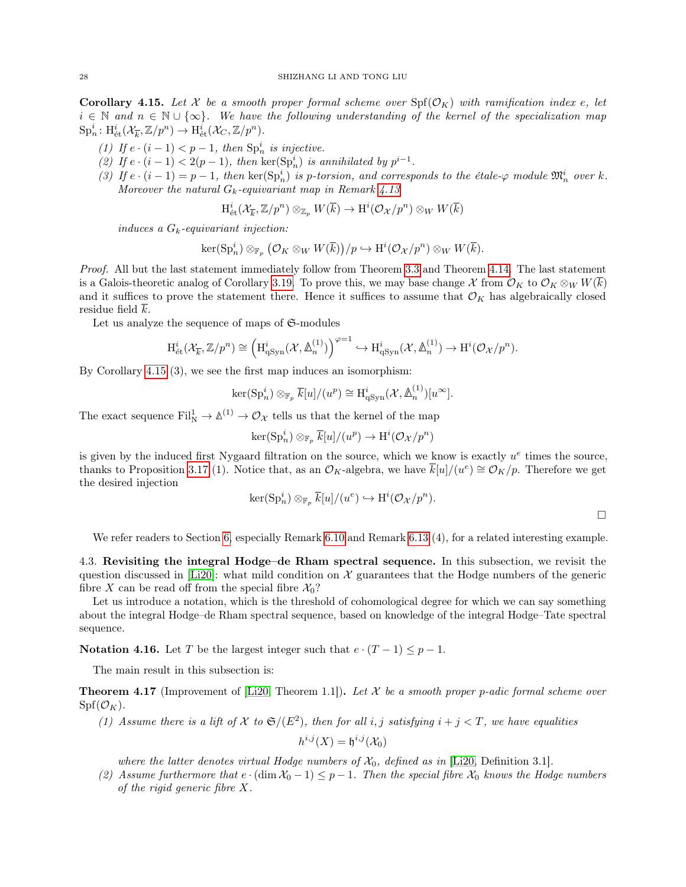**Corollary 4.15.** Let X be a smooth proper formal scheme over  $\text{Spf}(\mathcal{O}_K)$  with ramification index e, let  $i \in \mathbb{N}$  and  $n \in \mathbb{N} \cup \{\infty\}$ . We have the following understanding of the kernel of the specialization map  $\text{Sp}_n^i: \text{H}_{\text{\textup{\'et}}}^i(\mathcal{X}_{\overline{k}}, \mathbb{Z}/p^n) \to \text{H}_{\text{\textup{\'et}}}^i(\mathcal{X}_C, \mathbb{Z}/p^n).$ 

- (1) If  $e \cdot (i-1) < p-1$ , then  $\text{Sp}_n^i$  is injective.
- (2) If  $e \cdot (i-1) < 2(p-1)$ , then  $\ker(\text{Sp}_n^i)$  is annihilated by  $p^{i-1}$ .
- (3) If  $e \cdot (i-1) = p-1$ , then  $\ker(\text{Sp}_n^i)$  is p-torsion, and corresponds to the étale- $\varphi$  module  $\mathfrak{M}_n^i$  over k. Moreover the natural  $G_k$ -equivariant map in Remark [4.13](#page-26-2)

$$
\mathrm{H}_{\text{\'et}}^i(\mathcal{X}_{\overline{k}},\mathbb{Z}/p^n)\otimes_{\mathbb{Z}_p} W(\overline{k})\rightarrow \mathrm{H}^i(\mathcal{O}_{\mathcal{X}}/p^n)\otimes_W W(\overline{k})
$$

induces a  $G_k$ -equivariant injection:

$$
\ker(\mathrm{Sp}_n^i) \otimes_{\mathbb{F}_p} (\mathcal{O}_K \otimes_W W(\overline{k}))/p \hookrightarrow \mathrm{H}^i(\mathcal{O}_{\mathcal{X}}/p^n) \otimes_W W(\overline{k}).
$$

Proof. All but the last statement immediately follow from Theorem [3.3](#page-14-0) and Theorem [4.14.](#page-26-1) The last statement is a Galois-theoretic analog of Corollary [3.19.](#page-21-2) To prove this, we may base change X from  $\mathcal{O}_K$  to  $\mathcal{O}_K \otimes_W W(\overline{k})$ and it suffices to prove the statement there. Hence it suffices to assume that  $\mathcal{O}_K$  has algebraically closed residue field k.

Let us analyze the sequence of maps of  $\mathfrak{S}\text{-modules}$ 

$$
\mathrm{H}_{\text{\'et}}^i(\mathcal{X}_{\overline{k}},\mathbb{Z}/p^n) \cong \left(\mathrm{H}_{\mathrm{qSyn}}^i(\mathcal{X},\mathbb{A}_n^{(1)})\right)^{\varphi=1} \hookrightarrow \mathrm{H}_{\mathrm{qSyn}}^i(\mathcal{X},\mathbb{A}_n^{(1)}) \to \mathrm{H}^i(\mathcal{O}_{\mathcal{X}}/p^n).
$$

By Corollary [4.15](#page-26-0) (3), we see the first map induces an isomorphism:

$$
\ker(\mathrm{Sp}_n^i) \otimes_{\mathbb{F}_p} \overline{k}[u]/(u^p) \cong \mathrm{H}^i_{\mathrm{qSyn}}(\mathcal{X}, \mathbb{A}_n^{(1)})[u^{\infty}].
$$

The exact sequence  $\text{Fil}^1_{\text{N}} \to \mathbb{A}^{(1)} \to \mathcal{O}_{\mathcal{X}}$  tells us that the kernel of the map

$$
\ker(\mathrm{Sp}_n^i)\otimes_{\mathbb{F}_p}\overline{k}[u]/(u^p)\to \mathrm{H}^i(\mathcal{O}_{\mathcal{X}}/p^n)
$$

is given by the induced first Nygaard filtration on the source, which we know is exactly  $u^e$  times the source, thanks to Proposition [3.17](#page-20-0) (1). Notice that, as an  $\mathcal{O}_K$ -algebra, we have  $\bar{k}[u]/(u^e) \cong \mathcal{O}_K/p$ . Therefore we get the desired injection

$$
\ker(\mathrm{Sp}_n^i)\otimes_{\mathbb{F}_p}\overline{k}[u]/(u^e)\hookrightarrow \mathrm{H}^i(\mathcal{O}_{\mathcal{X}}/p^n).
$$

We refer readers to Section [6,](#page-44-0) especially Remark [6.10](#page-47-0) and Remark [6.13](#page-48-0) (4), for a related interesting example.

<span id="page-27-0"></span>4.3. Revisiting the integral Hodge–de Rham spectral sequence. In this subsection, we revisit the question discussed in [\[Li20\]](#page-51-3): what mild condition on  $\mathcal X$  guarantees that the Hodge numbers of the generic fibre X can be read off from the special fibre  $\mathcal{X}_0$ ?

Let us introduce a notation, which is the threshold of cohomological degree for which we can say something about the integral Hodge–de Rham spectral sequence, based on knowledge of the integral Hodge–Tate spectral sequence.

Notation 4.16. Let T be the largest integer such that  $e \cdot (T-1) \leq p-1$ .

The main result in this subsection is:

<span id="page-27-1"></span>**Theorem 4.17** (Improvement of [\[Li20,](#page-51-3) Theorem 1.1]). Let X be a smooth proper p-adic formal scheme over  $\mathrm{Spf}(\mathcal{O}_K)$ .

(1) Assume there is a lift of X to  $\mathfrak{S}/(E^2)$ , then for all i, j satisfying  $i + j < T$ , we have equalities

$$
h^{i,j}(X) = \mathfrak{h}^{i,j}(\mathcal{X}_0)
$$

where the latter denotes virtual Hodge numbers of  $\mathcal{X}_0$ , defined as in [\[Li20,](#page-51-3) Definition 3.1].

(2) Assume furthermore that  $e \cdot (\dim \mathcal{X}_0 - 1) \leq p - 1$ . Then the special fibre  $\mathcal{X}_0$  knows the Hodge numbers of the rigid generic fibre X.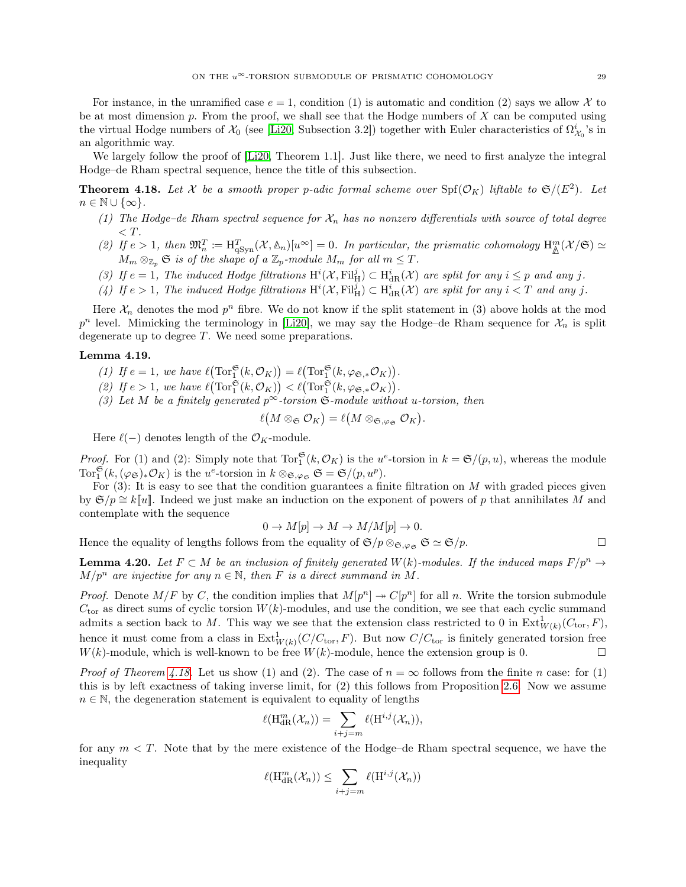For instance, in the unramified case  $e = 1$ , condition (1) is automatic and condition (2) says we allow X to be at most dimension  $p$ . From the proof, we shall see that the Hodge numbers of  $X$  can be computed using the virtual Hodge numbers of  $\mathcal{X}_0$  (see [\[Li20,](#page-51-3) Subsection 3.2]) together with Euler characteristics of  $\Omega^i_{\mathcal{X}_0}$ 's in an algorithmic way.

We largely follow the proof of [\[Li20,](#page-51-3) Theorem 1.1]. Just like there, we need to first analyze the integral Hodge–de Rham spectral sequence, hence the title of this subsection.

<span id="page-28-0"></span>**Theorem 4.18.** Let X be a smooth proper p-adic formal scheme over  $\text{Spf}(\mathcal{O}_K)$  liftable to  $\mathfrak{S}/(E^2)$ . Let  $n \in \mathbb{N} \cup \{\infty\}.$ 

- (1) The Hodge–de Rham spectral sequence for  $\mathcal{X}_n$  has no nonzero differentials with source of total degree  $\langle T$ .
- (2) If  $e > 1$ , then  $\mathfrak{M}_n^T := \mathrm{H}^T_{\mathrm{qSym}}(\mathcal{X}, \mathbb{A}_n)[u^\infty] = 0$ . In particular, the prismatic cohomology  $\mathrm{H}^m_{\mathbb{A}}(\mathcal{X}/\mathfrak{S}) \simeq$  $M_m \otimes_{\mathbb{Z}_p} \mathfrak{S}$  is of the shape of a  $\mathbb{Z}_p$ -module  $M_m$  for all  $m \leq T$ .
- (3) If  $e = 1$ , The induced Hodge filtrations  $H^i(\mathcal{X}, \mathrm{Fil}^j_H) \subset H^i_{dR}(\mathcal{X})$  are split for any  $i \leq p$  and any j.
- (4) If  $e > 1$ , The induced Hodge filtrations  $H^i(\mathcal{X}, \mathrm{Fil}^j_H) \subset H^i_{dR}(\mathcal{X})$  are split for any  $i < T$  and any j.

Here  $\mathcal{X}_n$  denotes the mod  $p^n$  fibre. We do not know if the split statement in (3) above holds at the mod  $p^n$  level. Mimicking the terminology in [\[Li20\]](#page-51-3), we may say the Hodge–de Rham sequence for  $\mathcal{X}_n$  is split degenerate up to degree T. We need some preparations.

## <span id="page-28-1"></span>Lemma 4.19.

- (1) If  $e = 1$ , we have  $\ell(\text{Tor}_1^{\mathfrak{S}}(k, \mathcal{O}_K)) = \ell(\text{Tor}_1^{\mathfrak{S}}(k, \varphi_{\mathfrak{S},*}\mathcal{O}_K)).$
- (2) If  $e > 1$ , we have  $\ell(\text{Tor}_1^{\mathfrak{S}}(k, \mathcal{O}_K)) < \ell(\text{Tor}_1^{\mathfrak{S}}(k, \varphi_{\mathfrak{S},*}\mathcal{O}_K)).$
- (3) Let M be a finitely generated  $p^{\infty}$ -torsion  $\mathfrak{S}\text{-module without }u\text{-torsion, then}$

$$
\ell(M\otimes_{\mathfrak{S}}\mathcal{O}_K)=\ell(M\otimes_{\mathfrak{S},\varphi_{\mathfrak{S}}}\mathcal{O}_K).
$$

Here  $\ell(-)$  denotes length of the  $\mathcal{O}_K$ -module.

*Proof.* For (1) and (2): Simply note that  $\text{Tor}_{1}^{\mathfrak{S}}(k, \mathcal{O}_{K})$  is the  $u^{e}$ -torsion in  $k = \mathfrak{S}/(p, u)$ , whereas the module Tor $_1^{\mathfrak{S}}(k,(\varphi_{\mathfrak{S}})_*\mathcal{O}_K)$  is the  $u^e$ -torsion in  $k \otimes_{\mathfrak{S},\varphi_{\mathfrak{S}}} \mathfrak{S} = \mathfrak{S}/(p,u^p)$ .

For  $(3)$ : It is easy to see that the condition guarantees a finite filtration on M with graded pieces given by  $\mathfrak{S}/p \cong k[[u]]$ . Indeed we just make an induction on the exponent of powers of p that annihilates M and contemplate with the sequence

$$
0 \to M[p] \to M \to M/M[p] \to 0.
$$

Hence the equality of lengths follows from the equality of  $\mathfrak{S}/p \otimes_{\mathfrak{S},\varphi_{\mathfrak{S}}} \mathfrak{S} \simeq \mathfrak{S}/p$ .

<span id="page-28-2"></span>**Lemma 4.20.** Let  $F \subset M$  be an inclusion of finitely generated  $W(k)$ -modules. If the induced maps  $F/p^n \to$  $M/p^n$  are injective for any  $n \in \mathbb{N}$ , then F is a direct summand in M.

*Proof.* Denote  $M/F$  by C, the condition implies that  $M[p^n] \rightarrow C[p^n]$  for all n. Write the torsion submodule  $C_{\text{tor}}$  as direct sums of cyclic torsion  $W(k)$ -modules, and use the condition, we see that each cyclic summand admits a section back to M. This way we see that the extension class restricted to 0 in  $\text{Ext}^1_{W(k)}(C_{\text{tor}}, F)$ , hence it must come from a class in  $\text{Ext}^1_{W(k)}(C/C_{\text{tor}}, F)$ . But now  $C/C_{\text{tor}}$  is finitely generated torsion free  $W(k)$ -module, which is well-known to be free  $W(k)$ -module, hence the extension group is 0.

*Proof of Theorem [4.18.](#page-28-0)* Let us show (1) and (2). The case of  $n = \infty$  follows from the finite n case: for (1) this is by left exactness of taking inverse limit, for (2) this follows from Proposition [2.6.](#page-7-1) Now we assume  $n \in \mathbb{N}$ , the degeneration statement is equivalent to equality of lengths

$$
\ell(\mathrm{H}^m_{\mathrm{dR}}(\mathcal{X}_n)) = \sum_{i+j=m} \ell(\mathrm{H}^{i,j}(\mathcal{X}_n)),
$$

for any  $m < T$ . Note that by the mere existence of the Hodge–de Rham spectral sequence, we have the inequality

$$
\ell(\mathrm{H}^m_{\mathrm{dR}}(\mathcal{X}_n)) \leq \sum_{i+j=m} \ell(\mathrm{H}^{i,j}(\mathcal{X}_n))
$$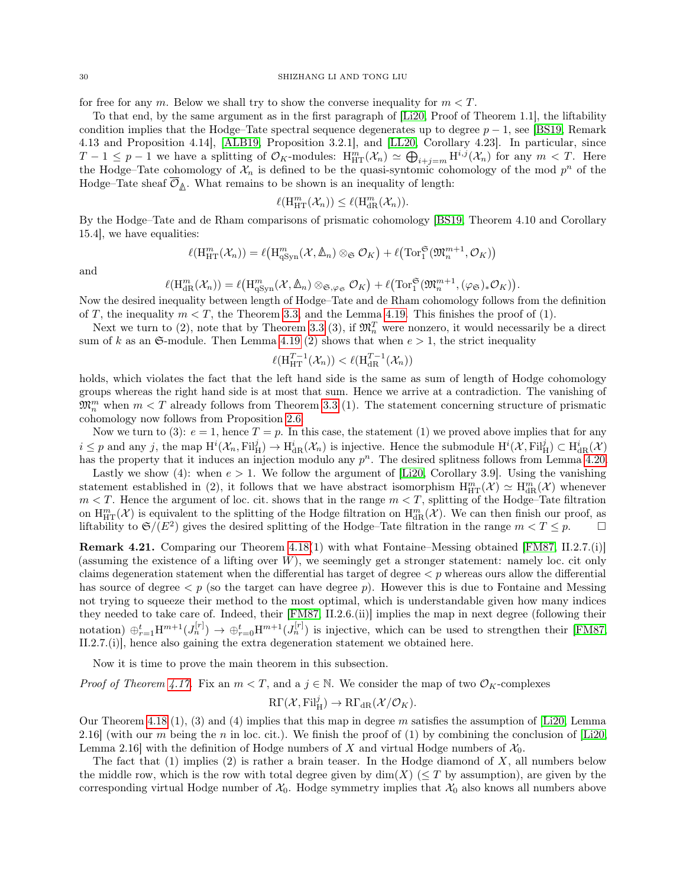for free for any m. Below we shall try to show the converse inequality for  $m < T$ .

To that end, by the same argument as in the first paragraph of [\[Li20,](#page-51-3) Proof of Theorem 1.1], the liftability condition implies that the Hodge–Tate spectral sequence degenerates up to degree  $p-1$ , see [\[BS19,](#page-50-3) Remark 4.13 and Proposition 4.14], [\[ALB19,](#page-50-12) Proposition 3.2.1], and [\[LL20,](#page-51-7) Corollary 4.23]. In particular, since  $T-1 \leq p-1$  we have a splitting of  $\mathcal{O}_K$ -modules:  $H_{\mathrm{HT}}^m(\mathcal{X}_n) \simeq \bigoplus_{i+j=m} H^{i,j}(\mathcal{X}_n)$  for any  $m < T$ . Here the Hodge–Tate cohomology of  $\mathcal{X}_n$  is defined to be the quasi-syntomic cohomology of the mod  $p^n$  of the Hodge–Tate sheaf  $\mathcal{O}_{\mathbb{A}}$ . What remains to be shown is an inequality of length:

$$
\ell(\mathrm{H}_{\mathrm{HT}}^m(\mathcal{X}_n)) \leq \ell(\mathrm{H}_{\mathrm{dR}}^m(\mathcal{X}_n)).
$$

By the Hodge–Tate and de Rham comparisons of prismatic cohomology [\[BS19,](#page-50-3) Theorem 4.10 and Corollary 15.4], we have equalities:

$$
\ell(\mathrm{H}_{\mathrm{HT}}^m(\mathcal{X}_n))=\ell\big(\mathrm{H}_{\mathrm{qSyn}}^m(\mathcal{X},\mathbb{A}_n)\otimes_{\mathfrak{S}}\mathcal{O}_K\big)+\ell\big(\mathrm{Tor}_1^{\mathfrak{S}}(\mathfrak{M}_n^{m+1},\mathcal{O}_K)\big)
$$

and

$$
\ell(\mathrm{H}^m_{\mathrm{dR}}(\mathcal{X}_n)) = \ell(\mathrm{H}^m_{\mathrm{qSyn}}(\mathcal{X}, \mathbb{A}_n) \otimes_{\mathfrak{S}, \varphi_{\mathfrak{S}}} \mathcal{O}_K) + \ell(\mathrm{Tor}_1^{\mathfrak{S}}(\mathfrak{M}^{m+1}_n, (\varphi_{\mathfrak{S}})_*\mathcal{O}_K)).
$$

Now the desired inequality between length of Hodge–Tate and de Rham cohomology follows from the definition of T, the inequality  $m < T$ , the Theorem [3.3,](#page-14-0) and the Lemma [4.19.](#page-28-1) This finishes the proof of (1).

Next we turn to (2), note that by Theorem [3.3](#page-14-0) (3), if  $\mathfrak{M}_n^T$  were nonzero, it would necessarily be a direct sum of k as an  $\mathfrak{S}\text{-module}$ . Then Lemma [4.19](#page-28-1) (2) shows that when  $e > 1$ , the strict inequality

$$
\ell(\mathbf{H}_{\mathrm{HT}}^{T-1}(\mathcal{X}_n)) < \ell(\mathbf{H}_{\mathrm{dR}}^{T-1}(\mathcal{X}_n))
$$

holds, which violates the fact that the left hand side is the same as sum of length of Hodge cohomology groups whereas the right hand side is at most that sum. Hence we arrive at a contradiction. The vanishing of  $\mathfrak{M}_{n}^{m}$  when  $m < T$  already follows from Theorem [3.3](#page-14-0) (1). The statement concerning structure of prismatic cohomology now follows from Proposition [2.6.](#page-7-1)

Now we turn to (3):  $e = 1$ , hence  $T = p$ . In this case, the statement (1) we proved above implies that for any  $i \leq p$  and any j, the map  $\mathrm{H}^i(\mathcal{X}_n, \mathrm{Fil}^j_H) \to \mathrm{H}^i_{\mathrm{dR}}(\mathcal{X}_n)$  is injective. Hence the submodule  $\mathrm{H}^i(\mathcal{X}, \mathrm{Fil}^j_H) \subset \mathrm{H}^i_{\mathrm{dR}}(\mathcal{X})$ has the property that it induces an injection modulo any  $p^n$ . The desired splitness follows from Lemma [4.20.](#page-28-2)

Lastly we show (4): when  $e > 1$ . We follow the argument of [\[Li20,](#page-51-3) Corollary 3.9]. Using the vanishing statement established in (2), it follows that we have abstract isomorphism  $H_{HT}^m(\mathcal{X}) \simeq H_{dR}^m(\mathcal{X})$  whenever  $m < T$ . Hence the argument of loc. cit. shows that in the range  $m < T$ , splitting of the Hodge–Tate filtration on  $H_{\mathrm{HT}}^m(\mathcal{X})$  is equivalent to the splitting of the Hodge filtration on  $H_{\mathrm{dR}}^m(\mathcal{X})$ . We can then finish our proof, as liftability to  $\mathfrak{S}/(E^2)$  gives the desired splitting of the Hodge–Tate filtration in the range  $m < T \leq p$ .

Remark 4.21. Comparing our Theorem [4.18\(](#page-28-0)1) with what Fontaine–Messing obtained [\[FM87,](#page-51-4) II.2.7.(i)] (assuming the existence of a lifting over W), we seemingly get a stronger statement: namely loc. cit only claims degeneration statement when the differential has target of degree  $\lt p$  whereas ours allow the differential has source of degree  $\langle p \rangle$  (so the target can have degree p). However this is due to Fontaine and Messing not trying to squeeze their method to the most optimal, which is understandable given how many indices they needed to take care of. Indeed, their [\[FM87,](#page-51-4) II.2.6.(ii)] implies the map in next degree (following their notation)  $\oplus_{r=1}^t H^{m+1}(J_n^{[r]}) \to \oplus_{r=0}^t H^{m+1}(J_n^{[r]})$  is injective, which can be used to strengthen their [\[FM87,](#page-51-4) II.2.7.(i)], hence also gaining the extra degeneration statement we obtained here.

Now it is time to prove the main theorem in this subsection.

*Proof of Theorem [4.17.](#page-27-1)* Fix an  $m < T$ , and a  $j \in \mathbb{N}$ . We consider the map of two  $\mathcal{O}_K$ -complexes

$$
\mathrm{R}\Gamma(\mathcal{X}, \mathrm{Fil}_{\mathrm{H}}^j) \to \mathrm{R}\Gamma_{\mathrm{dR}}(\mathcal{X}/\mathcal{O}_K).
$$

Our Theorem [4.18](#page-28-0) (1), (3) and (4) implies that this map in degree m satisfies the assumption of [\[Li20,](#page-51-3) Lemma 2.16] (with our m being the n in loc. cit.). We finish the proof of (1) by combining the conclusion of [\[Li20,](#page-51-3) Lemma 2.16] with the definition of Hodge numbers of X and virtual Hodge numbers of  $\mathcal{X}_0$ .

The fact that  $(1)$  implies  $(2)$  is rather a brain teaser. In the Hodge diamond of X, all numbers below the middle row, which is the row with total degree given by  $\dim(X)$  ( $\leq T$  by assumption), are given by the corresponding virtual Hodge number of  $\mathcal{X}_0$ . Hodge symmetry implies that  $\mathcal{X}_0$  also knows all numbers above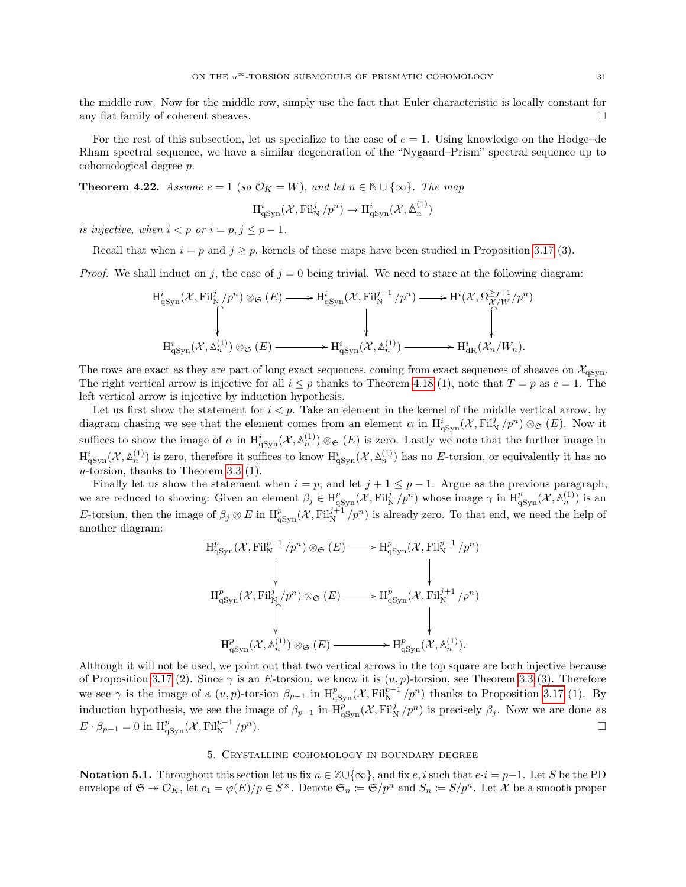the middle row. Now for the middle row, simply use the fact that Euler characteristic is locally constant for any flat family of coherent sheaves.  $\Box$ 

For the rest of this subsection, let us specialize to the case of  $e = 1$ . Using knowledge on the Hodge–de Rham spectral sequence, we have a similar degeneration of the "Nygaard–Prism" spectral sequence up to cohomological degree p.

<span id="page-30-1"></span>**Theorem 4.22.** Assume  $e = 1$  (so  $\mathcal{O}_K = W$ ), and let  $n \in \mathbb{N} \cup \{\infty\}$ . The map

$$
\operatorname{H}^{i}_{\mathrm{qSyn}}({\mathcal X}, \mathrm{Fil}^j_N/p^n) \to \operatorname{H}^{i}_{\mathrm{qSyn}}({\mathcal X}, {\mathbb A}^{(1)}_n)
$$

is injective, when  $i < p$  or  $i = p, j \leq p - 1$ .

Recall that when  $i = p$  and  $j \ge p$ , kernels of these maps have been studied in Proposition [3.17](#page-20-0) (3).

*Proof.* We shall induct on j, the case of  $j = 0$  being trivial. We need to stare at the following diagram:

$$
\begin{array}{ccc}\n\mathrm{H}^{i}_{\mathrm{qSyn}}(\mathcal{X},\mathrm{Fil}^{j}_{\mathrm{N}}/p^{n})\otimes_{\mathfrak{S}}(E) \longrightarrow & \mathrm{H}^{i}_{\mathrm{qSyn}}(\mathcal{X},\mathrm{Fil}^{j+1}_{\mathrm{N}}/p^{n})\longrightarrow & \mathrm{H}^{i}(\mathcal{X},\Omega^{ \geq j+1}_{\mathcal{X}/W}/p^{n})\\ \downarrow & & \downarrow & & \downarrow & & \downarrow & & \downarrow\\ \mathrm{H}^{i}_{\mathrm{qSyn}}(\mathcal{X},\mathbb{A}^{(1)}_{n})\otimes_{\mathfrak{S}}(E) \longrightarrow & \mathrm{H}^{i}_{\mathrm{qSyn}}(\mathcal{X},\mathbb{A}^{(1)}_{n})\longrightarrow & \mathrm{H}^{i}_{\mathrm{dR}}(\mathcal{X}_{n}/W_{n}).\n\end{array}
$$

The rows are exact as they are part of long exact sequences, coming from exact sequences of sheaves on  $\mathcal{X}_{qSyn}$ . The right vertical arrow is injective for all  $i \leq p$  thanks to Theorem [4.18](#page-28-0) (1), note that  $T = p$  as  $e = 1$ . The left vertical arrow is injective by induction hypothesis.

Let us first show the statement for  $i < p$ . Take an element in the kernel of the middle vertical arrow, by diagram chasing we see that the element comes from an element  $\alpha$  in  $H^i_{qSym}(\mathcal{X}, Fil^j_N/p^n)\otimes_{\mathfrak{S}} (E)$ . Now it suffices to show the image of  $\alpha$  in  $H^i_{qSym}(\mathcal{X}, \mathbb{A}_n^{(1)}) \otimes_{\mathfrak{S}} (E)$  is zero. Lastly we note that the further image in  $\mathrm{H}^i_{\mathrm{qSyn}}(\mathcal{X}, \mathbb{A}^{(1)}_n)$  is zero, therefore it suffices to know  $\mathrm{H}^i_{\mathrm{qSyn}}(\mathcal{X}, \mathbb{A}^{(1)}_n)$  has no E-torsion, or equivalently it has no u-torsion, thanks to Theorem [3.3](#page-14-0) (1).

Finally let us show the statement when  $i = p$ , and let  $j + 1 \le p - 1$ . Argue as the previous paragraph, we are reduced to showing: Given an element  $\beta_j \in H^p_{qSym}(\mathcal{X}, \mathrm{Fil}^j_N/p^n)$  whose image  $\gamma$  in  $H^p_{qSym}(\mathcal{X}, \mathbb{A}^{(1)}_n)$  is an E-torsion, then the image of  $\beta_j \otimes E$  in  $H^p_{qSym}(\mathcal{X}, \mathrm{Fil}^{j+1}_N/p^n)$  is already zero. To that end, we need the help of another diagram:

$$
\begin{array}{ccc}\n\mathrm{H}^{p}_{\mathrm{qSyn}}(\mathcal{X},\mathrm{Fil}^{p-1}_{\mathrm{N}}/p^{n})\otimes_{\mathfrak{S}}(E) & \longrightarrow & \mathrm{H}^{p}_{\mathrm{qSyn}}(\mathcal{X},\mathrm{Fil}^{p-1}_{\mathrm{N}}/p^{n}) \\
& & \downarrow & & \downarrow & \\
\mathrm{H}^{p}_{\mathrm{qSyn}}(\mathcal{X},\mathrm{Fil}^{j}_{\mathrm{N}}/p^{n})\otimes_{\mathfrak{S}}(E) & \longrightarrow & \mathrm{H}^{p}_{\mathrm{qSyn}}(\mathcal{X},\mathrm{Fil}^{j+1}_{\mathrm{N}}/p^{n}) \\
& & \downarrow & & \downarrow & \\
& & \downarrow & & \downarrow & \\
& & \downarrow & & \downarrow & \\
& & \downarrow & & \downarrow & \\
& & \downarrow & & \downarrow & \\
& & \downarrow & & \downarrow & \\
& & \downarrow & & \downarrow & \\
& & \downarrow & & \downarrow & \\
& & \downarrow & & \downarrow & \\
& & \downarrow & & \downarrow & \\
& & \downarrow & & \downarrow & \\
& & \downarrow & & \downarrow & \\
& & \downarrow & & \downarrow & \\
& & \downarrow & & \downarrow & \\
& & \downarrow & & \downarrow & \\
& & \downarrow & & \downarrow & \\
& & \downarrow & & \downarrow & \\
& & \downarrow & & \downarrow & \\
& & \downarrow & & \downarrow & \\
& & \downarrow & & \downarrow & \\
& & \downarrow & & \downarrow & \\
& & \downarrow & & \downarrow & \\
& & \downarrow & & \downarrow & \\
& & \downarrow & & \downarrow & \\
& & \downarrow & & \downarrow & \\
& & \downarrow & & \downarrow & \\
& & \downarrow & & \downarrow & \\
& & \downarrow & & \downarrow & \\
& & \downarrow & & \downarrow & \\
& & \downarrow & & \downarrow & \\
& & \downarrow & & \downarrow & \\
& & \downarrow & & \downarrow & \\
& & \downarrow & & \downarrow & \\
& & \downarrow & & \downarrow & \\
& & \downarrow & & \downarrow & \\
& & \downarrow & & \downarrow & \\
& & \downarrow & & \downarrow & \\
& & \downarrow & & \downarrow & \\
& & \downarrow & & \downarrow & \\
& & \downarrow & & \downarrow & \\
& & \downarrow & & \downarrow & \\
& & \downarrow & & \downarrow & \\
& & \downarrow & & \downarrow & \\
& & \downarrow & & \downarrow & \\
& & \downarrow & & \downarrow & \\
& & \down
$$

Although it will not be used, we point out that two vertical arrows in the top square are both injective because of Proposition [3.17](#page-20-0) (2). Since  $\gamma$  is an E-torsion, we know it is  $(u, p)$ -torsion, see Theorem [3.3](#page-14-0) (3). Therefore we see  $\gamma$  is the image of a  $(u, p)$ -torsion  $\beta_{p-1}$  in  $H_{qSym}^p(\mathcal{X}, Fil_N^{p-1}/p^n)$  thanks to Proposition [3.17](#page-20-0) (1). By induction hypothesis, we see the image of  $\beta_{p-1}$  in  $H_{qSyn}^p(\mathcal{X}, Fil^j_N/p^n)$  is precisely  $\beta_j$ . Now we are done as  $E \cdot \beta_{p-1} = 0$  in  $\mathrm{H}^p_{q\mathrm{Syn}}(\mathcal{X}, \mathrm{Fil}^{p-1}_{\mathrm{N}}/p^n).$ 

## 5. Crystalline cohomology in boundary degree

<span id="page-30-0"></span>Notation 5.1. Throughout this section let us fix  $n \in \mathbb{Z} \cup \{\infty\}$ , and fix  $e, i$  such that  $e \cdot i = p-1$ . Let S be the PD envelope of  $\mathfrak{S} \twoheadrightarrow \mathcal{O}_K$ , let  $c_1 = \varphi(E)/p \in S^\times$ . Denote  $\mathfrak{S}_n := \mathfrak{S}/p^n$  and  $S_n := S/p^n$ . Let X be a smooth proper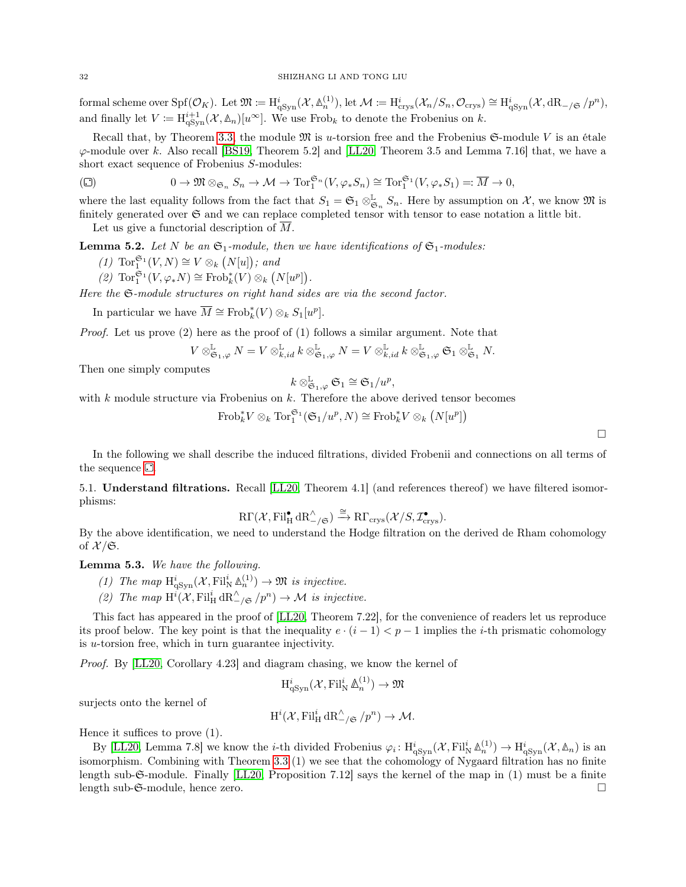formal scheme over  $\text{Spf}(\mathcal{O}_K)$ . Let  $\mathfrak{M} \coloneqq \text{H}^i_{\text{qSyn}}(\mathcal{X}, \mathbb{A}^{(1)}_n)$ , let  $\mathcal{M} \coloneqq \text{H}^i_{\text{crys}}(\mathcal{X}_n/S_n, \mathcal{O}_{\text{crys}}) \cong \text{H}^i_{\text{qSyn}}(\mathcal{X}, \text{dR}_{-\text{gsyn}}/p^n)$ , and finally let  $V := \mathrm{H}^{i+1}_{q\mathrm{Syn}}(\mathcal{X}, \mathbb{A}_n)[u^\infty]$ . We use Frob<sub>k</sub> to denote the Frobenius on k.

Recall that, by Theorem [3.3,](#page-14-0) the module  $\mathfrak{M}$  is u-torsion free and the Frobenius  $\mathfrak{S}\text{-module }V$  is an étale  $\varphi$ -module over k. Also recall [\[BS19,](#page-50-3) Theorem 5.2] and [\[LL20,](#page-51-7) Theorem 3.5 and Lemma 7.16] that, we have a short exact sequence of Frobenius S-modules:

<span id="page-31-1"></span>
$$
\text{(C)} \qquad \qquad 0 \to \mathfrak{M} \otimes_{\mathfrak{S}_n} S_n \to \mathcal{M} \to \text{Tor}_1^{\mathfrak{S}_n}(V, \varphi_* S_n) \cong \text{Tor}_1^{\mathfrak{S}_1}(V, \varphi_* S_1) =: \overline{M} \to 0,
$$

where the last equality follows from the fact that  $S_1 = \mathfrak{S}_1 \otimes_{\mathfrak{S}_n}^{\mathbb{L}} S_n$ . Here by assumption on X, we know  $\mathfrak{M}$  is finitely generated over  $\mathfrak S$  and we can replace completed tensor with tensor to ease notation a little bit. Let us give a functorial description of  $\overline{M}$ .

<span id="page-31-4"></span>

**Lemma 5.2.** Let N be an  $\mathfrak{S}_1$ -module, then we have identifications of  $\mathfrak{S}_1$ -modules:

- (1)  $\operatorname{Tor}_1^{\mathfrak{S}_1}(V,N) \cong V \otimes_k (N[u])$ ; and
- (2)  $\operatorname{Tor}^{\mathfrak{S}_1}_1(V,\varphi_*N) \cong \operatorname{Frob}_k^*(V) \otimes_k (N[u^p]).$

Here the  $\mathfrak{S}\text{-module structures on right hand sides are via the second factor.}$ 

In particular we have  $\overline{M} \cong \text{Frob}_k^*(V) \otimes_k S_1[w^p].$ 

Proof. Let us prove (2) here as the proof of (1) follows a similar argument. Note that

$$
V\otimes^\mathbb{L}_{\mathfrak{S}_1,\varphi}N=V\otimes^\mathbb{L}_{k,id}\,k\otimes^\mathbb{L}_{\mathfrak{S}_1,\varphi}N=V\otimes^\mathbb{L}_{k,id}\,k\otimes^\mathbb{L}_{\mathfrak{S}_1,\varphi}\mathfrak{S}_1\otimes^\mathbb{L}_{\mathfrak{S}_1}N.
$$

Then one simply computes

$$
k\otimes_{\mathfrak{S}_1,\varphi}^{\mathbb{L}}\mathfrak{S}_1\cong \mathfrak{S}_1/u^p,
$$

with  $k$  module structure via Frobenius on  $k$ . Therefore the above derived tensor becomes

 $\mathrm{Frob}_k^* V \otimes_k \mathrm{Tor}_1^{\mathfrak{S}_1}(\mathfrak{S}_1/u^p,N) \cong \mathrm{Frob}_k^* V \otimes_k (N[u^p])$ 

In the following we shall describe the induced filtrations, divided Frobenii and connections on all terms of the sequence  $\Box$ [.](#page-31-1)

<span id="page-31-0"></span>5.1. Understand filtrations. Recall [\[LL20,](#page-51-7) Theorem 4.1] (and references thereof) we have filtered isomorphisms:

$$
\mathrm{R}\Gamma(\mathcal{X}, \mathrm{Fil}_{\mathrm{H}}^{\bullet}\,\mathrm{dR}_{-/\mathfrak{S}}^{\wedge})\xrightarrow{\cong} \mathrm{R}\Gamma_{\mathrm{crys}}(\mathcal{X}/S, \mathcal{I}_{\mathrm{crys}}^{\bullet}).
$$

By the above identification, we need to understand the Hodge filtration on the derived de Rham cohomology of  $\mathcal{X}/\mathfrak{S}$ .

<span id="page-31-3"></span>Lemma 5.3. We have the following.

- (1) The map  $H^i_{\text{qSyn}}(\mathcal{X}, \text{Fil}^i_N \mathbb{A}_n^{(1)}) \to \mathfrak{M}$  is injective.
- (2) The map  $H^i(\mathcal{X}, \mathrm{Fil}^i_{\mathrm{H}} \mathrm{dR}^{\wedge}_{-\mathcal{f} \mathfrak{S}} / p^n) \to \mathcal{M}$  is injective.

This fact has appeared in the proof of [\[LL20,](#page-51-7) Theorem 7.22], for the convenience of readers let us reproduce its proof below. The key point is that the inequality  $e \cdot (i-1) < p-1$  implies the *i*-th prismatic cohomology is u-torsion free, which in turn guarantee injectivity.

Proof. By [\[LL20,](#page-51-7) Corollary 4.23] and diagram chasing, we know the kernel of

$$
H^i_{qSyn}(\mathcal{X}, \mathrm{Fil}^i_N \,\mathbb{A}_n^{(1)}) \to \mathfrak{M}
$$

surjects onto the kernel of

$$
H^i(\mathcal{X}, \mathrm{Fil}^i_{\mathrm{H}} \, \mathrm{dR}^\wedge_{-/\mathfrak{S}} / p^n) \to \mathcal{M}.
$$

Hence it suffices to prove (1).

<span id="page-31-2"></span>By [\[LL20,](#page-51-7) Lemma 7.8] we know the *i*-th divided Frobenius  $\varphi_i: H^i_{qSym}(\mathcal{X}, \mathrm{Fil}^i_{\mathbb{N}} \mathbb{A}^{(1)}_n) \to H^i_{qSym}(\mathcal{X}, \mathbb{A}_n)$  is an isomorphism. Combining with Theorem [3.3](#page-14-0) (1) we see that the cohomology of Nygaard filtration has no finite length sub-S-module. Finally [\[LL20,](#page-51-7) Proposition 7.12] says the kernel of the map in (1) must be a finite length sub-S-module, hence zero.

 $\Box$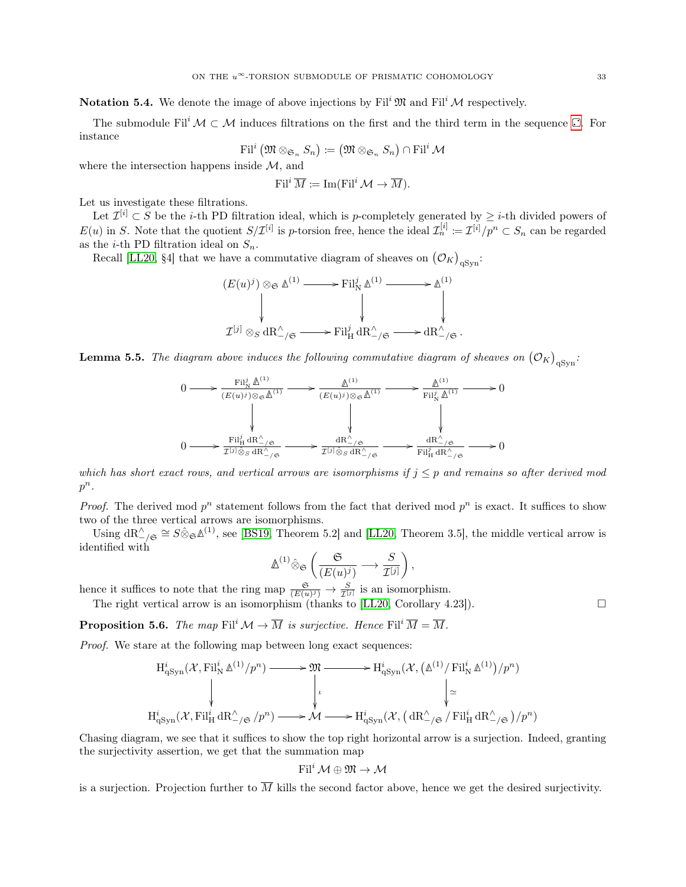**Notation 5.4.** We denote the image of above injections by Fil<sup>i</sup>  $\mathfrak{M}$  and Fil<sup>i</sup>  $\mathcal{M}$  respectively.

The submodule Fil<sup>i</sup>  $M \subset M$  induces filtrations on the first and the third term in the sequence  $\Box$ [.](#page-31-1) For instance

$$
\operatorname{Fil}^i\big(\mathfrak{M}\otimes_{\mathfrak{S}_n} S_n\big)\coloneqq\big(\mathfrak{M}\otimes_{\mathfrak{S}_n} S_n\big)\cap\operatorname{Fil}^i\mathcal{M}
$$

where the intersection happens inside  $M$ , and

$$
\operatorname{Fil}^i \overline{M} \coloneqq \operatorname{Im}(\operatorname{Fil}^i \mathcal{M} \to \overline{M}).
$$

Let us investigate these filtrations.

Let  $\mathcal{I}^{[i]} \subset S$  be the *i*-th PD filtration ideal, which is *p*-completely generated by  $\geq i$ -th divided powers of  $E(u)$  in S. Note that the quotient  $S/\mathcal{I}^{[i]}$  is p-torsion free, hence the ideal  $\mathcal{I}^{[i]}_n := \mathcal{I}^{[i]}/p^n \subset S_n$  can be regarded as the *i*-th PD filtration ideal on  $S_n$ .

Recall [\[LL20,](#page-51-7) §4] that we have a commutative diagram of sheaves on  $(\mathcal{O}_K)_{qSyn}$ :

$$
(E(u)^j) \otimes_{\mathfrak{S}} \mathbb{A}^{(1)} \longrightarrow \text{Fil}^j_{\mathcal{N}} \mathbb{A}^{(1)} \longrightarrow \mathbb{A}^{(1)}
$$
\n
$$
\downarrow \qquad \qquad \downarrow \qquad \qquad \downarrow
$$
\n
$$
\mathcal{I}^{[j]} \otimes_{S} \text{dR}^{\wedge}_{-\mathfrak{f}} \longrightarrow \text{Fil}^j_{\mathcal{H}} \text{dR}^{\wedge}_{-\mathfrak{f}} \longrightarrow \text{dR}^{\wedge}_{-\mathfrak{f}} \longrightarrow \mathbb{A}^{\wedge}
$$

<span id="page-32-0"></span>**Lemma 5.5.** The diagram above induces the following commutative diagram of sheaves on  $(\mathcal{O}_K)_{qSym}$ .

$$
0 \longrightarrow \frac{\operatorname{Fil}_{\mathrm{N}}^j \Delta^{(1)}}{(E(u)^j) \otimes_{\mathfrak{S}} \Delta^{(1)}} \longrightarrow \frac{\Delta^{(1)}}{(E(u)^j) \otimes_{\mathfrak{S}} \Delta^{(1)}} \longrightarrow \frac{\Delta^{(1)}}{\operatorname{Fil}_{\mathrm{N}}^j \Delta^{(1)}} \longrightarrow 0
$$
  

$$
\downarrow \qquad \qquad \downarrow \qquad \qquad \downarrow
$$
  

$$
0 \longrightarrow \frac{\operatorname{Fil}_{\mathrm{H}}^j dR_{-\prime \mathfrak{S}}^{\wedge}}{\operatorname{Irr}_{\mathrm{N}}^j \otimes_{\mathfrak{S}} dR_{-\prime \mathfrak{S}}^{\wedge}} \longrightarrow \frac{dR_{-\prime \mathfrak{S}}^{\wedge}}{\operatorname{Irr}_{\mathrm{N}}^j \otimes_{\mathfrak{S}} dR_{-\prime \mathfrak{S}}^{\wedge}} \longrightarrow 0
$$

which has short exact rows, and vertical arrows are isomorphisms if  $j \leq p$  and remains so after derived mod  $p^n$ .

*Proof.* The derived mod  $p^n$  statement follows from the fact that derived mod  $p^n$  is exact. It suffices to show two of the three vertical arrows are isomorphisms.

Using  $dR^{\wedge}_{-\prime\mathfrak{S}} \cong S \hat{\otimes}_{\mathfrak{S}} \mathfrak{A}^{(1)}$ , see [\[BS19,](#page-50-3) Theorem 5.2] and [\[LL20,](#page-51-7) Theorem 3.5], the middle vertical arrow is identified with

$$
\mathbb{\Delta}^{(1)} \hat{\otimes} \mathfrak{S} \left( \frac{\mathfrak{S}}{(E(u)^j)} \longrightarrow \frac{S}{\mathcal{I}^{[j]}} \right),
$$

hence it suffices to note that the ring map  $\frac{\mathfrak{S}}{(E(u)^j)} \to \frac{S}{\mathcal{I}^{[j]}}$  is an isomorphism.

The right vertical arrow is an isomorphism (thanks to [\[LL20,](#page-51-7) Corollary 4.23]).

<span id="page-32-1"></span>**Proposition 5.6.** The map Fil<sup>i</sup>  $\mathcal{M} \to \overline{M}$  is surjective. Hence Fil<sup>i</sup>  $\overline{M} = \overline{M}$ .

Proof. We stare at the following map between long exact sequences:

$$
\mathrm{H}^{i}_{\mathrm{qSyn}}(\mathcal{X}, \mathrm{Fil}^{i}_{\mathrm{N}} \mathbb{A}^{(1)}/p^{n}) \longrightarrow \mathfrak{M} \longrightarrow \mathrm{H}^{i}_{\mathrm{qSyn}}(\mathcal{X}, (\mathbb{A}^{(1)}/\mathrm{Fil}^{i}_{\mathrm{N}} \mathbb{A}^{(1)})/p^{n})
$$
\n
$$
\downarrow \qquad \qquad \downarrow \qquad \qquad \downarrow \qquad \qquad \downarrow \qquad \qquad \downarrow \qquad \qquad \downarrow \qquad \qquad \downarrow \qquad \qquad \downarrow \qquad \qquad \downarrow \qquad \qquad \downarrow \qquad \qquad \downarrow \qquad \qquad \downarrow \qquad \qquad \downarrow \qquad \qquad \downarrow \qquad \qquad \downarrow \qquad \qquad \downarrow \qquad \qquad \downarrow \qquad \qquad \downarrow \qquad \qquad \downarrow \qquad \qquad \downarrow \qquad \qquad \downarrow \qquad \qquad \downarrow \qquad \qquad \downarrow \qquad \qquad \downarrow \qquad \qquad \downarrow \qquad \qquad \downarrow \qquad \qquad \downarrow \qquad \qquad \downarrow \qquad \qquad \downarrow \qquad \qquad \downarrow \qquad \qquad \downarrow \qquad \qquad \downarrow \qquad \qquad \downarrow \qquad \qquad \downarrow \qquad \qquad \downarrow \qquad \qquad \downarrow \qquad \qquad \downarrow \qquad \qquad \downarrow \qquad \qquad \downarrow \qquad \qquad \downarrow \qquad \qquad \downarrow \qquad \qquad \downarrow \qquad \qquad \downarrow \qquad \qquad \downarrow \qquad \qquad \downarrow \qquad \qquad \downarrow \qquad \qquad \downarrow \qquad \qquad \downarrow \qquad \qquad \downarrow \qquad \qquad \downarrow \qquad \qquad \downarrow \qquad \qquad \downarrow \qquad \qquad \downarrow \qquad \qquad \downarrow \qquad \qquad \downarrow \qquad \qquad \downarrow \qquad \qquad \downarrow \qquad \qquad \downarrow \qquad \qquad \downarrow \qquad \qquad \downarrow \qquad \qquad \downarrow \qquad \qquad \downarrow \qquad \qquad \downarrow \qquad \qquad \downarrow \qquad \qquad \downarrow \qquad \qquad \downarrow \qquad \qquad \downarrow \qquad \qquad \downarrow \qquad \qquad \downarrow \qquad \qquad \downarrow \qquad \qquad \downarrow
$$

Chasing diagram, we see that it suffices to show the top right horizontal arrow is a surjection. Indeed, granting the surjectivity assertion, we get that the summation map

$$
\operatorname{Fil}^i\mathcal{M}\oplus\mathfrak{M}\to\mathcal{M}
$$

is a surjection. Projection further to  $\overline{M}$  kills the second factor above, hence we get the desired surjectivity.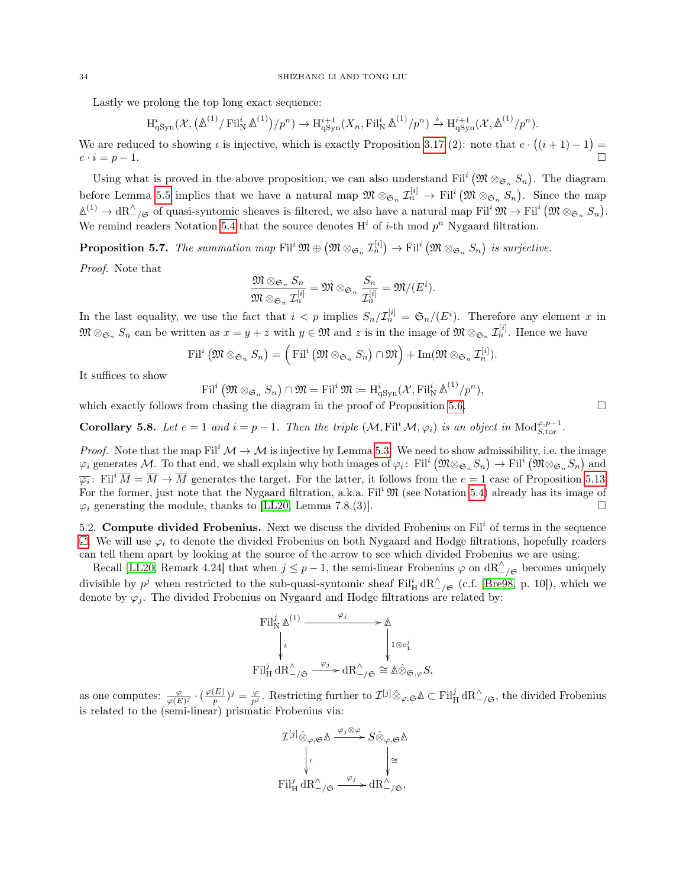Lastly we prolong the top long exact sequence:

$$
\mathrm{H}^{i}_{\mathrm{qSyn}}(\mathcal{X},(\mathbb{A}^{(1)}/\mathrm{Fil}^i_{\mathrm{N}}\,\mathbb{A}^{(1)})/p^n) \to \mathrm{H}^{i+1}_{\mathrm{qSyn}}(X_n,\mathrm{Fil}^i_{\mathrm{N}}\,\mathbb{A}^{(1)}/p^n) \xrightarrow{\iota} \mathrm{H}^{i+1}_{\mathrm{qSyn}}(\mathcal{X},\mathbb{A}^{(1)}/p^n).
$$

We are reduced to showing  $\iota$  is injective, which is exactly Proposition [3.17](#page-20-0) (2): note that  $e \cdot ((i + 1) - 1) =$  $e \cdot i = p - 1.$ 

Using what is proved in the above proposition, we can also understand Fil<sup>i</sup> ( $\mathfrak{M} \otimes_{\mathfrak{S}_n} S_n$ ). The diagram before Lemma [5.5](#page-32-0) implies that we have a natural map  $\mathfrak{M} \otimes_{\mathfrak{S}_n} \mathcal{I}_n^{[i]} \to \mathrm{Fil}^i(\mathfrak{M} \otimes_{\mathfrak{S}_n} S_n)$ . Since the map  $\mathbb{\Delta}^{(1)} \to \mathrm{dR}_{-\mathcal{}/\mathfrak{S}}^{\wedge}$  of quasi-syntomic sheaves is filtered, we also have a natural map Fil<sup>i</sup>  $\mathfrak{M} \to \mathrm{Fil}^i \left( \mathfrak{M} \otimes_{\mathfrak{S}_n} S_n \right)$ . We remind readers Notation [5.4](#page-31-2) that the source denotes  $H^i$  of *i*-th mod  $p^n$  Nygaard filtration.

<span id="page-33-1"></span>**Proposition 5.7.** The summation map  $\text{Fil}^i \mathfrak{M} \oplus (\mathfrak{M} \otimes_{\mathfrak{S}_n} \mathcal{I}_n^{[i]}) \to \text{Fil}^i (\mathfrak{M} \otimes_{\mathfrak{S}_n} S_n)$  is surjective.

Proof. Note that

$$
\frac{\mathfrak{M} \otimes_{\mathfrak{S}_n} S_n}{\mathfrak{M} \otimes_{\mathfrak{S}_n} \mathcal{I}_n^{[i]}} = \mathfrak{M} \otimes_{\mathfrak{S}_n} \frac{S_n}{\mathcal{I}_n^{[i]}} = \mathfrak{M}/(E^i).
$$

In the last equality, we use the fact that  $i < p$  implies  $S_n/\mathcal{I}_n^{[i]} = \mathfrak{S}_n/(\mathbb{E}^i)$ . Therefore any element x in  $\mathfrak{M} \otimes_{\mathfrak{S}_n} S_n$  can be written as  $x = y + z$  with  $y \in \mathfrak{M}$  and z is in the image of  $\mathfrak{M} \otimes_{\mathfrak{S}_n} \mathcal{I}_n^{[i]}$ . Hence we have

$$
\mathrm{Fil}^i\left(\mathfrak{M}\otimes_{\mathfrak{S}_n} S_n\right)=\left(\mathrm{Fil}^i\left(\mathfrak{M}\otimes_{\mathfrak{S}_n} S_n\right)\cap\mathfrak{M}\right)+\mathrm{Im}(\mathfrak{M}\otimes_{\mathfrak{S}_n} \mathcal{I}_n^{[i]}).
$$

It suffices to show

$$
\mathrm{Fil}^i\left(\mathfrak{M}\otimes_{\mathfrak{S}_n} S_n\right)\cap\mathfrak{M}=\mathrm{Fil}^i\,\mathfrak{M}:=\mathrm{H}^i_{\mathrm{qSyn}}(\mathcal{X},\mathrm{Fil}^i_{\mathrm{N}}\,\mathbb{\Delta}^{(1)}/p^n),
$$

which exactly follows from chasing the diagram in the proof of Proposition [5.6.](#page-32-1)  $\Box$ 

<span id="page-33-2"></span>**Corollary 5.8.** Let  $e = 1$  and  $i = p - 1$ . Then the triple  $(M, \text{Fil}^i \mathcal{M}, \varphi_i)$  is an object in Mod $_{S,\text{tor}}^{\varphi, p-1}$ .

*Proof.* Note that the map Fil<sup>i</sup>  $\mathcal{M} \to \mathcal{M}$  is injective by Lemma [5.3.](#page-31-3) We need to show admissibility, i.e. the image  $\varphi_i$  generates M. To that end, we shall explain why both images of  $\varphi_i$ : Fil<sup>i</sup>  $(\mathfrak{M} \otimes_{\mathfrak{S}_n} S_n) \to \mathrm{Fil}^i$   $(\mathfrak{M} \otimes_{\mathfrak{S}_n} S_n)$  and  $\overline{\varphi_i}$ : Fil<sup>i</sup>  $\overline{M} = \overline{M} \to \overline{M}$  generates the target. For the latter, it follows from the  $e = 1$  case of Proposition [5.13.](#page-35-0) For the former, just note that the Nygaard filtration, a.k.a.  $\text{Fil}^i \mathfrak{M}$  (see Notation [5.4\)](#page-31-2) already has its image of  $\varphi_i$  generating the module, thanks to [\[LL20,](#page-51-7) Lemma 7.8.(3)].

<span id="page-33-0"></span>5.2. Compute divided Frobenius. Next we discuss the divided Frobenius on  $\text{Fil}^i$  of terms in the sequence  $\Box$ [.](#page-31-1) We will use  $\varphi_i$  to denote the divided Frobenius on both Nygaard and Hodge filtrations, hopefully readers can tell them apart by looking at the source of the arrow to see which divided Frobenius we are using.

Recall [\[LL20,](#page-51-7) Remark 4.24] that when  $j \leq p-1$ , the semi-linear Frobenius  $\varphi$  on  $dR^{\wedge}_{-\varphi}$  becomes uniquely divisible by  $p^j$  when restricted to the sub-quasi-syntomic sheaf  $\text{Fil}_{\text{H}}^i \text{dR}_{-\/}\mathfrak{S}$  (c.f. [\[Bre98,](#page-50-4) p. 10]), which we denote by  $\varphi_i$ . The divided Frobenius on Nygaard and Hodge filtrations are related by:

$$
\operatorname{Fil}^j_{\mathsf{N}} \mathbb{A}^{(1)} \xrightarrow{\varphi_j} \mathbb{A}
$$
\n
$$
\downarrow \qquad \qquad \downarrow \qquad \qquad \downarrow \qquad \qquad \downarrow \qquad \downarrow \qquad \downarrow \qquad \downarrow \qquad \downarrow \qquad \downarrow \qquad \downarrow \qquad \downarrow \qquad \downarrow \qquad \downarrow \qquad \downarrow \qquad \downarrow \qquad \downarrow \qquad \downarrow \qquad \downarrow \qquad \downarrow \qquad \downarrow \qquad \downarrow \qquad \downarrow \qquad \downarrow \qquad \downarrow \qquad \downarrow \qquad \downarrow \qquad \downarrow \qquad \downarrow \qquad \downarrow \qquad \downarrow \qquad \downarrow \qquad \downarrow \qquad \downarrow \qquad \downarrow \qquad \downarrow \qquad \downarrow \qquad \downarrow \qquad \downarrow \qquad \downarrow \qquad \downarrow \qquad \downarrow \qquad \downarrow \qquad \downarrow \qquad \downarrow \qquad \downarrow \qquad \downarrow \qquad \downarrow \qquad \downarrow \qquad \downarrow \qquad \downarrow \qquad \downarrow \qquad \downarrow \qquad \downarrow \qquad \downarrow \qquad \downarrow \qquad \downarrow \qquad \downarrow \qquad \downarrow \qquad \downarrow \qquad \downarrow \qquad \downarrow \qquad \downarrow \qquad \downarrow \qquad \downarrow \qquad \downarrow \qquad \downarrow \qquad \downarrow \qquad \downarrow \qquad \downarrow \qquad \downarrow \qquad \downarrow \qquad \downarrow \qquad \downarrow \qquad \downarrow \qquad \downarrow \qquad \downarrow \qquad \downarrow \qquad \downarrow \qquad \downarrow \qquad \downarrow \qquad \downarrow \qquad \downarrow \qquad \downarrow \qquad \downarrow \qquad \downarrow \qquad \downarrow \qquad \downarrow \qquad \downarrow \qquad \downarrow \qquad \downarrow \qquad \downarrow \qquad \downarrow \qquad \downarrow \qquad \downarrow \qquad \downarrow \qquad \downarrow \qquad \downarrow \qquad \downarrow \qquad \downarrow \qquad \downarrow \qquad \downarrow \qquad \downarrow \qquad \downarrow \qquad \downarrow \qquad \downarrow \qquad \downarrow \qquad \downarrow \qquad \downarrow \qquad \downarrow \qquad \downarrow \qquad \downarrow \qquad \downarrow \qquad \downarrow \qquad \downarrow \qquad \downarrow \qquad \downarrow \qquad \downarrow \qquad \down
$$

as one computes:  $\frac{\varphi}{\varphi(E)^j} \cdot \left(\frac{\varphi(E)}{p}\right)$  $(\frac{E}{p})^j = \frac{\varphi}{p^j}$ . Restricting further to  $\mathcal{I}^{[j]} \hat{\otimes}_{\varphi, \mathfrak{S}} \Delta \subset \text{Fil}^j_{\text{H}} dR^{\wedge}_{-\mathfrak{f}, \mathfrak{S}}$ , the divided Frobenius is related to the (semi-linear) prismatic Frobenius via:

$$
\mathcal{I}^{[j]} \hat{\otimes}_{\varphi, \mathfrak{S}} \Delta \xrightarrow{\varphi_j \otimes \varphi} S \hat{\otimes}_{\varphi, \mathfrak{S}} \Delta
$$

$$
\downarrow \iota \qquad \qquad \downarrow \cong
$$

$$
\mathrm{Fil}^j_{\mathrm{H}} \, \mathrm{dR}^\wedge_{-\}/\mathfrak{S} \xrightarrow{\varphi_j} \mathrm{dR}^\wedge_{-\}/\mathfrak{S},
$$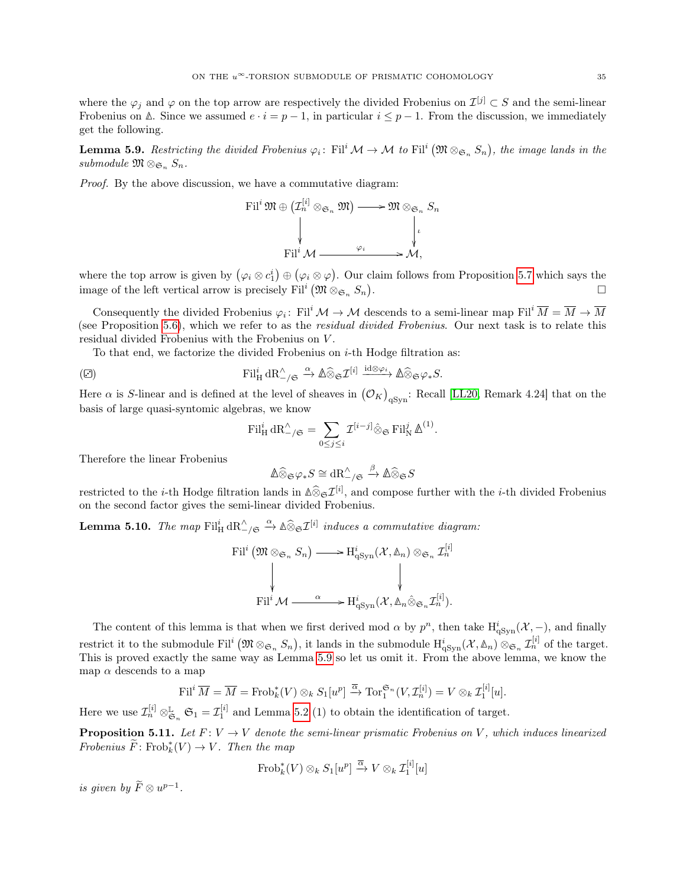where the  $\varphi_j$  and  $\varphi$  on the top arrow are respectively the divided Frobenius on  $\mathcal{I}^{[j]} \subset S$  and the semi-linear Frobenius on  $\Delta$ . Since we assumed  $e \cdot i = p - 1$ , in particular  $i \leq p - 1$ . From the discussion, we immediately get the following.

<span id="page-34-0"></span>**Lemma 5.9.** Restricting the divided Frobenius  $\varphi_i$ : Fil<sup>i</sup>  $\mathcal{M} \to \mathcal{M}$  to Fil<sup>i</sup>  $(\mathfrak{M} \otimes_{\mathfrak{S}_n} S_n)$ , the image lands in the submodule  $\mathfrak{M} \otimes_{\mathfrak{S}_n} S_n$ .

Proof. By the above discussion, we have a commutative diagram:

$$
\text{Fil}^i \mathfrak{M} \oplus (\mathcal{I}_n^{[i]} \otimes_{\mathfrak{S}_n} \mathfrak{M}) \longrightarrow \mathfrak{M} \otimes_{\mathfrak{S}_n} S_n
$$
\n
$$
\downarrow \qquad \qquad \downarrow \qquad \qquad \downarrow \qquad \qquad \downarrow
$$
\n
$$
\text{Fil}^i \mathcal{M} \longrightarrow \mathfrak{M},
$$

where the top arrow is given by  $(\varphi_i \otimes c_1^i) \oplus (\varphi_i \otimes \varphi)$ . Our claim follows from Proposition [5.7](#page-33-1) which says the image of the left vertical arrow is precisely  $\text{Fil}^i\left(\mathfrak{M} \otimes_{\mathfrak{S}_n} S_n\right)$ . В последните поставите на селото на селото на селото на селото на селото на селото на селото на селото на се<br>Селото на селото на селото на селото на селото на селото на селото на селото на селото на селото на селото на

Consequently the divided Frobenius  $\varphi_i$ : Fil<sup>i</sup>  $\mathcal{M} \to \mathcal{M}$  descends to a semi-linear map Fil<sup>i</sup>  $\overline{M} = \overline{M} \to \overline{M}$ (see Proposition [5.6\)](#page-32-1), which we refer to as the residual divided Frobenius. Our next task is to relate this residual divided Frobenius with the Frobenius on V .

To that end, we factorize the divided Frobenius on  $i$ -th Hodge filtration as:

<span id="page-34-1"></span>
$$
\text{Fil}_{\text{H}}^i \, \text{dR}_{-\text{/}\mathfrak{S}}^{\wedge} \xrightarrow{\alpha} \mathbb{A} \widehat{\otimes}_{\mathfrak{S}} \mathcal{I}^{[i]} \xrightarrow{\text{id} \otimes \varphi_i} \mathbb{A} \widehat{\otimes}_{\mathfrak{S}} \varphi_* S.
$$

Here  $\alpha$  is S-linear and is defined at the level of sheaves in  $(\mathcal{O}_K)_{qSym}$ : Recall [\[LL20,](#page-51-7) Remark 4.24] that on the basis of large quasi-syntomic algebras, we know

$$
\mathrm{Fil}_{\mathrm{H}}^i \, \mathrm{dR}_{-/ \mathfrak{S}}^{\wedge} = \sum_{0 \le j \le i} \mathcal{I}^{[i-j]} \hat{\otimes}_{\mathfrak{S}} \mathrm{Fil}_{\mathrm{N}}^j \, \Delta^{(1)}.
$$

Therefore the linear Frobenius

$$
\mathbb{A} \widehat{\otimes}_{\mathfrak{S}} \varphi_* S \cong \mathrm{dR}^\wedge_{-/\mathfrak{S}} \xrightarrow{\beta} \mathbb{A} \widehat{\otimes}_{\mathfrak{S}} S
$$

restricted to the *i*-th Hodge filtration lands in  $\Delta \widehat{\otimes}_{\mathfrak{S}} \mathcal{I}^{[i]}$ , and compose further with the *i*-th divided Frobenius on the second factor gives the semi-linear divided Frobenius.

Lemma 5.10. The map  $\text{Fil}_{\text{H}}^i \, dR_{-\}/\mathfrak{S} \xrightarrow{\alpha} \mathbb{A} \widehat{\otimes}_{\mathfrak{S}} \mathcal{I}^{[i]}$  induces a commutative diagram:

$$
\mathrm{Fil}^i\left(\mathfrak{M}\otimes_{\mathfrak{S}_n} S_n\right) \longrightarrow \mathrm{H}^i_{\mathrm{qSyn}}(\mathcal{X}, \mathbb{A}_n) \otimes_{\mathfrak{S}_n} \mathcal{I}_n^{[i]}
$$
\n
$$
\downarrow \qquad \qquad \downarrow
$$
\n
$$
\mathrm{Fil}^i \mathcal{M} \xrightarrow{\alpha} \mathrm{H}^i_{\mathrm{qSyn}}(\mathcal{X}, \mathbb{A}_n \hat{\otimes}_{\mathfrak{S}_n} \mathcal{I}_n^{[i]}).
$$

The content of this lemma is that when we first derived mod  $\alpha$  by  $p^n$ , then take  $H^i_{qSym}(\mathcal{X}, -)$ , and finally restrict it to the submodule Fil<sup>i</sup>  $(\mathfrak{M} \otimes_{\mathfrak{S}_n} S_n)$ , it lands in the submodule  $H^i_{q}{}_{\text{Sym}}(\mathcal{X}, \mathbb{A}_n) \otimes_{\mathfrak{S}_n} \mathcal{I}_n^{[i]}$  of the target. This is proved exactly the same way as Lemma [5.9](#page-34-0) so let us omit it. From the above lemma, we know the map  $\alpha$  descends to a map

$$
\mathrm{Fil}^i \, \overline{M} = \overline{M} = \mathrm{Frob}_k^*(V) \otimes_k S_1[u^p] \xrightarrow{\overline{\alpha}} \mathrm{Tor}_1^{\mathfrak{S}_n}(V, \mathcal{I}_n^{[i]}) = V \otimes_k \mathcal{I}_1^{[i]}[u].
$$

Here we use  $\mathcal{I}_n^{[i]} \otimes_{\mathfrak{S}_n}^{\mathbb{L}} \mathfrak{S}_1 = \mathcal{I}_1^{[i]}$  and Lemma [5.2](#page-31-4) (1) to obtain the identification of target.

<span id="page-34-2"></span>**Proposition 5.11.** Let  $F: V \to V$  denote the semi-linear prismatic Frobenius on V, which induces linearized Frobenius  $\widetilde{F}$ : Frob $_k^*(V) \to V$ . Then the map

$$
\operatorname{Frob}_k^*(V) \otimes_k S_1[u^p] \xrightarrow{\overline{\alpha}} V \otimes_k \mathcal{I}_1^{[i]}[u]
$$

is given by  $\widetilde{F}\otimes u^{p-1}$ .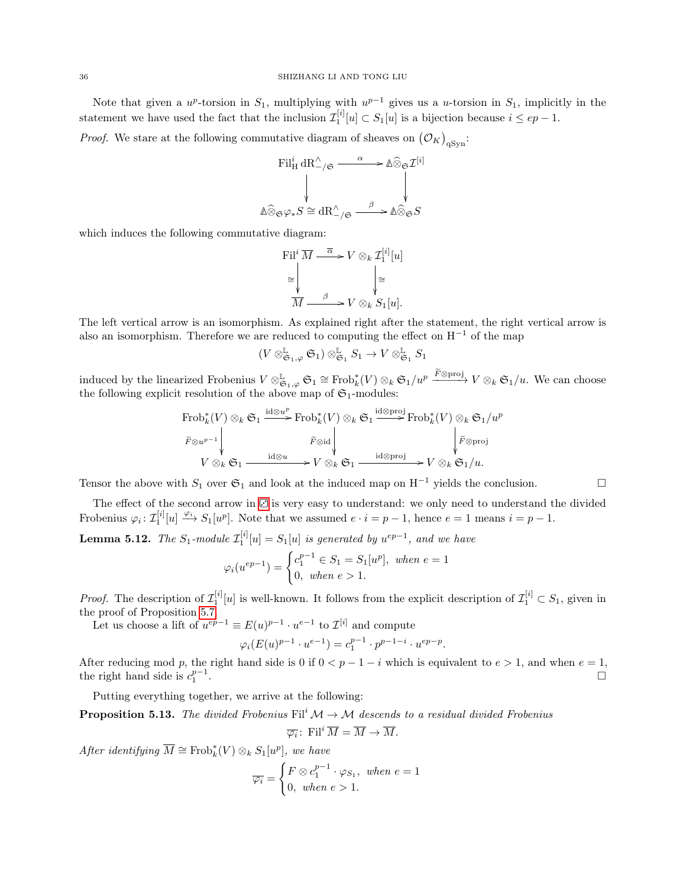Note that given a  $u^p$ -torsion in  $S_1$ , multiplying with  $u^{p-1}$  gives us a u-torsion in  $S_1$ , implicitly in the statement we have used the fact that the inclusion  $\mathcal{I}_1^{[i]}[u] \subset S_1[u]$  is a bijection because  $i \le ep-1$ .

*Proof.* We stare at the following commutative diagram of sheaves on  $(\mathcal{O}_K)_{qSyn}$ :

$$
\begin{array}{ccc}\n\text{Fil}_{\mathbf{H}}^{i} \, \text{dR}_{\mathcal{-}/\mathfrak{S}}^{A} & \longrightarrow & \mathbb{A} \widehat{\otimes}_{\mathfrak{S}} \mathcal{I}^{[i]} \\
\downarrow & & \downarrow \\
\text{Ad} \widehat{\otimes}_{\mathfrak{S}} \varphi_{*} S \cong \text{dR}_{\mathcal{-}/\mathfrak{S}}^{A} & \longrightarrow & \mathbb{A} \widehat{\otimes}_{\mathfrak{S}} S\n\end{array}
$$

which induces the following commutative diagram:

$$
\text{Fil}^i \overline{M} \xrightarrow{\overline{\alpha}} V \otimes_k \mathcal{I}_1^{[i]}[u] \cong \qquad \qquad \downarrow \qquad \qquad \downarrow \cong \overline{M} \xrightarrow{\beta} V \otimes_k S_1[u].
$$

The left vertical arrow is an isomorphism. As explained right after the statement, the right vertical arrow is also an isomorphism. Therefore we are reduced to computing the effect on H<sup>−</sup><sup>1</sup> of the map

$$
(V\otimes^\mathbb{L}_{\mathfrak{S}_1,\varphi} \mathfrak{S}_1)\otimes^\mathbb{L}_{\mathfrak{S}_1} S_1 \to V\otimes^\mathbb{L}_{\mathfrak{S}_1} S_1
$$

induced by the linearized Frobenius  $V \otimes_{\mathfrak{S}_1, \varphi}^{\mathbb{L}} \mathfrak{S}_1 \cong \text{Frob}_k^*(V) \otimes_k \mathfrak{S}_1/u^p \xrightarrow{F \otimes \text{proj}} V \otimes_k \mathfrak{S}_1/u$ . We can choose the following explicit resolution of the above map of  $\mathfrak{S}_1$ -modules:

$$
\begin{array}{ccc}\n\text{Frob}_{k}^{*}(V) \otimes_{k} \mathfrak{S}_{1} \xrightarrow{\text{id} \otimes u^{p}} \text{Frob}_{k}^{*}(V) \otimes_{k} \mathfrak{S}_{1} \xrightarrow{\text{id} \otimes \text{proj}} \text{Frob}_{k}^{*}(V) \otimes_{k} \mathfrak{S}_{1}/u^{p} \\
\downarrow \qquad \qquad \tilde{F} \otimes u^{p-1} & \downarrow \qquad \qquad \tilde{F} \otimes \text{id} \\
V \otimes_{k} \mathfrak{S}_{1} \xrightarrow{\text{id} \otimes u} V \otimes_{k} \mathfrak{S}_{1} \xrightarrow{\text{id} \otimes \text{proj}} V \otimes_{k} \mathfrak{S}_{1}/u.\n\end{array}
$$

Tensor the above with  $S_1$  over  $\mathfrak{S}_1$  and look at the induced map on H<sup>-1</sup> yields the conclusion.

The effect of the second arrow in  $\overline{\mathbb{C}}$  is very easy to understand: we only need to understand the divided Frobenius  $\varphi_i: \mathcal{I}_1^{[i]}[u] \xrightarrow{\varphi_i} S_1[u^p]$ . Note that we assumed  $e \cdot i = p - 1$ , hence  $e = 1$  means  $i = p - 1$ .

<span id="page-35-1"></span>**Lemma 5.12.** The  $S_1$ -module  $\mathcal{I}_1^{[i]}[u] = S_1[u]$  is generated by  $u^{ep-1}$ , and we have

$$
\varphi_i(u^{ep-1}) = \begin{cases} c_1^{p-1} \in S_1 = S_1[u^p], & when \ e = 1 \\ 0, & when \ e > 1. \end{cases}
$$

*Proof.* The description of  $\mathcal{I}_1^{[i]}[u]$  is well-known. It follows from the explicit description of  $\mathcal{I}_1^{[i]} \subset S_1$ , given in the proof of Proposition [5.7.](#page-33-1)

Let us choose a lift of  $u^{ep-1} \equiv E(u)^{p-1} \cdot u^{e-1}$  to  $\mathcal{I}^{[i]}$  and compute

$$
\varphi_i(E(u)^{p-1} \cdot u^{e-1}) = c_1^{p-1} \cdot p^{p-1-i} \cdot u^{ep-p}.
$$

After reducing mod p, the right hand side is 0 if  $0 < p - 1 - i$  which is equivalent to  $e > 1$ , and when  $e = 1$ , the right hand side is  $c_1^{p-1}$ . The contract of the contract of the contract of the contract of the contract of the contract of the contract<br>The contract of the contract of the contract of the contract of the contract of the contract of the contract o

Putting everything together, we arrive at the following:

<span id="page-35-0"></span>**Proposition 5.13.** The divided Frobenius Fil<sup>i</sup>  $M \rightarrow M$  descends to a residual divided Frobenius

$$
\overline{\varphi_i}
$$
: Fil<sup>i</sup>  $\overline{M} = \overline{M} \to \overline{M}$ .

After identifying  $\overline{M} \cong \text{Frob}_k^*(V) \otimes_k S_1[w^p]$ , we have

$$
\overline{\varphi_i} = \begin{cases} F \otimes c_1^{p-1} \cdot \varphi_{S_1}, & \text{when } e = 1 \\ 0, & \text{when } e > 1. \end{cases}
$$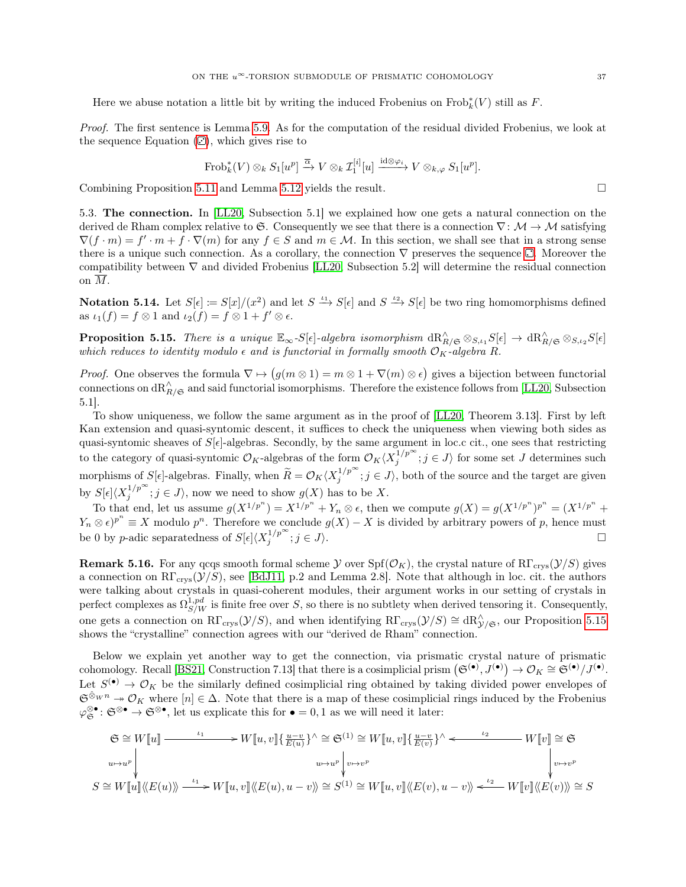Here we abuse notation a little bit by writing the induced Frobenius on  $\text{Frob}_k^*(V)$  still as F.

Proof. The first sentence is Lemma [5.9.](#page-34-0) As for the computation of the residual divided Frobenius, we look at the sequence Equation  $(\mathbf{C})$  $(\mathbf{C})$ , which gives rise to

$$
\operatorname{Frob}_k^*(V) \otimes_k S_1[u^p] \xrightarrow{\overline{\alpha}} V \otimes_k \mathcal{I}_1^{[i]}[u] \xrightarrow{\operatorname{id} \otimes \varphi_i} V \otimes_{k,\varphi} S_1[u^p].
$$

Combining Proposition [5.11](#page-34-2) and Lemma [5.12](#page-35-1) yields the result.  $\Box$ 

<span id="page-36-0"></span>5.3. The connection. In [\[LL20,](#page-51-7) Subsection 5.1] we explained how one gets a natural connection on the derived de Rham complex relative to G. Consequently we see that there is a connection  $\nabla: \mathcal{M} \to \mathcal{M}$  satisfying  $\nabla (f \cdot m) = f' \cdot m + f \cdot \nabla(m)$  for any  $f \in S$  and  $m \in \mathcal{M}$ . In this section, we shall see that in a strong sense there is a unique such connection[.](#page-31-1) As a corollary, the connection  $\nabla$  preserves the sequence  $\Box$ . Moreover the compatibility between  $\nabla$  and divided Frobenius [\[LL20,](#page-51-7) Subsection 5.2] will determine the residual connection on M.

**Notation 5.14.** Let  $S[\epsilon] := S[x]/(x^2)$  and let  $S \xrightarrow{\iota_1} S[\epsilon]$  and  $S \xrightarrow{\iota_2} S[\epsilon]$  be two ring homomorphisms defined as  $\iota_1(f) = f \otimes 1$  and  $\iota_2(f) = f \otimes 1 + f' \otimes \epsilon$ .

<span id="page-36-1"></span>**Proposition 5.15.** There is a unique  $\mathbb{E}_{\infty} S[\epsilon]$ -algebra isomorphism  $\mathrm{dR}_{R/\mathfrak{S}}^{\wedge} \otimes_{S,\iota_1} S[\epsilon] \to \mathrm{dR}_{R/\mathfrak{S}}^{\wedge} \otimes_{S,\iota_2} S[\epsilon]$ which reduces to identity modulo  $\epsilon$  and is functorial in formally smooth  $\mathcal{O}_K$ -algebra R.

*Proof.* One observes the formula  $\nabla \mapsto (g(m \otimes 1) = m \otimes 1 + \nabla(m) \otimes \epsilon)$  gives a bijection between functorial connections on  $dR^{\wedge}_{R/\mathfrak{S}}$  and said functorial isomorphisms. Therefore the existence follows from [\[LL20,](#page-51-7) Subsection 5.1].

To show uniqueness, we follow the same argument as in the proof of [\[LL20,](#page-51-7) Theorem 3.13]. First by left Kan extension and quasi-syntomic descent, it suffices to check the uniqueness when viewing both sides as quasi-syntomic sheaves of  $S[\epsilon]$ -algebras. Secondly, by the same argument in loc.c cit., one sees that restricting to the category of quasi-syntomic  $\mathcal{O}_K$ -algebras of the form  $\mathcal{O}_K\langle X_j^{1/p^\infty}; j \in J \rangle$  for some set J determines such morphisms of  $S[\epsilon]$ -algebras. Finally, when  $\widetilde{R} = \mathcal{O}_K \langle X_j^{1/p^\infty}; j \in J \rangle$ , both of the source and the target are given by  $S[\epsilon] \langle X_j^{1/p^\infty}; j \in J \rangle$ , now we need to show  $g(X)$  has to be X.

To that end, let us assume  $g(X^{1/p^n}) = X^{1/p^n} + Y_n \otimes \epsilon$ , then we compute  $g(X) = g(X^{1/p^n})^{p^n} = (X^{1/p^n} + Y_n \otimes \epsilon)$  $Y_n \otimes \epsilon^{p^n} \equiv X$  modulo  $p^n$ . Therefore we conclude  $g(X) - X$  is divided by arbitrary powers of p, hence must be 0 by p-adic separatedness of  $S[\epsilon] \langle X_j^{1/p^\infty}; j \in J \rangle$ .

**Remark 5.16.** For any qcqs smooth formal scheme  $\mathcal Y$  over  $\text{Spf}(\mathcal O_K)$ , the crystal nature of  $\text{R}\Gamma_{\text{crys}}(\mathcal Y/S)$  gives a connection on  $\mathrm{R}\Gamma_{\mathrm{crys}}(\mathcal{Y}/S)$ , see [\[BdJ11,](#page-50-13) p.2 and Lemma 2.8]. Note that although in loc. cit. the authors were talking about crystals in quasi-coherent modules, their argument works in our setting of crystals in perfect complexes as  $\Omega_{S/W}^{1,pd}$  is finite free over S, so there is no subtlety when derived tensoring it. Consequently, one gets a connection on  $R\Gamma_{\text{crys}}(\mathcal{Y}/S)$ , and when identifying  $R\Gamma_{\text{crys}}(\mathcal{Y}/S) \cong dR_{\mathcal{Y}/\mathfrak{S}}^{\wedge}$ , our Proposition [5.15](#page-36-1) shows the "crystalline" connection agrees with our "derived de Rham" connection.

Below we explain yet another way to get the connection, via prismatic crystal nature of prismatic cohomology. Recall [\[BS21,](#page-50-9) Construction 7.13] that there is a cosimplicial prism  $(\mathfrak{S}^{(\bullet)}, J^{(\bullet)}) \to \mathcal{O}_K \cong \mathfrak{S}^{(\bullet)}/J^{(\bullet)}$ . Let  $S^{(\bullet)} \to \mathcal{O}_K$  be the similarly defined cosimplicial ring obtained by taking divided power envelopes of  $\mathfrak{S}^{\hat{\otimes}_W n} \to \mathcal{O}_K$  where  $[n] \in \Delta$ . Note that there is a map of these cosimplicial rings induced by the Frobenius  $\varphi_{\mathfrak{S}}^{\otimes \bullet} : \mathfrak{S}^{\otimes \bullet} \to \mathfrak{S}^{\otimes \bullet}$ , let us explicate this for  $\bullet = 0, 1$  as we will need it later:

$$
\mathfrak{S} \cong W[\![u]\!] \xrightarrow{\iota_1} W[\![u,v]\!] \{ \frac{u-v}{E(u)}\}^{\wedge} \cong \mathfrak{S}^{(1)} \cong W[\![u,v]\!] \{ \frac{u-v}{E(v)}\}^{\wedge} \xleftarrow{\iota_2} W[\![v]\!] \cong \mathfrak{S}
$$
  
\n $u \mapsto u^p \downarrow \qquad \qquad u \mapsto u^p \downarrow v \mapsto v^p$   
\n $S \cong W[\![u]\!]\langle\langle E(u)\rangle \rangle \xrightarrow{\iota_1} W[\![u,v]\!]\langle\langle E(u), u-v\rangle\rangle \cong S^{(1)} \cong W[\![u,v]\!]\langle\langle E(v), u-v\rangle\rangle \xleftarrow{\iota_2} W[\![v]\!]\langle\langle E(v)\rangle\rangle \cong S$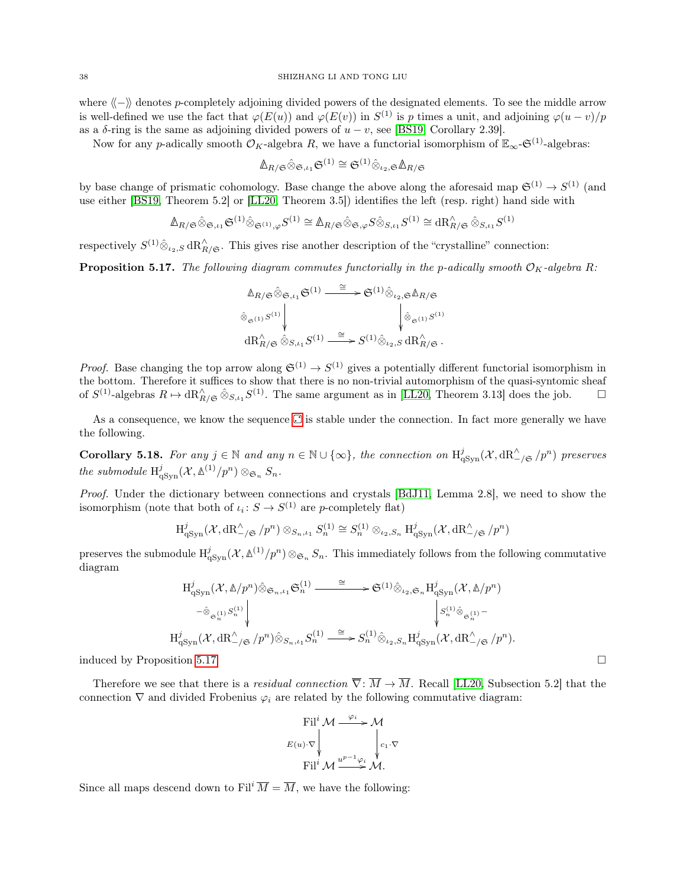where  $\langle \langle - \rangle \rangle$  denotes p-completely adjoining divided powers of the designated elements. To see the middle arrow is well-defined we use the fact that  $\varphi(E(u))$  and  $\varphi(E(v))$  in  $S^{(1)}$  is p times a unit, and adjoining  $\varphi(u-v)/p$ as a  $\delta$ -ring is the same as adjoining divided powers of  $u - v$ , see [\[BS19,](#page-50-3) Corollary 2.39].

Now for any p-adically smooth  $\mathcal{O}_K$ -algebra R, we have a functorial isomorphism of  $\mathbb{E}_{\infty}$ - $\mathfrak{S}^{(1)}$ -algebras:

$$
\mathbb{A}_{R/\mathfrak{S}}\hat{\otimes}_{\mathfrak{S},\iota_1}\mathfrak{S}^{(1)}\cong \mathfrak{S}^{(1)}\hat{\otimes}_{\iota_2,\mathfrak{S}}\mathbb{A}_{R/\mathfrak{S}}
$$

by base change of prismatic cohomology. Base change the above along the aforesaid map  $\mathfrak{S}^{(1)} \to S^{(1)}$  (and use either [\[BS19,](#page-50-3) Theorem 5.2] or [\[LL20,](#page-51-7) Theorem 3.5]) identifies the left (resp. right) hand side with

$$
\mathbb{\Delta}_{R/\mathfrak{S}}\hat{\otimes}_{\mathfrak{S},\iota_1}\mathfrak{S}^{(1)}\hat{\otimes}_{\mathfrak{S}^{(1)},\varphi}S^{(1)}\cong\mathbb{\Delta}_{R/\mathfrak{S}}\hat{\otimes}_{\mathfrak{S},\varphi}S\hat{\otimes}_{S,\iota_1}S^{(1)}\cong\mathrm{dR}^\wedge_{R/\mathfrak{S}}\hat{\otimes}_{S,\iota_1}S^{(1)}
$$

respectively  $S^{(1)}\hat{\otimes}_{\iota_2,S} dR^{\wedge}_{R/\mathfrak{S}}$ . This gives rise another description of the "crystalline" connection:

<span id="page-37-0"></span>**Proposition 5.17.** The following diagram commutes functorially in the p-adically smooth  $\mathcal{O}_K$ -algebra R:

$$
\begin{array}{ccc}\n\mathbb{A}_{R/\mathfrak{S}}\hat{\otimes}_{\mathfrak{S},\iota_1}\mathfrak{S}^{(1)} & \xrightarrow{\cong} & \mathfrak{S}^{(1)}\hat{\otimes}_{\iota_2,\mathfrak{S}}\mathbb{A}_{R/\mathfrak{S}} \\
\hat{\otimes}_{\mathfrak{S}^{(1)}}s^{(1)} & & \downarrow^{\hat{\otimes}}_{\mathfrak{S}^{(1)}}s^{(1)} \\
\mathrm{dR}_{R/\mathfrak{S}}^{\wedge}\hat{\otimes}_{S,\iota_1}S^{(1)} & \xrightarrow{\cong} & S^{(1)}\hat{\otimes}_{\iota_2,S}\,\mathrm{dR}_{R/\mathfrak{S}}^{\wedge}.\n\end{array}
$$

*Proof.* Base changing the top arrow along  $\mathfrak{S}^{(1)} \to S^{(1)}$  gives a potentially different functorial isomorphism in the bottom. Therefore it suffices to show that there is no non-trivial automorphism of the quasi-syntomic sheaf of  $S^{(1)}$ -algebras  $R \mapsto \mathrm{dR}_{R/\mathfrak{S}}^{\wedge} \hat{\otimes}_{S,\iota_1} S^{(1)}$ . The same argument as in [\[LL20,](#page-51-7) Theorem 3.13] does the job.  $\Box$ 

As a consequence, we know the sequence  $\Box$  is stable under the connection. In fact more generally we have the following.

<span id="page-37-1"></span>**Corollary 5.18.** For any  $j \in \mathbb{N}$  and any  $n \in \mathbb{N} \cup \{\infty\}$ , the connection on  $H_{qSyn}^j(\mathcal{X}, dR_{-\ell\mathfrak{S}}^{\wedge}/p^n)$  preserves the submodule  $H^j_{\text{qSyn}}(\mathcal{X}, \mathbb{A}^{(1)}/p^n) \otimes_{\mathfrak{S}_n} S_n$ .

Proof. Under the dictionary between connections and crystals [\[BdJ11,](#page-50-13) Lemma 2.8], we need to show the isomorphism (note that both of  $\iota_i: S \to S^{(1)}$  are p-completely flat)

$$
H_{\mathrm{qSyn}}^j(\mathcal{X},\mathrm{dR}_{-\}/\mathfrak{S}}^{\wedge}/p^n)\otimes_{S_n,\iota_1} S_n^{(1)}\cong S_n^{(1)}\otimes_{\iota_2,S_n}H_{\mathrm{qSyn}}^j(\mathcal{X},\mathrm{dR}_{-\}/\mathfrak{S}}^{\wedge}/p^n)
$$

preserves the submodule  $H^j_{qSym}(\mathcal{X}, \mathbb{A}^{(1)}/p^n) \otimes_{\mathfrak{S}_n} S_n$ . This immediately follows from the following commutative diagram

$$
\begin{split} &\mathcal{H}^{j}_{\mathrm{qSyn}}(\mathcal{X},\mathbb{A}/p^n)\hat{\otimes}_{\mathfrak{S}_n,\iota_1}\mathfrak{S}^{(1)}_n\stackrel{\cong}{\longrightarrow} \mathfrak{S}^{(1)}\hat{\otimes}_{\iota_2,\mathfrak{S}_n}\mathcal{H}^{j}_{\mathrm{qSyn}}(\mathcal{X},\mathbb{A}/p^n)\\ &\stackrel{-\hat{\otimes}_{\mathfrak{S}^{(1)}_n}S^{(1)}_n}{\bigvee_{\mathfrak{R}^{(1)}\otimes_{\mathfrak{S}_n,\iota_1}S^{(1)}_n}}\mathop{\downarrow}_{\mathfrak{S}^{(1)}_n\hat{\otimes}_{\mathfrak{S}_n}S^{(1)}_n} \stackrel{\cong}{\longrightarrow} S^{(1)}_n\hat{\otimes}_{\iota_2,S_n}\mathcal{H}^{j}_{\mathrm{qSyn}}(\mathcal{X},\mathrm{dR}^\wedge_{-\}/\mathfrak{S}/p^n). \end{split}
$$

induced by Proposition [5.17.](#page-37-0)

Therefore we see that there is a *residual connection*  $\overline{\nabla}$ :  $\overline{M} \to \overline{M}$ . Recall [\[LL20,](#page-51-7) Subsection 5.2] that the connection  $\nabla$  and divided Frobenius  $\varphi_i$  are related by the following commutative diagram:

$$
\text{Fil}^i \mathcal{M} \xrightarrow{\varphi_i} \mathcal{M}
$$
\n
$$
E(u) \cdot \nabla \downarrow \qquad \qquad \downarrow c_1 \cdot \nabla
$$
\n
$$
\text{Fil}^i \mathcal{M} \xrightarrow{u^{p-1} \varphi_i} \mathcal{M}.
$$

<span id="page-37-2"></span>Since all maps descend down to Fil<sup>i</sup>  $\overline{M} = \overline{M}$ , we have the following: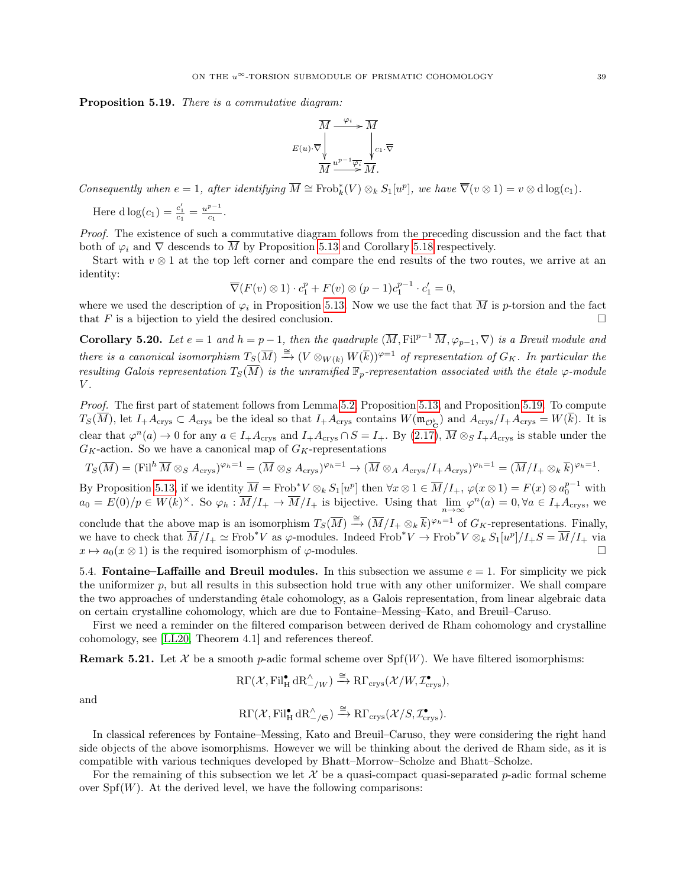Proposition 5.19. There is a commutative diagram:



Consequently when  $e = 1$ , after identifying  $\overline{M} \cong \text{Frob}_k^*(V) \otimes_k S_1[w]$ , we have  $\overline{\nabla}(v \otimes 1) = v \otimes \text{dlog}(c_1)$ .

Here  $d \log(c_1) = \frac{c'_1}{c_1} = \frac{u^{p-1}}{c_1}$  $\frac{c_1}{c_1}$ .

Proof. The existence of such a commutative diagram follows from the preceding discussion and the fact that both of  $\varphi_i$  and  $\nabla$  descends to  $\overline{M}$  by Proposition [5.13](#page-35-0) and Corollary [5.18](#page-37-1) respectively.

Start with  $v \otimes 1$  at the top left corner and compare the end results of the two routes, we arrive at an identity:

$$
\overline{\nabla}(F(v)\otimes 1)\cdot c_1^p + F(v)\otimes (p-1)c_1^{p-1}\cdot c_1' = 0,
$$

where we used the description of  $\varphi_i$  in Proposition [5.13.](#page-35-0) Now we use the fact that  $\overline{M}$  is p-torsion and the fact that F is a bijection to yield the desired conclusion.

<span id="page-38-2"></span>Corollary 5.20. Let  $e = 1$  and  $h = p - 1$ , then the quadruple  $(\overline{M}, \mathrm{Fil}^{p-1} \overline{M}, \varphi_{p-1}, \nabla)$  is a Breuil module and there is a canonical isomorphism  $T_S(\overline{M}) \stackrel{\cong}{\to} (V \otimes_{W(k)} W(\overline{k}))^{\varphi=1}$  of representation of  $G_K$ . In particular the resulting Galois representation  $T_S(\overline{M})$  is the unramified  $\mathbb{F}_p$ -representation associated with the étale  $\varphi$ -module  $V$ .

Proof. The first part of statement follows from Lemma [5.2,](#page-31-4) Proposition [5.13,](#page-35-0) and Proposition [5.19.](#page-37-2) To compute  $T_S(\overline{M})$ , let  $I_+A_{\text{crys}} \subset A_{\text{crys}}$  be the ideal so that  $I_+A_{\text{crys}}$  contains  $W(\mathfrak{m}_{\mathcal{O}_{\mathbf{C}}^{\flat}})$  and  $A_{\text{crys}}/I_+A_{\text{crys}} = W(\overline{k})$ . It is clear that  $\varphi^{n}(a) \to 0$  for any  $a \in I_{+}A_{\text{crys}}$  and  $I_{+}A_{\text{crys}} \cap S = I_{+}$ . By  $(2.17)$ ,  $\overline{M} \otimes_S I_{+}A_{\text{crys}}$  is stable under the  $G_K$ -action. So we have a canonical map of  $G_K$ -representations

$$
T_S(\overline{M}) = (\text{Fil}^h \overline{M} \otimes_S A_{\text{crys}})^{\varphi_h=1} = (\overline{M} \otimes_S A_{\text{crys}})^{\varphi_h=1} \to (\overline{M} \otimes_A A_{\text{crys}}/I_+ A_{\text{crys}})^{\varphi_h=1} = (\overline{M}/I_+ \otimes_k \overline{k})^{\varphi_h=1}.
$$

By Proposition [5.13,](#page-35-0) if we identity  $\overline{M} = \text{Frob}^* V \otimes_k S_1[u^p]$  then  $\forall x \otimes 1 \in \overline{M}/I_+$ ,  $\varphi(x \otimes 1) = F(x) \otimes a_0^{p-1}$  with  $a_0 = E(0)/p \in W(k)^{\times}$ . So  $\varphi_h : \overline{M}/I_+ \to \overline{M}/I_+$  is bijective. Using that  $\lim_{n \to \infty} \varphi^n(a) = 0, \forall a \in I_+ A_{\text{crys}},$  we

conclude that the above map is an isomorphism  $T_S(\overline{M}) \stackrel{\cong}{\to} (\overline{M}/I_+ \otimes_k \overline{k})^{\varphi_h=1}$  of  $G_K$ -representations. Finally, we have to check that  $\overline{M}/I_+ \simeq \text{Frob}^*V$  as  $\varphi$ -modules. Indeed  $\text{Frob}^*V \to \text{Frob}^*V \otimes_k S_1[u^p]/I_+S = \overline{M}/I_+$  via  $x \mapsto a_0(x \otimes 1)$  is the required isomorphism of  $\varphi$ -modules.

<span id="page-38-0"></span>5.4. Fontaine–Laffaille and Breuil modules. In this subsection we assume  $e = 1$ . For simplicity we pick the uniformizer  $p$ , but all results in this subsection hold true with any other uniformizer. We shall compare the two approaches of understanding étale cohomology, as a Galois representation, from linear algebraic data on certain crystalline cohomology, which are due to Fontaine–Messing–Kato, and Breuil–Caruso.

First we need a reminder on the filtered comparison between derived de Rham cohomology and crystalline cohomology, see [\[LL20,](#page-51-7) Theorem 4.1] and references thereof.

**Remark 5.21.** Let X be a smooth p-adic formal scheme over  $Spf(W)$ . We have filtered isomorphisms:

$$
\mathrm{R}\Gamma(\mathcal{X}, \mathrm{Fil}_{\mathrm{H}}^{\bullet} \mathrm{dR}_{-/W}^{\wedge}) \xrightarrow{\cong} \mathrm{R}\Gamma_{\mathrm{crys}}(\mathcal{X}/W, \mathcal{I}_{\mathrm{crys}}^{\bullet}),
$$

and

$$
\mathrm{R}\Gamma(\mathcal{X}, \mathrm{Fil}_{\mathrm{H}}^{\bullet} \mathrm{dR}_{-\mathcal{}/\mathfrak{S}}^{\wedge}) \xrightarrow{\cong} \mathrm{R}\Gamma_{\mathrm{crys}}(\mathcal{X}/S, \mathcal{I}_{\mathrm{crys}}^{\bullet}).
$$

In classical references by Fontaine–Messing, Kato and Breuil–Caruso, they were considering the right hand side objects of the above isomorphisms. However we will be thinking about the derived de Rham side, as it is compatible with various techniques developed by Bhatt–Morrow–Scholze and Bhatt–Scholze.

<span id="page-38-1"></span>For the remaining of this subsection we let  $\mathcal X$  be a quasi-compact quasi-separated p-adic formal scheme over  $Spf(W)$ . At the derived level, we have the following comparisons: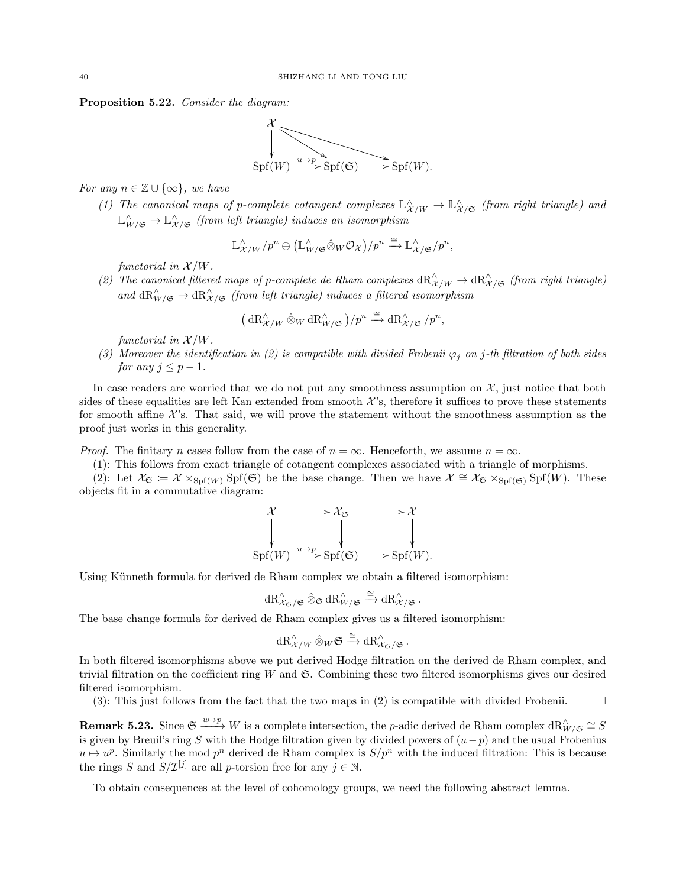Proposition 5.22. Consider the diagram:



For any  $n \in \mathbb{Z} \cup \{\infty\}$ , we have

(1) The canonical maps of p-complete cotangent complexes  $\mathbb{L}^\wedge_{\mathcal{X}/W} \to \mathbb{L}^\wedge_{\mathcal{X}/\mathfrak{S}}$  (from right triangle) and  $\mathbb{L}^\wedge_{W/\mathfrak{S}} \to \mathbb{L}^\wedge_{\mathcal{X}/\mathfrak{S}}$  (from left triangle) induces an isomorphism

$$
\mathbb{L}^{\wedge}_{\mathcal{X}/W}/p^n \oplus (\mathbb{L}^{\wedge}_{W/\mathfrak{S}} \hat{\otimes}_W \mathcal{O}_{\mathcal{X}})/p^n \xrightarrow{\cong} \mathbb{L}^{\wedge}_{\mathcal{X}/\mathfrak{S}}/p^n,
$$

functorial in  $\mathcal{X}/W$ .

(2) The canonical filtered maps of p-complete de Rham complexes  $\text{dR}_{\mathcal{X}/W}^{\wedge} \to \text{dR}_{\mathcal{X}/\mathfrak{S}}^{\wedge}$  (from right triangle) and  $\text{dR}_{W/\mathfrak{S}}^{\wedge} \to \text{dR}_{X/\mathfrak{S}}^{\wedge}$  (from left triangle) induces a filtered isomorphism

$$
\big(\mathop{}\!\mathrm{dR}^\wedge_{\mathcal{X}/W}\mathop{}\!\otimes_W \mathop{}\!\mathrm{dR}^\wedge_{W/\mathfrak{S}}\big)/p^n\xrightarrow{\cong} \mathop{}\!\mathrm{dR}^\wedge_{\mathcal{X}/\mathfrak{S}}/p^n,
$$

functorial in  $\mathcal{X}/W$ .

(3) Moreover the identification in (2) is compatible with divided Frobenii  $\varphi_i$  on j-th filtration of both sides for any  $j \leq p-1$ .

In case readers are worried that we do not put any smoothness assumption on  $X$ , just notice that both sides of these equalities are left Kan extended from smooth  $\mathcal{X}$ 's, therefore it suffices to prove these statements for smooth affine  $\mathcal{X}$ 's. That said, we will prove the statement without the smoothness assumption as the proof just works in this generality.

*Proof.* The finitary n cases follow from the case of  $n = \infty$ . Henceforth, we assume  $n = \infty$ .

(1): This follows from exact triangle of cotangent complexes associated with a triangle of morphisms.

(2): Let  $\mathcal{X}_{\mathfrak{S}} \coloneqq \mathcal{X} \times_{\mathrm{Spf}(W)} \mathrm{Spf}(\mathfrak{S})$  be the base change. Then we have  $\mathcal{X} \cong \mathcal{X}_{\mathfrak{S}} \times_{\mathrm{Spf}(\mathfrak{S})} \mathrm{Sp}(W)$ . These objects fit in a commutative diagram:

$$
\mathcal{X} \longrightarrow \mathcal{X}_{\mathfrak{S}} \longrightarrow \mathcal{X}
$$
  
\n
$$
\downarrow \qquad \qquad \downarrow \qquad \qquad \downarrow
$$
  
\n
$$
\mathrm{Spf}(W) \xrightarrow{u \mapsto p} \mathrm{Spf}(\mathfrak{S}) \longrightarrow \mathrm{Spf}(W).
$$

Using Künneth formula for derived de Rham complex we obtain a filtered isomorphism:

$$
\mathrm{dR}^\wedge_{\mathcal{X}_\mathfrak{S}/\mathfrak{S}}\hat{\otimes}_{\mathfrak{S}}\mathrm{dR}^\wedge_{W/\mathfrak{S}}\xrightarrow{\cong}\mathrm{dR}^\wedge_{\mathcal{X}/\mathfrak{S}}.
$$

The base change formula for derived de Rham complex gives us a filtered isomorphism:

$$
\mathrm{dR}^\wedge_{\mathcal{X}/W}\hat{\otimes}_W\mathfrak{S}\xrightarrow{\cong}\mathrm{dR}^\wedge_{\mathcal{X}_{\mathfrak{S}}/\mathfrak{S}}.
$$

In both filtered isomorphisms above we put derived Hodge filtration on the derived de Rham complex, and trivial filtration on the coefficient ring  $W$  and  $\mathfrak{S}$ . Combining these two filtered isomorphisms gives our desired filtered isomorphism.

(3): This just follows from the fact that the two maps in (2) is compatible with divided Frobenii.  $\Box$ 

<span id="page-39-0"></span>**Remark 5.23.** Since  $\mathfrak{S} \xrightarrow{u \mapsto p} W$  is a complete intersection, the *p*-adic derived de Rham complex  $dR_{W/\mathfrak{S}}^{\wedge} \cong S$ is given by Breuil's ring S with the Hodge filtration given by divided powers of  $(u-p)$  and the usual Frobenius  $u \mapsto u^p$ . Similarly the mod  $p^n$  derived de Rham complex is  $S/p^n$  with the induced filtration: This is because the rings S and  $S/\mathcal{I}^{[j]}$  are all p-torsion free for any  $j \in \mathbb{N}$ .

<span id="page-39-1"></span>To obtain consequences at the level of cohomology groups, we need the following abstract lemma.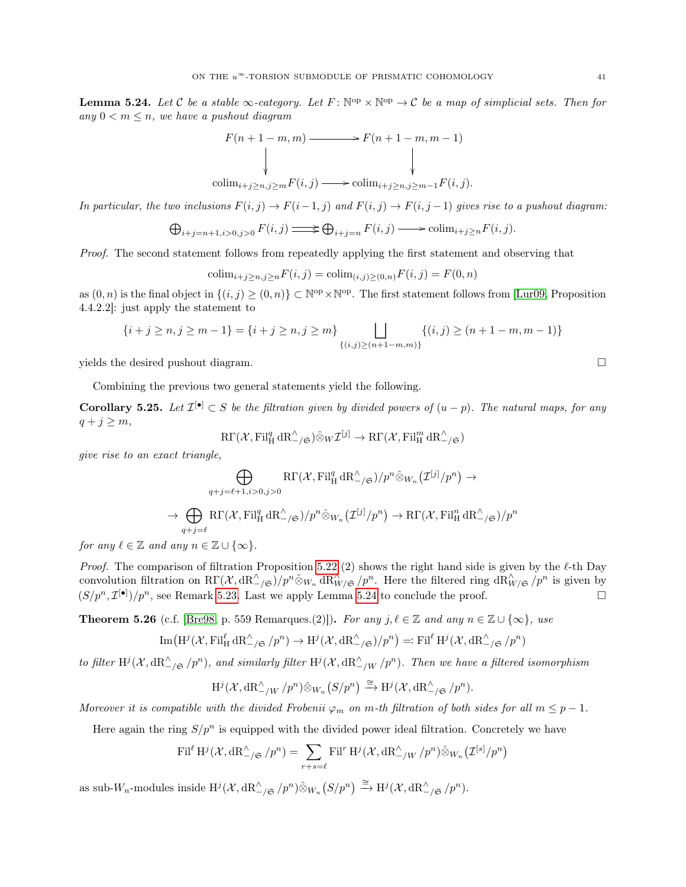**Lemma 5.24.** Let C be a stable  $\infty$ -category. Let  $F: \mathbb{N}^{\text{op}} \times \mathbb{N}^{\text{op}} \to \mathcal{C}$  be a map of simplicial sets. Then for any  $0 < m \leq n$ , we have a pushout diagram

$$
F(n+1-m, m) \longrightarrow F(n+1-m, m-1)
$$
  
\n
$$
\downarrow \qquad \qquad \downarrow
$$
  
\n
$$
\downarrow \qquad \qquad \downarrow
$$
  
\n
$$
\downarrow \qquad \qquad \downarrow
$$
  
\n
$$
\downarrow
$$
  
\n
$$
\downarrow
$$
  
\n
$$
\downarrow
$$
  
\n
$$
\downarrow
$$
  
\n
$$
\downarrow
$$
  
\n
$$
\downarrow
$$
  
\n
$$
\downarrow
$$
  
\n
$$
\downarrow
$$
  
\n
$$
\downarrow
$$
  
\n
$$
\downarrow
$$
  
\n
$$
\downarrow
$$
  
\n
$$
\downarrow
$$
  
\n
$$
\downarrow
$$
  
\n
$$
\downarrow
$$
  
\n
$$
\downarrow
$$
  
\n
$$
\downarrow
$$
  
\n
$$
\downarrow
$$
  
\n
$$
\downarrow
$$
  
\n
$$
\downarrow
$$
  
\n
$$
\downarrow
$$
  
\n
$$
\downarrow
$$
  
\n
$$
\downarrow
$$
  
\n
$$
\downarrow
$$
  
\n
$$
\downarrow
$$
  
\n
$$
\downarrow
$$
  
\n
$$
\downarrow
$$
  
\n
$$
\downarrow
$$
  
\n
$$
\downarrow
$$
  
\n
$$
\downarrow
$$
  
\n
$$
\downarrow
$$
  
\n
$$
\downarrow
$$
  
\n
$$
\downarrow
$$
  
\n
$$
\downarrow
$$
  
\n
$$
\downarrow
$$
  
\n
$$
\downarrow
$$
  
\n
$$
\downarrow
$$
  
\n
$$
\downarrow
$$
  
\n
$$
\downarrow
$$
  
\n
$$
\downarrow
$$
  
\n
$$
\downarrow
$$
  
\n
$$
\downarrow
$$
  
\n
$$
\downarrow
$$
  
\n
$$
\downarrow
$$
  
\n
$$
\downarrow
$$
  
\n
$$
\downarrow
$$
  
\n
$$
\downarrow
$$
  
\n
$$
\downarrow
$$
  
\n
$$
\down
$$

In particular, the two inclusions  $F(i, j) \to F(i-1, j)$  and  $F(i, j) \to F(i, j-1)$  gives rise to a pushout diagram:

$$
\bigoplus_{i+j=n+1, i>0, j>0} F(i,j) \longrightarrow \bigoplus_{i+j=n} F(i,j) \longrightarrow \text{colim}_{i+j\geq n} F(i,j).
$$

Proof. The second statement follows from repeatedly applying the first statement and observing that

$$
\text{colim}_{i+j \ge n, j \ge n} F(i, j) = \text{colim}_{(i,j) \ge (0,n)} F(i, j) = F(0, n)
$$

as  $(0, n)$  is the final object in  $\{(i, j) \geq (0, n)\} \subset \mathbb{N}^{\text{op}} \times \mathbb{N}^{\text{op}}$ . The first statement follows from [\[Lur09,](#page-51-23) Proposition 4.4.2.2]: just apply the statement to

$$
\{i+j \ge n, j \ge m-1\} = \{i+j \ge n, j \ge m\} \bigsqcup_{\{(i,j)\ge (n+1-m,m)\}} \{(i,j) \ge (n+1-m, m-1)\}
$$

yields the desired pushout diagram.

Combining the previous two general statements yield the following.

<span id="page-40-0"></span>**Corollary 5.25.** Let  $\mathcal{I}^{[\bullet]} \subset S$  be the filtration given by divided powers of  $(u - p)$ . The natural maps, for any  $q + j \geq m$ ,

$$
\mathrm{R}\Gamma(\mathcal{X}, \mathrm{Fil}_{\mathrm{H}}^q\,\mathrm{dR}_{-\text{$\prime$}}^{\wedge})\hat{\otimes}_W\mathcal{I}^{[j]}\to \mathrm{R}\Gamma(\mathcal{X}, \mathrm{Fil}_{\mathrm{H}}^m\,\mathrm{dR}_{-\text{$\prime$}}^{\wedge})
$$

give rise to an exact triangle,

$$
\bigoplus_{q+j=\ell+1, i>0, j>0} \text{R}\Gamma(\mathcal{X}, \text{Fil}_{\text{H}}^q \, d\text{R}_{-\}/\mathfrak{S})/p^n \hat{\otimes}_{W_n} (\mathcal{I}^{[j]}/p^n) \to
$$
  

$$
\rightarrow \bigoplus_{q+j=\ell} \text{R}\Gamma(\mathcal{X}, \text{Fil}_{\text{H}}^q \, d\text{R}_{-\}/mathfrak{S}})/p^n \hat{\otimes}_{W_n} (\mathcal{I}^{[j]}/p^n) \rightarrow \text{R}\Gamma(\mathcal{X}, \text{Fil}_{\text{H}}^n \, d\text{R}_{-\}/mathfrak{S}})/p^n
$$

for any  $\ell \in \mathbb{Z}$  and any  $n \in \mathbb{Z} \cup \{\infty\}.$ 

Proof. The comparison of filtration Proposition [5.22](#page-38-1) (2) shows the right hand side is given by the  $\ell$ -th Day convolution filtration on  $R\Gamma(\mathcal{X}, dR_{-\sqrt{\epsilon}}^{\wedge})/p^n \hat{\otimes}_{W_n} dR_{W/\mathfrak{S}}^{\wedge}/p^n$ . Here the filtered ring  $dR_{W/\mathfrak{S}}^{\wedge}/p^n$  is given by  $(S/p^n, \mathcal{I}^{[\bullet]})/p^n$ , see Remark [5.23.](#page-39-0) Last we apply Lemma [5.24](#page-39-1) to conclude the proof.

<span id="page-40-1"></span>**Theorem 5.26** (c.f. [\[Bre98,](#page-50-4) p. 559 Remarques.(2)]). For any  $j, \ell \in \mathbb{Z}$  and any  $n \in \mathbb{Z} \cup \{\infty\}$ , use

$$
\operatorname{Im}(\operatorname{H}^j(\mathcal{X}, \operatorname{Fil}^{\ell}_{\mathcal{H}} \mathrm{dR}^{\wedge}_{-/\mathfrak{S}}/p^n) \to \operatorname{H}^j(\mathcal{X}, \mathrm{dR}^{\wedge}_{-/\mathfrak{S}})/p^n) =: \operatorname{Fil}^{\ell} \operatorname{H}^j(\mathcal{X}, \mathrm{dR}^{\wedge}_{-/\mathfrak{S}}/p^n)
$$

to filter  $\text{H}^j(\mathcal{X}, \text{dR}_{-\/}^{\wedge}(\wp^n))$ , and similarly filter  $\text{H}^j(\mathcal{X}, \text{dR}_{-\/}^{\wedge}/w/p^n)$ . Then we have a filtered isomorphism

$$
\mathrm{H}^j(\mathcal{X},\mathrm{dR}^\wedge_{-/W}/p^n)\hat{\otimes}_{W_n}\big(S/p^n\big)\xrightarrow{\cong}\mathrm{H}^j(\mathcal{X},\mathrm{dR}^\wedge_{-/\mathfrak{S}}/p^n).
$$

Moreover it is compatible with the divided Frobenii  $\varphi_m$  on m-th filtration of both sides for all  $m \leq p-1$ .

Here again the ring  $S/p^n$  is equipped with the divided power ideal filtration. Concretely we have

$$
\operatorname{Fil}^{\ell} \operatorname{H}^j(\mathcal{X}, \mathrm{dR}^{\wedge}_{-\sqrt{S}}/p^n) = \sum_{r+s=\ell} \operatorname{Fil}^r \operatorname{H}^j(\mathcal{X}, \mathrm{dR}^{\wedge}_{-\sqrt{W}}/p^n) \hat{\otimes}_{W_n} (\mathcal{I}^{[s]}/p^n)
$$

as sub-W<sub>n</sub>-modules inside  $H^j(\mathcal{X}, dR^{\wedge}_{-\}/\mathfrak{S}/p^n) \hat{\otimes}_{W_n}(S/p^n) \xrightarrow{\cong} H^j(\mathcal{X}, dR^{\wedge}_{-\}/\mathfrak{S}/p^n)$ .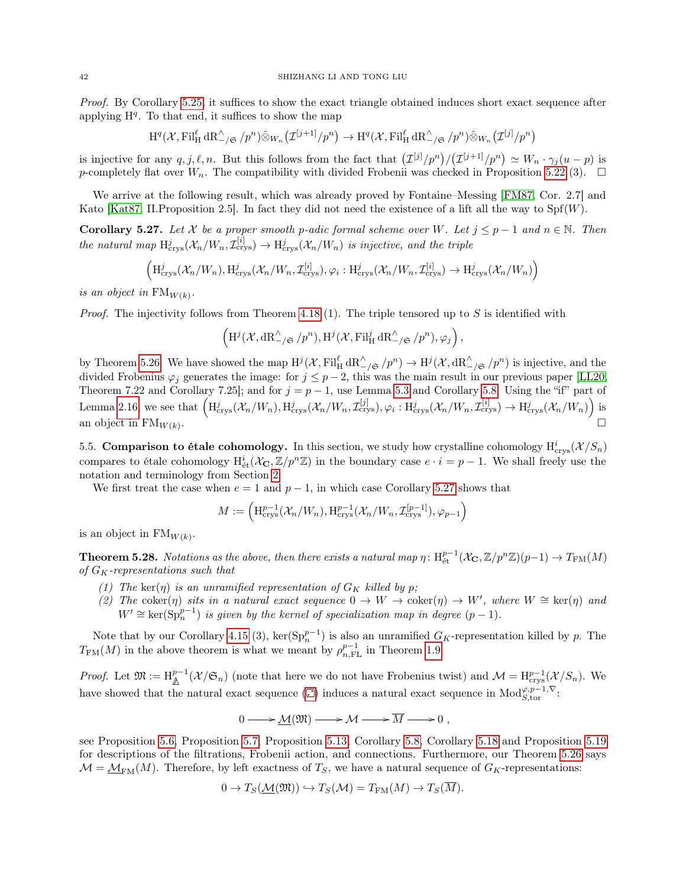Proof. By Corollary [5.25,](#page-40-0) it suffices to show the exact triangle obtained induces short exact sequence after applying  $H<sup>q</sup>$ . To that end, it suffices to show the map

$$
H^q(\mathcal{X}, \mathrm{Fil}_{\mathrm{H}}^{\ell} \mathrm{dR}_{-\}/\mathfrak{S}/p^n)\hat{\otimes}_{W_n}\left(\mathcal{I}^{[j+1]}/p^n\right) \to H^q(\mathcal{X}, \mathrm{Fil}_{\mathrm{H}}^{\ell} \mathrm{dR}_{-\}/\mathfrak{S}/p^n)\hat{\otimes}_{W_n}\left(\mathcal{I}^{[j]}/p^n\right)
$$

is injective for any  $q, j, \ell, n$ . But this follows from the fact that  $(\mathcal{I}^{[j]}/p^n)/(\mathcal{I}^{[j+1]}/p^n) \simeq W_n \cdot \gamma_j(u-p)$  is p-completely flat over  $W_n$ . The compatibility with divided Frobenii was checked in Proposition [5.22](#page-38-1) (3).  $\Box$ 

We arrive at the following result, which was already proved by Fontaine–Messing [\[FM87,](#page-51-4) Cor. 2.7] and Kato [\[Kat87,](#page-51-5) II.Proposition 2.5]. In fact they did not need the existence of a lift all the way to  $Spf(W)$ .

<span id="page-41-2"></span>**Corollary 5.27.** Let X be a proper smooth p-adic formal scheme over W. Let  $j \leq p-1$  and  $n \in \mathbb{N}$ . Then the natural map  $H^j_{\text{crys}}(\mathcal{X}_n/W_n, \mathcal{I}_{\text{crys}}^{[i]}) \to H^j_{\text{crys}}(\mathcal{X}_n/W_n)$  is injective, and the triple

$$
\left(\mathrm{H}_{\mathrm{crys}}^j(\mathcal{X}_n/W_n), \mathrm{H}_{\mathrm{crys}}^j(\mathcal{X}_n/W_n, \mathcal{I}_{\mathrm{crys}}^{[i]}), \varphi_i : \mathrm{H}_{\mathrm{crys}}^j(\mathcal{X}_n/W_n, \mathcal{I}_{\mathrm{crys}}^{[i]}) \to \mathrm{H}_{\mathrm{crys}}^j(\mathcal{X}_n/W_n)\right)
$$

is an object in  $\text{FM}_{W(k)}$ .

*Proof.* The injectivity follows from Theorem [4.18](#page-28-0) (1). The triple tensored up to S is identified with

$$
\left(\mathrm{H}^j(\mathcal{X},\mathrm{dR}^\wedge_{-/\mathfrak{S}}/p^n),\mathrm{H}^j(\mathcal{X},\mathrm{Fil}^j_{\mathrm{H}}\,\mathrm{dR}^\wedge_{-/\mathfrak{S}}/p^n),\varphi_j\right),\,
$$

by Theorem [5.26.](#page-40-1) We have showed the map  $H^j(\mathcal{X}, \mathrm{Fil}^{\ell}_{H} dR^{\wedge}_{-\mathcal{f} \mathfrak{S}}/p^n) \to H^j(\mathcal{X}, dR^{\wedge}_{-\mathcal{f} \mathfrak{S}}/p^n)$  is injective, and the divided Frobenius  $\varphi_j$  generates the image: for  $j \leq p-2$ , this was the main result in our previous paper [\[LL20,](#page-51-7) Theorem 7.22 and Corollary 7.25]; and for  $j = p - 1$ , use Lemma [5.3](#page-31-3) and Corollary [5.8.](#page-33-2) Using the "if" part of Lemma [2.16,](#page-11-2) we see that  $\left(\mathrm{H}^j_{\text{crys}}(\mathcal{X}_n/W_n), \mathrm{H}^j_{\text{crys}}(\mathcal{X}_n/W_n, \mathcal{I}^{[j]}_{\text{crys}}), \varphi_i : \mathrm{H}^j_{\text{crys}}(\mathcal{X}_n/W_n, \mathcal{I}^{[i]}_{\text{crys}}) \to \mathrm{H}^j_{\text{crys}}(\mathcal{X}_n/W_n) \right)$  is an object in  $FM_{W(k)}$ . . The contract of the contract of the contract of  $\Box$ 

<span id="page-41-0"></span>5.5. Comparison to étale cohomology. In this section, we study how crystalline cohomology  $H_{\text{crys}}^i(\mathcal{X}/S_n)$ compares to étale cohomology  $H^i_{\acute{e}t}(\mathcal{X}_{\mathbf{C}}, \mathbb{Z}/p^n\mathbb{Z})$  in the boundary case  $e \cdot i = p-1$ . We shall freely use the notation and terminology from Section [2.](#page-5-0)

We first treat the case when  $e = 1$  and  $p - 1$ , in which case Corollary [5.27](#page-41-2) shows that

$$
M := \left( \mathrm{H}^{p-1}_{\mathrm{crys}}(\mathcal{X}_n/W_n), \mathrm{H}^{p-1}_{\mathrm{crys}}(\mathcal{X}_n/W_n, \mathcal{I}_{\mathrm{crys}}^{[p-1]}), \varphi_{p-1} \right)
$$

is an object in  $\text{FM}_{W(k)}$ .

<span id="page-41-1"></span>**Theorem 5.28.** Notations as the above, then there exists a natural map  $\eta: H^{p-1}_{\text{\'et}}(\mathcal{X}_{\mathbf{C}}, \mathbb{Z}/p^n\mathbb{Z})(p-1) \to T_{\text{FM}}(M)$ of  $G_K$ -representations such that

- (1) The ker( $\eta$ ) is an unramified representation of  $G_K$  killed by p;
- (2) The coker(η) sits in a natural exact sequence  $0 \to W \to \text{coker}(\eta) \to W'$ , where  $W \cong \text{ker}(\eta)$  and  $W' \cong \text{ker}(\text{Sp}_n^{p-1})$  is given by the kernel of specialization map in degree  $(p-1)$ .

Note that by our Corollary [4.15](#page-26-0) (3),  $\ker(Sp_n^{p-1})$  is also an unramified  $G_K$ -representation killed by p. The  $T_{\text{FM}}(M)$  in the above theorem is what we meant by  $\rho_{n,\text{FL}}^{p-1}$  in Theorem [1.9.](#page-3-3)

Proof. Let  $\mathfrak{M} := \mathrm{H}^{p-1}_{\mathbb{A}}(\mathcal{X}/\mathfrak{S}_n)$  (note that here we do not have Frobenius twist) and  $\mathcal{M} = \mathrm{H}^{p-1}_{\mathrm{crys}}(\mathcal{X}/S_n)$ . We have showed that the natural exact sequence ( $\Box$ [\)](#page-31-1) induces a natural exact sequence in Mod $_{S,\text{tor}}^{\varphi,p-1,\nabla}$ .

$$
0 \longrightarrow \underline{\mathcal{M}}(\mathfrak{M}) \longrightarrow \mathcal{M} \longrightarrow \overline{M} \longrightarrow 0 ,
$$

see Proposition [5.6,](#page-32-1) Proposition [5.7,](#page-33-1) Proposition [5.13,](#page-35-0) Corollary [5.8,](#page-33-2) Corollary [5.18](#page-37-1) and Proposition [5.19](#page-37-2) for descriptions of the filtrations, Frobenii action, and connections. Furthermore, our Theorem [5.26](#page-40-1) says  $\mathcal{M} = \underline{\mathcal{M}}_{\text{FM}}(M)$ . Therefore, by left exactness of  $T_S$ , we have a natural sequence of  $G_K$ -representations:

$$
0 \to T_S(\underline{\mathcal{M}}(\mathfrak{M})) \hookrightarrow T_S(\mathcal{M}) = T_{\text{FM}}(M) \to T_S(M).
$$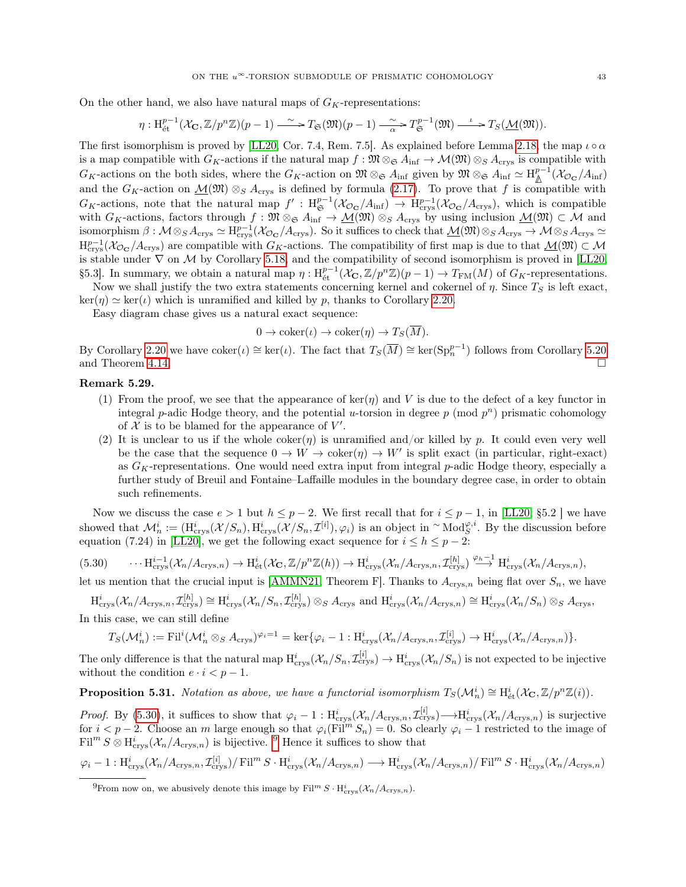$$
\eta: \mathrm{H}^{p-1}_{\text{\'et}}(\mathcal{X}_{\mathbf{C}}, \mathbb{Z}/p^n\mathbb{Z})(p-1) \xrightarrow{\sim} T_{\mathfrak{S}}(\mathfrak{M})(p-1) \xrightarrow{\sim} T_{\mathfrak{S}}^{p-1}(\mathfrak{M}) \xrightarrow{\iota} T_S(\underline{\mathcal{M}}(\mathfrak{M})).
$$

The first isomorphism is proved by [\[LL20,](#page-51-7) Cor. 7.4, Rem. 7.5]. As explained before Lemma [2.18,](#page-12-0) the map  $\iota \circ \alpha$ is a map compatible with  $G_K$ -actions if the natural map  $f : \mathfrak{M} \otimes_{\mathfrak{S}} A_{\text{inf}} \to \mathcal{M}(\mathfrak{M}) \otimes_S A_{\text{crys}}$  is compatible with  $G_K$ -actions on the both sides, where the  $G_K$ -action on  $\mathfrak{M} \otimes_{\mathfrak{S}} A_{\text{inf}}$  given by  $\mathfrak{M} \otimes_{\mathfrak{S}} A_{\text{inf}} \simeq H_{\mathbb{A}}^{p-1}(\mathcal{X}_{\mathcal{O}_{\mathbf{C}}}/A_{\text{inf}})$ and the  $G_K$ -action on  $\mathcal{M}(\mathfrak{M}) \otimes_S A_{\text{crys}}$  is defined by formula [\(2.17\)](#page-12-1). To prove that f is compatible with  $G_K$ -actions, note that the natural map  $f': H^{p-1}_{\mathfrak{S}}(\mathcal{X}_{\mathcal{O}_{\mathbf{C}}}/A_{\text{inf}}) \to H^{p-1}_{\text{crys}}(\mathcal{X}_{\mathcal{O}_{\mathbf{C}}}/A_{\text{crys}})$ , which is compatible with  $G_K$ -actions, factors through  $f : \mathfrak{M} \otimes_{\mathfrak{S}} A_{\text{inf}} \to \underline{\mathcal{M}}(\mathfrak{M}) \otimes_S A_{\text{crys}}$  by using inclusion  $\underline{\mathcal{M}}(\mathfrak{M}) \subset \mathcal{M}$  and isomorphism  $\beta: \mathcal{M} \otimes_S A_{\text{crys}} \simeq \mathrm{H}^{p-1}_{\text{crys}}(\mathcal{X}_{\mathcal{O}_{\mathbf{C}}}/A_{\text{crys}})$ . So it suffices to check that  $\underline{\mathcal{M}}(\mathfrak{M}) \otimes_S A_{\text{crys}} \to \mathcal{M} \otimes_S A_{\text{crys}} \simeq \mathcal{M}$  $H_{\text{crys}}^{p-1}(\mathcal{X}_{\mathcal{O}_{\mathbf{C}}}/A_{\text{crys}})$  are compatible with  $G_K$ -actions. The compatibility of first map is due to that  $\underline{\mathcal{M}}(\mathfrak{M}) \subset \mathcal{M}$ is stable under  $\nabla$  on M by Corollary [5.18,](#page-37-1) and the compatibility of second isomorphism is proved in [\[LL20,](#page-51-7) §5.3]. In summary, we obtain a natural map  $\eta: H^{p-1}_{\text{\'et}}(\mathcal{X}_{\mathbf{C}}, \mathbb{Z}/p^n\mathbb{Z})(p-1) \to T_{\text{FM}}(M)$  of  $G_K$ -representations.

Now we shall justify the two extra statements concerning kernel and cokernel of  $\eta$ . Since  $T_S$  is left exact,  $\ker(\eta) \simeq \ker(\iota)$  which is unramified and killed by p, thanks to Corollary [2.20.](#page-13-5)

Easy diagram chase gives us a natural exact sequence:

$$
0 \to \mathrm{coker}(\iota) \to \mathrm{coker}(\eta) \to T_S(M).
$$

By Corollary [2.20](#page-13-5) we have  $\mathrm{coker}(\iota) \cong \mathrm{ker}(\iota)$ . The fact that  $T_S(\overline{M}) \cong \mathrm{ker}(\mathrm{Sp}_n^{p-1})$  follows from Corollary [5.20](#page-38-2) and Theorem [4.14.](#page-26-1)

#### Remark 5.29.

- (1) From the proof, we see that the appearance of ker( $\eta$ ) and V is due to the defect of a key functor in integral p-adic Hodge theory, and the potential u-torsion in degree  $p \pmod{p^n}$  prismatic cohomology of  $X$  is to be blamed for the appearance of  $V'$ .
- (2) It is unclear to us if the whole coker( $\eta$ ) is unramified and/or killed by p. It could even very well be the case that the sequence  $0 \to W \to \text{coker}(\eta) \to W'$  is split exact (in particular, right-exact) as  $G_K$ -representations. One would need extra input from integral p-adic Hodge theory, especially a further study of Breuil and Fontaine–Laffaille modules in the boundary degree case, in order to obtain such refinements.

Now we discuss the case  $e > 1$  but  $h \leq p-2$ . We first recall that for  $i \leq p-1$ , in [\[LL20,](#page-51-7) §5.2] we have showed that  $\mathcal{M}_n^i := (\mathrm{H}^i_{\text{crys}}(\mathcal{X}/S_n), \mathrm{H}^i_{\text{crys}}(\mathcal{X}/S_n, \mathcal{I}^{[i]}), \varphi_i)$  is an object in  $\sim \mathrm{Mod}_S^{\varphi, i}$ . By the discussion before equation (7.24) in [\[LL20\]](#page-51-7), we get the following exact sequence for  $i \leq h \leq p-2$ :

<span id="page-42-0"></span>
$$
(5.30) \qquad \cdots \mathrm{H}^{i-1}_{\text{crys}}(\mathcal{X}_n/A_{\text{crys},n}) \to \mathrm{H}^i_{\text{\'et}}(\mathcal{X}_\mathbf{C}, \mathbb{Z}/p^n\mathbb{Z}(h)) \to \mathrm{H}^i_{\text{crys}}(\mathcal{X}_n/A_{\text{crys},n}, \mathcal{I}^{[h]}_{\text{crys}}) \stackrel{\varphi_h-1}{\longrightarrow} \mathrm{H}^i_{\text{crys}}(\mathcal{X}_n/A_{\text{crys},n}),
$$

let us mention that the crucial input is [\[AMMN21,](#page-50-7) Theorem F]. Thanks to  $A_{\text{crys},n}$  being flat over  $S_n$ , we have

 $\mathrm{H}^{i}_{\text{crys}}(\mathcal{X}_n/A_{\text{crys},n},\mathcal{I}^{[h]}_{\text{crys}}) \cong \mathrm{H}^{i}_{\text{crys}}(\mathcal{X}_n/S_n,\mathcal{I}^{[h]}_{\text{crys}}) \otimes_S A_{\text{crys}}$  and  $\mathrm{H}^{i}_{\text{crys}}(\mathcal{X}_n/A_{\text{crys},n}) \cong \mathrm{H}^{i}_{\text{crys}}(\mathcal{X}_n/S_n) \otimes_S A_{\text{crys}},$ In this case, we can still define

$$
T_S(\mathcal{M}_n^i) := \mathrm{Fil}^i(\mathcal{M}_n^i \otimes_S A_{\mathrm{crys}})^{\varphi_i = 1} = \ker{\{\varphi_i - 1 : \mathrm{H}^i_{\mathrm{crys}}(\mathcal{X}_n/A_{\mathrm{crys},n}, \mathcal{I}_{\mathrm{crys}}^{[i]}}) \to \mathrm{H}^i_{\mathrm{crys}}(\mathcal{X}_n/A_{\mathrm{crys},n})\}.
$$

The only difference is that the natural map  $H_{\text{crys}}^i(\mathcal{X}_n/S_n, \mathcal{I}_{\text{crys}}^{[i]}) \to H_{\text{crys}}^i(\mathcal{X}_n/S_n)$  is not expected to be injective without the condition  $e \cdot i < p-1$ .

**Proposition 5.31.** Notation as above, we have a functorial isomorphism  $T_S(\mathcal{M}_n^i) \cong H^i_{\text{\'{e}t}}(\mathcal{X}_{\mathbf{C}}, \mathbb{Z}/p^n\mathbb{Z}(i)).$ 

*Proof.* By [\(5.30\)](#page-42-0), it suffices to show that  $\varphi_i - 1 : H^i_{\text{crys}}(\mathcal{X}_n/A_{\text{crys},n}, \mathcal{I}^{[i]}_{\text{crys}}) \longrightarrow H^i_{\text{crys}}(\mathcal{X}_n/A_{\text{crys},n})$  is surjective for  $i < p-2$ . Choose an m large enough so that  $\varphi_i(Fi\tilde{I}^m S_n) = 0$ . So clearly  $\varphi_i - 1$  restricted to the image of  $\text{Fil}^m S \otimes \text{H}_{\text{crys}}^i (\mathcal{X}_n/A_{\text{crys},n})$  is bijective. <sup>[9](#page-42-1)</sup> Hence it suffices to show that

$$
\varphi_i - 1 : \mathrm{H}^i_{\text{crys}}(\mathcal{X}_n/A_{\text{crys},n}, \mathcal{I}_{\text{crys}}^{[i]}) / \mathrm{Fil}^m S \cdot \mathrm{H}^i_{\text{crys}}(\mathcal{X}_n/A_{\text{crys},n}) \longrightarrow \mathrm{H}^i_{\text{crys}}(\mathcal{X}_n/A_{\text{crys},n}) / \mathrm{Fil}^m S \cdot \mathrm{H}^i_{\text{crys}}(\mathcal{X}_n/A_{\text{crys},n})
$$

<span id="page-42-1"></span><sup>&</sup>lt;sup>9</sup>From now on, we abusively denote this image by  $\text{Fil}^m S \cdot \text{H}_{\text{crys}}^i(\mathcal{X}_n/A_{\text{crys},n})$ .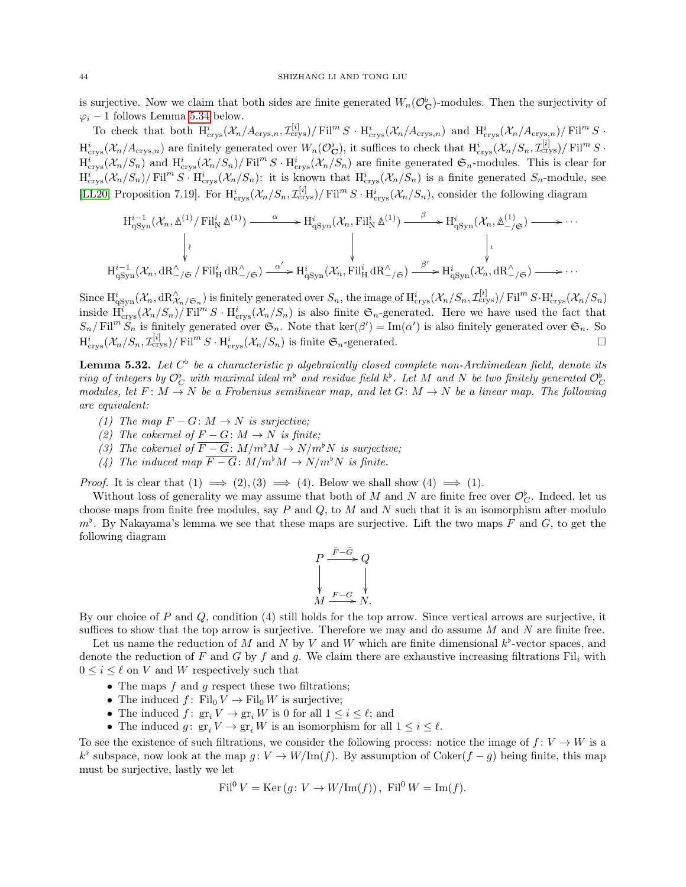is surjective. Now we claim that both sides are finite generated  $W_n(\mathcal{O}_{\mathbf{C}}^{\flat})$ -modules. Then the surjectivity of  $\varphi_i$  – 1 follows Lemma [5.34](#page-44-1) below.

To check that both  $H_{\text{crys}}^i(\mathcal{X}_n/A_{\text{crys},n}, \mathcal{I}_{\text{crys}}^{[i]})/\text{Fil}^m S \cdot H_{\text{crys}}^i(\mathcal{X}_n/A_{\text{crys},n})$  and  $H_{\text{crys}}^i(\mathcal{X}_n/A_{\text{crys},n})/\text{Fil}^m S \cdot H_{\text{crys}}^i(S)$  $\text{H}^i_{\text{crys}}(\mathcal{X}_n/A_{\text{crys},n})$  are finitely generated over  $W_n(\mathcal{O}_{\mathbf{C}}^{\flat})$ , it suffices to check that  $\text{H}^i_{\text{crys}}(\mathcal{X}_n/S_n, \mathcal{I}_{\text{crys}}^{[i]})$  Fil<sup>m</sup> S ·  $\operatorname{H}_{\operatorname{crys}}^i(\mathcal{X}_n/S_n)$  and  $\operatorname{H}_{\operatorname{crys}}^i(\mathcal{X}_n/S_n)/\operatorname{Fil}^m S \cdot \operatorname{H}_{\operatorname{crys}}^i(\mathcal{X}_n/S_n)$  are finite generated  $\mathfrak{S}_n$ -modules. This is clear for  $\operatorname{H}^i_{\text{crys}}(\mathcal{X}_n/S_n)/\operatorname{Fil}^m S \cdot \operatorname{H}^i_{\text{crys}}(\mathcal{X}_n/S_n)$ : it is known that  $\operatorname{H}^i_{\text{crys}}(\mathcal{X}_n/S_n)$  is a finite generated  $S_n$ -module, see [\[LL20,](#page-51-7) Proposition 7.19]. For  $\text{H}^i_{\text{crys}}(\mathcal{X}_n/S_n, \mathcal{I}^{[i]}_{\text{crys}})/\text{Fil}^m S \cdot \text{H}^i_{\text{crys}}(\mathcal{X}_n/S_n)$ , consider the following diagram

$$
H_{qSyn}^{i-1}(\mathcal{X}_n, \Delta^{(1)}/\text{Fil}_N^i \Delta^{(1)}) \longrightarrow H_{qSyn}^i(\mathcal{X}_n, \text{Fil}_N^i \Delta^{(1)}) \longrightarrow H_{qSyn}^i(\mathcal{X}_n, \Delta^{(1)}_{-\text{sg}}) \longrightarrow \cdots
$$
\n
$$
\downarrow \qquad \qquad \downarrow \qquad \qquad \downarrow \qquad \qquad \downarrow \qquad \qquad \downarrow
$$
\n
$$
H_{qSyn}^{i-1}(\mathcal{X}_n, \text{dR}_{-\text{sg}}^{\wedge}/\text{gr} / \text{Fil}_H^i \text{dR}_{-\text{sg}}^{\wedge} \longrightarrow H_{qSyn}^i(\mathcal{X}_n, \text{Fil}_H^i \text{dR}_{-\text{sg}}^{\wedge}/\text{gr}) \longrightarrow \cdots
$$

Since  $\text{H}^i_{\text{qSyn}}(\mathcal{X}_n, \text{dR}^\wedge_{\mathcal{X}_n/\mathfrak{S}_n})$  is finitely generated over  $S_n$ , the image of  $\text{H}^i_{\text{crys}}(\mathcal{X}_n/S_n, \mathcal{I}^{[i]}_{\text{crys}})/\text{Fil}^m S \cdot \text{H}^i_{\text{crys}}(\mathcal{X}_n/S_n)$ inside  $\overline{H}_{\text{crys}}^i(\mathcal{X}_n/S_n)/\overline{\text{Fil}^mS\cdot H_{\text{crys}}^i(\mathcal{X}_n/S_n)}$  is also finite  $\mathfrak{S}_n$ -generated. Here we have used the fact that  $S_n/\mathrm{Fil}^m S_n$  is finitely generated over  $\mathfrak{S}_n$ . Note that  $\mathrm{ker}(\beta') = \mathrm{Im}(\alpha')$  is also finitely generated over  $\mathfrak{S}_n$ . So  $\mathrm{H}^i_{\text{crys}}(\mathcal{X}_n/S_n, \mathcal{I}_{\text{crys}}^{[i]})/\text{Fil}^m S \cdot \mathrm{H}^i_{\text{crys}}(\mathcal{X}_n/S_n)$  is finite  $\mathfrak{S}_n$ -generated.

<span id="page-43-0"></span>**Lemma 5.32.** Let  $C^{\flat}$  be a characteristic p algebraically closed complete non-Archimedean field, denote its ring of integers by  $\mathcal{O}_C^{\flat}$  with maximal ideal  $m^{\flat}$  and residue field  $k^{\flat}$ . Let  $M$  and  $N$  be two finitely generated  $\mathcal{O}_C^{\flat}$ modules, let  $F: M \to N$  be a Frobenius semilinear map, and let  $G: M \to N$  be a linear map. The following are equivalent:

- (1) The map  $F G: M \to N$  is surjective;
- (2) The cokernel of  $F G: M \to N$  is finite;
- (3) The cokernel of  $\overline{F-G}$ :  $M/m^bM \rightarrow N/m^bN$  is surjective;
- (4) The induced map  $\overline{F-G}$ :  $M/m^bM \rightarrow N/m^bN$  is finite.

*Proof.* It is clear that  $(1) \implies (2), (3) \implies (4)$ . Below we shall show  $(4) \implies (1)$ .

Without loss of generality we may assume that both of M and N are finite free over  $\mathcal{O}_C^{\flat}$ . Indeed, let us choose maps from finite free modules, say  $P$  and  $Q$ , to  $M$  and  $N$  such that it is an isomorphism after modulo  $m<sup>b</sup>$ . By Nakayama's lemma we see that these maps are surjective. Lift the two maps F and G, to get the following diagram

$$
P \xrightarrow{F - \tilde{G}} Q
$$
  
\n
$$
\downarrow \qquad \qquad \downarrow
$$
  
\n
$$
M \xrightarrow{F - G} N.
$$

By our choice of P and Q, condition (4) still holds for the top arrow. Since vertical arrows are surjective, it suffices to show that the top arrow is surjective. Therefore we may and do assume  $M$  and  $N$  are finite free.

Let us name the reduction of M and N by V and W which are finite dimensional  $k^{\flat}$ -vector spaces, and denote the reduction of F and G by f and g. We claim there are exhaustive increasing filtrations  $\text{Fil}_i$  with  $0 \leq i \leq \ell$  on V and W respectively such that

- The maps  $f$  and  $g$  respect these two filtrations;
- The induced  $f: Fil_0V \to Fil_0W$  is surjective;
- The induced  $f: \operatorname{gr}_i V \to \operatorname{gr}_i W$  is 0 for all  $1 \leq i \leq \ell$ ; and
- The induced  $g: \operatorname{gr}_i V \to \operatorname{gr}_i W$  is an isomorphism for all  $1 \leq i \leq \ell$ .

To see the existence of such filtrations, we consider the following process: notice the image of  $f: V \to W$  is a  $k^{\flat}$  subspace, now look at the map  $g: V \to W/\text{Im}(f)$ . By assumption of Coker $(f - g)$  being finite, this map must be surjective, lastly we let

$$
\text{Fil}^0 V = \text{Ker}\left(g: V \to W/\text{Im}(f)\right), \text{ Fil}^0 W = \text{Im}(f).
$$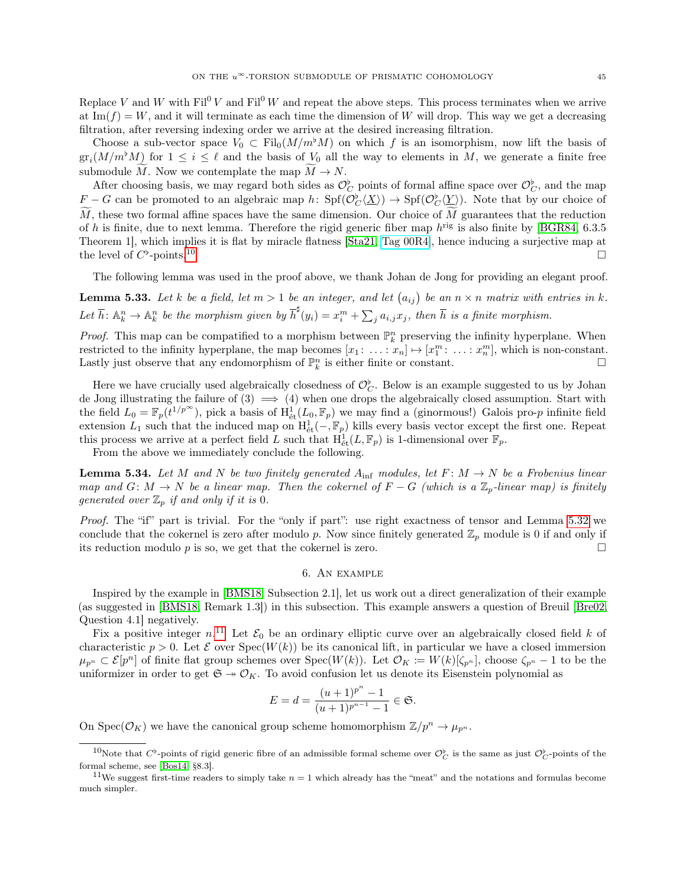Replace V and W with  $\text{Fil}^0 V$  and  $\text{Fil}^0 W$  and repeat the above steps. This process terminates when we arrive at Im( $f$ ) = W, and it will terminate as each time the dimension of W will drop. This way we get a decreasing filtration, after reversing indexing order we arrive at the desired increasing filtration.

Choose a sub-vector space  $V_0 \text{ }\subset \text{ Fil}_0(M/m^bM)$  on which f is an isomorphism, now lift the basis of  $\operatorname{gr}_i(M/m^\flat M)$  for  $1 \leq i \leq \ell$  and the basis of  $V_0$  all the way to elements in M, we generate a finite free submodule M. Now we contemplate the map  $M \to N$ .

After choosing basis, we may regard both sides as  $\mathcal{O}_C^{\flat}$  points of formal affine space over  $\mathcal{O}_C^{\flat}$ , and the map  $F - G$  can be promoted to an algebraic map  $h \colon Spf(\mathcal{O}_C^{\flat}(\underline{X})) \to Spf(\mathcal{O}_C^{\flat}(\underline{Y}))$ . Note that by our choice of  $\tilde{M}$ , these two formal affine spaces have the same dimension. Our choice of  $\tilde{M}$  guarantees that the reduction of h is finite, due to next lemma. Therefore the rigid generic fiber map  $h^{\text{rig}}$  is also finite by [\[BGR84,](#page-50-14) 6.3.5] Theorem 1], which implies it is flat by miracle flatness [\[Sta21,](#page-51-0) [Tag 00R4\]](https://stacks.math.columbia.edu/tag/00R4), hence inducing a surjective map at the level of  $C^{\flat}$  $-points<sup>10</sup>$  $-points<sup>10</sup>$  $-points<sup>10</sup>$ 

The following lemma was used in the proof above, we thank Johan de Jong for providing an elegant proof.

**Lemma 5.33.** Let k be a field, let  $m > 1$  be an integer, and let  $(a_{ij})$  be an  $n \times n$  matrix with entries in k. Let  $\overline{h}$ :  $\mathbb{A}_k^n \to \mathbb{A}_k^n$  be the morphism given by  $\overline{h}^{\sharp}(y_i) = x_i^m + \sum_j a_{i,j} x_j$ , then  $\overline{h}$  is a finite morphism.

*Proof.* This map can be compatified to a morphism between  $\mathbb{P}_k^n$  preserving the infinity hyperplane. When restricted to the infinity hyperplane, the map becomes  $[x_1: \ldots : x_n] \mapsto [x_1^m: \ldots : x_n^n]$ , which is non-constant. Lastly just observe that any endomorphism of  $\mathbb{P}_k^n$  is either finite or constant.

Here we have crucially used algebraically closedness of  $\mathcal{O}_{\mathcal{C}}^{\flat}$ . Below is an example suggested to us by Johan de Jong illustrating the failure of  $(3) \implies (4)$  when one drops the algebraically closed assumption. Start with the field  $L_0 = \mathbb{F}_p(t^{1/p^{\infty}})$ , pick a basis of  $H^1_{\text{\'et}}(L_0, \mathbb{F}_p)$  we may find a (ginormous!) Galois pro-p infinite field extension  $L_1$  such that the induced map on  $H^1_{\text{\'et}}(-,\mathbb{F}_p)$  kills every basis vector except the first one. Repeat this process we arrive at a perfect field L such that  $\dot{H}^1_{\text{\'et}}(L, \mathbb{F}_p)$  is 1-dimensional over  $\mathbb{F}_p$ .

From the above we immediately conclude the following.

<span id="page-44-1"></span>**Lemma 5.34.** Let M and N be two finitely generated  $A_{\text{inf}}$  modules, let  $F: M \to N$  be a Frobenius linear map and  $G: M \to N$  be a linear map. Then the cokernel of  $F - G$  (which is a  $\mathbb{Z}_p$ -linear map) is finitely generated over  $\mathbb{Z}_p$  if and only if it is 0.

Proof. The "if" part is trivial. For the "only if part": use right exactness of tensor and Lemma [5.32](#page-43-0) we conclude that the cokernel is zero after modulo p. Now since finitely generated  $\mathbb{Z}_n$  module is 0 if and only if its reduction modulo p is so, we get that the cokernel is zero.

#### 6. An example

<span id="page-44-0"></span>Inspired by the example in [\[BMS18,](#page-50-1) Subsection 2.1], let us work out a direct generalization of their example (as suggested in [\[BMS18,](#page-50-1) Remark 1.3]) in this subsection. This example answers a question of Breuil [\[Bre02,](#page-50-6) Question 4.1] negatively.

Fix a positive integer  $n^{11}$  $n^{11}$  $n^{11}$  Let  $\mathcal{E}_0$  be an ordinary elliptic curve over an algebraically closed field k of characteristic  $p > 0$ . Let  $\mathcal E$  over  $Spec(W(k))$  be its canonical lift, in particular we have a closed immersion  $\mu_{p^n} \subset \mathcal{E}[p^n]$  of finite flat group schemes over  $\text{Spec}(W(k))$ . Let  $\mathcal{O}_K := W(k)[\zeta_{p^n}]$ , choose  $\zeta_{p^n} - 1$  to be the uniformizer in order to get  $\mathfrak{S} \to \mathcal{O}_K$ . To avoid confusion let us denote its Eisenstein polynomial as

$$
E = d = \frac{(u+1)^{p^n} - 1}{(u+1)^{p^{n-1}} - 1} \in \mathfrak{S}.
$$

On Spec( $\mathcal{O}_K$ ) we have the canonical group scheme homomorphism  $\mathbb{Z}/p^n \to \mu_{p^n}$ .

<span id="page-44-2"></span><sup>&</sup>lt;sup>10</sup>Note that  $C^{\flat}$ -points of rigid generic fibre of an admissible formal scheme over  $\mathcal{O}_C^{\flat}$  is the same as just  $\mathcal{O}_C^{\flat}$ -points of the formal scheme, see [\[Bos14,](#page-50-15) §8.3].

<span id="page-44-3"></span><sup>&</sup>lt;sup>11</sup>We suggest first-time readers to simply take  $n = 1$  which already has the "meat" and the notations and formulas become much simpler.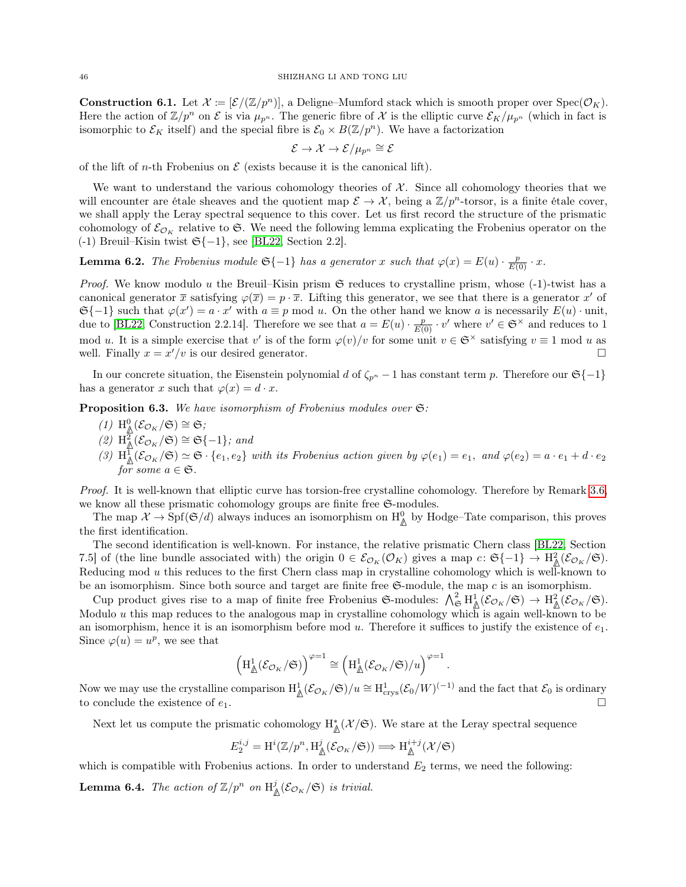**Construction 6.1.** Let  $\mathcal{X} := [\mathcal{E}/(\mathbb{Z}/p^n)]$ , a Deligne–Mumford stack which is smooth proper over  $Spec(\mathcal{O}_K)$ . Here the action of  $\mathbb{Z}/p^n$  on  $\mathcal E$  is via  $\mu_{p^n}$ . The generic fibre of X is the elliptic curve  $\mathcal E_K/\mu_{p^n}$  (which in fact is isomorphic to  $\mathcal{E}_K$  itself) and the special fibre is  $\mathcal{E}_0 \times B(\mathbb{Z}/p^n)$ . We have a factorization

$$
\mathcal{E} \to \mathcal{X} \to \mathcal{E}/\mu_{p^n} \cong \mathcal{E}
$$

of the lift of *n*-th Frobenius on  $\mathcal E$  (exists because it is the canonical lift).

We want to understand the various cohomology theories of  $X$ . Since all cohomology theories that we will encounter are étale sheaves and the quotient map  $\mathcal{E} \to \mathcal{X}$ , being a  $\mathbb{Z}/p^n$ -torsor, is a finite étale cover, we shall apply the Leray spectral sequence to this cover. Let us first record the structure of the prismatic cohomology of  $\mathcal{E}_{\mathcal{O}_K}$  relative to G. We need the following lemma explicating the Frobenius operator on the (-1) Breuil–Kisin twist  $\mathfrak{S}\{-1\}$ , see [\[BL22,](#page-50-8) Section 2.2].

**Lemma 6.2.** The Frobenius module  $\mathfrak{S}\{-1\}$  has a generator x such that  $\varphi(x) = E(u) \cdot \frac{p}{E(0)} \cdot x$ .

*Proof.* We know modulo u the Breuil–Kisin prism  $\mathfrak S$  reduces to crystalline prism, whose (-1)-twist has a canonical generator  $\bar{x}$  satisfying  $\varphi(\bar{x}) = p \cdot \bar{x}$ . Lifting this generator, we see that there is a generator  $x'$  of  $\mathfrak{S}\{-1\}$  such that  $\varphi(x') = a \cdot x'$  with  $a \equiv p \mod u$ . On the other hand we know a is necessarily  $E(u) \cdot \text{unit}$ , due to [\[BL22,](#page-50-8) Construction 2.2.14]. Therefore we see that  $a = E(u) \cdot \frac{p}{E(0)} \cdot v'$  where  $v' \in \mathfrak{S}^\times$  and reduces to 1 mod u. It is a simple exercise that v' is of the form  $\varphi(v)/v$  for some unit  $v \in \mathfrak{S}^\times$  satisfying  $v \equiv 1 \mod u$  as well. Finally  $x = x'/v$  is our desired generator.

In our concrete situation, the Eisenstein polynomial d of  $\zeta_{p^n}$  – 1 has constant term p. Therefore our  $\mathfrak{S}\{-1\}$ has a generator x such that  $\varphi(x) = d \cdot x$ .

<span id="page-45-0"></span>Proposition 6.3. We have isomorphism of Frobenius modules over  $\mathfrak{S}$ :

- $(1)$  H<sup>0</sup><sub>△</sub>( $\mathcal{E}_{\mathcal{O}_K}/\mathfrak{S}$ ) ≅  $\mathfrak{S}$ ;
- $(2)$  H<sup>2</sup><sub>∆</sub>( $\mathcal{E}_{\mathcal{O}_K}/\mathfrak{S}$ ) ≅  $\mathfrak{S}\{-1\}$ ; and
- (3)  $H^1_{\mathbb{A}}(\mathcal{E}_{\mathcal{O}_K}/\mathfrak{S}) \simeq \mathfrak{S} \cdot \{e_1, e_2\}$  with its Frobenius action given by  $\varphi(e_1) = e_1$ , and  $\varphi(e_2) = a \cdot e_1 + d \cdot e_2$ for some  $a \in \mathfrak{S}$ .

Proof. It is well-known that elliptic curve has torsion-free crystalline cohomology. Therefore by Remark [3.6,](#page-16-3) we know all these prismatic cohomology groups are finite free  $\mathfrak{S}\text{-modules.}$ 

The map  $\mathcal{X} \to \mathrm{Spf}(\mathfrak{S}/d)$  always induces an isomorphism on  $H^0_{\mathfrak{Q}}$  by Hodge–Tate comparison, this proves the first identification.

The second identification is well-known. For instance, the relative prismatic Chern class [\[BL22,](#page-50-8) Section 7.5] of (the line bundle associated with) the origin  $0 \in \mathcal{E}_{\mathcal{O}_K}(\mathcal{O}_K)$  gives a map  $c: \mathfrak{S}\{-1\} \to \mathrm{H}^2_{\mathbb{A}}(\mathcal{E}_{\mathcal{O}_K}/\mathfrak{S}).$ Reducing mod  $u$  this reduces to the first Chern class map in crystalline cohomology which is well-known to be an isomorphism. Since both source and target are finite free  $\mathfrak{S}\text{-module}$ , the map c is an isomorphism.

Cup product gives rise to a map of finite free Frobenius  $\mathfrak{S}\text{-modules: } \bigwedge_{\mathfrak{S}}^2 H^1_{\mathfrak{A}}(\mathcal{E}_{\mathcal{O}_K}/\mathfrak{S}) \to H^2_{\mathfrak{A}}(\mathcal{E}_{\mathcal{O}_K}/\mathfrak{S}).$ Modulo u this map reduces to the analogous map in crystalline cohomology which is again well-known to be an isomorphism, hence it is an isomorphism before mod u. Therefore it suffices to justify the existence of  $e_1$ . Since  $\varphi(u) = u^p$ , we see that

$$
\left(\mathrm{H}^1_{\underline{\mathbb{A}}}(\mathcal{E}_{\mathcal{O}_K}/\mathfrak{S})\right)^{\varphi=1}\cong \left(\mathrm{H}^1_{\underline{\mathbb{A}}}(\mathcal{E}_{\mathcal{O}_K}/\mathfrak{S})/u\right)^{\varphi=1}.
$$

Now we may use the crystalline comparison  $H^1_{\mathbb{A}}(\mathcal{E}_{\mathcal{O}_K}/\mathfrak{S})/u \cong H^1_{\text{crys}}(\mathcal{E}_0/W)^{(-1)}$  and the fact that  $\mathcal{E}_0$  is ordinary to conclude the existence of  $e_1$ .

Next let us compute the prismatic cohomology  $H^*_{\mathbb{A}}(\mathcal{X}/\mathfrak{S})$ . We stare at the Leray spectral sequence

$$
E_2^{i,j} = \mathrm{H}^i(\mathbb{Z}/p^n, \mathrm{H}^j_{\mathbb{A}}(\mathcal{E}_{\mathcal{O}_K}/\mathfrak{S})) \Longrightarrow \mathrm{H}^{i+j}_{\mathbb{A}}(\mathcal{X}/\mathfrak{S})
$$

which is compatible with Frobenius actions. In order to understand  $E_2$  terms, we need the following: **Lemma 6.4.** The action of  $\mathbb{Z}/p^n$  on  $H^j_{\mathbb{A}}(\mathcal{E}_{\mathcal{O}_K}/\mathfrak{S})$  is trivial.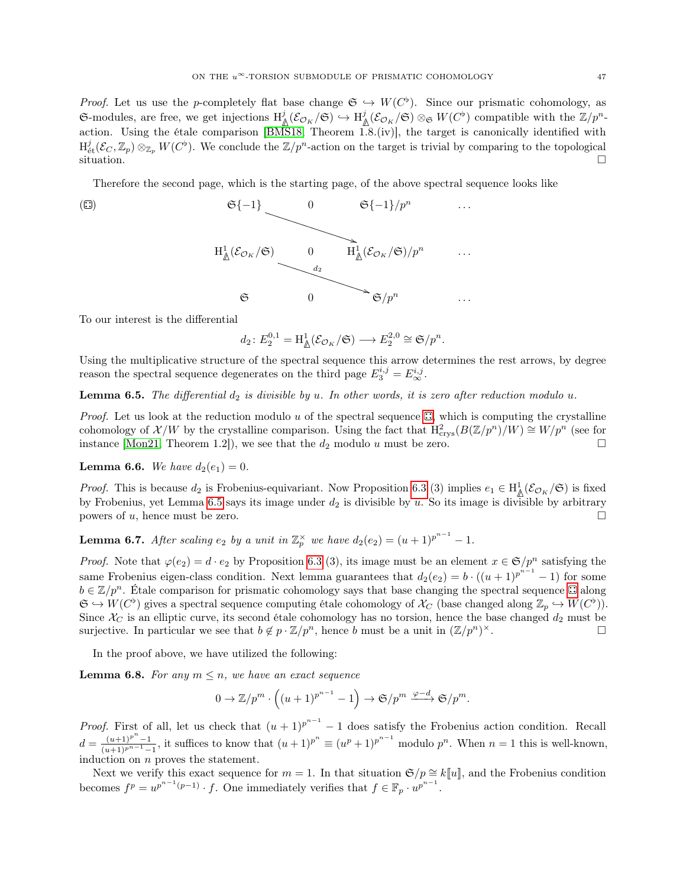*Proof.* Let us use the p-completely flat base change  $\mathfrak{S} \hookrightarrow W(C^{\flat})$ . Since our prismatic cohomology, as  $\mathfrak{S}\text{-modules, are free, we get injections } H^j_{\mathbb{A}}(\mathcal{E}_{\mathcal{O}_K}/\mathfrak{S}) \hookrightarrow H^j_{\mathbb{A}}(\mathcal{E}_{\mathcal{O}_K}/\mathfrak{S}) \otimes_{\mathfrak{S}} W(C^{\flat}) \text{ compatible with the } \mathbb{Z}/p^n$ action. Using the étale comparison [\[BMS18,](#page-50-1) Theorem 1.8.(iv)], the target is canonically identified with  $H^j_{\text{\'et}}(\mathcal{E}_C,\mathbb{Z}_p)\otimes_{\mathbb{Z}_p} W(C^{\flat})$ . We conclude the  $\mathbb{Z}/p^n$ -action on the target is trivial by comparing to the topological  $\Box$ situation.

Therefore the second page, which is the starting page, of the above spectral sequence looks like

<span id="page-46-0"></span>

To our interest is the differential

$$
d_2\colon E_2^{0,1}=\mathrm{H}^1_{\underline{\mathbb{A}}}(\mathcal{E}_{\mathcal{O}_K}/\mathfrak{S})\longrightarrow E_2^{2,0}\cong \mathfrak{S}/p^n.
$$

Using the multiplicative structure of the spectral sequence this arrow determines the rest arrows, by degree reason the spectral sequence degenerates on the third page  $E_3^{i,j} = E_{\infty}^{i,j}$ .

<span id="page-46-1"></span>**Lemma 6.5.** The differential  $d_2$  is divisible by u. In other words, it is zero after reduction modulo u.

*Proof.* Let us look at the reduction modulo u of the spectral sequence  $\mathbb{Z}$ [,](#page-46-0) which is computing the crystalline cohomology of  $\mathcal{X}/W$  by the crystalline comparison. Using the fact that  $H^2_{\text{crys}}(B(\mathbb{Z}/p^n)/W) \cong W/p^n$  (see for instance [\[Mon21,](#page-51-24) Theorem 1.2]), we see that the  $d_2$  modulo u must be zero.

<span id="page-46-2"></span>**Lemma 6.6.** We have  $d_2(e_1) = 0$ .

*Proof.* This is because  $d_2$  is Frobenius-equivariant. Now Proposition [6.3](#page-45-0) (3) implies  $e_1 \in H^1_{\mathbb{A}}(\mathcal{E}_{\mathcal{O}_K}/\mathfrak{S})$  is fixed by Frobenius, yet Lemma [6.5](#page-46-1) says its image under  $d_2$  is divisible by u. So its image is divisible by arbitrary powers of u, hence must be zero.  $\square$ 

<span id="page-46-3"></span>**Lemma 6.7.** After scaling  $e_2$  by a unit in  $\mathbb{Z}_p^{\times}$  we have  $d_2(e_2) = (u+1)^{p^{n-1}} - 1$ .

*Proof.* Note that  $\varphi(e_2) = d \cdot e_2$  by Proposition [6.3](#page-45-0) (3), its image must be an element  $x \in \mathfrak{S}/p^n$  satisfying the same Frobenius eigen-class condition. Next lemma guarantees that  $d_2(e_2) = b \cdot ((u+1)^{p^{n-1}}-1)$  for some  $b \in \mathbb{Z}/p^n$ . Étale comparison for prismatic cohomology says that base changing the spectral sequence  $\Box$  along  $\mathfrak{S} \hookrightarrow W(C^{\flat})$  gives a spectral sequence computing étale cohomology of  $\mathcal{X}_C$  (base changed along  $\mathbb{Z}_p \hookrightarrow W(C^{\flat})$ ). Since  $\mathcal{X}_C$  is an elliptic curve, its second étale cohomology has no torsion, hence the base changed  $d_2$  must be surjective. In particular we see that  $b \notin p \cdot \mathbb{Z}/p^n$ , hence b must be a unit in  $(\mathbb{Z}/p^n)^{\times}$ .  $\times$ .

In the proof above, we have utilized the following:

**Lemma 6.8.** For any  $m \leq n$ , we have an exact sequence

$$
0 \to \mathbb{Z}/p^m \cdot \left( (u+1)^{p^{n-1}} - 1 \right) \to \mathfrak{S}/p^m \xrightarrow{\varphi-d} \mathfrak{S}/p^m.
$$

*Proof.* First of all, let us check that  $(u + 1)^{p^{n-1}} - 1$  does satisfy the Frobenius action condition. Recall  $d = \frac{(u+1)^{p^n}-1}{(u+1)^{p^{n-1}}-1}$ , it suffices to know that  $(u+1)^{p^n} \equiv (u^p+1)^{p^{n-1}}$  modulo  $p^n$ . When  $n = 1$  this is well-known, induction on n proves the statement.

Next we verify this exact sequence for  $m = 1$ . In that situation  $\mathfrak{S}/p \cong k[[u]]$ , and the Frobenius condition becomes  $f^p = u^{p^{n-1}(p-1)} \cdot f$ . One immediately verifies that  $f \in \mathbb{F}_p \cdot u^{p^{n-1}}$ .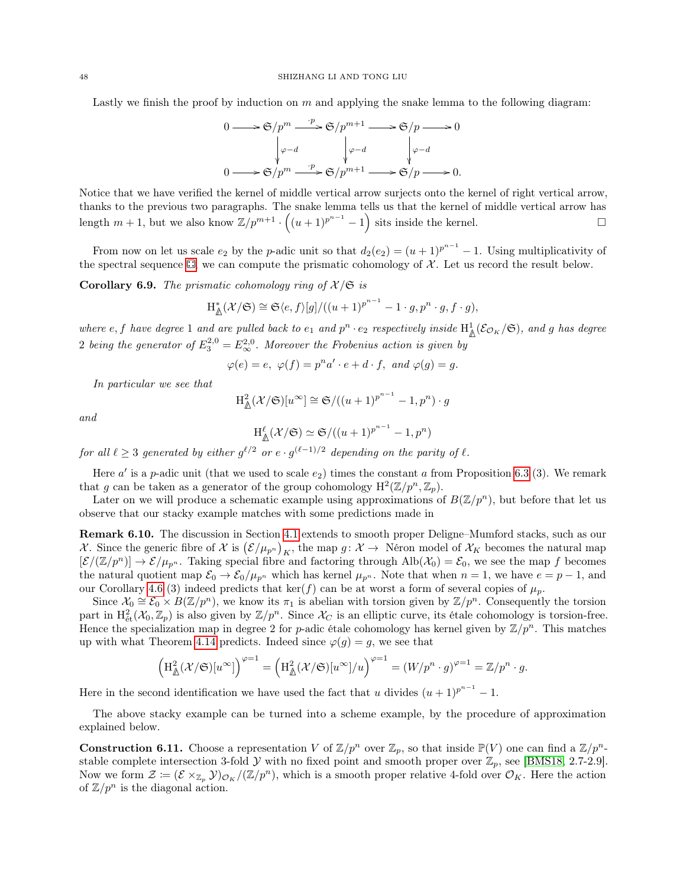Lastly we finish the proof by induction on  $m$  and applying the snake lemma to the following diagram:



Notice that we have verified the kernel of middle vertical arrow surjects onto the kernel of right vertical arrow, thanks to the previous two paragraphs. The snake lemma tells us that the kernel of middle vertical arrow has length  $m+1$ , but we also know  $\mathbb{Z}/p^{m+1} \cdot ((u+1)^{p^{n-1}}-1)$  sits inside the kernel.

From now on let us scale  $e_2$  by the p-adic unit so that  $d_2(e_2) = (u+1)^{p^{n-1}} - 1$ . Using multiplicativity of the spectral sequence  $\mathbb{Z}$ [,](#page-46-0) we can compute the prismatic cohomology of X. Let us record the result below.

**Corollary 6.9.** The prismatic cohomology ring of  $\mathcal{X}/\mathfrak{S}$  is

$$
H_{\mathbb{A}}^*(\mathcal{X}/\mathfrak{S}) \cong \mathfrak{S}\langle e,f\rangle[g]/((u+1)^{p^{n-1}}-1\cdot g,p^n\cdot g,f\cdot g),
$$

where e, f have degree 1 and are pulled back to  $e_1$  and  $p^n \cdot e_2$  respectively inside  $H^1_{\mathbb{A}}(\mathcal{E}_{\mathcal{O}_K}/\mathfrak{S})$ , and g has degree 2 being the generator of  $E_3^{2,0} = E_\infty^{2,0}$ . Moreover the Frobenius action is given by

$$
\varphi(e) = e, \ \varphi(f) = p^n a' \cdot e + d \cdot f, \ \text{and} \ \varphi(g) = g.
$$

In particular we see that

$$
\mathrm{H}^2_{\underline{\mathbb{A}}}(\mathcal{X}/\mathfrak{S})[u^{\infty}] \cong \mathfrak{S}/((u+1)^{p^{n-1}}-1,p^n) \cdot g
$$

and

$$
\mathrm{H}^{\ell}_{\mathbb{A}}(\mathcal{X}/\mathfrak{S}) \simeq \mathfrak{S}/((u+1)^{p^{n-1}}-1,p^n)
$$

for all  $\ell \geq 3$  generated by either  $g^{\ell/2}$  or  $e \cdot g^{(\ell-1)/2}$  depending on the parity of  $\ell$ .

Here  $a'$  is a p-adic unit (that we used to scale  $e_2$ ) times the constant a from Proposition [6.3](#page-45-0) (3). We remark that g can be taken as a generator of the group cohomology  $H^2(\mathbb{Z}/p^n, \mathbb{Z}_p)$ .

Later on we will produce a schematic example using approximations of  $B(\mathbb{Z}/p^n)$ , but before that let us observe that our stacky example matches with some predictions made in

<span id="page-47-0"></span>Remark 6.10. The discussion in Section [4.1](#page-21-1) extends to smooth proper Deligne–Mumford stacks, such as our X. Since the generic fibre of X is  $(\mathcal{E}/\mu_{p^n})_K$ , the map  $g: \mathcal{X} \to \mathbb{N}$ éron model of  $\mathcal{X}_K$  becomes the natural map  $[\mathcal{E}/(\mathbb{Z}/p^n)] \to \mathcal{E}/\mu_{p^n}$ . Taking special fibre and factoring through Alb $(\mathcal{X}_0) = \mathcal{E}_0$ , we see the map f becomes the natural quotient map  $\mathcal{E}_0 \to \mathcal{E}_0/\mu_{p^n}$  which has kernel  $\mu_{p^n}$ . Note that when  $n = 1$ , we have  $e = p - 1$ , and our Corollary [4.6](#page-23-0) (3) indeed predicts that ker(f) can be at worst a form of several copies of  $\mu_p$ .

Since  $\mathcal{X}_0 \cong \mathcal{E}_0 \times B(\mathbb{Z}/p^n)$ , we know its  $\pi_1$  is abelian with torsion given by  $\mathbb{Z}/p^n$ . Consequently the torsion part in  $\mathrm{H}^2_{\text{\'et}}(\mathcal{X}_0, \mathbb{Z}_p)$  is also given by  $\mathbb{Z}/p^n$ . Since  $\mathcal{X}_C$  is an elliptic curve, its étale cohomology is torsion-free. Hence the specialization map in degree 2 for p-adic étale cohomology has kernel given by  $\mathbb{Z}/p^n$ . This matches up with what Theorem [4.14](#page-26-1) predicts. Indeed since  $\varphi(g) = g$ , we see that

$$
\left(\mathrm{H}_{\mathbb{A}}^2(\mathcal{X}/\mathfrak{S})[u^{\infty}]\right)^{\varphi=1}=\left(\mathrm{H}_{\mathbb{A}}^2(\mathcal{X}/\mathfrak{S})[u^{\infty}]/u\right)^{\varphi=1}=(W/p^n\cdot g)^{\varphi=1}=\mathbb{Z}/p^n\cdot g.
$$

Here in the second identification we have used the fact that u divides  $(u + 1)^{p^{n-1}} - 1$ .

The above stacky example can be turned into a scheme example, by the procedure of approximation explained below.

<span id="page-47-1"></span>**Construction 6.11.** Choose a representation V of  $\mathbb{Z}/p^n$  over  $\mathbb{Z}_p$ , so that inside  $\mathbb{P}(V)$  one can find a  $\mathbb{Z}/p^n$ stable complete intersection 3-fold  $Y$  with no fixed point and smooth proper over  $\mathbb{Z}_p$ , see [\[BMS18,](#page-50-1) 2.7-2.9]. Now we form  $\mathcal{Z} \coloneqq (\mathcal{E} \times_{\mathbb{Z}_p} \mathcal{Y})_{\mathcal{O}_K}/(\mathbb{Z}/p^n)$ , which is a smooth proper relative 4-fold over  $\mathcal{O}_K$ . Here the action of  $\mathbb{Z}/p^n$  is the diagonal action.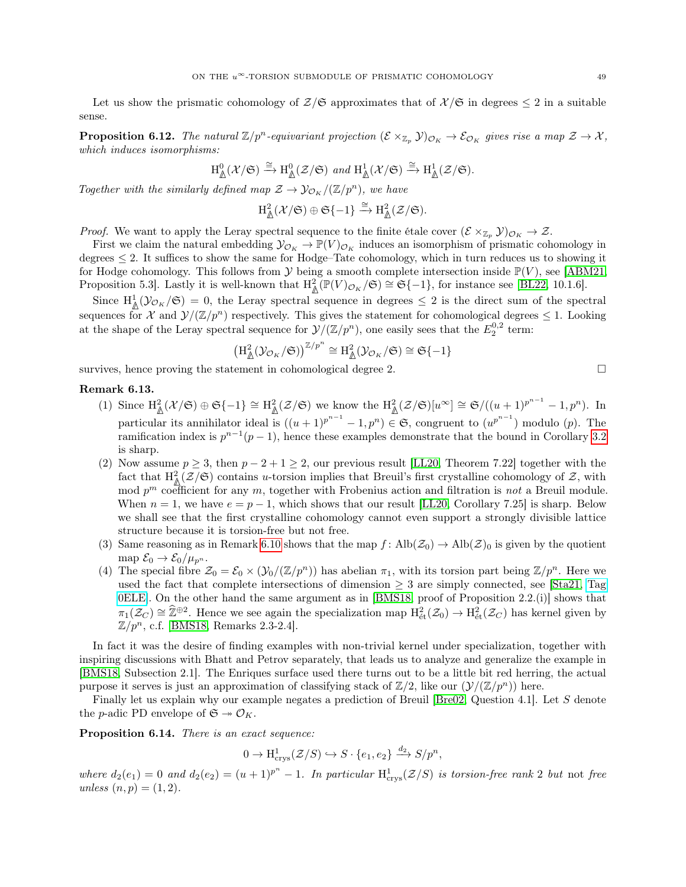Let us show the prismatic cohomology of  $\mathcal{Z}/\mathfrak{S}$  approximates that of  $\mathcal{X}/\mathfrak{S}$  in degrees  $\leq 2$  in a suitable sense.

<span id="page-48-1"></span>**Proposition 6.12.** The natural  $\mathbb{Z}/p^n$ -equivariant projection  $(\mathcal{E} \times_{\mathbb{Z}_p} \mathcal{Y})_{\mathcal{O}_K} \to \mathcal{E}_{\mathcal{O}_K}$  gives rise a map  $\mathcal{Z} \to \mathcal{X}$ , which induces isomorphisms:

$$
\mathrm{H}^0_{\underline{\mathbb{A}}}(\mathcal{X}/\mathfrak{S})\xrightarrow{\cong}\mathrm{H}^0_{\underline{\mathbb{A}}}(\mathcal{Z}/\mathfrak{S})\ \ and\ \mathrm{H}^1_{\underline{\mathbb{A}}}(\mathcal{X}/\mathfrak{S})\xrightarrow{\cong}\mathrm{H}^1_{\underline{\mathbb{A}}}(\mathcal{Z}/\mathfrak{S}).
$$

Together with the similarly defined map  $\mathcal{Z} \to \mathcal{Y}_{\mathcal{O}_K}/(\mathbb{Z}/p^n)$ , we have

$$
\mathrm{H}^2_{\underline{\mathbb{A}}}(\mathcal{X}/\mathfrak{S})\oplus \mathfrak{S}\{-1\} \xrightarrow{\cong} \mathrm{H}^2_{\underline{\mathbb{A}}}(\mathcal{Z}/\mathfrak{S}).
$$

*Proof.* We want to apply the Leray spectral sequence to the finite étale cover  $(\mathcal{E} \times_{\mathbb{Z}_p} \mathcal{Y})_{\mathcal{O}_K} \to \mathcal{Z}$ .

First we claim the natural embedding  $\mathcal{Y}_{\mathcal{O}_K} \to \mathbb{P}(V)_{\mathcal{O}_K}$  induces an isomorphism of prismatic cohomology in degrees  $\leq 2$ . It suffices to show the same for Hodge–Tate cohomology, which in turn reduces us to showing it for Hodge cohomology. This follows from  $\mathcal Y$  being a smooth complete intersection inside  $\mathbb P(V)$ , see [\[ABM21,](#page-50-16) Proposition 5.3. Lastly it is well-known that  $H^2_{\mathbb{A}}(\mathbb{P}(V)_{\mathcal{O}_K}/\mathfrak{S}) \cong \mathfrak{S}\{-1\}$ , for instance see [\[BL22,](#page-50-8) 10.1.6].

Since  $H^1_{\mathbb{A}}(\mathcal{Y}_{\mathcal{O}_K}/\mathfrak{S})=0$ , the Leray spectral sequence in degrees  $\leq 2$  is the direct sum of the spectral sequences for X and  $\mathcal{Y}/(\mathbb{Z}/p^n)$  respectively. This gives the statement for cohomological degrees  $\leq 1$ . Looking at the shape of the Leray spectral sequence for  $\mathcal{Y}/(\mathbb{Z}/p^n)$ , one easily sees that the  $E_2^{0,2}$  term:

$$
\big(\mathrm{H}^2_{\underline{\mathbb{A}}}(\mathcal{Y}_{\mathcal{O}_K}/\mathfrak{S})\big)^{\mathbb{Z}/p^n} \cong \mathrm{H}^2_{\underline{\mathbb{A}}}(\mathcal{Y}_{\mathcal{O}_K}/\mathfrak{S}) \cong \mathfrak{S}\{-1\}
$$

survives, hence proving the statement in cohomological degree 2.

## <span id="page-48-0"></span>Remark 6.13.

- (1) Since  $\mathrm{H}^2_{\mathbb{A}}(\mathcal{X}/\mathfrak{S}) \oplus \mathfrak{S}\{-1\} \cong \mathrm{H}^2_{\mathbb{A}}(\mathcal{Z}/\mathfrak{S})$  we know the  $\mathrm{H}^2_{\mathbb{A}}(\mathcal{Z}/\mathfrak{S})[u^{\infty}] \cong \mathfrak{S}/((u+1)^{p^{n-1}}-1,p^n)$ . In particular its annihilator ideal is  $((u+1)^{p^{n-1}}-1,p^n) \in \mathfrak{S}$ , congruent to  $(u^{p^{n-1}})$  modulo  $(p)$ . The ramification index is  $p^{n-1}(p-1)$ , hence these examples demonstrate that the bound in Corollary [3.2](#page-13-3) is sharp.
- (2) Now assume  $p \geq 3$ , then  $p-2+1 \geq 2$ , our previous result [\[LL20,](#page-51-7) Theorem 7.22] together with the fact that  $\mathrm{H}^2_{\mathbb{A}}(\mathcal{Z}/\mathfrak{S})$  contains u-torsion implies that Breuil's first crystalline cohomology of  $\mathcal{Z}$ , with mod  $p^m$  coefficient for any m, together with Frobenius action and filtration is not a Breuil module. When  $n = 1$ , we have  $e = p - 1$ , which shows that our result [\[LL20,](#page-51-7) Corollary 7.25] is sharp. Below we shall see that the first crystalline cohomology cannot even support a strongly divisible lattice structure because it is torsion-free but not free.
- (3) Same reasoning as in Remark [6.10](#page-47-0) shows that the map  $f: \text{Alb}(\mathcal{Z}_0) \to \text{Alb}(\mathcal{Z})_0$  is given by the quotient map  $\mathcal{E}_0 \rightarrow \mathcal{E}_0/\mu_{p^n}$ .
- (4) The special fibre  $\mathcal{Z}_0 = \mathcal{E}_0 \times (\mathcal{Y}_0/(\mathbb{Z}/p^n))$  has abelian  $\pi_1$ , with its torsion part being  $\mathbb{Z}/p^n$ . Here we used the fact that complete intersections of dimension  $\geq 3$  are simply connected, see [\[Sta21,](#page-51-0) [Tag](https://stacks.math.columbia.edu/tag/0ELE) [0ELE\]](https://stacks.math.columbia.edu/tag/0ELE). On the other hand the same argument as in [\[BMS18,](#page-50-1) proof of Proposition 2.2.(i)] shows that  $\pi_1(\mathcal{Z}_C) \cong \hat{\mathbb{Z}}^{\oplus 2}$ . Hence we see again the specialization map  $\mathrm{H}^2_{\text{\'{e}t}}(\mathcal{Z}_0) \to \mathrm{H}^2_{\text{\'{e}t}}(\mathcal{Z}_C)$  has kernel given by  $\mathbb{Z}/p^n$ , c.f. [\[BMS18,](#page-50-1) Remarks 2.3-2.4].

In fact it was the desire of finding examples with non-trivial kernel under specialization, together with inspiring discussions with Bhatt and Petrov separately, that leads us to analyze and generalize the example in [\[BMS18,](#page-50-1) Subsection 2.1]. The Enriques surface used there turns out to be a little bit red herring, the actual purpose it serves is just an approximation of classifying stack of  $\mathbb{Z}/2$ , like our  $(\mathcal{Y}/(\mathbb{Z}/p^n))$  here.

Finally let us explain why our example negates a prediction of Breuil [\[Bre02,](#page-50-6) Question 4.1]. Let S denote the *p*-adic PD envelope of  $\mathfrak{S} \rightarrow \mathcal{O}_K$ .

Proposition 6.14. There is an exact sequence:

$$
0 \to \mathrm{H}^1_{\mathrm{crys}}(\mathcal{Z}/S) \hookrightarrow S \cdot \{e_1, e_2\} \xrightarrow{d_2} S/p^n,
$$

where  $d_2(e_1) = 0$  and  $d_2(e_2) = (u+1)^{p^n} - 1$ . In particular  $H^1_{\text{crys}}(\mathcal{Z}/S)$  is torsion-free rank 2 but not free unless  $(n, p) = (1, 2)$ .

$$
\Box
$$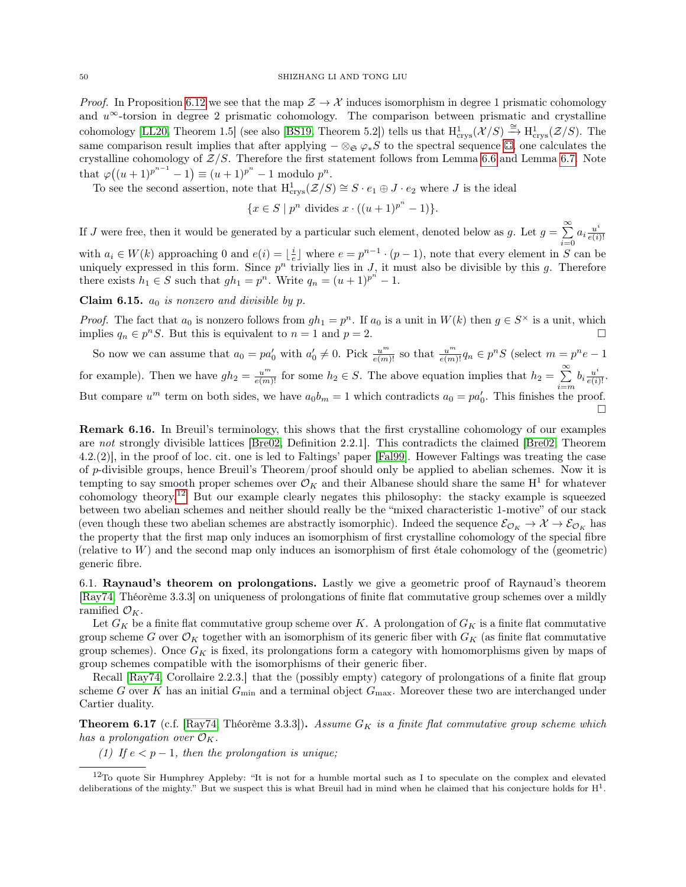*Proof.* In Proposition [6.12](#page-48-1) we see that the map  $\mathcal{Z} \to \mathcal{X}$  induces isomorphism in degree 1 prismatic cohomology and  $u^{\infty}$ -torsion in degree 2 prismatic cohomology. The comparison between prismatic and crystalline cohomology [\[LL20,](#page-51-7) Theorem 1.5] (see also [\[BS19,](#page-50-3) Theorem 5.2]) tells us that  $H^1_{\text{crys}}(\mathcal{X}/S) \stackrel{\cong}{\rightarrow} H^1_{\text{crys}}(\mathcal{Z}/S)$ . The same comparison result implies that after applying  $-\otimes_{\mathfrak{S}} \varphi_* S$  to the spectral sequence  $\mathbb{C}$ [,](#page-46-0) one calculates the crystalline cohomology of  $Z/S$ . Therefore the first statement follows from Lemma [6.6](#page-46-2) and Lemma [6.7.](#page-46-3) Note that  $\varphi((u+1)^{p^{n-1}}-1) \equiv (u+1)^{p^n}-1$  modulo  $p^n$ .

To see the second assertion, note that  $H^1_{\text{crys}}(\mathcal{Z}/S) \cong S \cdot e_1 \oplus J \cdot e_2$  where J is the ideal

$$
\{x \in S \mid p^n \text{ divides } x \cdot ((u+1)^{p^n} - 1)\}.
$$

If J were free, then it would be generated by a particular such element, denoted below as g. Let  $g = \sum_{i=1}^{\infty} a_i \frac{u^i}{e(i)}$  $i=0$  $e(i)!$ with  $a_i \in W(k)$  approaching 0 and  $e(i) = \lfloor \frac{i}{e} \rfloor$  where  $e = p^{n-1} \cdot (p-1)$ , note that every element in S can be uniquely expressed in this form. Since  $p^n$  trivially lies in J, it must also be divisible by this g. Therefore

Claim 6.15.  $a_0$  is nonzero and divisible by p.

there exists  $h_1 \in S$  such that  $gh_1 = p^n$ . Write  $q_n = (u+1)^{p^n} - 1$ .

*Proof.* The fact that  $a_0$  is nonzero follows from  $gh_1 = p^n$ . If  $a_0$  is a unit in  $W(k)$  then  $g \in S^{\times}$  is a unit, which implies  $q_n \in p^n S$ . But this is equivalent to  $n = 1$  and  $p = 2$ .

So now we can assume that  $a_0 = pa'_0$  with  $a'_0 \neq 0$ . Pick  $\frac{u^m}{e(m)!}$  so that  $\frac{u^m}{e(m)!}q_n \in p^nS$  (select  $m = p^n e - 1$ for example). Then we have  $gh_2 = \frac{u^m}{e(m)!}$  for some  $h_2 \in S$ . The above equation implies that  $h_2 = \sum_{k=1}^{\infty}$  $\sum_{i=m}^{\infty} b_i \frac{u^i}{e(i)!}.$ But compare  $u^m$  term on both sides, we have  $a_0b_m = 1$  which contradicts  $a_0 = pa'_0$ . This finishes the proof.  $\Box$ 

Remark 6.16. In Breuil's terminology, this shows that the first crystalline cohomology of our examples are not strongly divisible lattices [\[Bre02,](#page-50-6) Definition 2.2.1]. This contradicts the claimed [\[Bre02,](#page-50-6) Theorem 4.2.(2)], in the proof of loc. cit. one is led to Faltings' paper [\[Fal99\]](#page-51-6). However Faltings was treating the case of  $p$ -divisible groups, hence Breuil's Theorem/proof should only be applied to abelian schemes. Now it is tempting to say smooth proper schemes over  $\mathcal{O}_K$  and their Albanese should share the same H<sup>1</sup> for whatever cohomology theory.[12](#page-49-1) But our example clearly negates this philosophy: the stacky example is squeezed between two abelian schemes and neither should really be the "mixed characteristic 1-motive" of our stack (even though these two abelian schemes are abstractly isomorphic). Indeed the sequence  $\mathcal{E}_{\mathcal{O}_K} \to \mathcal{X} \to \mathcal{E}_{\mathcal{O}_K}$  has the property that the first map only induces an isomorphism of first crystalline cohomology of the special fibre (relative to  $W$ ) and the second map only induces an isomorphism of first étale cohomology of the (geometric) generic fibre.

<span id="page-49-0"></span>6.1. Raynaud's theorem on prolongations. Lastly we give a geometric proof of Raynaud's theorem [\[Ray74,](#page-51-9) Théorème 3.3.3] on uniqueness of prolongations of finite flat commutative group schemes over a mildly ramified  $\mathcal{O}_K$ .

Let  $G_K$  be a finite flat commutative group scheme over K. A prolongation of  $G_K$  is a finite flat commutative group scheme G over  $\mathcal{O}_K$  together with an isomorphism of its generic fiber with  $G_K$  (as finite flat commutative group schemes). Once  $G_K$  is fixed, its prolongations form a category with homomorphisms given by maps of group schemes compatible with the isomorphisms of their generic fiber.

Recall [\[Ray74,](#page-51-9) Corollaire 2.2.3.] that the (possibly empty) category of prolongations of a finite flat group scheme G over K has an initial  $G_{\text{min}}$  and a terminal object  $G_{\text{max}}$ . Moreover these two are interchanged under Cartier duality.

**Theorem 6.17** (c.f. [\[Ray74,](#page-51-9) Théorème 3.3.3]). Assume  $G_K$  is a finite flat commutative group scheme which has a prolongation over  $\mathcal{O}_K$ .

(1) If  $e < p-1$ , then the prolongation is unique;

<span id="page-49-1"></span> $12$ To quote Sir Humphrey Appleby: "It is not for a humble mortal such as I to speculate on the complex and elevated deliberations of the mighty." But we suspect this is what Breuil had in mind when he claimed that his conjecture holds for  $H<sup>1</sup>$ .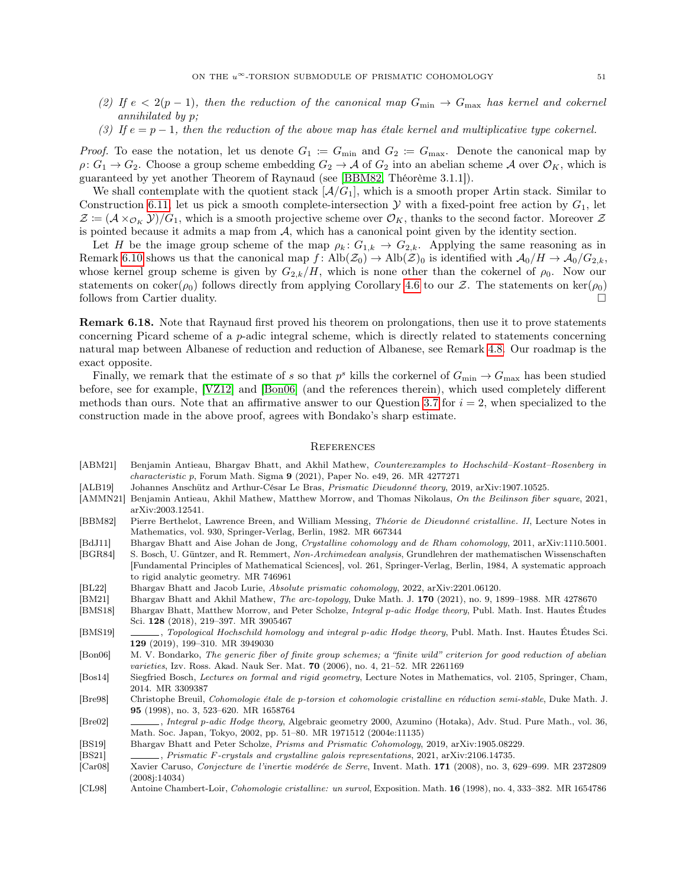- (2) If  $e < 2(p-1)$ , then the reduction of the canonical map  $G_{\min} \to G_{\max}$  has kernel and cokernel annihilated by p;
- (3) If  $e = p 1$ , then the reduction of the above map has étale kernel and multiplicative type cokernel.

*Proof.* To ease the notation, let us denote  $G_1 := G_{\min}$  and  $G_2 := G_{\max}$ . Denote the canonical map by  $\rho: G_1 \to G_2$ . Choose a group scheme embedding  $G_2 \to \mathcal{A}$  of  $G_2$  into an abelian scheme  $\mathcal{A}$  over  $\mathcal{O}_K$ , which is guaranteed by yet another Theorem of Raynaud (see [\[BBM82,](#page-50-17) Théorème 3.1.1]).

We shall contemplate with the quotient stack  $[\mathcal{A}/G_1]$ , which is a smooth proper Artin stack. Similar to Construction [6.11,](#page-47-1) let us pick a smooth complete-intersection  $\mathcal Y$  with a fixed-point free action by  $G_1$ , let  $\mathcal{Z} := (\mathcal{A} \times_{\mathcal{O}_K} \mathcal{Y})/G_1$ , which is a smooth projective scheme over  $\mathcal{O}_K$ , thanks to the second factor. Moreover  $\mathcal{Z}$ is pointed because it admits a map from  $A$ , which has a canonical point given by the identity section.

Let H be the image group scheme of the map  $\rho_k: G_{1,k} \to G_{2,k}$ . Applying the same reasoning as in Remark [6.10](#page-47-0) shows us that the canonical map  $f: \text{Alb}(\mathcal{Z}_0) \to \text{Alb}(\mathcal{Z})_0$  is identified with  $\mathcal{A}_0/H \to \mathcal{A}_0/G_{2,k}$ , whose kernel group scheme is given by  $G_{2,k}/H$ , which is none other than the cokernel of  $\rho_0$ . Now our statements on coker( $\rho_0$ ) follows directly from applying Corollary [4.6](#page-23-0) to our Z. The statements on ker( $\rho_0$ ) follows from Cartier duality.

Remark 6.18. Note that Raynaud first proved his theorem on prolongations, then use it to prove statements concerning Picard scheme of a p-adic integral scheme, which is directly related to statements concerning natural map between Albanese of reduction and reduction of Albanese, see Remark [4.8.](#page-24-1) Our roadmap is the exact opposite.

Finally, we remark that the estimate of s so that  $p^s$  kills the corkernel of  $G_{\min} \to G_{\max}$  has been studied before, see for example, [\[VZ12\]](#page-51-25) and [\[Bon06\]](#page-50-18) (and the references therein), which used completely different methods than ours. Note that an affirmative answer to our Question [3.7](#page-16-1) for  $i = 2$ , when specialized to the construction made in the above proof, agrees with Bondako's sharp estimate.

#### <span id="page-50-0"></span>**REFERENCES**

- <span id="page-50-16"></span>[ABM21] Benjamin Antieau, Bhargav Bhatt, and Akhil Mathew, Counterexamples to Hochschild–Kostant–Rosenberg in characteristic p, Forum Math. Sigma  $9$  (2021), Paper No. e49, 26. MR 4277271
- <span id="page-50-12"></span>[ALB19] Johannes Anschütz and Arthur-César Le Bras, Prismatic Dieudonné theory, 2019, arXiv:1907.10525.
- <span id="page-50-7"></span>[AMMN21] Benjamin Antieau, Akhil Mathew, Matthew Morrow, and Thomas Nikolaus, On the Beilinson fiber square, 2021, arXiv:2003.12541.
- <span id="page-50-17"></span>[BBM82] Pierre Berthelot, Lawrence Breen, and William Messing, Théorie de Dieudonné cristalline. II, Lecture Notes in Mathematics, vol. 930, Springer-Verlag, Berlin, 1982. MR 667344
- <span id="page-50-13"></span>[BdJ11] Bhargav Bhatt and Aise Johan de Jong, Crystalline cohomology and de Rham cohomology, 2011, arXiv:1110.5001.
- <span id="page-50-14"></span>[BGR84] S. Bosch, U. Güntzer, and R. Remmert, Non-Archimedean analysis, Grundlehren der mathematischen Wissenschaften [Fundamental Principles of Mathematical Sciences], vol. 261, Springer-Verlag, Berlin, 1984, A systematic approach to rigid analytic geometry. MR 746961
- <span id="page-50-8"></span>[BL22] Bhargav Bhatt and Jacob Lurie, Absolute prismatic cohomology, 2022, arXiv:2201.06120.
- <span id="page-50-10"></span><span id="page-50-1"></span>[BM21] Bhargav Bhatt and Akhil Mathew, The arc-topology, Duke Math. J. 170 (2021), no. 9, 1899–1988. MR 4278670 [BMS18] Bhargav Bhatt, Matthew Morrow, and Peter Scholze, Integral p-adic Hodge theory, Publ. Math. Inst. Hautes Études
- <span id="page-50-2"></span>Sci. 128 (2018), 219–397. MR 3905467 [BMS19] , Topological Hochschild homology and integral p-adic Hodge theory, Publ. Math. Inst. Hautes Études Sci.
- <span id="page-50-18"></span>129 (2019), 199–310. MR 3949030 [Bon06] M. V. Bondarko, The generic fiber of finite group schemes; a "finite wild" criterion for good reduction of abelian
- varieties, Izv. Ross. Akad. Nauk Ser. Mat. 70 (2006), no. 4, 21–52. MR 2261169
- <span id="page-50-15"></span>[Bos14] Siegfried Bosch, Lectures on formal and rigid geometry, Lecture Notes in Mathematics, vol. 2105, Springer, Cham, 2014. MR 3309387
- <span id="page-50-4"></span>[Bre98] Christophe Breuil, Cohomologie étale de p-torsion et cohomologie cristalline en réduction semi-stable, Duke Math. J. 95 (1998), no. 3, 523–620. MR 1658764
- <span id="page-50-6"></span>[Bre02] , Integral p-adic Hodge theory, Algebraic geometry 2000, Azumino (Hotaka), Adv. Stud. Pure Math., vol. 36, Math. Soc. Japan, Tokyo, 2002, pp. 51–80. MR 1971512 (2004e:11135)
- <span id="page-50-3"></span>[BS19] Bhargav Bhatt and Peter Scholze, Prisms and Prismatic Cohomology, 2019, arXiv:1905.08229.
- <span id="page-50-9"></span>[BS21] , Prismatic F-crystals and crystalline galois representations, 2021, arXiv:2106.14735.
- <span id="page-50-5"></span>[Car08] Xavier Caruso, Conjecture de l'inertie modérée de Serre, Invent. Math. 171 (2008), no. 3, 629–699. MR 2372809 (2008j:14034)
- <span id="page-50-11"></span>[CL98] Antoine Chambert-Loir, Cohomologie cristalline: un survol, Exposition. Math. 16 (1998), no. 4, 333–382. MR 1654786